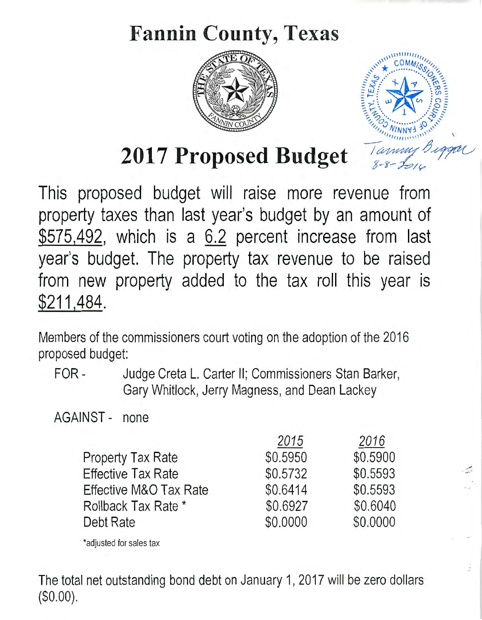# **Fannin County, Texas**





\_ .. -

2017 Proposed Budget

This proposed budget will raise more revenue from property taxes than last year's budget by an amount of \$575,492, which is a 6.2 percent increase from last year's budget. The property tax revenue to be raised from new property added to the tax roll this year is \$211,484.

Members of the commissioners court voting on the adoption of the 2016 proposed budget:

FOR- Judge Creta L. Carter II; Commissioners Stan Barker, Gary Whitlock, Jerry Magness, and Dean Lackey

AGAINST- none

|                        | 2015     | 2016     |
|------------------------|----------|----------|
| Property Tax Rate      | \$0.5950 | \$0.5900 |
| Effective Tax Rate     | \$0.5732 | \$0,5593 |
| Effective M&O Tax Rate | \$0.6414 | \$0.5593 |
| Rollback Tax Rate *    | \$0.6927 | \$0.6040 |
| Debt Rate              | \$0.0000 | \$0.0000 |
|                        |          |          |

\*adjusted for sales tax

The total net outstanding bond debt on January 1, 2017 will be zero dollars (\$0.00).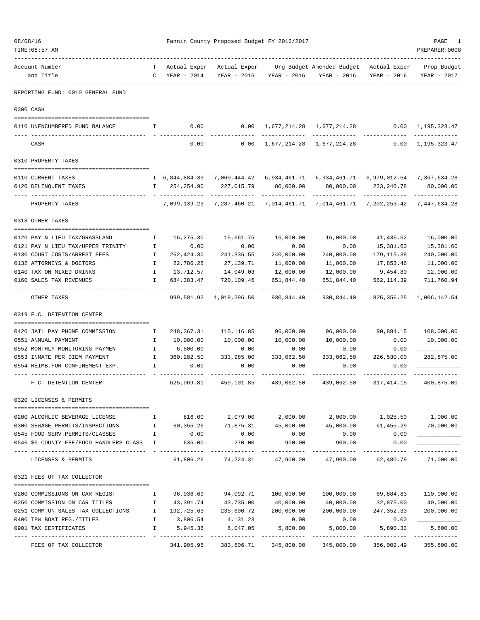| 08/08/16<br>TIME: 08:57 AM<br>------------------------             |                              |                            | Fannin County Proposed Budget FY 2016/2017 |                         |                                                                                                |                           | PAGE<br>PREPARER: 0008                      |
|--------------------------------------------------------------------|------------------------------|----------------------------|--------------------------------------------|-------------------------|------------------------------------------------------------------------------------------------|---------------------------|---------------------------------------------|
| Account Number<br>and Title                                        | $\mathbf{C}$                 | YEAR - 2014                |                                            | YEAR - 2015 YEAR - 2016 | Actual Exper Actual Exper Org Budget Amended Budget Actual Exper<br>YEAR - 2016                | YEAR - 2016               | Prop Budget<br>YEAR - 2017                  |
| -----------<br>REPORTING FUND: 0010 GENERAL FUND                   |                              |                            |                                            |                         |                                                                                                |                           |                                             |
| 0300 CASH                                                          |                              |                            |                                            |                         |                                                                                                |                           |                                             |
| 0110 UNENCUMBERED FUND BALANCE                                     | Ι.                           | 0.00                       | 0.00                                       |                         | 1,677,214.28 1,677,214.28                                                                      | $0.00 \quad 1,195,323.47$ |                                             |
| CASH                                                               |                              | 0.00                       | 0.00                                       | 1,677,214.28            | 1,677,214.28                                                                                   | 0.00                      | 1,195,323.47                                |
| 0310 PROPERTY TAXES                                                |                              |                            |                                            |                         |                                                                                                |                           |                                             |
| 0110 CURRENT TAXES                                                 |                              |                            |                                            |                         | I 6,844,884.33 7,060,444.42 6,934,461.71 6,934,461.71 6,979,012.64 7,367,634.28                |                           |                                             |
| 0120 DELINQUENT TAXES                                              |                              | 254,254.90<br>$\mathbf{I}$ | 227,015.79                                 | 80,000.00               | 80,000.00                                                                                      | 223, 240.78               | 80,000.00                                   |
| PROPERTY TAXES                                                     |                              |                            |                                            | -------------           | -------------<br>7,099,139.23 7,287,460.21 7,014,461.71 7,014,461.71 7,202,253.42 7,447,634.28 | -------------             | -------------                               |
| 0318 OTHER TAXES                                                   |                              |                            |                                            |                         |                                                                                                |                           |                                             |
|                                                                    |                              |                            |                                            |                         |                                                                                                |                           |                                             |
| 0120 PAY N LIEU TAX/GRASSLAND<br>0121 PAY N LIEU TAX/UPPER TRINITY | $\mathbb{I}$<br>$\mathbb{I}$ | 16,275.30<br>0.00          | 15,661.75<br>0.00                          | 16,000.00<br>0.00       | 16,000.00<br>0.00                                                                              | 41,436.62<br>15,381.60    | 16,000.00<br>15,381.60                      |
| 0130 COURT COSTS/ARREST FEES                                       | $\mathbf{I}$                 | 262,424.30                 | 241,336.55                                 | 240,000.00              | 240,000.00                                                                                     | 179, 115.38               | 240,000.00                                  |
| 0132 ATTORNEYS & DOCTORS                                           | $\mathbf{I}$                 | 22,786.28                  | 27,139.71                                  | 11,000.00               | 11,000.00                                                                                      | 17,853.46                 | 11,000.00                                   |
| 0140 TAX ON MIXED DRINKS                                           | $\mathbf{I}$                 |                            | 13,712.57    14,049.03                     | 12,000.00               | 12,000.00                                                                                      |                           | 9,454.80 12,000.00                          |
| 0160 SALES TAX REVENUES                                            | I.                           | 684, 383.47                | 720,109.46                                 | 651,844.40              | 651,844.40                                                                                     | 562, 114.39               | 711,760.94                                  |
| OTHER TAXES                                                        |                              |                            | 999,581.92 1,018,296.50                    | 930,844.40              | 930,844.40                                                                                     | . <u>.</u> .              | -----------<br>825, 356. 25 1, 006, 142. 54 |
| 0319 F.C. DETENTION CENTER                                         |                              |                            |                                            |                         |                                                                                                |                           |                                             |
|                                                                    |                              |                            |                                            |                         |                                                                                                |                           |                                             |
| 0420 JAIL PAY PHONE COMMISSION                                     | Ι.                           | 248,367.31                 | 115,116.85                                 | 96,000.00               | 96,000.00                                                                                      | 90,884.15                 | 108,000.00                                  |
| 0551 ANNUAL PAYMENT                                                | $\mathbf{I}$                 | 10,000.00                  | 10,000.00                                  | 10,000.00               | 10,000.00                                                                                      | 0.00                      | 10,000.00                                   |
| 0552 MONTHLY MONITORING PAYMEN                                     | $\mathbf{I}$                 | 6,500.00                   | 0.00                                       | 0.00                    | 0.00                                                                                           | 0.00                      |                                             |
| 0553 INMATE PER DIEM PAYMENT                                       | $\mathbf{I}$                 | 360,202.50                 | 333,985.00                                 | 333,062.50              | 333,062.50                                                                                     | 226,530.00                | 282,875.00                                  |
| 0554 REIMB.FOR CONFINEMENT EXP.                                    | Ι.                           | 0.00                       | 0.00                                       | 0.00                    | 0.00                                                                                           | 0.00                      |                                             |
| F.C. DETENTION CENTER                                              |                              | --------<br>625,069.81     | 459,101.85                                 | 439,062.50              | 439,062.50                                                                                     |                           | -----------<br>317, 414.15 400, 875.00      |
| 0320 LICENSES & PERMITS                                            |                              |                            |                                            |                         |                                                                                                |                           |                                             |
|                                                                    |                              |                            |                                            |                         |                                                                                                |                           |                                             |
| 0200 ALCOHLIC BEVERAGE LICENSE                                     | Ι.                           |                            | 816.00 2,079.00                            | 2,000.00                | 2,000.00                                                                                       |                           | 1,025.50 1,000.00                           |
| 0300 SEWAGE PERMITS/INSPECTIONS                                    | $\mathbf{I}$                 | 60,355.26                  | 71,875.31                                  | 45,000.00               | 45,000.00                                                                                      | 61,455.29                 | 70,000.00                                   |
| 0545 FOOD SERV. PERMITS/CLASSES                                    | $\mathbb{I}$                 | 0.00                       | 0.00                                       | 0.00                    | 0.00                                                                                           | 0.00                      |                                             |
| 0546 \$5 COUNTY FEE/FOOD HANDLERS CLASS I                          |                              | 635.00                     | 270.00                                     | 900.00                  | 900.00                                                                                         | 0.00                      |                                             |
| LICENSES & PERMITS                                                 |                              | 61,806.26                  | 74,224.31                                  | 47,900.00               | 47,900.00                                                                                      | 62,480.79                 | 71,000.00                                   |
| 0321 FEES OF TAX COLLECTOR                                         |                              |                            |                                            |                         |                                                                                                |                           |                                             |
| 0200 COMMISSIONS ON CAR REGIST                                     | I.                           | 96,036.69                  | 94,092.71                                  | 100,000.00              | 100,000.00                                                                                     | 69,884.83                 | 110,000.00                                  |
| 0250 COMMISSION ON CAR TITLES                                      | $\mathbb{I}$                 | 43,391.74                  | 43,735.00                                  | 40,000.00               | 40,000.00                                                                                      | 32,875.00                 | 40,000.00                                   |
| 0251 COMM.ON SALES TAX COLLECTIONS                                 | $\mathbf{I}$                 | 192,725.63                 | 235,600.72                                 | 200,000.00              | 200,000.00                                                                                     | 247,352.33                | 200,000.00                                  |
| 0400 TPW BOAT REG./TITLES                                          | Ι.                           | 3,806.54                   | 4,131.23                                   | 0.00                    | 0.00                                                                                           | 0.00                      |                                             |
| 0901 TAX CERTIFICATES                                              | I.                           | 5,945.36                   | 6,047.05                                   | 5,800.00                | 5,800.00                                                                                       | 5,890.33                  | 5,800.00                                    |
| FEES OF TAX COLLECTOR                                              |                              | 341,905.96                 | 383,606.71                                 | 345,800.00              | 345,800.00                                                                                     | 356,002.49                | 355,800.00                                  |
|                                                                    |                              |                            |                                            |                         |                                                                                                |                           |                                             |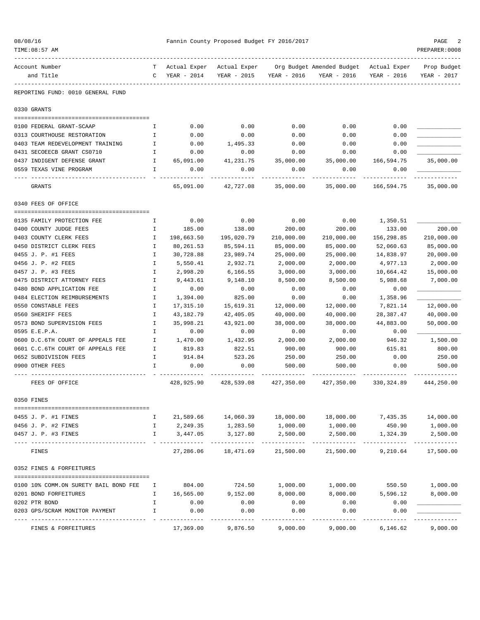| 08/08/16<br>TIME: 08:57 AM |                                                 |              |                             | Fannin County Proposed Budget FY 2016/2017 |                        |                                          |                             | PAGE<br>PREPARER: 0008     |
|----------------------------|-------------------------------------------------|--------------|-----------------------------|--------------------------------------------|------------------------|------------------------------------------|-----------------------------|----------------------------|
|                            |                                                 |              |                             |                                            |                        |                                          |                             |                            |
| Account Number             | and Title                                       | C            | Actual Exper<br>YEAR - 2014 | Actual Exper<br>YEAR - 2015                | YEAR - 2016            | Org Budget Amended Budget<br>YEAR - 2016 | Actual Exper<br>YEAR - 2016 | Prop Budget<br>YEAR - 2017 |
|                            | REPORTING FUND: 0010 GENERAL FUND               |              |                             |                                            |                        |                                          |                             |                            |
| 0330 GRANTS                |                                                 |              |                             |                                            |                        |                                          |                             |                            |
|                            | 0100 FEDERAL GRANT-SCAAP                        | Ι.           | 0.00                        | 0.00                                       | 0.00                   | 0.00                                     | 0.00                        |                            |
|                            | 0313 COURTHOUSE RESTORATION                     | I.           | 0.00                        | 0.00                                       | 0.00                   | 0.00                                     | 0.00                        |                            |
|                            | 0403 TEAM REDEVELOPMENT TRAINING                | Ι.           | 0.00                        | 1,495.33                                   | 0.00                   | 0.00                                     | 0.00                        |                            |
|                            | 0431 SECOEECB GRANT CS0710                      | $\mathbf{I}$ | 0.00                        | 0.00                                       | 0.00                   | 0.00                                     | 0.00                        |                            |
|                            | 0437 INDIGENT DEFENSE GRANT<br>$\mathbf{I}$     |              | 65,091.00                   | 41,231.75                                  | 35,000.00              | 35,000.00                                | 166,594.75                  | 35,000.00                  |
|                            | 0559 TEXAS VINE PROGRAM                         | Ι.           | 0.00                        | 0.00                                       | 0.00                   | 0.00                                     | 0.00                        |                            |
| GRANTS                     |                                                 |              | 65,091.00                   | 42,727.08                                  | 35,000.00              | 35,000.00                                | 166,594.75                  | 35,000.00                  |
|                            | 0340 FEES OF OFFICE                             |              |                             |                                            |                        |                                          |                             |                            |
|                            | 0135 FAMILY PROTECTION FEE                      | Ι.           | 0.00                        | 0.00                                       | 0.00                   | 0.00                                     | 1,350.51                    |                            |
|                            | 0400 COUNTY JUDGE FEES                          | I.           | 185.00                      | 138.00                                     | 200.00                 | 200.00                                   | 133.00                      | 200.00                     |
|                            | 0403 COUNTY CLERK FEES                          | Ι.           | 198,663.50                  | 195,020.79                                 | 210,000.00             | 210,000.00                               | 156,298.85                  | 210,000.00                 |
|                            | 0450 DISTRICT CLERK FEES                        | Ι.           | 80,261.53                   | 85,594.11                                  | 85,000.00              | 85,000.00                                | 52,060.63                   | 85,000.00                  |
|                            | 0455 J. P. #1 FEES                              | I            | 30,728.88                   | 23,989.74                                  | 25,000.00              | 25,000.00                                | 14,838.97                   | 20,000.00                  |
|                            | 0456 J. P. #2 FEES                              | I            | 5,550.41                    | 2,932.71                                   | 2,000.00               | 2,000.00                                 | 4,977.13                    | 2,000.00                   |
|                            | 0457 J. P. #3 FEES                              | I            | 2,998.20                    | 6,166.55                                   | 3,000.00               | 3,000.00                                 | 10,664.42                   | 15,000.00                  |
|                            | 0475 DISTRICT ATTORNEY FEES                     | $\mathbf I$  | 9,443.61                    | 9,148.10                                   | 8,500.00               | 8,500.00                                 | 5,988.68                    | 7,000.00                   |
|                            | 0480 BOND APPLICATION FEE                       | Ι.           | 0.00                        | 0.00                                       | 0.00                   | 0.00                                     | 0.00                        |                            |
|                            | 0484 ELECTION REIMBURSEMENTS                    | Ι.           | 1,394.00                    | 825.00                                     | 0.00                   | 0.00                                     | 1,358.96                    |                            |
|                            | 0550 CONSTABLE FEES                             | Ι.           | 17,315.10                   | 15,619.31                                  | 12,000.00              | 12,000.00                                | 7,821.14                    | 12,000.00                  |
|                            | 0560 SHERIFF FEES<br>0573 BOND SUPERVISION FEES | I<br>I       | 43,182.79                   | 42,405.05<br>43,921.00                     | 40,000.00<br>38,000.00 | 40,000.00<br>38,000.00                   | 28,387.47                   | 40,000.00<br>50,000.00     |
| 0595 E.E.P.A.              |                                                 | I            | 35,998.21<br>0.00           | 0.00                                       | 0.00                   | 0.00                                     | 44,883.00<br>0.00           |                            |
|                            | 0600 D.C.6TH COURT OF APPEALS FEE               | I.           | 1,470.00                    | 1,432.95                                   | 2,000.00               | 2,000.00                                 | 946.32                      | 1,500.00                   |
|                            | 0601 C.C.6TH COURT OF APPEALS FEE               | Ι.           | 819.83                      | 822.51                                     | 900.00                 | 900.00                                   | 615.81                      | 800.00                     |
|                            | 0652 SUBDIVISION FEES                           | I.           | 914.84                      | 523.26                                     | 250.00                 | 250.00                                   | 0.00                        | 250.00                     |
| 0900 OTHER FEES            |                                                 | $\mathbf{I}$ | 0.00                        | 0.00                                       | 500.00                 | 500.00                                   | 0.00                        | 500.00                     |
|                            | FEES OF OFFICE                                  |              | 428,925.90                  | 428,539.08                                 | 427,350.00             | 427,350.00                               | 330, 324.89                 | 444,250.00                 |
| 0350 FINES                 |                                                 |              |                             |                                            |                        |                                          |                             |                            |
|                            | 0455 J. P. #1 FINES                             | I            | 21,589.66                   | 14,060.39                                  | 18,000.00              | 18,000.00                                | 7,435.35                    | 14,000.00                  |
|                            | 0456 J. P. #2 FINES                             | I            | 2,249.35                    | 1,283.50                                   | 1,000.00               | 1,000.00                                 | 450.90                      | 1,000.00                   |
|                            | 0457 J. P. #3 FINES                             | T.           | 3,447.05                    | 3,127.80                                   | 2,500.00               | 2,500.00                                 | 1,324.39                    | 2,500.00                   |
|                            |                                                 |              |                             |                                            |                        |                                          |                             |                            |
| FINES                      |                                                 |              | 27,286.06                   | 18,471.69                                  | 21,500.00              | 21,500.00                                | 9,210.64                    | 17,500.00                  |
|                            | 0352 FINES & FORFEITURES                        |              |                             |                                            |                        |                                          |                             |                            |
|                            | 0100 10% COMM.ON SURETY BAIL BOND FEE           | I            | 804.00                      | 724.50                                     | 1,000.00               | 1,000.00                                 | 550.50                      | 1,000.00                   |
|                            | 0201 BOND FORFEITURES                           | I            | 16,565.00                   | 9,152.00                                   | 8,000.00               | 8,000.00                                 | 5,596.12                    | 8,000.00                   |
| 0202 PTR BOND              |                                                 | I            | 0.00                        | 0.00                                       | 0.00                   | 0.00                                     | 0.00                        |                            |
|                            | 0203 GPS/SCRAM MONITOR PAYMENT                  | I            | 0.00                        | 0.00                                       | 0.00                   | 0.00                                     | 0.00                        |                            |
|                            | FINES & FORFEITURES                             |              | 17,369.00                   | 9,876.50                                   | 9,000.00               | 9,000.00                                 | 6,146.62                    | 9,000.00                   |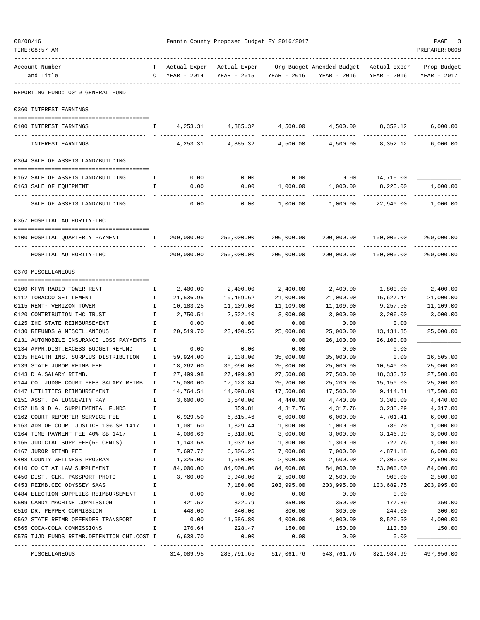| 08/08/16 | TIME: 08:57 AM                                              |              |                       | Fannin County Proposed Budget FY 2016/2017 |                           |                                                        |                       | PAGE<br>PREPARER: 0008 |
|----------|-------------------------------------------------------------|--------------|-----------------------|--------------------------------------------|---------------------------|--------------------------------------------------------|-----------------------|------------------------|
|          | Account Number                                              | T –          | Actual Exper          | Actual Exper                               |                           | Org Budget Amended Budget Actual Exper                 |                       | Prop Budget            |
|          | and Title                                                   | $\mathbf{C}$ | YEAR - 2014           | YEAR - 2015                                | YEAR - 2016               | YEAR - 2016                                            | YEAR - 2016           | YEAR - 2017            |
|          | REPORTING FUND: 0010 GENERAL FUND                           |              |                       |                                            |                           |                                                        |                       |                        |
|          | 0360 INTEREST EARNINGS                                      |              |                       |                                            |                           |                                                        |                       |                        |
|          | 0100 INTEREST EARNINGS                                      | I.           |                       |                                            |                           | $4,253.31$ $4,885.32$ $4,500.00$ $4,500.00$ $8,352.12$ |                       | 6,000.00               |
|          |                                                             |              |                       |                                            |                           |                                                        |                       |                        |
|          | INTEREST EARNINGS                                           |              | 4,253.31              | 4,885.32                                   | 4,500.00                  | 4,500.00                                               | 8,352.12              | 6,000.00               |
|          | 0364 SALE OF ASSETS LAND/BUILDING                           |              |                       |                                            |                           |                                                        |                       |                        |
|          | 0162 SALE OF ASSETS LAND/BUILDING                           | Ι.           | 0.00                  | 0.00                                       | 0.00                      | 0.00                                                   | 14,715.00             |                        |
|          | 0163 SALE OF EQUIPMENT                                      | Ι.           | 0.00                  | 0.00                                       | 1,000.00                  | 1,000.00                                               | 8,225.00              | 1,000.00               |
|          |                                                             |              |                       |                                            |                           |                                                        |                       |                        |
|          | SALE OF ASSETS LAND/BUILDING                                |              | 0.00                  | 0.00                                       | 1,000.00                  | 1,000.00                                               | 22,940.00             | 1,000.00               |
|          | 0367 HOSPITAL AUTHORITY-IHC                                 |              |                       |                                            |                           |                                                        |                       |                        |
|          | 0100 HOSPITAL OUARTERLY PAYMENT<br>$\mathbf{I}$             |              | 200,000.00            | 250,000.00 200,000.00                      |                           |                                                        | 200,000.00 100,000.00 | 200,000.00             |
|          | HOSPITAL AUTHORITY-IHC                                      |              | 200,000.00            | 250,000.00                                 | 200,000.00                | 200,000.00                                             | 100,000.00            | 200,000.00             |
|          | 0370 MISCELLANEOUS                                          |              |                       |                                            |                           |                                                        |                       |                        |
|          |                                                             |              |                       |                                            |                           |                                                        |                       |                        |
|          | 0100 KFYN-RADIO TOWER RENT<br>0112 TOBACCO SETTLEMENT       | Ι.<br>I      | 2,400.00<br>21,536.95 | 2,400.00                                   | 2,400.00                  | 2,400.00<br>21,000.00                                  | 1,800.00<br>15,627.44 | 2,400.00               |
|          | 0115 RENT- VERIZON TOWER                                    | I            | 10,183.25             | 19,459.62<br>11,109.00                     | 21,000.00<br>11,109.00    | 11,109.00                                              | 9,257.50              | 21,000.00<br>11,109.00 |
|          | 0120 CONTRIBUTION IHC TRUST                                 | Ι.           | 2,750.51              | 2,522.10                                   | 3,000.00                  | 3,000.00                                               | 3,206.00              | 3,000.00               |
|          | 0125 IHC STATE REIMBURSEMENT                                | Ι.           | 0.00                  | 0.00                                       | 0.00                      | 0.00                                                   | 0.00                  |                        |
|          | 0130 REFUNDS & MISCELLANEOUS                                | I            | 20,519.70             | 23,400.56                                  | 25,000.00                 | 25,000.00                                              | 13, 131.85            | 25,000.00              |
|          | 0131 AUTOMOBILE INSURANCE LOSS PAYMENTS I                   |              |                       |                                            | 0.00                      | 26,100.00                                              | 26,100.00             |                        |
|          | 0134 APPR.DIST.EXCESS BUDGET REFUND                         | I            | 0.00                  | 0.00                                       | 0.00                      | 0.00                                                   | 0.00                  |                        |
|          | 0135 HEALTH INS. SURPLUS DISTRIBUTION                       | Ι.           | 59,924.00             | 2,138.00                                   | 35,000.00                 | 35,000.00                                              | 0.00                  | 16,505.00              |
|          | 0139 STATE JUROR REIMB.FEE                                  | H            | 18,262.00             | 30,090.00                                  | 25,000.00                 | 25,000.00                                              | 10,540.00             | 25,000.00              |
|          | 0143 D.A.SALARY REIMB.                                      | I            | 27,499.98             | 27,499.98                                  | 27,500.00                 | 27,500.00                                              | 18, 333. 32           | 27,500.00              |
|          | 0144 CO. JUDGE COURT FEES SALARY REIMB. I                   |              | 15,000.00             | 17, 123.84                                 | 25,200.00                 | 25,200.00                                              | 15,150.00             | 25,200.00              |
|          | 0147 UTILITIES REIMBURSEMENT                                | Ι            | 14,764.51             | 14,098.89                                  | 17,500.00                 | 17,500.00                                              | 9,114.81              | 17,500.00              |
|          | 0151 ASST. DA LONGEVITY PAY                                 | I            | 3,600.00              | 3,540.00                                   | 4,440.00                  | 4,440.00                                               | 3,300.00              | 4,440.00               |
|          | 0152 HB 9 D.A. SUPPLEMENTAL FUNDS                           | I            |                       | 359.81                                     | 4,317.76                  | 4,317.76                                               | 3,238.29              | 4,317.00               |
|          | 0162 COURT REPORTER SERVICE FEE                             | I            | 6,929.50              | 6,815.46                                   | 6,000.00                  | 6,000.00                                               | 4,701.41              | 6,000.00               |
|          | 0163 ADM.OF COURT JUSTICE 10% SB 1417                       | I            | 1,001.60              | 1,329.44                                   | 1,000.00                  | 1,000.00                                               | 786.70                | 1,000.00               |
|          | 0164 TIME PAYMENT FEE 40% SB 1417                           | Ι.           | 4,006.69              | 5,318.01                                   | 3,000.00                  | 3,000.00                                               | 3,146.99              | 3,000.00               |
|          | 0166 JUDICIAL SUPP.FEE(60 CENTS)                            | I            | 1,143.68              | 1,032.63                                   | 1,300.00                  | 1,300.00                                               | 727.76                | 1,000.00               |
|          | 0167 JUROR REIMB.FEE                                        | I            | 7,697.72              | 6,306.25                                   | 7,000.00                  | 7,000.00                                               | 4,871.18              | 6,000.00               |
|          | 0408 COUNTY WELLNESS PROGRAM                                | I            | 1,325.00              | 1,550.00                                   | 2,000.00                  | 2,600.00                                               | 2,300.00              | 2,690.00               |
|          | 0410 CO CT AT LAW SUPPLEMENT                                | I            | 84,000.00             | 84,000.00                                  | 84,000.00                 | 84,000.00                                              | 63,000.00             | 84,000.00              |
|          | 0450 DIST. CLK. PASSPORT PHOTO                              | I            | 3,760.00              | 3,940.00                                   | 2,500.00                  | 2,500.00                                               | 900.00                | 2,500.00               |
|          | 0453 REIMB.CEC ODYSSEY SAAS                                 | I            |                       | 7,180.00                                   | 203,995.00                | 203,995.00                                             | 103,689.75            | 203,995.00             |
|          | 0484 ELECTION SUPPLIES REIMBURSEMENT                        | I            | 0.00                  | 0.00                                       | 0.00                      | 0.00                                                   | 0.00                  |                        |
|          | 0509 CANDY MACHINE COMMISSION<br>0510 DR. PEPPER COMMISSION | I<br>I       | 421.52<br>448.00      | 322.79<br>340.00                           | 350.00<br>300.00          | 350.00<br>300.00                                       | 177.89<br>244.00      | 350.00<br>300.00       |
|          | 0562 STATE REIMB.OFFENDER TRANSPORT                         | $\mathbf I$  | 0.00                  | 11,686.80                                  | 4,000.00                  | 4,000.00                                               | 8,526.60              | 4,000.00               |
|          | 0565 COCA-COLA COMMISSIONS                                  | I            | 276.64                | 228.47                                     | 150.00                    | 150.00                                                 | 113.50                | 150.00                 |
|          | 0575 TJJD FUNDS REIMB.DETENTION CNT.COST I                  |              | 6,638.70              | 0.00                                       | 0.00                      | 0.00                                                   | 0.00                  |                        |
|          | MISCELLANEOUS                                               |              | 314,089.95            | 283,791.65                                 | -----------<br>517,061.76 | ------------<br>543,761.76                             | 321,984.99            | 497,956.00             |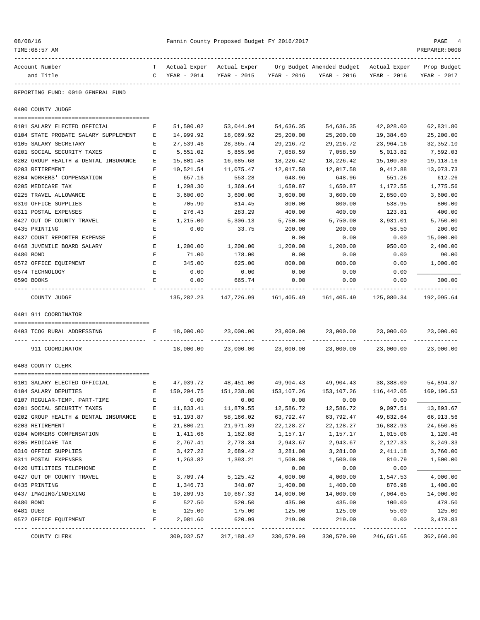| TIME:08:57 AM                                          |              |                      |                     |                       |                                                                                |                               | PREPARER: 0008         |
|--------------------------------------------------------|--------------|----------------------|---------------------|-----------------------|--------------------------------------------------------------------------------|-------------------------------|------------------------|
| Account Number                                         |              |                      |                     |                       | T Actual Exper Actual Exper Org Budget Amended Budget Actual Exper Prop Budget |                               |                        |
| and Title                                              |              |                      |                     |                       | C YEAR - 2014 YEAR - 2015 YEAR - 2016 YEAR - 2016 YEAR - 2016 YEAR - 2017      |                               |                        |
| REPORTING FUND: 0010 GENERAL FUND                      |              |                      |                     |                       |                                                                                |                               |                        |
| 0400 COUNTY JUDGE                                      |              |                      |                     |                       |                                                                                |                               |                        |
| 0101 SALARY ELECTED OFFICIAL                           | Е            | 51,500.02            | 53,044.94           | 54,636.35             | 54,636.35                                                                      | 42,028.00                     | 62,831.80              |
| 0104 STATE PROBATE SALARY SUPPLEMENT                   | E            | 14,999.92            | 18,069.92           | 25,200.00             | 25,200.00                                                                      | 19,384.60                     | 25,200.00              |
| 0105 SALARY SECRETARY                                  | Е            | 27,539.46            | 28,365.74           | 29, 216.72            | 29, 216.72                                                                     | 23,964.16                     | 32,352.10              |
| 0201 SOCIAL SECURITY TAXES                             | Е            | 5,551.02             | 5,855.96            | 7,058.59              | 7,058.59                                                                       | 5,013.82                      | 7,592.03               |
| 0202 GROUP HEALTH & DENTAL INSURANCE                   | Е            | 15,801.48            | 16,685.68           | 18,226.42             | 18,226.42                                                                      | 15,100.80                     | 19,118.16              |
| 0203 RETIREMENT                                        | Е            | 10,521.54            | 11,075.47           | 12,017.58             | 12,017.58                                                                      | 9,412.88                      | 13,073.73              |
| 0204 WORKERS' COMPENSATION                             | E            | 657.16               | 553.28              | 648.96                | 648.96                                                                         | 551.26                        | 612.26                 |
| 0205 MEDICARE TAX                                      | E            | 1,298.30             | 1,369.64            | 1,650.87              | 1,650.87                                                                       | 1,172.55                      | 1,775.56               |
| 0225 TRAVEL ALLOWANCE                                  | E            | 3,600.00             | 3,600.00            | 3,600.00              | 3,600.00                                                                       | 2,850.00                      | 3,600.00               |
| 0310 OFFICE SUPPLIES                                   | E            | 705.90               | 814.45              | 800.00                | 800.00                                                                         | 538.95                        | 800.00                 |
| 0311 POSTAL EXPENSES                                   | E            | 276.43               | 283.29              | 400.00                | 400.00                                                                         | 123.81                        | 400.00                 |
| 0427 OUT OF COUNTY TRAVEL                              | $\mathbf{E}$ | 1,215.00             | 5,306.13            | 5,750.00              | 5,750.00                                                                       | 3,931.01                      | 5,750.00               |
| 0435 PRINTING                                          | Е            | 0.00                 | 33.75               | 200.00                | 200.00                                                                         | 58.50                         | 200.00                 |
| 0437 COURT REPORTER EXPENSE                            | Е            |                      |                     | 0.00                  | 0.00                                                                           | 0.00                          | 15,000.00              |
| 0468 JUVENILE BOARD SALARY                             | E            | 1,200.00             | 1,200.00            | 1,200.00              | 1,200.00                                                                       | 950.00                        | 2,400.00               |
| 0480 BOND                                              | Е            | 71.00                | 178.00              | 0.00                  | 0.00                                                                           | 0.00                          | 90.00                  |
| 0572 OFFICE EQUIPMENT                                  | E            | 345.00               | 625.00              | 800.00                | 800.00                                                                         | 0.00                          | 1,000.00               |
| 0574 TECHNOLOGY                                        | E            | 0.00                 | 0.00                | 0.00                  | 0.00                                                                           | 0.00                          |                        |
| 0590 BOOKS                                             | Е            | 0.00<br>. <u>.</u> . | 665.74              | 0.00<br>------------- | 0.00<br>-------------                                                          | 0.00<br>-------------         | 300.00<br>------------ |
| COUNTY JUDGE                                           |              | 135,282.23           | 147,726.99          |                       | 161,405.49 161,405.49                                                          | 125,080.34                    | 192,095.64             |
| 0401 911 COORDINATOR                                   |              |                      |                     |                       |                                                                                |                               |                        |
| 0403 TCOG RURAL ADDRESSING<br><b>EXECUTIVE EXECUT</b>  |              |                      | 18,000.00 23,000.00 | 23,000.00             |                                                                                | 23,000.00 23,000.00           | 23,000.00              |
| -----------------------------------<br>911 COORDINATOR |              |                      | 18,000.00 23,000.00 | 23,000.00             |                                                                                | 23,000.00 23,000.00 23,000.00 |                        |
| 0403 COUNTY CLERK                                      |              |                      |                     |                       |                                                                                |                               |                        |
|                                                        |              |                      |                     |                       |                                                                                |                               |                        |
| 0101 SALARY ELECTED OFFICIAL                           |              |                      |                     |                       | E 47,039.72 48,451.00 49,904.43 49,904.43 38,388.00 54,894.87                  |                               |                        |
| 0104 SALARY DEPUTIES                                   | E            | 150,294.75           | 151,238.80          | 153,107.26            | 153,107.26                                                                     | 116,442.05                    | 169,196.53             |
| 0107 REGULAR-TEMP. PART-TIME                           | Ε            | 0.00                 | 0.00                | 0.00                  | 0.00                                                                           | 0.00                          |                        |
| 0201 SOCIAL SECURITY TAXES                             | Е            | 11,833.41            | 11,879.55           | 12,586.72             | 12,586.72                                                                      | 9,097.51                      | 13,893.67              |
| 0202 GROUP HEALTH & DENTAL INSURANCE                   | Е            | 51, 193.87           | 58,166.02           | 63,792.47             | 63,792.47                                                                      | 49,832.64                     | 66,913.56              |
| 0203 RETIREMENT                                        | Е            | 21,800.21            | 21,971.89           | 22, 128.27            | 22, 128.27                                                                     | 16,882.93                     | 24,650.05              |
| 0204 WORKERS COMPENSATION                              | Е            | 1,411.66             | 1,162.88            | 1,157.17              | 1,157.17                                                                       | 1,015.06                      | 1,120.46               |
| 0205 MEDICARE TAX                                      | Е            | 2,767.41             | 2,778.34            | 2,943.67              | 2,943.67                                                                       | 2,127.33                      | 3,249.33               |
| 0310 OFFICE SUPPLIES                                   | E            | 3,427.22             | 2,689.42            | 3,281.00              | 3,281.00                                                                       | 2,411.18                      | 3,760.00               |
| 0311 POSTAL EXPENSES                                   | Е            | 1,263.82             | 1,393.21            | 1,500.00              | 1,500.00                                                                       | 810.79                        | 1,500.00               |
| 0420 UTILITIES TELEPHONE                               | Е            |                      |                     | 0.00                  | 0.00                                                                           | 0.00                          |                        |
| 0427 OUT OF COUNTY TRAVEL                              | Е            | 3,709.74             | 5,125.42            | 4,000.00              | 4,000.00                                                                       | 1,547.53                      | 4,000.00               |
| 0435 PRINTING                                          | Е            | 1,346.73             | 348.07              | 1,400.00              | 1,400.00                                                                       | 876.98                        | 1,400.00               |
| 0437 IMAGING/INDEXING                                  | Ε<br>E       | 10,209.93            | 10,667.33           | 14,000.00             | 14,000.00                                                                      | 7,064.65                      | 14,000.00              |
| 0480 BOND<br>0481 DUES                                 | Е            | 527.50               | 520.50              | 435.00                | 435.00                                                                         | 100.00                        | 478.50                 |
| 0572 OFFICE EQUIPMENT                                  | Е            | 125.00<br>2,081.60   | 175.00<br>620.99    | 125.00<br>219.00      | 125.00<br>219.00                                                               | 55.00<br>0.00                 | 125.00<br>3,478.83     |
|                                                        |              |                      |                     |                       |                                                                                |                               |                        |

COUNTY CLERK 309,032.57 317,188.42 330,579.99 330,579.99 246,651.65 362,660.80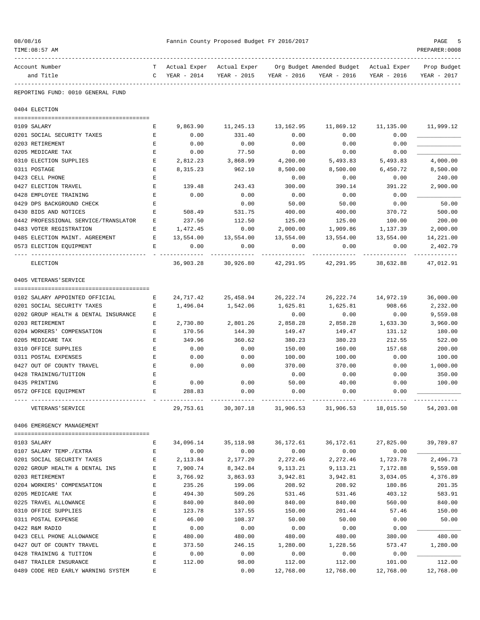| 08/08/16                                                     |              |                       | Fannin County Proposed Budget FY 2016/2017 |             |                                                                  |                     | PAGE                |
|--------------------------------------------------------------|--------------|-----------------------|--------------------------------------------|-------------|------------------------------------------------------------------|---------------------|---------------------|
| TIME: 08:57 AM                                               |              |                       |                                            |             |                                                                  |                     | PREPARER: 0008      |
| Account Number                                               | T            |                       |                                            |             | Actual Exper Actual Exper Org Budget Amended Budget Actual Exper |                     | Prop Budget         |
| and Title                                                    | $\mathbf{C}$ | YEAR - 2014           | YEAR - 2015                                | YEAR - 2016 | YEAR - 2016                                                      | YEAR - 2016         | YEAR - 2017         |
| REPORTING FUND: 0010 GENERAL FUND                            |              |                       |                                            |             |                                                                  |                     |                     |
| 0404 ELECTION                                                |              |                       |                                            |             |                                                                  |                     |                     |
| 0109 SALARY                                                  | Е            | 9,863.90              | 11,245.13                                  | 13,162.95   | 11,869.12                                                        | 11,135.00           | 11,999.12           |
| 0201 SOCIAL SECURITY TAXES                                   | Е            | 0.00                  | 331.40                                     | 0.00        | 0.00                                                             | 0.00                |                     |
| 0203 RETIREMENT                                              | Е            | 0.00                  | 0.00                                       | 0.00        | 0.00                                                             | 0.00                |                     |
| 0205 MEDICARE TAX                                            | Е            | 0.00                  | 77.50                                      | 0.00        | 0.00                                                             | 0.00                |                     |
| 0310 ELECTION SUPPLIES                                       | Е            | 2,812.23              | 3,868.99                                   | 4,200.00    | 5,493.83                                                         | 5,493.83            | 4,000.00            |
| 0311 POSTAGE                                                 | Е            | 8,315.23              | 962.10                                     | 8,500.00    | 8,500.00                                                         | 6,450.72            | 8,500.00            |
| 0423 CELL PHONE                                              | Е            |                       |                                            | 0.00        | 0.00                                                             | 0.00                | 240.00              |
| 0427 ELECTION TRAVEL                                         | E            | 139.48                | 243.43                                     | 300.00      | 390.14                                                           | 391.22              | 2,900.00            |
| 0428 EMPLOYEE TRAINING                                       | E            | 0.00                  | 0.00                                       | 0.00        | 0.00                                                             | 0.00                |                     |
| 0429 DPS BACKGROUND CHECK                                    | Е            |                       | 0.00                                       | 50.00       | 50.00                                                            | 0.00                | 50.00               |
| 0430 BIDS AND NOTICES                                        | Е            | 508.49                | 531.75                                     | 400.00      | 400.00                                                           | 370.72              | 500.00              |
| 0442 PROFESSIONAL SERVICE/TRANSLATOR                         | Е            | 237.50                | 112.50                                     | 125.00      | 125.00                                                           | 100.00              | 200.00              |
| 0483 VOTER REGISTRATION                                      | Е            | 1,472.45              | 0.00                                       | 2,000.00    | 1,909.86                                                         | 1,137.39            | 2,000.00            |
| 0485 ELECTION MAINT. AGREEMENT                               | Е            | 13,554.00             | 13,554.00                                  | 13,554.00   | 13,554.00                                                        | 13,554.00           | 14,221.00           |
| 0573 ELECTION EQUIPMENT                                      | Е            | 0.00                  | 0.00                                       | 0.00        | 0.00                                                             | 0.00                | 2,402.79            |
| ELECTION                                                     |              | 36,903.28             | 30,926.80                                  |             | 42, 291.95 42, 291.95                                            | 38,632.88           | 47,012.91           |
| 0405 VETERANS'SERVICE                                        |              |                       |                                            |             |                                                                  |                     |                     |
|                                                              |              |                       |                                            | 26,222.74   | 26,222.74                                                        | 14,972.19           | 36,000.00           |
| 0102 SALARY APPOINTED OFFICIAL<br>0201 SOCIAL SECURITY TAXES | Е<br>Е       | 24,717.42<br>1,496.04 | 25,458.94<br>1,542.06                      | 1,625.81    | 1,625.81                                                         | 908.66              | 2,232.00            |
| 0202 GROUP HEALTH & DENTAL INSURANCE                         | Е            |                       |                                            | 0.00        | 0.00                                                             | 0.00                | 9,559.08            |
| 0203 RETIREMENT                                              | Е            | 2,730.80              | 2,801.26                                   | 2,858.28    | 2,858.28                                                         | 1,633.30            | 3,960.00            |
| 0204 WORKERS' COMPENSATION                                   | E            | 170.56                | 144.30                                     | 149.47      | 149.47                                                           | 131.12              | 180.00              |
| 0205 MEDICARE TAX                                            | Е            | 349.96                | 360.62                                     | 380.23      | 380.23                                                           | 212.55              | 522.00              |
| 0310 OFFICE SUPPLIES                                         | Е            | 0.00                  | 0.00                                       | 150.00      | 160.00                                                           | 157.68              | 200.00              |
| 0311 POSTAL EXPENSES                                         | Е            | 0.00                  | 0.00                                       | 100.00      | 100.00                                                           | 0.00                | 100.00              |
| 0427 OUT OF COUNTY TRAVEL                                    | Е            | 0.00                  | 0.00                                       | 370.00      | 370.00                                                           | 0.00                | 1,000.00            |
| 0428 TRAINING/TUITION                                        | Ε            |                       |                                            | 0.00        | 0.00                                                             | 0.00                | 350.00              |
| 0435 PRINTING                                                | E            | 0.00                  | 0.00                                       | 50.00       | 40.00                                                            | 0.00                | 100.00              |
| 0572 OFFICE EQUIPMENT                                        | Ε            | 288.83                | 0.00                                       | 0.00        | 0.00                                                             | 0.00                |                     |
| VETERANS ' SERVICE                                           |              | 29,753.61             | 30,307.18                                  | 31,906.53   | 31,906.53                                                        | 18,015.50           | 54,203.08           |
| 0406 EMERGENCY MANAGEMENT                                    |              |                       |                                            |             |                                                                  |                     |                     |
|                                                              |              |                       |                                            |             |                                                                  |                     |                     |
| 0103 SALARY                                                  | Е            | 34,096.14             | 35,118.98                                  | 36,172.61   | 36,172.61                                                        | 27,825.00           | 39,789.87           |
| 0107 SALARY TEMP./EXTRA                                      | Е            | 0.00                  | 0.00                                       | 0.00        | 0.00                                                             | 0.00                |                     |
| 0201 SOCIAL SECURITY TAXES                                   | Е            | 2,113.84              | 2,177.20                                   | 2,272.46    | 2,272.46                                                         | 1,723.78            | 2,496.73            |
| 0202 GROUP HEALTH & DENTAL INS                               | $\mathbf E$  | 7,900.74              | 8,342.84                                   | 9,113.21    | 9, 113. 21                                                       | 7,172.88            | 9,559.08            |
| 0203 RETIREMENT                                              | E            | 3,766.92              | 3,863.93                                   | 3,942.81    | 3,942.81                                                         | 3,034.05            | 4,376.89            |
| 0204 WORKERS' COMPENSATION                                   | E            | 235.26                | 199.06                                     | 208.92      | 208.92                                                           | 180.86              | 201.35              |
| 0205 MEDICARE TAX                                            | E            | 494.30                | 509.26                                     | 531.46      | 531.46                                                           | 403.12              | 583.91              |
| 0225 TRAVEL ALLOWANCE                                        | E            | 840.00                | 840.00                                     | 840.00      | 840.00                                                           | 560.00              | 840.00              |
| 0310 OFFICE SUPPLIES                                         | E            | 123.78                | 137.55                                     | 150.00      | 201.44                                                           | 57.46               | 150.00              |
| 0311 POSTAL EXPENSE                                          | E            | 46.00                 | 108.37                                     | 50.00       | 50.00                                                            | 0.00                | 50.00               |
| 0422 R&M RADIO                                               | E            | 0.00                  | 0.00                                       | 0.00        | 0.00                                                             | 0.00                |                     |
| 0423 CELL PHONE ALLOWANCE                                    | E            | 480.00                | 480.00                                     | 480.00      | 480.00                                                           | 380.00              | 480.00              |
| 0427 OUT OF COUNTY TRAVEL                                    | Ε            | 373.50                | 246.15                                     | 1,280.00    | 1,228.56                                                         | 573.47              | 1,280.00            |
| 0428 TRAINING & TUITION                                      | Ε            | 0.00                  | 0.00                                       | 0.00        | 0.00                                                             | 0.00                |                     |
| 0487 TRAILER INSURANCE                                       | Ε<br>Ε       | 112.00                | 98.00<br>0.00                              | 112.00      | 112.00                                                           | 101.00<br>12,768.00 | 112.00<br>12,768.00 |
| 0489 CODE RED EARLY WARNING SYSTEM                           |              |                       |                                            | 12,768.00   | 12,768.00                                                        |                     |                     |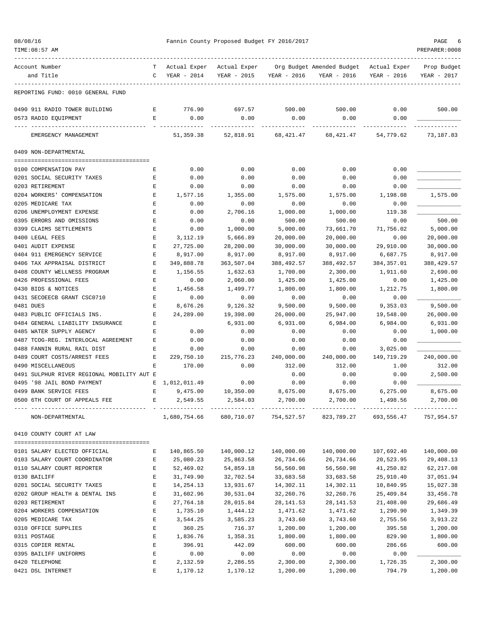| TIME:08:57 AM                                         |             |                             |                             |                  |                                                         |                  | PREPARER:0008              |
|-------------------------------------------------------|-------------|-----------------------------|-----------------------------|------------------|---------------------------------------------------------|------------------|----------------------------|
| Account Number<br>and Title                           | T<br>C      | Actual Exper<br>YEAR - 2014 | Actual Exper<br>YEAR - 2015 | YEAR - 2016      | Org Budget Amended Budget - Actual Exper<br>YEAR - 2016 | YEAR - 2016      | Prop Budget<br>YEAR - 2017 |
| REPORTING FUND: 0010 GENERAL FUND                     |             |                             |                             |                  |                                                         |                  |                            |
| 0490 911 RADIO TOWER BUILDING<br>0573 RADIO EQUIPMENT | E<br>E      | 776.90<br>0.00              | 697.57<br>0.00              | 500.00<br>0.00   | 500.00<br>0.00                                          | 0.00<br>0.00     | 500.00                     |
| EMERGENCY MANAGEMENT                                  |             | 51,359.38                   | 52,818.91                   | 68,421.47        | 68,421.47                                               | 54,779.62        | 73,187.83                  |
| 0409 NON-DEPARTMENTAL                                 |             |                             |                             |                  |                                                         |                  |                            |
|                                                       |             |                             |                             |                  |                                                         |                  |                            |
| 0100 COMPENSATION PAY                                 | Е           | 0.00                        | 0.00                        | 0.00             | 0.00                                                    | 0.00             |                            |
| 0201 SOCIAL SECURITY TAXES                            | Е           | 0.00                        | 0.00                        | 0.00             | 0.00                                                    | 0.00             |                            |
| 0203 RETIREMENT<br>0204 WORKERS' COMPENSATION         | Е<br>Е      | 0.00<br>1,577.16            | 0.00                        | 0.00<br>1,575.00 | 0.00                                                    | 0.00             | 1,575.00                   |
| 0205 MEDICARE TAX                                     | Е           | 0.00                        | 1,355.00<br>0.00            | 0.00             | 1,575.00<br>0.00                                        | 1,198.08<br>0.00 |                            |
| 0206 UNEMPLOYMENT EXPENSE                             | E           | 0.00                        | 2,706.16                    | 1,000.00         | 1,000.00                                                | 119.38           |                            |
| 0395 ERRORS AND OMISSIONS                             | E           | 0.00                        | 0.00                        | 500.00           | 500.00                                                  | 0.00             | 500.00                     |
| 0399 CLAIMS SETTLEMENTS                               | Е           | 0.00                        | 1,000.00                    | 5,000.00         | 73,661.70                                               | 71,756.02        | 5,000.00                   |
| 0400 LEGAL FEES                                       | Е           | 3,112.19                    | 5,666.89                    | 20,000.00        | 20,000.00                                               | 0.00             | 20,000.00                  |
| 0401 AUDIT EXPENSE                                    | Е           | 27,725.00                   | 28,200.00                   | 30,000.00        | 30,000.00                                               | 29,910.00        | 30,000.00                  |
| 0404 911 EMERGENCY SERVICE                            | Е           | 8,917.00                    | 8,917.00                    | 8,917.00         | 8,917.00                                                | 6,687.75         | 8,917.00                   |
| 0406 TAX APPRAISAL DISTRICT                           | E           | 349,888.78                  | 363,507.04                  | 388,492.57       | 388,492.57                                              | 384, 357.01      | 388,429.57                 |
| 0408 COUNTY WELLNESS PROGRAM                          | Е           | 1,156.55                    | 1,632.63                    | 1,700.00         | 2,300.00                                                | 1,911.60         | 2,690.00                   |
| 0426 PROFESSIONAL FEES                                | Е           | 0.00                        | 2,060.00                    | 1,425.00         | 1,425.00                                                | 0.00             | 1,425.00                   |
| 0430 BIDS & NOTICES                                   | Е           | 1,456.58                    | 1,499.77                    | 1,800.00         | 1,800.00                                                | 1,212.75         | 1,800.00                   |
| 0431 SECOEECB GRANT CSC0710                           | Е           | 0.00                        | 0.00                        | 0.00             | 0.00                                                    | 0.00             |                            |
| 0481 DUES                                             | Е           | 8,676.26                    | 9,126.32                    | 9,500.00         | 9,500.00                                                | 9,353.03         | 9,500.00                   |
| 0483 PUBLIC OFFICIALS INS.                            | E           | 24,289.00                   | 19,398.00                   | 26,000.00        | 25,947.00                                               | 19,548.00        | 26,000.00                  |
| 0484 GENERAL LIABILITY INSURANCE                      | E           |                             | 6,931.00                    | 6,931.00         | 6,984.00                                                | 6,984.00         | 6,931.00                   |
| 0485 WATER SUPPLY AGENCY                              | E           | 0.00                        | 0.00                        | 0.00             | 0.00                                                    | 0.00             | 1,000.00                   |
| 0487 TCOG-REG. INTERLOCAL AGREEMENT                   | Е           | 0.00                        | 0.00                        | 0.00             | 0.00                                                    | 0.00             |                            |
| 0488 FANNIN RURAL RAIL DIST                           | Е           | 0.00                        | 0.00                        | 0.00             | 0.00                                                    | 3,025.00         |                            |
| 0489 COURT COSTS/ARREST FEES                          | Ε           | 229,750.10                  | 215,776.23                  | 240,000.00       | 240,000.00                                              | 149,719.29       | 240,000.00                 |
| 0490 MISCELLANEOUS                                    | Е           | 170.00                      | 0.00                        | 312.00           | 312.00                                                  | 1.00             | 312.00                     |
| 0491 SULPHUR RIVER REGIONAL MOBILITY AUT E            |             |                             |                             | 0.00             | 0.00                                                    | 0.00             | 2,500.00                   |
| 0495 '98 JAIL BOND PAYMENT                            |             | E 1,012,011.49              | 0.00                        | 0.00             | 0.00                                                    | 0.00             |                            |
| 0499 BANK SERVICE FEES                                | Е           | 9,475.00                    | 10,350.00                   | 8,675.00         | 8,675.00                                                | 6, 275.00        | 8,675.00                   |
| 0500 6TH COURT OF APPEALS FEE                         |             | 2,549.55                    | 2,584.03                    | 2,700.00         | 2,700.00                                                | 1,498.56         | 2,700.00                   |
| NON-DEPARTMENTAL                                      |             | 1,680,754.66                | 680,710.07                  | 754,527.57       | 823,789.27                                              | 693,556.47       | 757,954.57                 |
| 0410 COUNTY COURT AT LAW                              |             |                             |                             |                  |                                                         |                  |                            |
| 0101 SALARY ELECTED OFFICIAL                          | Е           | 140,865.50                  | 140,000.12                  | 140,000.00       | 140,000.00                                              | 107,692.40       | 140,000.00                 |
| 0103 SALARY COURT COORDINATOR                         | Е           | 25,080.23                   | 25,863.58                   | 26,734.66        | 26,734.66                                               | 20,523.95        | 29,408.13                  |
| 0110 SALARY COURT REPORTER                            | Ε           | 52,469.02                   | 54,859.18                   | 56,560.98        | 56,560.98                                               | 41,250.82        | 62, 217.08                 |
| 0130 BAILIFF                                          | E           | 31,749.90                   | 32,702.54                   | 33,683.58        | 33,683.58                                               | 25,910.40        | 37,051.94                  |
| 0201 SOCIAL SECURITY TAXES                            | Е           | 14, 254. 13                 | 13,931.67                   | 14,302.11        | 14,302.11                                               | 10,840.95        | 15,027.38                  |
| 0202 GROUP HEALTH & DENTAL INS                        | E           | 31,602.96                   | 30,531.04                   | 32,260.76        | 32,260.76                                               | 25,409.84        | 33,456.78                  |
| 0203 RETIREMENT                                       | E           | 27,764.18                   | 28,015.84                   | 28, 141.53       | 28, 141.53                                              | 21,408.00        | 29,686.49                  |
| 0204 WORKERS COMPENSATION                             | E           | 1,735.10                    | 1,444.12                    | 1,471.62         | 1,471.62                                                | 1,290.90         | 1,349.39                   |
| 0205 MEDICARE TAX                                     | E           | 3,544.25                    | 3,585.23                    | 3,743.60         | 3,743.60                                                | 2,755.56         | 3,913.22                   |
| 0310 OFFICE SUPPLIES                                  | Ε           | 360.25                      | 716.37                      | 1,200.00         | 1,200.00                                                | 395.58           | 1,200.00                   |
| 0311 POSTAGE                                          | Е           | 1,836.76                    | 1,358.31                    | 1,800.00         | 1,800.00                                                | 829.90           | 1,800.00                   |
| 0315 COPIER RENTAL                                    | $\mathbf E$ | 396.91                      | 442.09                      | 600.00           | 600.00                                                  | 286.66           | 600.00                     |
| 0395 BAILIFF UNIFORMS                                 | E           | 0.00                        | 0.00                        | 0.00             | 0.00                                                    | 0.00             |                            |
| 0420 TELEPHONE                                        | Ε           | 2,132.59                    | 2,286.55                    | 2,300.00         | 2,300.00                                                | 1,726.35         | 2,300.00                   |
| 0421 DSL INTERNET                                     | Ε           | 1,170.12                    | 1,170.12                    | 1,200.00         | 1,200.00                                                | 794.79           | 1,200.00                   |

08/08/16 Fannin County Proposed Budget FY 2016/2017 PAGE 6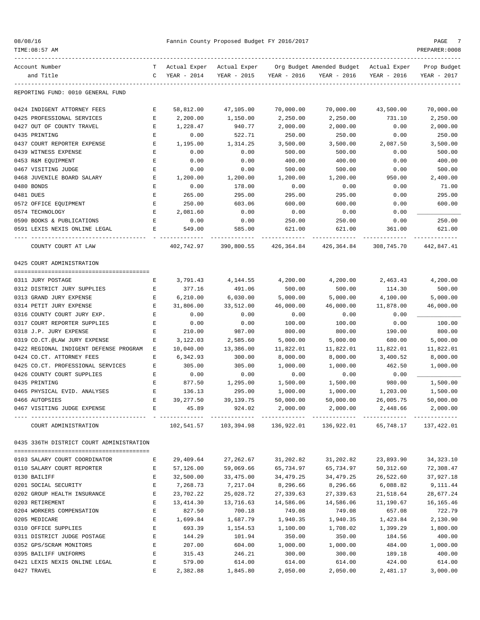|  |  | 08/08/16 |  |
|--|--|----------|--|
|--|--|----------|--|

| Account Number                           | т                  | Actual Exper | Actual Exper |             | Org Budget Amended Budget                                        | Actual Exper | Prop Budget |
|------------------------------------------|--------------------|--------------|--------------|-------------|------------------------------------------------------------------|--------------|-------------|
| and Title                                | C                  | YEAR - 2014  | YEAR - 2015  | YEAR - 2016 | YEAR - 2016                                                      | YEAR - 2016  | YEAR - 2017 |
|                                          |                    |              |              |             |                                                                  |              |             |
| REPORTING FUND: 0010 GENERAL FUND        |                    |              |              |             |                                                                  |              |             |
| 0424 INDIGENT ATTORNEY FEES              | Ε                  | 58,812.00    | 47,105.00    | 70,000.00   | 70,000.00                                                        | 43,500.00    | 70,000.00   |
| 0425 PROFESSIONAL SERVICES               | Е                  | 2,200.00     | 1,150.00     | 2,250.00    | 2,250.00                                                         | 731.10       | 2,250.00    |
| 0427 OUT OF COUNTY TRAVEL                | Е                  | 1,228.47     | 940.77       | 2,000.00    | 2,000.00                                                         | 0.00         | 2,000.00    |
| 0435 PRINTING                            | Ε                  | 0.00         | 522.71       | 250.00      | 250.00                                                           | 0.00         | 250.00      |
| 0437 COURT REPORTER EXPENSE              | Ε                  | 1,195.00     | 1,314.25     | 3,500.00    | 3,500.00                                                         | 2,087.50     | 3,500.00    |
| 0439 WITNESS EXPENSE                     | E                  | 0.00         | 0.00         | 500.00      | 500.00                                                           | 0.00         | 500.00      |
| 0453 R&M EQUIPMENT                       | E                  | 0.00         | 0.00         | 400.00      | 400.00                                                           | 0.00         | 400.00      |
| 0467 VISITING JUDGE                      | Ε                  | 0.00         | 0.00         | 500.00      | 500.00                                                           | 0.00         | 500.00      |
| 0468 JUVENILE BOARD SALARY               | Ε                  | 1,200.00     | 1,200.00     | 1,200.00    | 1,200.00                                                         | 950.00       | 2,400.00    |
| 0480 BONDS                               | E                  | 0.00         | 178.00       | 0.00        | 0.00                                                             | 0.00         | 71.00       |
| 0481 DUES                                | E                  | 265.00       | 295.00       | 295.00      | 295.00                                                           | 0.00         | 295.00      |
| 0572 OFFICE EQUIPMENT                    | E                  | 250.00       | 603.06       | 600.00      | 600.00                                                           | 0.00         | 600.00      |
| 0574 TECHNOLOGY                          | Е                  | 2,081.60     | 0.00         | 0.00        | 0.00                                                             | 0.00         |             |
| 0590 BOOKS & PUBLICATIONS                | E                  | 0.00         | 0.00         | 250.00      | 250.00                                                           | 0.00         | 250.00      |
| 0591 LEXIS NEXIS ONLINE LEGAL            | E                  | 549.00       | 585.00       | 621.00      | 621.00                                                           | 361.00       | 621.00      |
|                                          |                    |              |              |             |                                                                  |              |             |
| COUNTY COURT AT LAW                      |                    | 402,742.97   | 390,800.55   | 426,364.84  | 426,364.84                                                       | 308,745.70   | 442,847.41  |
| 0425 COURT ADMINISTRATION                |                    |              |              |             |                                                                  |              |             |
|                                          |                    |              |              |             |                                                                  |              |             |
| 0311 JURY POSTAGE                        | Е                  | 3,791.43     | 4,144.55     | 4,200.00    | 4,200.00                                                         | 2,463.43     | 4,200.00    |
| 0312 DISTRICT JURY SUPPLIES              | Ε                  | 377.16       | 491.06       | 500.00      | 500.00                                                           | 114.30       | 500.00      |
| 0313 GRAND JURY EXPENSE                  | E                  | 6, 210.00    | 6,030.00     | 5,000.00    | 5,000.00                                                         | 4,100.00     | 5,000.00    |
| 0314 PETIT JURY EXPENSE                  | Е                  | 31,806.00    | 33,512.00    | 46,000.00   | 46,000.00                                                        | 11,878.00    | 46,000.00   |
| 0316 COUNTY COURT JURY EXP.              | Е                  | 0.00         | 0.00         | 0.00        | 0.00                                                             | 0.00         |             |
| 0317 COURT REPORTER SUPPLIES             | Ε                  | 0.00         | 0.00         | 100.00      | 100.00                                                           | 0.00         | 100.00      |
| 0318 J.P. JURY EXPENSE                   | Ε                  | 210.00       | 987.00       | 800.00      | 800.00                                                           | 190.00       | 800.00      |
| 0319 CO.CT.@LAW JURY EXPENSE             | Ε                  | 3,122.03     | 2,585.60     | 5,000.00    | 5,000.00                                                         | 680.00       | 5,000.00    |
| 0422 REGIONAL INDIGENT DEFENSE PROGRAM   | Е                  | 10,040.00    | 13,386.00    | 11,822.01   | 11,822.01                                                        | 11,822.01    | 11,822.01   |
| 0424 CO.CT. ATTORNEY FEES                | Ε                  | 6,342.93     | 300.00       | 8,000.00    | 8,000.00                                                         | 3,400.52     | 8,000.00    |
| 0425 CO.CT. PROFESSIONAL SERVICES        | Ε                  | 305.00       | 305.00       | 1,000.00    | 1,000.00                                                         | 462.50       | 1,000.00    |
| 0426 COUNTY COURT SUPPLIES               | E                  | 0.00         | 0.00         | 0.00        | 0.00                                                             | 0.00         |             |
| 0435 PRINTING                            | Ε                  | 877.50       | 1,295.00     | 1,500.00    | 1,500.00                                                         | 980.00       | 1,500.00    |
| 0465 PHYSICAL EVID. ANALYSES             | E                  | 136.13       | 295.00       | 1,000.00    | 1,000.00                                                         | 1,203.00     | 1,500.00    |
| 0466 AUTOPSIES                           | E                  | 39,277.50    | 39,139.75    | 50,000.00   | 50,000.00                                                        | 26,005.75    | 50,000.00   |
| 0467 VISITING JUDGE EXPENSE              | Е                  | 45.89        | 924.02       | 2,000.00    | 2,000.00                                                         | 2,448.66     | 2,000.00    |
| COURT ADMINISTRATION                     |                    |              |              |             | 102,541.57 103,394.98 136,922.01 136,922.01 65,748.17 137,422.01 |              |             |
| 0435 336TH DISTRICT COURT ADMINISTRATION |                    |              |              |             |                                                                  |              |             |
|                                          |                    |              |              |             |                                                                  |              |             |
| 0103 SALARY COURT COORDINATOR            | Е                  | 29,409.64    | 27,262.67    | 31,202.82   | 31,202.82                                                        | 23,893.90    | 34, 323. 10 |
| 0110 SALARY COURT REPORTER               | Е                  | 57,126.00    | 59,069.66    | 65,734.97   | 65,734.97                                                        | 50,312.60    | 72,308.47   |
| 0130 BAILIFF                             | $\mathbf{E}% _{0}$ | 32,500.00    | 33,475.00    | 34,479.25   | 34,479.25                                                        | 26,522.60    | 37,927.18   |
| 0201 SOCIAL SECURITY                     | E                  | 7,268.73     | 7,217.04     | 8,296.66    | 8,296.66                                                         | 6,088.82     | 9,111.44    |
| 0202 GROUP HEALTH INSURANCE              | $\mathbf E$        | 23,702.22    | 25,028.72    | 27,339.63   | 27,339.63                                                        | 21,518.64    | 28,677.24   |
| 0203 RETIREMENT                          | $\mathbf{E}% _{0}$ | 13, 414.30   | 13,716.63    | 14,586.06   | 14,586.06                                                        | 11,190.67    | 16,165.46   |
| 0204 WORKERS COMPENSATION                | Е                  | 827.50       | 700.18       | 749.08      | 749.08                                                           | 657.08       | 722.79      |
| 0205 MEDICARE                            | Е                  | 1,699.84     | 1,687.79     | 1,940.35    | 1,940.35                                                         | 1,423.84     | 2,130.90    |
| 0310 OFFICE SUPPLIES                     | $\mathbf E$        | 693.39       | 1,154.53     | 1,100.00    | 1,708.02                                                         | 1,399.29     | 1,800.00    |
| 0311 DISTRICT JUDGE POSTAGE              | $\mathbf{E}% _{0}$ | 144.29       | 101.94       | 350.00      | 350.00                                                           | 184.56       | 400.00      |
| 0352 GPS/SCRAM MONITORS                  | Е                  | 207.00       | 604.00       | 1,000.00    | 1,000.00                                                         | 484.00       | 1,000.00    |
| 0395 BAILIFF UNIFORMS                    | Ε                  | 315.43       | 246.21       | 300.00      | 300.00                                                           | 189.18       | 400.00      |
| 0421 LEXIS NEXIS ONLINE LEGAL            | Е                  | 579.00       | 614.00       | 614.00      | 614.00                                                           | 424.00       | 614.00      |

0427 TRAVEL E 2,382.88 1,845.80 2,050.00 2,050.00 2,481.17 3,000.00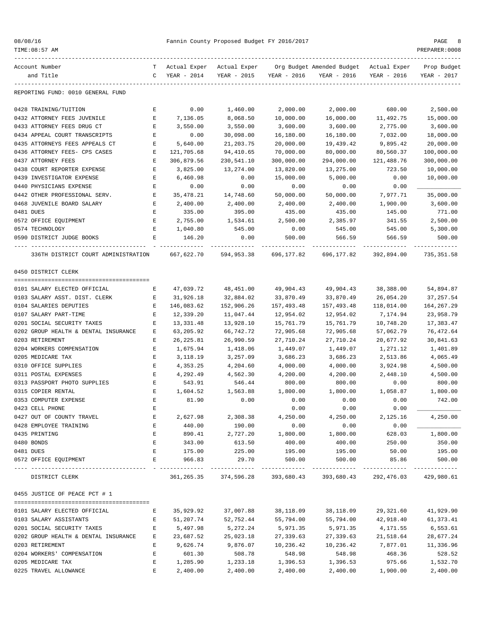|  |  | 08/08/16 |  |
|--|--|----------|--|
|--|--|----------|--|

| TIME: 08:57 AM                                                     |             |                             |                                                    |                       |                                          |                           | PREPARER: 0008        |
|--------------------------------------------------------------------|-------------|-----------------------------|----------------------------------------------------|-----------------------|------------------------------------------|---------------------------|-----------------------|
| Account Number                                                     | T.          | Actual Exper – Actual Exper |                                                    |                       | Org Budget Amended Budget - Actual Exper |                           | Prop Budget           |
| and Title                                                          | C           | YEAR - 2014                 | YEAR - 2015                                        | YEAR - 2016           | YEAR - 2016                              | YEAR - 2016               | YEAR - 2017           |
| REPORTING FUND: 0010 GENERAL FUND                                  |             |                             |                                                    |                       |                                          |                           |                       |
| 0428 TRAINING/TUITION                                              | Е           | 0.00                        | 1,460.00                                           | 2,000.00              | 2,000.00                                 | 680.00                    | 2,500.00              |
| 0432 ATTORNEY FEES JUVENILE                                        | Е           | 7,136.05                    | 8,068.50                                           | 10,000.00             | 16,000.00                                | 11,492.75                 | 15,000.00             |
| 0433 ATTORNEY FEES DRUG CT                                         | Е           | 3,550.00                    | 3,550.00                                           | 3,600.00              | 3,600.00                                 | 2,775.00                  | 3,600.00              |
| 0434 APPEAL COURT TRANSCRIPTS                                      | Е           | 0.00                        | 30,098.00                                          | 16,180.00             | 16,180.00                                | 7,032.00                  | 18,000.00             |
| 0435 ATTORNEYS FEES APPEALS CT                                     | Е           | 5,640.00                    | 21,203.75                                          | 20,000.00             | 19,439.42                                | 9,895.42                  | 20,000.00             |
| 0436 ATTORNEY FEES- CPS CASES                                      | Е           | 121,705.68                  | 94,410.65                                          | 70,000.00             | 80,000.00                                | 80,560.37                 | 100,000.00            |
| 0437 ATTORNEY FEES                                                 | Ε           | 306,879.56                  | 230,541.10                                         | 300,000.00            | 294,000.00                               | 121,488.76                | 300,000.00            |
| 0438 COURT REPORTER EXPENSE                                        | E           | 3,825.00                    | 13,274.00                                          | 13,820.00             | 13,275.00                                | 723.50                    | 10,000.00             |
| 0439 INVESTIGATOR EXPENSE                                          | Е           | 6,460.98                    | 0.00                                               | 15,000.00             | 5,000.00                                 | 0.00                      | 10,000.00             |
| 0440 PHYSICIANS EXPENSE                                            | Е           | 0.00                        | 0.00                                               | 0.00                  | 0.00                                     | 0.00                      |                       |
| 0442 OTHER PROFESSIONAL SERV.                                      | Е           | 35,478.21                   | 14,748.60                                          | 50,000.00             | 50,000.00                                | 7,977.71                  | 35,000.00             |
| 0468 JUVENILE BOARD SALARY                                         | Е           | 2,400.00                    | 2,400.00                                           | 2,400.00              | 2,400.00                                 | 1,900.00                  | 3,600.00              |
| 0481 DUES                                                          | Е           | 335.00                      | 395.00                                             | 435.00                | 435.00                                   | 145.00                    | 771.00                |
| 0572 OFFICE EQUIPMENT                                              | Е           | 2,755.00                    | 1,534.61                                           | 2,500.00              | 2,385.97                                 | 341.55                    | 2,500.00<br>5,300.00  |
| 0574 TECHNOLOGY<br>0590 DISTRICT JUDGE BOOKS                       | Е<br>Е      | 1,040.80<br>146.20          | 545.00<br>0.00                                     | 0.00<br>500.00        | 545.00<br>566.59                         | 545.00                    | 500.00                |
|                                                                    |             |                             |                                                    |                       |                                          | 566.59<br>-------------   |                       |
| 336TH DISTRICT COURT ADMINISTRATION                                |             | 667,622.70                  | 594,953.38                                         | 696,177.82            | 696,177.82                               | 392,894.00                | 735,351.58            |
| 0450 DISTRICT CLERK                                                |             |                             |                                                    |                       |                                          |                           |                       |
|                                                                    |             |                             |                                                    |                       |                                          |                           |                       |
| 0101 SALARY ELECTED OFFICIAL                                       | Е           | 47,039.72                   | 48,451.00                                          | 49,904.43             | 49,904.43                                | 38,388.00                 | 54,894.87             |
| 0103 SALARY ASST. DIST. CLERK                                      | Е           | 31,926.18                   | 32,884.02                                          | 33,870.49             | 33,870.49                                | 26,054.20                 | 37, 257.54            |
| 0104 SALARIES DEPUTIES                                             | Е           | 146,083.62                  | 152,906.26                                         | 157,493.48            | 157,493.48                               | 118,014.00                | 164,267.29            |
| 0107 SALARY PART-TIME                                              | $\mathbf E$ | 12,339.20                   | 11,047.44                                          | 12,954.02             | 12,954.02                                | 7,174.94                  | 23,958.79             |
| 0201 SOCIAL SECURITY TAXES                                         | Ε           | 13,331.48                   | 13,928.10                                          | 15,761.79             | 15,761.79                                | 10,748.20                 | 17,383.47             |
| 0202 GROUP HEALTH & DENTAL INSURANCE                               | E           | 63,205.92                   | 66,742.72                                          | 72,905.68             | 72,905.68                                | 57,062.79                 | 76,472.64             |
| 0203 RETIREMENT<br>0204 WORKERS COMPENSATION                       | Ε<br>Е      | 26, 225.81                  | 26,990.59                                          | 27,710.24             | 27,710.24                                | 20,677.92                 | 30,841.63             |
| 0205 MEDICARE TAX                                                  | E           | 1,675.94                    | 1,418.06<br>3,257.09                               | 1,449.07<br>3,686.23  | 1,449.07                                 | 1,271.12                  | 1,401.89              |
| 0310 OFFICE SUPPLIES                                               | Е           | 3,118.19<br>4,353.25        | 4,204.60                                           | 4,000.00              | 3,686.23<br>4,000.00                     | 2,513.86<br>3,924.98      | 4,065.49<br>4,500.00  |
| 0311 POSTAL EXPENSES                                               | Е           | 4,292.49                    | 4,562.30                                           | 4,200.00              | 4,200.00                                 | 2,448.10                  | 4,500.00              |
| 0313 PASSPORT PHOTO SUPPLIES                                       | Е           | 543.91                      | 546.44                                             | 800.00                | 800.00                                   | 0.00                      | 800.00                |
| 0315 COPIER RENTAL                                                 | Е           | 1,604.52                    | 1,563.88                                           | 1,800.00              | 1,800.00                                 | 1,058.87                  | 1,800.00              |
| 0353 COMPUTER EXPENSE                                              |             | 81.90                       | 0.00                                               | 0.00                  | 0.00                                     | 0.00                      | 742.00                |
| 0423 CELL PHONE                                                    | Ε           |                             |                                                    | 0.00                  | 0.00                                     | 0.00                      |                       |
| 0427 OUT OF COUNTY TRAVEL                                          | Ε           | 2,627.98                    | 2,308.38                                           | 4,250.00              | 4,250.00                                 | 2,125.16                  | 4,250.00              |
| 0428 EMPLOYEE TRAINING                                             | Е           | 440.00                      | 190.00                                             | 0.00                  | 0.00                                     | 0.00                      |                       |
| 0435 PRINTING                                                      | Е           | 890.41                      | 2,727.20                                           | 1,800.00              | 1,800.00                                 | 628.03                    | 1,800.00              |
| 0480 BONDS                                                         | Ε           | 343.00                      | 613.50                                             | 400.00                | 400.00                                   | 250.00                    | 350.00                |
| 0481 DUES                                                          | E           | 175.00                      | 225.00                                             | 195.00                | 195.00                                   | 50.00                     | 195.00                |
| 0572 OFFICE EQUIPMENT                                              | E           | 966.83                      | 29.70                                              | 500.00                | 500.00                                   | 85.86                     | 500.00                |
| DISTRICT CLERK                                                     |             |                             | -----------<br>361, 265.35 374, 596.28 393, 680.43 | -------------         | 393,680.43                               | -----------<br>292,476.03 | 429,980.61            |
| 0455 JUSTICE OF PEACE PCT # 1                                      |             |                             |                                                    |                       |                                          |                           |                       |
|                                                                    |             |                             |                                                    |                       |                                          |                           |                       |
| 0101 SALARY ELECTED OFFICIAL                                       | Е           | 35,929.92                   | 37,007.88                                          | 38,118.09             | 38,118.09                                | 29,321.60                 | 41,929.90             |
| 0103 SALARY ASSISTANTS                                             | Е<br>Е      | 51,207.74                   | 52,752.44<br>5,272.24                              | 55,794.00<br>5,971.35 | 55,794.00                                | 42,918.40                 | 61,373.41             |
| 0201 SOCIAL SECURITY TAXES<br>0202 GROUP HEALTH & DENTAL INSURANCE | Е           | 5,497.98<br>23,687.52       | 25,023.18                                          | 27,339.63             | 5,971.35<br>27,339.63                    | 4,171.55<br>21,518.64     | 6,553.61<br>28,677.24 |
| 0203 RETIREMENT                                                    | Е           | 9,626.74                    | 9,876.07                                           | 10,236.42             | 10,236.42                                | 7,877.01                  | 11,336.96             |
| 0204 WORKERS' COMPENSATION                                         | E           | 601.30                      | 508.78                                             | 548.98                | 548.98                                   | 468.36                    | 528.52                |
| 0205 MEDICARE TAX                                                  | Е           | 1,285.90                    | 1,233.18                                           | 1,396.53              | 1,396.53                                 | 975.66                    | 1,532.70              |
| 0225 TRAVEL ALLOWANCE                                              | Е           | 2,400.00                    | 2,400.00                                           | 2,400.00              | 2,400.00                                 | 1,900.00                  | 2,400.00              |
|                                                                    |             |                             |                                                    |                       |                                          |                           |                       |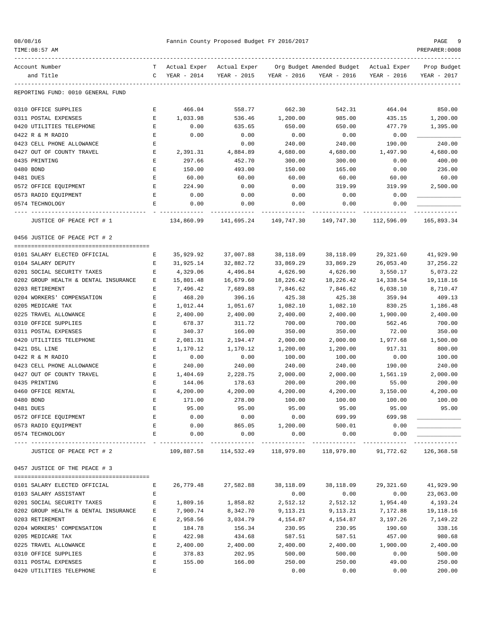| 08/08/16 |  |  |
|----------|--|--|
|----------|--|--|

## 08/08/16 Pannin County Proposed Budget FY 2016/2017 PAGE 9 PAGE 9 PAGE 9 PAGE 9 PAGE 9

| TIME: 08:57 AM                          |             |              |                     |                                |                                                                  |                | PREPARER: 0008 |
|-----------------------------------------|-------------|--------------|---------------------|--------------------------------|------------------------------------------------------------------|----------------|----------------|
| Account Number                          | T.          | Actual Exper | Actual Exper        |                                | Org Budget Amended Budget Actual Exper                           |                | Prop Budget    |
| and Title                               | C           | YEAR - 2014  | YEAR - 2015         | YEAR - 2016                    | YEAR - 2016                                                      | YEAR - 2016    | YEAR - 2017    |
| REPORTING FUND: 0010 GENERAL FUND       |             |              |                     |                                |                                                                  |                |                |
| 0310 OFFICE SUPPLIES                    | Е           | 466.04       | 558.77              | 662.30                         | 542.31                                                           | 464.04         | 850.00         |
| 0311 POSTAL EXPENSES                    | Е           | 1,033.98     | 536.46              | 1,200.00                       | 985.00                                                           | 435.15         | 1,200.00       |
| 0420 UTILITIES TELEPHONE                | E           | 0.00         | 635.65              | 650.00                         | 650.00                                                           | 477.79         | 1,395.00       |
| 0422 R & M RADIO                        | Е           | 0.00         | 0.00                | 0.00                           | 0.00                                                             | 0.00           |                |
| 0423 CELL PHONE ALLOWANCE               | Ε           |              | 0.00                | 240.00                         | 240.00                                                           | 190.00         | 240.00         |
| 0427 OUT OF COUNTY TRAVEL               | Ε           | 2,391.31     | 4,884.89            | 4,680.00                       | 4,680.00                                                         | 1,497.90       | 4,680.00       |
| 0435 PRINTING                           | Ε           | 297.66       | 452.70              | 300.00                         | 300.00                                                           | 0.00           | 400.00         |
| 0480 BOND                               | Ε           | 150.00       | 493.00              | 150.00                         | 165.00                                                           | 0.00           | 236.00         |
| 0481 DUES                               | Е           | 60.00        | 60.00               | 60.00                          | 60.00                                                            | 60.00          | 60.00          |
| 0572 OFFICE EQUIPMENT                   | Е           | 224.90       | 0.00                | 0.00                           | 319.99                                                           | 319.99         | 2,500.00       |
| 0573 RADIO EQUIPMENT                    | Е           | 0.00         | 0.00                | 0.00                           | 0.00                                                             | 0.00           |                |
| 0574 TECHNOLOGY                         | Е           | 0.00         | 0.00                | 0.00                           | 0.00                                                             | 0.00           |                |
| JUSTICE OF PEACE PCT # 1                |             | 134,860.99   | 141,695.24          | 149,747.30                     | 149,747.30                                                       | 112,596.09     | 165,893.34     |
| 0456 JUSTICE OF PEACE PCT # 2           |             |              |                     |                                |                                                                  |                |                |
|                                         |             |              |                     |                                |                                                                  |                |                |
| 0101 SALARY ELECTED OFFICIAL            | Е           | 35,929.92    | 37,007.88           | 38,118.09                      | 38,118.09                                                        | 29,321.60      | 41,929.90      |
| 0104 SALARY DEPUTY                      | Е           | 31,925.14    | 32,882.72           | 33,869.29                      | 33,869.29                                                        | 26,053.40      | 37,256.22      |
| 0201 SOCIAL SECURITY TAXES              | Е           | 4,329.06     | 4,496.84            | 4,626.90                       | 4,626.90                                                         | 3,550.17       | 5,073.22       |
| 0202 GROUP HEALTH & DENTAL INSURANCE    | Е           | 15,801.48    | 16,679.60           | 18,226.42                      | 18,226.42                                                        | 14,338.54      | 19,118.16      |
| 0203 RETIREMENT                         | Е           | 7,496.42     | 7,689.88            | 7,846.62                       | 7,846.62                                                         | 6,038.10       | 8,710.47       |
| 0204 WORKERS' COMPENSATION              | Ε           | 468.20       | 396.16              | 425.38                         | 425.38                                                           | 359.94         | 409.13         |
| 0205 MEDICARE TAX                       | Ε           | 1,012.44     | 1,051.67            | 1,082.10                       | 1,082.10                                                         | 830.25         | 1,186.48       |
| 0225 TRAVEL ALLOWANCE                   | E           | 2,400.00     | 2,400.00            | 2,400.00                       | 2,400.00                                                         | 1,900.00       | 2,400.00       |
| 0310 OFFICE SUPPLIES                    | Е           | 678.37       | 311.72              | 700.00                         | 700.00                                                           | 562.46         | 700.00         |
| 0311 POSTAL EXPENSES                    | E           | 340.37       | 166.00              | 350.00                         | 350.00                                                           | 72.00          | 350.00         |
| 0420 UTILITIES TELEPHONE                | Ε           | 2,081.31     | 2,194.47            | 2,000.00                       | 2,000.00                                                         | 1,977.68       | 1,500.00       |
| 0421 DSL LINE                           | Е           | 1,170.12     | 1,170.12            | 1,200.00                       | 1,200.00                                                         | 917.31         | 800.00         |
| 0422 R & M RADIO                        | Ε           | 0.00         | 0.00                | 100.00                         | 100.00                                                           | 0.00           | 100.00         |
| 0423 CELL PHONE ALLOWANCE               | Е           | 240.00       | 240.00              | 240.00                         | 240.00                                                           | 190.00         | 240.00         |
| 0427 OUT OF COUNTY TRAVEL               | Е           | 1,404.69     | 2,228.75            | 2,000.00                       | 2,000.00                                                         | 1,561.19       | 2,000.00       |
| 0435 PRINTING                           | Е           | 144.06       | 178.63              | 200.00                         | 200.00                                                           | 55.00          | 200.00         |
| 0460 OFFICE RENTAL                      | Е           | 4,200.00     | 4,200.00            | 4,200.00                       | 4,200.00                                                         | 3,150.00       | 4,200.00       |
| 0480 BOND                               |             | 171.00       | 278.00              | 100.00                         | 100.00                                                           | 100.00         | 100.00         |
| 0481 DUES                               | Е           | 95.00        | 95.00               | 95.00                          | 95.00                                                            | 95.00          | 95.00          |
| 0572 OFFICE EQUIPMENT                   | Е           | 0.00         | 0.00                | 0.00                           | 699.99                                                           | 699.98         | _____          |
| 0573 RADIO EQUIPMENT<br>0574 TECHNOLOGY | E<br>Е      | 0.00<br>0.00 | 865.05<br>0.00      | 1,200.00<br>0.00               | 500.01<br>0.00                                                   | 0.00<br>0.00   |                |
| JUSTICE OF PEACE PCT # 2                |             |              | -------------       | ------------------------------ | 109,887.58 114,532.49 118,979.80 118,979.80 91,772.62 126,368.58 | -------------- | ----------     |
|                                         |             |              |                     |                                |                                                                  |                |                |
| 0457 JUSTICE OF THE PEACE # 3           |             |              |                     |                                |                                                                  |                |                |
| 0101 SALARY ELECTED OFFICIAL            | E           |              | 26,779.48 27,582.88 | 38,118.09                      | 38,118.09                                                        | 29,321.60      | 41,929.90      |
| 0103 SALARY ASSISTANT                   | Е           |              |                     | 0.00                           | 0.00                                                             | 0.00           | 23,063.00      |
| 0201 SOCIAL SECURITY TAXES              | Е           | 1,809.16     | 1,858.82            | 2,512.12                       | 2,512.12                                                         | 1,954.40       | 4,193.24       |
| 0202 GROUP HEALTH & DENTAL INSURANCE    | Е           | 7,900.74     | 8,342.70            | 9,113.21                       | 9,113.21                                                         | 7,172.88       | 19,118.16      |
| 0203 RETIREMENT                         | Е           | 2,958.56     | 3,034.79            | 4,154.87                       | 4,154.87                                                         | 3,197.26       | 7,149.22       |
| 0204 WORKERS' COMPENSATION              | Е           | 184.78       | 156.34              | 230.95                         | 230.95                                                           | 190.60         | 338.16         |
| 0205 MEDICARE TAX                       | Ε           | 422.98       | 434.68              | 587.51                         | 587.51                                                           | 457.00         | 980.68         |
| 0225 TRAVEL ALLOWANCE                   | $\mathbf E$ | 2,400.00     | 2,400.00            | 2,400.00                       | 2,400.00                                                         | 1,900.00       | 2,400.00       |
| 0310 OFFICE SUPPLIES                    | Ε           | 378.83       | 202.95              | 500.00                         | 500.00                                                           | 0.00           | 500.00         |
| 0311 POSTAL EXPENSES                    | Е           | 155.00       | 166.00              | 250.00                         | 250.00                                                           | 49.00          | 250.00         |
| 0420 UTILITIES TELEPHONE                | E           |              |                     | 0.00                           | 0.00                                                             | 0.00           | 200.00         |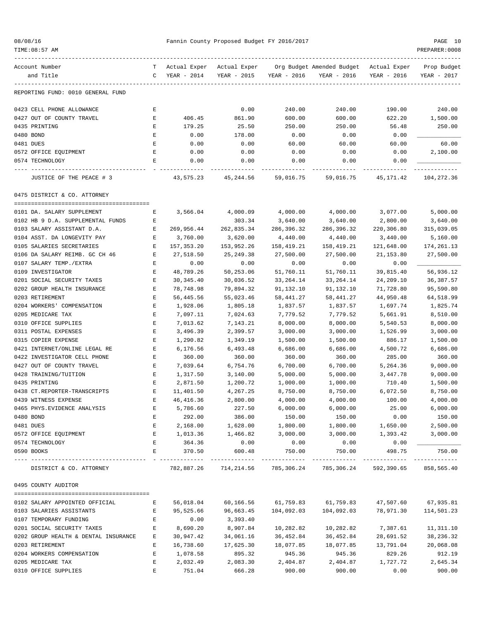| 08/08/16 |  |  |  |
|----------|--|--|--|
|----------|--|--|--|

### Fannin County Proposed Budget FY 2016/2017 PAGE 10

| TIME: 08:57 AM                                            |                            |                      |                    |                       |                                          |                      | PREPARER: 0008       |
|-----------------------------------------------------------|----------------------------|----------------------|--------------------|-----------------------|------------------------------------------|----------------------|----------------------|
| Account Number                                            | Т                          | Actual Exper         | Actual Exper       |                       | Org Budget Amended Budget – Actual Exper |                      | Prop Budget          |
| and Title                                                 | $\mathsf{C}$               | YEAR - 2014          | YEAR - 2015        | YEAR - 2016           | YEAR - 2016                              | YEAR - 2016          | YEAR - 2017          |
| REPORTING FUND: 0010 GENERAL FUND                         |                            |                      |                    |                       |                                          |                      |                      |
| 0423 CELL PHONE ALLOWANCE                                 | Ε                          |                      | 0.00               | 240.00                | 240.00                                   | 190.00               | 240.00               |
| 0427 OUT OF COUNTY TRAVEL                                 | Е                          | 406.45               | 861.90             | 600.00                | 600.00                                   | 622.20               | 1,500.00             |
| 0435 PRINTING                                             | Е                          | 179.25               | 25.50              | 250.00                | 250.00                                   | 56.48                | 250.00               |
| 0480 BOND                                                 | E                          | 0.00                 | 178.00             | 0.00                  | 0.00                                     | 0.00                 |                      |
| 0481 DUES                                                 | E                          | 0.00                 | 0.00               | 60.00                 | 60.00                                    | 60.00                | 60.00                |
| 0572 OFFICE EQUIPMENT                                     | Е                          | 0.00                 | 0.00               | 0.00                  | 0.00                                     | 0.00                 | 2,100.00             |
| 0574 TECHNOLOGY                                           | E                          | 0.00                 | 0.00               | 0.00                  | 0.00                                     | 0.00                 |                      |
| JUSTICE OF THE PEACE # 3                                  |                            | 43,575.23            | 45,244.56          | 59,016.75             | 59,016.75                                | 45,171.42            | 104,272.36           |
| 0475 DISTRICT & CO. ATTORNEY                              |                            |                      |                    |                       |                                          |                      |                      |
| 0101 DA. SALARY SUPPLEMENT                                | Е                          | 3,566.04             | 4,000.09           | 4,000.00              | 4,000.00                                 | 3,077.00             | 5,000.00             |
| 0102 HB 9 D.A. SUPPLEMENTAL FUNDS                         | Е                          |                      | 303.34             | 3,640.00              | 3,640.00                                 | 2,800.00             | 3,640.00             |
| 0103 SALARY ASSISTANT D.A.                                | Е                          | 269,956.44           | 262,835.34         | 286,396.32            | 286,396.32                               | 220,306.80           | 315,039.05           |
| 0104 ASST. DA LONGEVITY PAY                               | $\mathbf E$                | 3,760.00             | 3,620.00           | 4,440.00              | 4,440.00                                 | 3,440.00             | 5,160.00             |
| 0105 SALARIES SECRETARIES                                 | Е                          | 157, 353.20          | 153,952.26         | 158,419.21            | 158,419.21                               | 121,648.00           | 174,261.13           |
| 0106 DA SALARY REIMB. GC CH 46                            | $\mathbf E$                | 27,518.50            | 25, 249.38         | 27,500.00             | 27,500.00                                | 21, 153.80           | 27,500.00            |
| 0107 SALARY TEMP./EXTRA                                   | Е                          | 0.00                 | 0.00               | 0.00                  | 0.00                                     | 0.00                 |                      |
| 0109 INVESTIGATOR                                         | Ε                          | 48,789.26            | 50,253.06          | 51,760.11             | 51,760.11                                | 39,815.40            | 56,936.12            |
| 0201 SOCIAL SECURITY TAXES                                | $\mathbf E$                | 30, 345.40           | 30,036.52          | 33, 264. 14           | 33,264.14                                | 24,209.10            | 36, 387.57           |
| 0202 GROUP HEALTH INSURANCE                               | E                          | 78,748.98            | 79,894.32          | 91,132.10             | 91,132.10                                | 71,728.80            | 95,590.80            |
| 0203 RETIREMENT                                           | Е                          | 56,445.56            | 55,023.46          | 58,441.27             | 58,441.27                                | 44,950.48            | 64,518.99            |
| 0204 WORKERS' COMPENSATION                                | E                          | 1,928.06             | 1,805.18           | 1,837.57              | 1,837.57                                 | 1,697.74             | 1,825.74             |
| 0205 MEDICARE TAX                                         | Е                          | 7,097.11             | 7,024.63           | 7,779.52              | 7,779.52                                 | 5,661.91             | 8,510.00             |
| 0310 OFFICE SUPPLIES                                      | E                          | 7,013.62             | 7,143.21           | 8,000.00              | 8,000.00                                 | 5,540.53             | 8,000.00             |
| 0311 POSTAL EXPENSES                                      | E                          | 3,496.39             | 2,399.57           | 3,000.00              | 3,000.00                                 | 1,526.99             | 3,000.00             |
| 0315 COPIER EXPENSE                                       | $\mathbf E$                | 1,290.82             | 1,349.19           | 1,500.00              | 1,500.00                                 | 886.17               | 1,500.00             |
| 0421 INTERNET/ONLINE LEGAL RE                             | $\mathbf E$<br>$\mathbf E$ | 6,176.56             | 6,493.48<br>360.00 | 6,686.00              | 6,686.00<br>360.00                       | 4,500.72             | 6,686.00             |
| 0422 INVESTIGATOR CELL PHONE<br>0427 OUT OF COUNTY TRAVEL | Е                          | 360.00               | 6,754.76           | 360.00<br>6,700.00    |                                          | 285.00               | 360.00               |
| 0428 TRAINING/TUITION                                     | $\mathbf E$                | 7,039.64<br>1,317.50 | 3,140.00           | 5,000.00              | 6,700.00<br>5,000.00                     | 5,264.36<br>3,447.78 | 9,000.00<br>9,000.00 |
| 0435 PRINTING                                             | E                          | 2,871.50             | 1,200.72           | 1,000.00              | 1,000.00                                 | 710.40               | 1,500.00             |
| 0438 CT.REPORTER-TRANSCRIPTS                              | $\mathbf E$                | 11,401.50            | 4,267.25           | 8,750.00              | 8,750.00                                 | 6,072.50             | 8,750.00             |
| 0439 WITNESS EXPENSE                                      | Ε                          | 46,416.36            | 2,800.00           | 4,000.00              | 4,000.00                                 | 100.00               | 4,000.00             |
| 0465 PHYS. EVIDENCE ANALYSIS                              | E                          | 5,786.60             | 227.50             | 6,000.00              | 6,000.00                                 | 25.00                | 6,000.00             |
| 0480 BOND                                                 | E                          | 292.00               | 386.00             | 150.00                | 150.00                                   | 0.00                 | 150.00               |
| 0481 DUES                                                 | E                          | 2,168.00             | 1,628.00           | 1,800.00              | 1,800.00                                 | 1,650.00             | 2,500.00             |
| 0572 OFFICE EQUIPMENT                                     | E                          | 1,013.36             | 1,466.82           | 3,000.00              | 3,000.00                                 | 1,393.42             | 3,000.00             |
| 0574 TECHNOLOGY                                           | E                          | 364.36               | 0.00               | 0.00                  | 0.00                                     | 0.00                 |                      |
| 0590 BOOKS                                                | E                          | 370.50               | 600.48             | 750.00<br>----------- | 750.00<br>-----------                    | 498.75               | 750.00               |
| DISTRICT & CO. ATTORNEY                                   |                            | 782,887.26           | 714,214.56         | 785,306.24            | 785,306.24                               | 592,390.65           | 858,565.40           |
| 0495 COUNTY AUDITOR                                       |                            |                      |                    |                       |                                          |                      |                      |
|                                                           |                            |                      |                    |                       |                                          |                      |                      |
| 0102 SALARY APPOINTED OFFICIAL                            | Е                          | 56,018.04            | 60,166.56          | 61,759.83             | 61,759.83                                | 47,507.60            | 67,935.81            |
| 0103 SALARIES ASSISTANTS                                  | Е                          | 95,525.66            | 96,663.45          | 104,092.03            | 104,092.03                               | 78,971.30            | 114,501.23           |
| 0107 TEMPORARY FUNDING                                    | $\mathbf E$                | 0.00                 | 3,393.40           |                       |                                          |                      |                      |
| 0201 SOCIAL SECURITY TAXES                                | Е                          | 8,690.20             | 8,907.84           | 10,282.82             | 10,282.82                                | 7,387.61             | 11,311.10            |
| 0202 GROUP HEALTH & DENTAL INSURANCE                      | Е                          | 30,947.42            | 34,061.16          | 36,452.84             | 36,452.84                                | 28,691.52            | 38, 236. 32          |
| 0203 RETIREMENT                                           | Е                          | 16,738.60            | 17,625.30          | 18,077.85             | 18,077.85                                | 13,791.04            | 20,068.08            |
| 0204 WORKERS COMPENSATION                                 | Ε                          | 1,078.58             | 895.32             | 945.36                | 945.36                                   | 829.26               | 912.19               |
| 0205 MEDICARE TAX                                         | E                          | 2,032.49             | 2,083.30           | 2,404.87              | 2,404.87                                 | 1,727.72             | 2,645.34             |
| 0310 OFFICE SUPPLIES                                      | Ε                          | 751.04               | 666.28             | 900.00                | 900.00                                   | 0.00                 | 900.00               |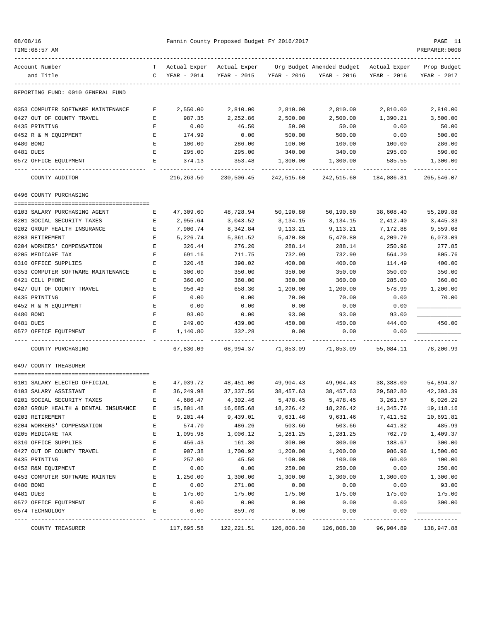| 08/08/16<br>TIME: 08:57 AM                                                     |                  |                  | Fannin County Proposed Budget FY 2016/2017 |                           |                                                                                               |                                        | PAGE 11<br>PREPARER: 0008 |
|--------------------------------------------------------------------------------|------------------|------------------|--------------------------------------------|---------------------------|-----------------------------------------------------------------------------------------------|----------------------------------------|---------------------------|
|                                                                                |                  |                  |                                            |                           |                                                                                               |                                        |                           |
| Account Number<br>and Title                                                    |                  | C YEAR - 2014    |                                            | YEAR - 2015 YEAR - 2016   | T Actual Exper Actual Exper Org Budget Amended Budget Actual Exper Prop Budget<br>YEAR - 2016 | YEAR - 2016                            | YEAR - 2017               |
| REPORTING FUND: 0010 GENERAL FUND                                              |                  |                  |                                            |                           |                                                                                               |                                        |                           |
| 0353 COMPUTER SOFTWARE MAINTENANCE                                             | Е                | 2,550.00         | 2,810.00                                   | 2,810.00                  | 2,810.00                                                                                      | 2,810.00                               | 2,810.00                  |
| 0427 OUT OF COUNTY TRAVEL                                                      | Е                | 987.35           | 2,252.86                                   | 2,500.00                  | 2,500.00                                                                                      | 1,390.21                               | 3,500.00                  |
| 0435 PRINTING                                                                  | Е                | 0.00             | 46.50                                      | 50.00                     | 50.00                                                                                         | 0.00                                   | 50.00                     |
| 0452 R & M EQUIPMENT                                                           | Е                | 174.99           | 0.00                                       | 500.00                    | 500.00                                                                                        | 0.00                                   | 500.00                    |
| 0480 BOND                                                                      | E                | 100.00           | 286.00                                     | 100.00                    | 100.00                                                                                        | 100.00                                 | 286.00                    |
| 0481 DUES                                                                      | E                | 295.00           | 295.00                                     | 340.00                    | 340.00                                                                                        | 295.00                                 | 590.00                    |
| 0572 OFFICE EQUIPMENT                                                          | E                | 374.13           | 353.48<br>-----------                      | 1,300.00<br>------------- | 1,300.00<br>------------                                                                      | 585.55<br>-------------- ------------- | 1,300.00                  |
| COUNTY AUDITOR                                                                 |                  | 216,263.50       |                                            |                           |                                                                                               |                                        | 265,546.07                |
| 0496 COUNTY PURCHASING                                                         |                  |                  |                                            |                           |                                                                                               |                                        |                           |
|                                                                                |                  |                  |                                            |                           |                                                                                               |                                        |                           |
| 0103 SALARY PURCHASING AGENT                                                   | Е                | 47,309.60        | 48,728.94                                  | 50,190.80                 | 50,190.80                                                                                     | 38,608.40                              | 55,209.88                 |
| 0201 SOCIAL SECURITY TAXES                                                     | Е                | 2,955.64         | 3,043.52                                   | 3,134.15                  | 3,134.15                                                                                      | 2,412.40                               | 3,445.33                  |
| 0202 GROUP HEALTH INSURANCE                                                    | E                | 7,900.74         | 8,342.84                                   | 9,113.21                  | 9,113.21                                                                                      | 7,172.88                               | 9,559.08                  |
| 0203 RETIREMENT                                                                | E                | 5,226.74         | 5,361.52                                   | 5,470.80                  | 5,470.80                                                                                      | 4,209.79                               | 6,073.09                  |
| 0204 WORKERS' COMPENSATION                                                     | E<br>$\mathbf E$ | 326.44           | 276.20                                     | 288.14                    | 288.14                                                                                        | 250.96                                 | 277.85                    |
| 0205 MEDICARE TAX<br>0310 OFFICE SUPPLIES                                      | Е                | 691.16           | 711.75                                     | 732.99                    | 732.99                                                                                        | 564.20                                 | 805.76                    |
| 0353 COMPUTER SOFTWARE MAINTENANCE                                             | E                | 320.48           | 390.02                                     | 400.00                    | 400.00                                                                                        | 114.49                                 | 400.00<br>350.00          |
| 0421 CELL PHONE                                                                | Е                | 300.00<br>360.00 | 350.00<br>360.00                           | 350.00<br>360.00          | 350.00<br>360.00                                                                              | 350.00<br>285.00                       | 360.00                    |
| 0427 OUT OF COUNTY TRAVEL                                                      | E                | 956.49           | 658.30                                     | 1,200.00                  | 1,200.00                                                                                      | 578.99                                 | 1,200.00                  |
| 0435 PRINTING                                                                  | E                | 0.00             | 0.00                                       | 70.00                     | 70.00                                                                                         | 0.00                                   | 70.00                     |
| 0452 R & M EQUIPMENT                                                           | Е                | 0.00             | 0.00                                       | 0.00                      | 0.00                                                                                          | 0.00                                   |                           |
| 0480 BOND                                                                      | E                | 93.00            | 0.00                                       | 93.00                     | 93.00                                                                                         | 93.00                                  |                           |
| 0481 DUES                                                                      | Е                | 249.00           | 439.00                                     | 450.00                    | 450.00                                                                                        | 444.00                                 | 450.00                    |
| 0572 OFFICE EQUIPMENT                                                          | E.               | 1,140.80         | 332.28                                     | 0.00                      | 0.00                                                                                          | 0.00                                   |                           |
| COUNTY PURCHASING                                                              |                  | 67,830.09        | 68,994.37                                  | 71,853.09                 | 71,853.09                                                                                     | 55,084.11                              | 78,200.99                 |
| 0497 COUNTY TREASURER                                                          |                  |                  |                                            |                           |                                                                                               |                                        |                           |
|                                                                                |                  |                  |                                            |                           |                                                                                               |                                        |                           |
| 0101 SALARY ELECTED OFFICIAL<br>$\mathbf{E}$ and $\mathbf{E}$ and $\mathbf{E}$ |                  |                  | 47,039.72 48,451.00 49,904.43              |                           | 49,904.43                                                                                     | 38,388.00                              | 54,894.87                 |
| 0103 SALARY ASSISTANT                                                          | Ε                | 36,249.98        | 37, 337.56                                 | 38,457.63                 | 38,457.63                                                                                     | 29,582.80                              | 42,303.39                 |
| 0201 SOCIAL SECURITY TAXES                                                     | Ε                | 4,686.47         | 4,302.46                                   | 5,478.45                  | 5,478.45                                                                                      | 3,261.57                               | 6,026.29                  |
| 0202 GROUP HEALTH & DENTAL INSURANCE                                           | Е                | 15,801.48        | 16,685.68                                  | 18,226.42                 | 18,226.42                                                                                     | 14,345.76                              | 19,118.16                 |
| 0203 RETIREMENT                                                                | Ε                | 9,201.44         | 9,439.01                                   | 9,631.46                  | 9,631.46                                                                                      | 7,411.52                               | 10,691.81                 |
| 0204 WORKERS' COMPENSATION                                                     | E                | 574.70           | 486.26                                     | 503.66                    | 503.66                                                                                        | 441.82                                 | 485.99                    |
| 0205 MEDICARE TAX                                                              | Ε                | 1,095.98         | 1,006.12                                   | 1,281.25                  | 1,281.25                                                                                      | 762.79                                 | 1,409.37                  |
| 0310 OFFICE SUPPLIES                                                           | Ε                | 456.43           | 161.30                                     | 300.00                    | 300.00                                                                                        | 188.67                                 | 300.00                    |
| 0427 OUT OF COUNTY TRAVEL                                                      | E                | 907.38           | 1,700.92                                   | 1,200.00                  | 1,200.00                                                                                      | 986.96                                 | 1,500.00                  |
| 0435 PRINTING                                                                  | Ε                | 257.00           | 45.50                                      | 100.00                    | 100.00                                                                                        | 60.00                                  | 100.00                    |
| 0452 R&M EQUIPMENT<br>0453 COMPUTER SOFTWARE MAINTEN                           | $\mathbf E$      | 0.00             | 0.00                                       | 250.00                    | 250.00                                                                                        | 0.00                                   | 250.00                    |
|                                                                                | E<br>Ε           | 1,250.00         | 1,300.00                                   | 1,300.00                  | 1,300.00                                                                                      | 1,300.00                               | 1,300.00<br>93.00         |
| 0480 BOND<br>0481 DUES                                                         | E                | 0.00<br>175.00   | 271.00<br>175.00                           | 0.00<br>175.00            | 0.00<br>175.00                                                                                | 0.00<br>175.00                         | 175.00                    |
| 0572 OFFICE EQUIPMENT                                                          | Ε                | 0.00             | 0.00                                       | 0.00                      | 0.00                                                                                          | 0.00                                   | 300.00                    |
| 0574 TECHNOLOGY                                                                | E                | 0.00             | 859.70                                     | 0.00                      | 0.00                                                                                          | 0.00                                   |                           |
|                                                                                |                  |                  |                                            |                           |                                                                                               |                                        |                           |
| COUNTY TREASURER                                                               |                  | 117,695.58       | 122,221.51                                 | 126,808.30                | 126,808.30                                                                                    | 96,904.89                              | 138,947.88                |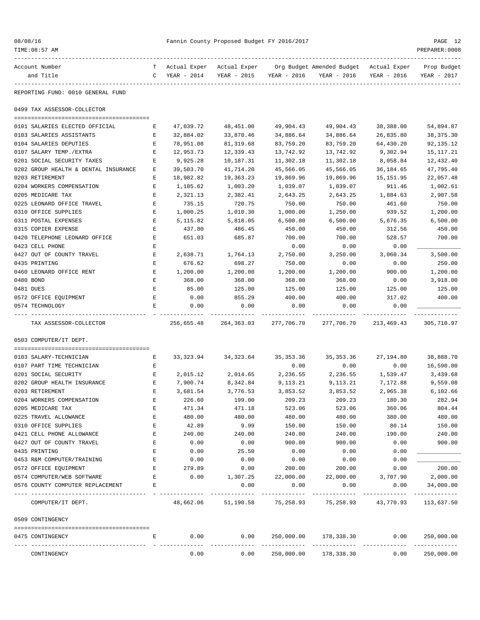| 08/08/16 |  |
|----------|--|
|----------|--|

| Account Number                       |    | Actual Exper | Actual Exper |             | Org Budget Amended Budget                                    | Actual Exper | Prop Budget |
|--------------------------------------|----|--------------|--------------|-------------|--------------------------------------------------------------|--------------|-------------|
| and Title                            | C  | YEAR - 2014  | YEAR - 2015  | YEAR - 2016 | YEAR - 2016                                                  | YEAR - 2016  | YEAR - 2017 |
|                                      |    |              |              |             |                                                              |              |             |
| REPORTING FUND: 0010 GENERAL FUND    |    |              |              |             |                                                              |              |             |
| 0499 TAX ASSESSOR-COLLECTOR          |    |              |              |             |                                                              |              |             |
|                                      |    |              |              |             |                                                              |              |             |
| 0101 SALARIES ELECTED OFFICIAL       | E. | 47,039.72    | 48,451.00    | 49,904.43   | 49,904.43                                                    | 38,388.00    | 54,894.87   |
| 0103 SALARIES ASSISTANTS             | Е  | 32,884.02    | 33,870.46    | 34,886.64   | 34,886.64                                                    | 26,835.80    | 38, 375. 30 |
| 0104 SALARIES DEPUTIES               | E  | 78,951.08    | 81,319.68    | 83,759.20   | 83,759.20                                                    | 64,430.20    | 92, 135. 12 |
| 0107 SALARY TEMP./EXTRA              | Е  | 12,953.73    | 12,339.43    | 13,742.92   | 13,742.92                                                    | 9,302.94     | 15, 117. 21 |
| 0201 SOCIAL SECURITY TAXES           | Е  | 9,925.28     | 10,187.31    | 11,302.18   | 11,302.18                                                    | 8,058.84     | 12,432.40   |
| 0202 GROUP HEALTH & DENTAL INSURANCE | E  | 39,503.70    | 41,714.20    | 45,566.05   | 45,566.05                                                    | 36,184.65    | 47,795.40   |
| 0203 RETIREMENT                      | Е  | 18,982.82    | 19,363.23    | 19,869.96   | 19,869.96                                                    | 15,151.95    | 22,057.48   |
| 0204 WORKERS COMPENSATION            | Е  | 1,185.62     | 1,003.20     | 1,039.07    | 1,039.07                                                     | 911.46       | 1,002.61    |
| 0205 MEDICARE TAX                    | E  | 2,321.13     | 2,382.41     | 2,643.25    | 2,643.25                                                     | 1,884.63     | 2,907.58    |
| 0225 LEONARD OFFICE TRAVEL           | Е  | 735.15       | 720.75       | 750.00      | 750.00                                                       | 461.60       | 750.00      |
| 0310 OFFICE SUPPLIES                 | Е  | 1,000.25     | 1,010.30     | 1,000.00    | 1,250.00                                                     | 939.52       | 1,200.00    |
| 0311 POSTAL EXPENSES                 | E  | 5, 115.82    | 5,818.05     | 6,500.00    | 6,500.00                                                     | 5,676.35     | 6,500.00    |
| 0315 COPIER EXPENSE                  | E  | 437.80       | 486.45       | 450.00      | 450.00                                                       | 312.56       | 450.00      |
| 0420 TELEPHONE LEONARD OFFICE        | E  | 651.03       | 685.87       | 700.00      | 700.00                                                       | 528.57       | 700.00      |
| 0423 CELL PHONE                      | Е  |              |              | 0.00        | 0.00                                                         | 0.00         |             |
| 0427 OUT OF COUNTY TRAVEL            | E  | 2,638.71     | 1,764.13     | 2,750.00    | 3,250.00                                                     | 3,060.34     | 3,500.00    |
| 0435 PRINTING                        | E  | 676.62       | 698.27       | 750.00      | 0.00                                                         | 0.00         | 250.00      |
| 0460 LEONARD OFFICE RENT             | E  | 1,200.00     | 1,200.00     | 1,200.00    | 1,200.00                                                     | 900.00       | 1,200.00    |
| 0480 BOND                            | Е  | 368.00       | 368.00       | 368.00      | 368.00                                                       | 0.00         | 3,918.00    |
| 0481 DUES                            | Е  | 85.00        | 125.00       | 125.00      | 125.00                                                       | 125.00       | 125.00      |
| 0572 OFFICE EQUIPMENT                | Ε  | 0.00         | 855.29       | 400.00      | 400.00                                                       | 317.02       | 400.00      |
| 0574 TECHNOLOGY                      | Е  | 0.00         | 0.00         | 0.00        | 0.00                                                         | 0.00         |             |
| TAX ASSESSOR-COLLECTOR               |    | 256,655.48   | 264,363.03   | 277,706.70  | 277,706.70                                                   | 213,469.43   | 305,710.97  |
| 0503 COMPUTER/IT DEPT.               |    |              |              |             |                                                              |              |             |
|                                      |    |              |              |             |                                                              |              |             |
| 0103 SALARY-TECHNICIAN               | Е  | 33,323.94    | 34,323.64    | 35,353.36   | 35, 353. 36                                                  | 27,194.80    | 38,888.70   |
| 0107 PART TIME TECHNICIAN            | Е  |              |              | 0.00        | 0.00                                                         | 0.00         | 16,590.00   |
| 0201 SOCIAL SECURITY                 | E  | 2,015.12     | 2,014.65     | 2,236.55    | 2,236.55                                                     | 1,539.47     | 3,439.68    |
| 0202 GROUP HEALTH INSURANCE          | Е  | 7,900.74     | 8,342.84     | 9,113.21    | 9,113.21                                                     | 7,172.88     | 9,559.08    |
| 0203 RETIREMENT                      | Ε  | 3,681.54     | 3,776.53     | 3,853.52    | 3,853.52                                                     | 2,965.38     | 6,102.66    |
| 0204 WORKERS COMPENSATION            | Ε  | 226.60       | 199.00       | 209.23      | 209.23                                                       | 180.30       | 282.94      |
| 0205 MEDICARE TAX                    | Ε  | 471.34       | 471.18       | 523.06      | 523.06                                                       | 360.06       | 804.44      |
| 0225 TRAVEL ALLOWANCE                | Ε  | 480.00       | 480.00       | 480.00      | 480.00                                                       | 380.00       | 480.00      |
| 0310 OFFICE SUPPLIES                 | Ε  | 42.89        | 9.99         | 150.00      | 150.00                                                       | 80.14        | 150.00      |
| 0421 CELL PHONE ALLOWANCE            | Ε  | 240.00       | 240.00       | 240.00      | 240.00                                                       | 190.00       | 240.00      |
| 0427 OUT OF COUNTY TRAVEL            | Ε  | 0.00         | 0.00         | 900.00      | 900.00                                                       | 0.00         | 900.00      |
| 0435 PRINTING                        | Е  | 0.00         | 25.50        | 0.00        | 0.00                                                         | 0.00         |             |
| 0453 R&M COMPUTER/TRAINING           | Ε  | 0.00         | 0.00         | 0.00        | 0.00                                                         | 0.00         |             |
| 0572 OFFICE EQUIPMENT                | Ε  | 279.89       | 0.00         | 200.00      | 200.00                                                       | 0.00         | 200.00      |
| 0574 COMPUTER/WEB SOFTWARE           | Е  | 0.00         | 1,307.25     | 22,000.00   | 22,000.00                                                    | 3,707.90     | 2,000.00    |
| 0576 COUNTY COMPUTER REPLACEMENT     | Ε  |              | 0.00         | 0.00        | 0.00                                                         | 0.00         | 34,000.00   |
| COMPUTER/IT DEPT.                    |    |              |              |             | 48,662.06 51,190.58 75,258.93 75,258.93 43,770.93 113,637.50 |              |             |
| 0509 CONTINGENCY                     |    |              |              |             |                                                              |              |             |
| 0475 CONTINGENCY                     |    | 0.00         | 0.00         | 250,000.00  | 178,338.30                                                   | 0.00         | 250,000.00  |
|                                      |    |              |              |             | -------------- --------------                                |              | ----------- |
| CONTINGENCY                          |    | 0.00         | 0.00         | 250,000.00  | 178,338.30                                                   | 0.00         | 250,000.00  |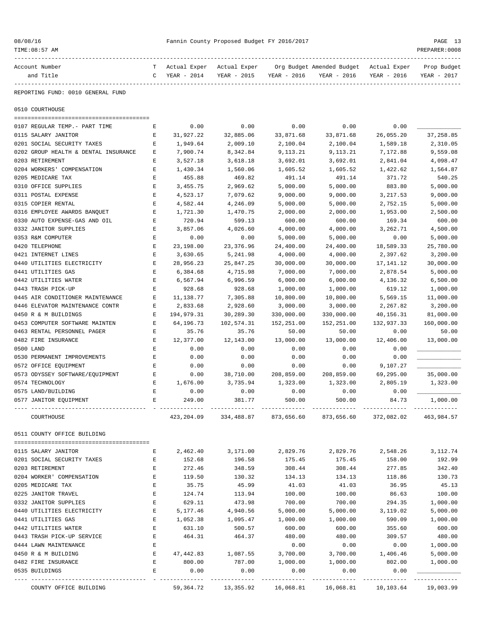| 08/08/16 |  |
|----------|--|
|----------|--|

|           | Account Number                               | т                                                                                              | Actual Exper                                                | Actual Exper     |                  | Org Budget Amended Budget                                               | Actual Exper     | Prop Budget      |
|-----------|----------------------------------------------|------------------------------------------------------------------------------------------------|-------------------------------------------------------------|------------------|------------------|-------------------------------------------------------------------------|------------------|------------------|
|           | and Title                                    | $\mathsf{C}$                                                                                   | YEAR - 2014                                                 | YEAR - 2015      | YEAR - 2016      | YEAR - 2016                                                             | YEAR - 2016      | YEAR - 2017      |
|           | REPORTING FUND: 0010 GENERAL FUND            |                                                                                                |                                                             |                  |                  |                                                                         |                  |                  |
|           | 0510 COURTHOUSE                              |                                                                                                |                                                             |                  |                  |                                                                         |                  |                  |
|           | 0107 REGULAR TEMP.- PART TIME                | Е                                                                                              | 0.00                                                        | 0.00             | 0.00             | 0.00                                                                    | 0.00             |                  |
|           | 0115 SALARY JANITOR                          | Е                                                                                              | 31,927.22                                                   | 32,885.06        | 33,871.68        | 33,871.68                                                               | 26,055.20        | 37, 258.85       |
|           | 0201 SOCIAL SECURITY TAXES                   | Е                                                                                              | 1,949.64                                                    | 2,009.10         | 2,100.04         | 2,100.04                                                                | 1,589.18         | 2,310.05         |
|           | 0202 GROUP HEALTH & DENTAL INSURANCE         | Е                                                                                              | 7,900.74                                                    | 8,342.84         | 9,113.21         | 9,113.21                                                                | 7,172.88         | 9,559.08         |
|           | 0203 RETIREMENT                              | Ε                                                                                              | 3,527.18                                                    | 3,618.18         | 3,692.01         | 3,692.01                                                                | 2,841.04         | 4,098.47         |
|           | 0204 WORKERS' COMPENSATION                   | Е                                                                                              | 1,430.34                                                    | 1,560.06         | 1,605.52         | 1,605.52                                                                | 1,422.62         | 1,564.87         |
|           | 0205 MEDICARE TAX                            | $\mathbf E$                                                                                    | 455.88                                                      | 469.82           | 491.14           | 491.14                                                                  | 371.72           | 540.25           |
|           | 0310 OFFICE SUPPLIES                         | Е                                                                                              | 3,455.75                                                    | 2,969.62         | 5,000.00         | 5,000.00                                                                | 883.80           | 5,000.00         |
|           | 0311 POSTAL EXPENSE                          | Е                                                                                              | 4,523.17                                                    | 7,079.62         | 9,000.00         | 9,000.00                                                                | 3, 217.53        | 9,000.00         |
|           | 0315 COPIER RENTAL                           | $\mathbf E$                                                                                    | 4,582.44                                                    | 4,246.09         | 5,000.00         | 5,000.00                                                                | 2,752.15         | 5,000.00         |
|           | 0316 EMPLOYEE AWARDS BANQUET                 | E                                                                                              | 1,721.30                                                    | 1,470.75         | 2,000.00         | 2,000.00                                                                | 1,953.00         | 2,500.00         |
|           | 0330 AUTO EXPENSE-GAS AND OIL                | Е                                                                                              | 720.94                                                      | 599.13           | 600.00           | 600.00                                                                  | 169.34           | 600.00           |
|           | 0332 JANITOR SUPPLIES                        | Е                                                                                              | 3,857.06                                                    | 4,026.60         | 4,000.00         | 4,000.00                                                                | 3,262.71         | 4,500.00         |
|           | 0353 R&M COMPUTER                            | Ε                                                                                              | 0.00                                                        | 0.00             | 5,000.00         | 5,000.00                                                                | 0.00             | 5,000.00         |
|           | 0420 TELEPHONE                               | E                                                                                              | 23,198.00                                                   | 23,376.96        | 24,400.00        | 24,400.00                                                               | 18,589.33        | 25,780.00        |
|           | 0421 INTERNET LINES                          | $\mathbf E$                                                                                    | 3,630.65                                                    | 5,241.98         | 4,000.00         | 4,000.00                                                                | 2,397.62         | 3,200.00         |
|           | 0440 UTILITIES ELECTRICITY                   | Е                                                                                              | 28,956.23                                                   | 25,847.25        | 30,000.00        | 30,000.00                                                               | 17, 141. 12      | 30,000.00        |
|           | 0441 UTILITIES GAS                           | Е                                                                                              | 6,384.68                                                    | 4,715.98         | 7,000.00         | 7,000.00                                                                | 2,878.54         | 5,000.00         |
|           | 0442 UTILITIES WATER                         | Е                                                                                              | 6,567.94                                                    | 6,996.59         | 6,000.00         | 6,000.00                                                                | 4,136.32         | 6,500.00         |
|           | 0443 TRASH PICK-UP                           | $\mathbf E$                                                                                    | 928.68                                                      | 928.68           | 1,000.00         | 1,000.00                                                                | 619.12           | 1,000.00         |
|           | 0445 AIR CONDITIONER MAINTENANCE             | $\mathbf E$                                                                                    | 11,138.77                                                   | 7,305.88         | 10,800.00        | 10,800.00                                                               | 5,569.15         | 11,000.00        |
|           | 0446 ELEVATOR MAINTENANCE CONTR              | Е                                                                                              | 2,833.68                                                    | 2,928.60         | 3,000.00         | 3,000.00                                                                | 2,267.82         | 3,200.00         |
|           | 0450 R & M BUILDINGS                         | E                                                                                              | 194,979.31                                                  | 30,289.30        | 330,000.00       | 330,000.00                                                              | 40,156.31        | 81,000.00        |
|           | 0453 COMPUTER SOFTWARE MAINTEN               | Е                                                                                              | 64,196.73                                                   | 102,574.31       | 152,251.00       | 152,251.00                                                              | 132,937.33       | 160,000.00       |
|           | 0463 RENTAL PERSONNEL PAGER                  | Е                                                                                              | 35.76                                                       | 35.76            | 50.00            | 50.00                                                                   | 0.00             | 50.00            |
|           | 0482 FIRE INSURANCE                          | $\mathbf E$                                                                                    | 12,377.00                                                   | 12,143.00        | 13,000.00        | 13,000.00                                                               | 12,406.00        | 13,000.00        |
| 0500 LAND |                                              | E                                                                                              | 0.00                                                        | 0.00             | 0.00             | 0.00                                                                    | 0.00             |                  |
|           | 0530 PERMANENT IMPROVEMENTS                  | $\mathbf E$                                                                                    | 0.00                                                        | 0.00             | 0.00             | 0.00                                                                    | 0.00             |                  |
|           | 0572 OFFICE EQUIPMENT                        | Ε                                                                                              | 0.00                                                        | 0.00             | 0.00             | 0.00                                                                    | 9,107.27         |                  |
|           | 0573 ODYSSEY SOFTWARE/EQUIPMENT              | Е                                                                                              | 0.00                                                        | 38,710.00        | 208,859.00       | 208,859.00                                                              | 69,295.00        | 35,000.00        |
|           | 0574 TECHNOLOGY                              | Е                                                                                              | 1,676.00                                                    | 3,735.94         | 1,323.00         | 1,323.00                                                                | 2,805.19         | 1,323.00         |
|           | 0575 LAND/BUILDING                           | E                                                                                              | 0.00                                                        | 0.00             | 0.00             | 0.00                                                                    | 0.00             |                  |
|           | 0577 JANITOR EQUIPMENT                       | $\mathbf E$                                                                                    | 249.00                                                      | 381.77           | 500.00           | 500.00                                                                  | 84.73            | 1,000.00         |
|           | COURTHOUSE                                   |                                                                                                |                                                             |                  |                  | 423, 204.09 334, 488.87 873, 656.60 873, 656.60 372, 082.02 463, 984.57 |                  |                  |
|           | 0511 COUNTY OFFICE BUILDING                  |                                                                                                |                                                             |                  |                  |                                                                         |                  |                  |
|           |                                              |                                                                                                |                                                             |                  |                  |                                                                         |                  |                  |
|           | 0115 SALARY JANITOR                          | Е                                                                                              |                                                             |                  |                  | 2,462.40 3,171.00 2,829.76 2,829.76 2,548.26 3,112.74                   |                  |                  |
|           | 0201 SOCIAL SECURITY TAXES                   | E                                                                                              | 152.68                                                      | 196.58           |                  | 175.45 175.45                                                           | 158.00           | 192.99           |
|           | 0203 RETIREMENT<br>0204 WORKER' COMPENSATION | Е<br>E                                                                                         | 272.46<br>119.50                                            | 348.59<br>130.32 | 308.44<br>134.13 | 308.44<br>134.13                                                        | 277.85<br>118.86 | 342.40<br>130.73 |
|           | 0205 MEDICARE TAX                            | $\mathbf E$                                                                                    | 35.75                                                       | 45.99            | 41.03            | 41.03                                                                   | 36.95            | 45.13            |
|           | 0225 JANITOR TRAVEL                          | E                                                                                              | 124.74                                                      | 113.94           | 100.00           | 100.00                                                                  | 86.63            | 100.00           |
|           | 0332 JANITOR SUPPLIES                        | E                                                                                              | 629.11                                                      | 473.98           | 700.00           | 700.00                                                                  | 294.35           | 1,000.00         |
|           | 0440 UTILITIES ELECTRICITY                   | E                                                                                              | 5,177.46                                                    | 4,940.56         | 5,000.00         | 5,000.00                                                                | 3,119.02         | 5,000.00         |
|           | 0441 UTILITIES GAS                           | E                                                                                              | 1,052.38                                                    | 1,095.47         | 1,000.00         | 1,000.00                                                                | 590.09           | 1,000.00         |
|           | 0442 UTILITIES WATER                         | $\mathbf E$                                                                                    | 631.10                                                      | 500.57           | 600.00           | 600.00                                                                  | 355.60           | 600.00           |
|           | 0443 TRASH PICK-UP SERVICE                   | $\mathbf{E}$                                                                                   | 464.31                                                      | 464.37           | 480.00           | 480.00                                                                  | 309.57           | 480.00           |
|           | 0444 LAWN MAINTENANCE                        | $\mathbf{E}% _{t}\left  \mathbf{1}\right\rangle =\mathbf{1}_{t}\left  \mathbf{1}\right\rangle$ |                                                             |                  | 0.00             | 0.00                                                                    | 0.00             | 1,000.00         |
|           | 0450 R & M BUILDING                          | E                                                                                              |                                                             |                  |                  | 47,442.83 1,087.55 3,700.00 3,700.00 1,406.46                           |                  | 5,000.00         |
|           | 0482 FIRE INSURANCE                          | E                                                                                              | 800.00 787.00                                               |                  | 1,000.00         | 1,000.00                                                                | 802.00           | 1,000.00         |
|           | 0535 BUILDINGS                               | E                                                                                              | 0.00                                                        | 0.00             | 0.00             | 0.00                                                                    | 0.00             |                  |
|           | COUNTY OFFICE BUILDING                       |                                                                                                | 59,364.72 13,355.92 16,068.81 16,068.81 10,103.64 19,003.99 |                  |                  |                                                                         |                  |                  |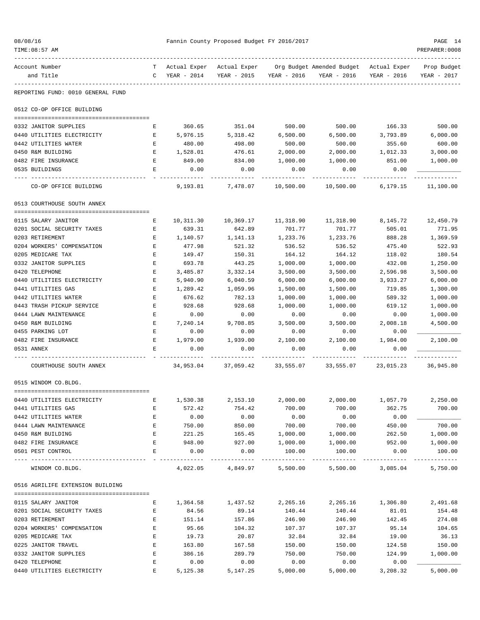| 08/08/16<br>TIME: 08:57 AM                        |                  |                     | Fannin County Proposed Budget FY 2016/2017 |                     |                                                         |                    | PAGE 14<br>PREPARER: 0008  |
|---------------------------------------------------|------------------|---------------------|--------------------------------------------|---------------------|---------------------------------------------------------|--------------------|----------------------------|
| Account Number<br>and Title                       | C                | YEAR - 2014         | Actual Exper Actual Exper<br>YEAR - 2015   | YEAR - 2016         | Org Budget Amended Budget - Actual Exper<br>YEAR - 2016 | YEAR - 2016        | Prop Budget<br>YEAR - 2017 |
| REPORTING FUND: 0010 GENERAL FUND                 |                  |                     |                                            |                     |                                                         |                    |                            |
| 0512 CO-OP OFFICE BUILDING                        |                  |                     |                                            |                     |                                                         |                    |                            |
| 0332 JANITOR SUPPLIES                             | Е                | 360.65              | 351.04                                     | 500.00              | 500.00                                                  | 166.33             | 500.00                     |
| 0440 UTILITIES ELECTRICITY                        | Е                | 5,976.15            | 5,318.42                                   | 6,500.00            | 6,500.00                                                | 3,793.89           | 6,000.00                   |
| 0442 UTILITIES WATER                              | Е                | 480.00              | 498.00                                     | 500.00              | 500.00                                                  | 355.60             | 600.00                     |
| 0450 R&M BUILDING                                 | Е                | 1,528.01            | 476.61                                     | 2,000.00            | 2,000.00                                                | 1,012.33           | 3,000.00                   |
| 0482 FIRE INSURANCE                               | Е                | 849.00              | 834.00                                     | 1,000.00            | 1,000.00                                                | 851.00             | 1,000.00                   |
| 0535 BUILDINGS                                    | Е                | 0.00                | 0.00                                       | 0.00                | 0.00                                                    | 0.00               | ---------                  |
| CO-OP OFFICE BUILDING                             |                  | 9,193.81            | 7,478.07                                   | 10,500.00           | 10,500.00                                               | 6,179.15           | 11,100.00                  |
| 0513 COURTHOUSE SOUTH ANNEX                       |                  |                     |                                            |                     |                                                         |                    |                            |
|                                                   |                  |                     |                                            |                     |                                                         |                    |                            |
| 0115 SALARY JANITOR<br>0201 SOCIAL SECURITY TAXES | Е<br>Е           | 10,311.30<br>639.31 | 10,369.17<br>642.89                        | 11,318.90<br>701.77 | 11,318.90<br>701.77                                     | 8,145.72<br>505.01 | 12,450.79<br>771.95        |
| 0203 RETIREMENT                                   | Е                | 1,140.57            | 1,141.13                                   | 1,233.76            | 1,233.76                                                | 888.28             | 1,369.59                   |
| 0204 WORKERS' COMPENSATION                        | Е                | 477.98              | 521.32                                     | 536.52              | 536.52                                                  | 475.40             | 522.93                     |
| 0205 MEDICARE TAX                                 | Е                | 149.47              | 150.31                                     | 164.12              | 164.12                                                  | 118.02             | 180.54                     |
| 0332 JANITOR SUPPLIES                             | Е                | 693.78              | 443.25                                     | 1,000.00            | 1,000.00                                                | 432.08             | 1,250.00                   |
| 0420 TELEPHONE                                    | Е                | 3,485.87            | 3,332.14                                   | 3,500.00            | 3,500.00                                                | 2,596.98           | 3,500.00                   |
| 0440 UTILITIES ELECTRICITY                        | Е                | 5,940.90            | 6,040.59                                   | 6,000.00            | 6,000.00                                                | 3,933.27           | 6,000.00                   |
| 0441 UTILITIES GAS                                | Е                | 1,289.42            | 1,059.96                                   | 1,500.00            | 1,500.00                                                | 719.85             | 1,300.00                   |
| 0442 UTILITIES WATER                              | Е                | 676.62              | 782.13                                     | 1,000.00            | 1,000.00                                                | 589.32             | 1,000.00                   |
| 0443 TRASH PICKUP SERVICE                         | E                | 928.68              | 928.68                                     | 1,000.00            | 1,000.00                                                | 619.12             | 1,000.00                   |
| 0444 LAWN MAINTENANCE                             | Е                | 0.00                | 0.00                                       | 0.00                | 0.00                                                    | 0.00               | 1,000.00                   |
| 0450 R&M BUILDING                                 | Е                | 7,240.14            | 9,708.85                                   | 3,500.00            | 3,500.00                                                | 2,008.18           | 4,500.00                   |
| 0455 PARKING LOT                                  | Е                | 0.00                | 0.00                                       | 0.00                | 0.00                                                    | 0.00               |                            |
| 0482 FIRE INSURANCE                               | Е                | 1,979.00            | 1,939.00                                   | 2,100.00            | 2,100.00                                                | 1,984.00           | 2,100.00                   |
| 0531 ANNEX                                        | E                | 0.00                | 0.00                                       | 0.00                | 0.00                                                    | 0.00               |                            |
| COURTHOUSE SOUTH ANNEX                            |                  | 34,953.04           | 37,059.42                                  | 33,555.07           | 33,555.07                                               | 23,015.23          | 36,945.80                  |
| 0515 WINDOM CO.BLDG.                              |                  |                     |                                            |                     |                                                         |                    |                            |
|                                                   |                  |                     |                                            |                     |                                                         |                    |                            |
| 0440 UTILITIES ELECTRICITY                        | Е                | 1,530.38            | 2,153.10                                   | 2,000.00            | 2,000.00                                                | 1,057.79           | 2,250.00                   |
| 0441 UTILITIES GAS                                | Ε                | 572.42              | 754.42                                     | 700.00              | 700.00                                                  | 362.75             | 700.00                     |
| 0442 UTILITIES WATER                              | Е                | 0.00                | 0.00                                       | 0.00                | 0.00                                                    | 0.00               |                            |
| 0444 LAWN MAINTENANCE                             | Е                | 750.00              | 850.00                                     | 700.00              | 700.00                                                  | 450.00             | 700.00                     |
| 0450 R&M BUILDING                                 | Ε                | 221.25              | 165.45                                     | 1,000.00            | 1,000.00                                                | 262.50             | 1,000.00                   |
| 0482 FIRE INSURANCE<br>0501 PEST CONTROL          | $\mathbf E$<br>E | 948.00<br>0.00      | 927.00<br>0.00                             | 1,000.00<br>100.00  | 1,000.00<br>100.00                                      | 952.00<br>0.00     | 1,000.00<br>100.00         |
| WINDOM CO.BLDG.                                   |                  |                     | 4,022.05 4,849.97 5,500.00                 |                     |                                                         | 5,500.00 3,085.04  | 5,750.00                   |
| 0516 AGRILIFE EXTENSION BUILDING                  |                  |                     |                                            |                     |                                                         |                    |                            |
|                                                   |                  |                     |                                            |                     |                                                         |                    |                            |
| 0115 SALARY JANITOR                               | Е                |                     | 1,364.58 1,437.52                          |                     | 2,265.16 2,265.16 1,306.80                              |                    | 2,491.68                   |
| 0201 SOCIAL SECURITY TAXES                        | Е                | 84.56               | 89.14                                      | 140.44              | 140.44                                                  | 81.01              | 154.48                     |
| 0203 RETIREMENT                                   | Е                | 151.14              | 157.86                                     | 246.90              | 246.90                                                  | 142.45             | 274.08                     |
| 0204 WORKERS' COMPENSATION<br>0205 MEDICARE TAX   | Ε<br>E           | 95.66<br>19.73      | 104.32<br>20.87                            | 107.37<br>32.84     | 107.37<br>32.84                                         | 95.14<br>19.00     | 104.65<br>36.13            |
| 0225 JANITOR TRAVEL                               | E                | 163.80              | 167.58                                     | 150.00              | 150.00                                                  | 124.58             | 150.00                     |
| 0332 JANITOR SUPPLIES                             | E                | 386.16              | 289.79                                     | 750.00              | 750.00                                                  | 124.99             | 1,000.00                   |
| 0420 TELEPHONE                                    | Е                | 0.00                | 0.00                                       | 0.00                | 0.00                                                    | 0.00               |                            |
| 0440 UTILITIES ELECTRICITY                        | Е                |                     | 5, 125. 38 5, 147. 25                      | 5,000.00            | 5,000.00                                                | 3,208.32           | 5,000.00                   |
|                                                   |                  |                     |                                            |                     |                                                         |                    |                            |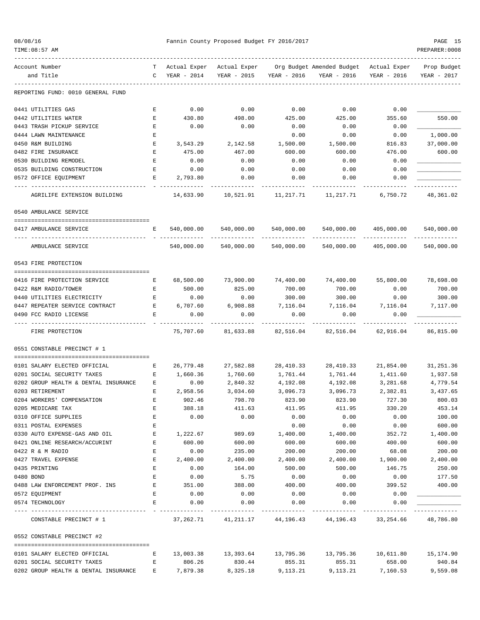| 08/08/1 |  |
|---------|--|
|---------|--|

#### Fannin County Proposed Budget FY 2016/2017 PAGE 15

| Account Number                       | т                  | Actual Exper |                        |                       | Actual Exper Org Budget Amended Budget Actual Exper                     |             | Prop Budget |
|--------------------------------------|--------------------|--------------|------------------------|-----------------------|-------------------------------------------------------------------------|-------------|-------------|
| and Title                            | C                  | YEAR - 2014  | YEAR - 2015            | YEAR - 2016           | YEAR - 2016                                                             | YEAR - 2016 | YEAR - 2017 |
| REPORTING FUND: 0010 GENERAL FUND    |                    |              |                        |                       |                                                                         |             |             |
| 0441 UTILITIES GAS                   | Е                  | 0.00         | 0.00                   | 0.00                  | 0.00                                                                    | 0.00        |             |
| 0442 UTILITIES WATER                 | Е                  | 430.80       | 498.00                 | 425.00                | 425.00                                                                  | 355.60      | 550.00      |
| 0443 TRASH PICKUP SERVICE            | Е                  | 0.00         | 0.00                   | 0.00                  | 0.00                                                                    | 0.00        |             |
| 0444 LAWN MAINTENANCE                | Е                  |              |                        | 0.00                  | 0.00                                                                    | 0.00        | 1,000.00    |
| 0450 R&M BUILDING                    | Е                  | 3,543.29     | 2,142.58               | 1,500.00              | 1,500.00                                                                | 816.83      | 37,000.00   |
| 0482 FIRE INSURANCE                  | E                  | 475.00       | 467.00                 | 600.00                | 600.00                                                                  | 476.00      | 600.00      |
| 0530 BUILDING REMODEL                | Е                  | 0.00         | 0.00                   | 0.00                  | 0.00                                                                    | 0.00        |             |
| 0535 BUILDING CONSTRUCTION           | Е                  | 0.00         | 0.00                   | 0.00                  | 0.00                                                                    | 0.00        |             |
| 0572 OFFICE EQUIPMENT                | Е                  | 2,793.80     | 0.00                   | 0.00                  | 0.00                                                                    | 0.00        |             |
| AGRILIFE EXTENSION BUILDING          |                    | 14,633.90    | 10,521.91              | 11,217.71             | 11,217.71                                                               | 6,750.72    | 48,361.02   |
| 0540 AMBULANCE SERVICE               |                    |              |                        |                       |                                                                         |             |             |
| 0417 AMBULANCE SERVICE               | Е                  | 540,000.00   | 540,000.00             | 540,000.00            | 540,000.00                                                              | 405,000.00  | 540,000.00  |
| AMBULANCE SERVICE                    |                    | 540,000.00   | 540,000.00             | 540,000.00            | 540,000.00                                                              | 405,000.00  | 540,000.00  |
| 0543 FIRE PROTECTION                 |                    |              |                        |                       |                                                                         |             |             |
| 0416 FIRE PROTECTION SERVICE         | Е                  | 68,500.00    | 73,900.00              |                       | 74,400.00 74,400.00                                                     | 55,800.00   | 78,698.00   |
| 0422 R&M RADIO/TOWER                 | Е                  | 500.00       | 825.00                 | 700.00                | 700.00                                                                  | 0.00        | 700.00      |
| 0440 UTILITIES ELECTRICITY           | $\mathbf{E}% _{0}$ | 0.00         | 0.00                   | 300.00                | 300.00                                                                  | 0.00        | 300.00      |
| 0447 REPEATER SERVICE CONTRACT       | E                  | 6,707.60     | 6,908.88               | 7,116.04              | 7,116.04                                                                | 7,116.04    | 7,117.00    |
| 0490 FCC RADIO LICENSE               | Е                  | 0.00         | 0.00                   | 0.00                  | 0.00                                                                    | 0.00        |             |
| FIRE PROTECTION                      |                    | 75,707.60    | 81,633.88              | 82,516.04             | 82,516.04                                                               | 62,916.04   | 86,815.00   |
| 0551 CONSTABLE PRECINCT # 1          |                    |              |                        |                       |                                                                         |             |             |
| 0101 SALARY ELECTED OFFICIAL         | Е                  | 26,779.48    | 27,582.88              | 28,410.33             | 28,410.33                                                               | 21,854.00   | 31,251.36   |
| 0201 SOCIAL SECURITY TAXES           | Е                  | 1,660.36     | 1,760.60               | 1,761.44              | 1,761.44                                                                | 1,411.60    | 1,937.58    |
| 0202 GROUP HEALTH & DENTAL INSURANCE | Е                  | 0.00         | 2,840.32               | 4,192.08              | 4,192.08                                                                | 3,281.68    | 4,779.54    |
| 0203 RETIREMENT                      | Е                  | 2,958.56     | 3,034.60               | 3,096.73              | 3,096.73                                                                | 2,382.81    | 3,437.65    |
| 0204 WORKERS' COMPENSATION           | Ε                  | 902.46       | 798.70                 | 823.90                | 823.90                                                                  | 727.30      | 800.03      |
| 0205 MEDICARE TAX                    | Е                  | 388.18       | 411.63                 | 411.95                | 411.95                                                                  | 330.20      | 453.14      |
| 0310 OFFICE SUPPLIES                 | Ε                  | 0.00         | 0.00                   | 0.00                  | 0.00                                                                    | 0.00        | 100.00      |
| 0311 POSTAL EXPENSES                 | Ε                  |              |                        | 0.00                  | 0.00                                                                    | 0.00        | 600.00      |
| 0330 AUTO EXPENSE-GAS AND OIL        | Е                  | 1,222.67     | 989.69                 | 1,400.00              | 1,400.00                                                                | 352.72      | 1,400.00    |
| 0421 ONLINE RESEARCH/ACCURINT        | Е                  | 600.00       | 600.00                 | 600.00                | 600.00                                                                  | 400.00      | 600.00      |
| 0422 R & M RADIO                     | Е                  | 0.00         | 235.00                 | 200.00                | 200.00                                                                  | 68.08       | 200.00      |
| 0427 TRAVEL EXPENSE                  | Е                  | 2,400.00     | 2,400.00               | 2,400.00              | 2,400.00                                                                | 1,900.00    | 2,400.00    |
| 0435 PRINTING                        | E                  | 0.00         | 164.00                 | 500.00                | 500.00                                                                  | 146.75      | 250.00      |
| 0480 BOND                            | E                  | 0.00         | 5.75                   | 0.00                  | 0.00                                                                    | 0.00        | 177.50      |
| 0488 LAW ENFORCEMENT PROF. INS       | $\mathbf{E}$       | 351.00       | 388.00                 | 400.00                | 400.00                                                                  | 399.52      | 400.00      |
| 0572 EQUIPMENT                       | Е                  | 0.00         | 0.00                   | 0.00                  | 0.00                                                                    | 0.00        |             |
| 0574 TECHNOLOGY                      | E                  | 0.00         | 0.00<br>______________ | 0.00<br>------------- | 0.00<br>--------------                                                  | 0.00        |             |
| CONSTABLE PRECINCT # 1               |                    |              |                        |                       | $37,262.71$ $41,211.17$ $44,196.43$ $44,196.43$ $33,254.66$ $48,786.80$ |             |             |
| 0552 CONSTABLE PRECINCT #2           |                    |              |                        |                       |                                                                         |             |             |
| 0101 SALARY ELECTED OFFICIAL         | Е                  |              | 13,003.38 13,393.64    |                       | 13,795.36  13,795.36  10,611.80  15,174.90                              |             |             |
| 0201 SOCIAL SECURITY TAXES           | E                  | 806.26       | 830.44                 | 855.31                | 855.31                                                                  | 658.00      | 940.84      |
| 0202 GROUP HEALTH & DENTAL INSURANCE |                    | E 7,879.38   | 8,325.18               | 9,113.21              | 9,113.21                                                                | 7,160.53    | 9,559.08    |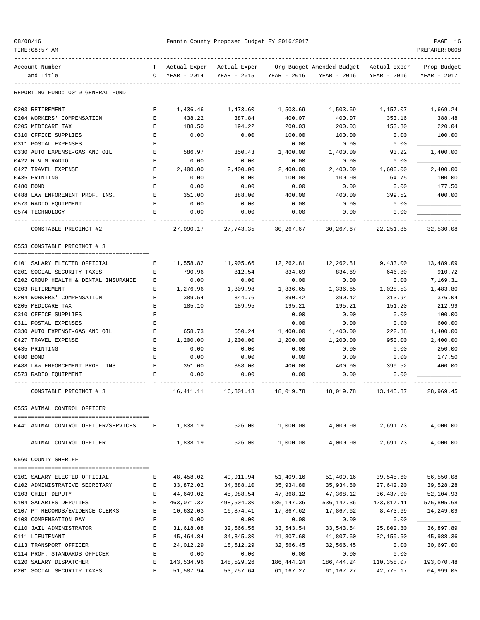| Account Number                         |   |                      |             |                  | T Actual Exper Actual Exper Org Budget Amended Budget Actual Exper Prop Budget |                          |             |
|----------------------------------------|---|----------------------|-------------|------------------|--------------------------------------------------------------------------------|--------------------------|-------------|
| and Title                              | C | YEAR - 2014          | YEAR - 2015 | YEAR - 2016      | YEAR - 2016                                                                    | YEAR - 2016              | YEAR - 2017 |
| REPORTING FUND: 0010 GENERAL FUND      |   |                      |             |                  |                                                                                |                          |             |
| 0203 RETIREMENT                        | Е | 1,436.46             | 1,473.60    | 1,503.69         | 1,503.69                                                                       | 1,157.07                 | 1,669.24    |
| 0204 WORKERS' COMPENSATION             | Е | 438.22               | 387.84      | 400.07           | 400.07                                                                         | 353.16                   | 388.48      |
| 0205 MEDICARE TAX                      | Е | 188.50               | 194.22      | 200.03           | 200.03                                                                         | 153.80                   | 220.04      |
| 0310 OFFICE SUPPLIES                   | E | 0.00                 | 0.00        | 100.00           | 100.00                                                                         | 0.00                     | 100.00      |
| 0311 POSTAL EXPENSES                   | E |                      |             | 0.00             | 0.00                                                                           | 0.00                     |             |
| 0330 AUTO EXPENSE-GAS AND OIL          | Е | 586.97               | 350.43      | 1,400.00         | 1,400.00                                                                       | 93.22                    | 1,400.00    |
| 0422 R & M RADIO                       | Е | 0.00                 | 0.00        | 0.00             | 0.00                                                                           | 0.00                     |             |
| 0427 TRAVEL EXPENSE                    | Е | 2,400.00             | 2,400.00    | 2,400.00         | 2,400.00                                                                       | 1,600.00                 | 2,400.00    |
| 0435 PRINTING                          | Е | 0.00                 | 0.00        | 100.00           | 100.00                                                                         | 64.75                    | 100.00      |
| 0480 BOND                              | E | 0.00                 | 0.00        | 0.00             | 0.00                                                                           | 0.00                     | 177.50      |
| 0488 LAW ENFOREMENT PROF. INS.         | Е | 351.00               | 388.00      | 400.00           | 400.00                                                                         | 399.52                   | 400.00      |
| 0573 RADIO EQUIPMENT                   | Е | 0.00                 | 0.00        | 0.00             | 0.00                                                                           | 0.00                     |             |
| 0574 TECHNOLOGY                        | Е | 0.00                 | 0.00        | 0.00             | 0.00                                                                           | 0.00                     |             |
| CONSTABLE PRECINCT #2                  |   | -------<br>27,090.17 | 27,743.35   | 30,267.67        | -----------<br>30,267.67                                                       | -----------<br>22,251.85 | 32,530.08   |
| 0553 CONSTABLE PRECINCT # 3            |   |                      |             |                  |                                                                                |                          |             |
| 0101 SALARY ELECTED OFFICIAL           | Е | 11,558.82            | 11,905.66   | 12,262.81        | 12,262.81                                                                      | 9,433.00                 | 13,489.09   |
| 0201 SOCIAL SECURITY TAXES             | Е | 790.96               | 812.54      | 834.69           | 834.69                                                                         | 646.80                   | 910.72      |
| 0202 GROUP HEALTH & DENTAL INSURANCE   |   |                      |             |                  | 0.00                                                                           |                          |             |
| 0203 RETIREMENT                        | Е | 0.00<br>1,276.96     | 0.00        | 0.00<br>1,336.65 |                                                                                | 0.00                     | 7,169.31    |
|                                        | Е |                      | 1,309.98    |                  | 1,336.65                                                                       | 1,028.53                 | 1,483.80    |
| 0204 WORKERS' COMPENSATION             | Е | 389.54               | 344.76      | 390.42           | 390.42                                                                         | 313.94                   | 376.04      |
| 0205 MEDICARE TAX                      | Е | 185.10               | 189.95      | 195.21           | 195.21                                                                         | 151.20                   | 212.99      |
| 0310 OFFICE SUPPLIES                   | Ε |                      |             | 0.00             | 0.00                                                                           | 0.00                     | 100.00      |
| 0311 POSTAL EXPENSES                   | Е |                      |             | 0.00             | 0.00                                                                           | 0.00                     | 600.00      |
| 0330 AUTO EXPENSE-GAS AND OIL          | Е | 658.73               | 650.24      | 1,400.00         | 1,400.00                                                                       | 222.88                   | 1,400.00    |
| 0427 TRAVEL EXPENSE                    | Е | 1,200.00             | 1,200.00    | 1,200.00         | 1,200.00                                                                       | 950.00                   | 2,400.00    |
| 0435 PRINTING                          | E | 0.00                 | 0.00        | 0.00             | 0.00                                                                           | 0.00                     | 250.00      |
| 0480 BOND                              | Е | 0.00                 | 0.00        | 0.00             | 0.00                                                                           | 0.00                     | 177.50      |
| 0488 LAW ENFORCEMENT PROF. INS         | Е | 351.00               | 388.00      | 400.00           | 400.00                                                                         | 399.52                   | 400.00      |
| 0573 RADIO EQUIPMENT                   | Е | 0.00                 | 0.00        | 0.00             | 0.00                                                                           | 0.00                     |             |
| CONSTABLE PRECINCT # 3                 |   | 16,411.11            | 16,801.13   | 18,019.78        | 18,019.78                                                                      | 13,145.87                | 28,969.45   |
| 0555 ANIMAL CONTROL OFFICER            |   |                      |             |                  |                                                                                |                          |             |
| 0441 ANIMAL CONTROL OFFICER/SERVICES E |   | 1,838.19             | 526.00      | 1,000.00         | 4,000.00                                                                       | 2,691.73                 | 4,000.00    |
| ANIMAL CONTROL OFFICER                 |   | 1,838.19             | 526.00      | 1,000.00         | 4,000.00                                                                       | 2,691.73                 | 4,000.00    |
| 0560 COUNTY SHERIFF                    |   |                      |             |                  |                                                                                |                          |             |
|                                        |   |                      |             |                  |                                                                                |                          |             |
| 0101 SALARY ELECTED OFFICIAL           | E | 48,458.02            | 49,911.94   | 51,409.16        | 51,409.16                                                                      | 39,545.60                | 56,550.08   |
| 0102 ADMINISTRATIVE SECRETARY          | E | 33,872.02            | 34,888.10   | 35,934.80        | 35,934.80                                                                      | 27,642.20                | 39,528.28   |
| 0103 CHIEF DEPUTY                      | Е | 44,649.02            | 45,988.54   | 47,368.12        | 47,368.12                                                                      | 36,437.00                | 52,104.93   |
| 0104 SALARIES DEPUTIES                 | Е | 463,071.32           | 498,504.30  | 536,147.36       | 536,147.36                                                                     | 423,817.41               | 575,805.68  |
| 0107 PT RECORDS/EVIDENCE CLERKS        | Е | 10,632.03            | 16,874.41   | 17,867.62        | 17,867.62                                                                      | 8,473.69                 | 14,249.09   |
| 0108 COMPENSATION PAY                  | Е | 0.00                 | 0.00        | 0.00             | 0.00                                                                           | 0.00                     |             |
| 0110 JAIL ADMINISTRATOR                | E | 31,618.08            | 32,566.56   | 33,543.54        | 33,543.54                                                                      | 25,802.80                | 36,897.89   |
| 0111 LIEUTENANT                        | Е | 45,464.84            | 34,345.30   | 41,807.60        | 41,807.60                                                                      | 32,159.60                | 45,988.36   |

0113 TRANSPORT OFFICER THE 24,012.29 18,512.29 32,566.45 32,566.45 0.00 30,697.00 0114 PROF. STANDARDS OFFICER E 0.00 0.00 0.00 0.00 0.00 \_\_\_\_\_\_\_\_\_\_\_\_\_ 0120 SALARY DISPATCHER E 143,534.96 148,529.26 186,444.24 186,444.24 110,358.07 193,070.48 0201 SOCIAL SECURITY TAXES E 51,587.94 53,757.64 61,167.27 61,167.27 42,775.17 64,999.05

08/08/16 Fannin County Proposed Budget FY 2016/2017 PAGE 16 TIME:08:57 AM PREPARER:0008

------------------------------------------------------------------------------------------------------------------------------------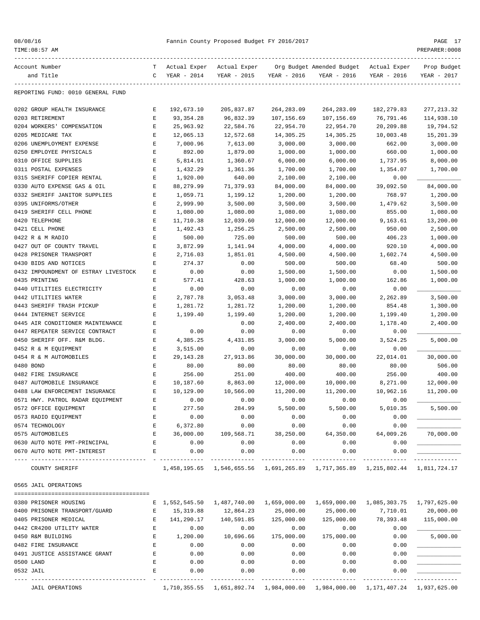|  |  | 08/08/16 |  |
|--|--|----------|--|
|--|--|----------|--|

| Account Number                       | т           | Actual Exper                | Actual Exper |              | Org Budget Amended Budget                                                     | Actual Exper | Prop Budget  |
|--------------------------------------|-------------|-----------------------------|--------------|--------------|-------------------------------------------------------------------------------|--------------|--------------|
| and Title                            | C           | YEAR - 2014                 | YEAR - 2015  | YEAR - 2016  | YEAR - 2016                                                                   | YEAR - 2016  | YEAR - 2017  |
|                                      |             |                             |              |              |                                                                               |              |              |
| REPORTING FUND: 0010 GENERAL FUND    |             |                             |              |              |                                                                               |              |              |
| 0202 GROUP HEALTH INSURANCE          | Е           | 192,673.10                  | 205,837.87   | 264, 283.09  | 264, 283.09                                                                   | 182, 279.83  | 277, 213.32  |
| 0203 RETIREMENT                      | Ε           | 93, 354. 28                 | 96,832.39    | 107,156.69   | 107,156.69                                                                    | 76,791.46    | 114,938.10   |
| 0204 WORKERS' COMPENSATION           | Ε           | 25,963.92                   | 22,584.76    | 22,954.70    | 22,954.70                                                                     | 20,209.88    | 19,794.52    |
| 0205 MEDICARE TAX                    | Ε           | 12,065.13                   | 12,572.68    | 14,305.25    | 14,305.25                                                                     | 10,003.48    | 15,201.39    |
| 0206 UNEMPLOYMENT EXPENSE            | E           | 7,000.96                    | 7,613.00     | 3,000.00     | 3,000.00                                                                      | 662.00       | 3,000.00     |
| 0250 EMPLOYEE PHYSICALS              | E           | 892.00                      | 1,879.00     | 1,000.00     | 1,000.00                                                                      | 660.00       | 1,000.00     |
| 0310 OFFICE SUPPLIES                 | Ε           | 5,814.91                    | 1,360.67     | 6,000.00     | 6,000.00                                                                      | 1,737.95     | 8,000.00     |
| 0311 POSTAL EXPENSES                 | Ε           | 1,432.29                    | 1,361.36     | 1,700.00     | 1,700.00                                                                      | 1,354.07     | 1,700.00     |
| 0315 SHERIFF COPIER RENTAL           | Ε           |                             | 640.00       | 2,100.00     |                                                                               | 0.00         |              |
|                                      |             | 1,920.00                    |              |              | 2,100.00                                                                      |              |              |
| 0330 AUTO EXPENSE GAS & OIL          | E           | 88,279.99                   | 71,379.93    | 84,000.00    | 84,000.00                                                                     | 39,092.50    | 84,000.00    |
| 0332 SHERIFF JANITOR SUPPLIES        | E           | 1,059.71                    | 1,199.12     | 1,200.00     | 1,200.00                                                                      | 768.97       | 1,200.00     |
| 0395 UNIFORMS/OTHER                  | Ε           | 2,999.90                    | 3,500.00     | 3,500.00     | 3,500.00                                                                      | 1,479.62     | 3,500.00     |
| 0419 SHERIFF CELL PHONE              | Ε           | 1,080.00                    | 1,080.00     | 1,080.00     | 1,080.00                                                                      | 855.00       | 1,080.00     |
| 0420 TELEPHONE                       | Ε           | 11,710.38                   | 12,039.60    | 12,000.00    | 12,000.00                                                                     | 9,163.61     | 13,200.00    |
| 0421 CELL PHONE                      | Ε           | 1,492.43                    | 1,256.25     | 2,500.00     | 2,500.00                                                                      | 950.00       | 2,500.00     |
| 0422 R & M RADIO                     | E           | 500.00                      | 725.00       | 500.00       | 500.00                                                                        | 406.23       | 1,000.00     |
| 0427 OUT OF COUNTY TRAVEL            | E           | 3,872.99                    | 1,141.94     | 4,000.00     | 4,000.00                                                                      | 920.10       | 4,000.00     |
| 0428 PRISONER TRANSPORT              | Ε           | 2,716.03                    | 1,851.01     | 4,500.00     | 4,500.00                                                                      | 1,602.74     | 4,500.00     |
| 0430 BIDS AND NOTICES                | E           | 274.37                      | 0.00         | 500.00       | 500.00                                                                        | 68.40        | 500.00       |
| 0432 IMPOUNDMENT OF ESTRAY LIVESTOCK | Ε           | 0.00                        | 0.00         | 1,500.00     | 1,500.00                                                                      | 0.00         | 1,500.00     |
| 0435 PRINTING                        | E           | 577.41                      | 428.63       | 1,000.00     | 1,000.00                                                                      | 162.86       | 1,000.00     |
| 0440 UTILITIES ELECTRICITY           | Ε           | 0.00                        | 0.00         | 0.00         | 0.00                                                                          | 0.00         |              |
| 0442 UTILITIES WATER                 | Ε           | 2,787.78                    | 3,053.48     | 3,000.00     | 3,000.00                                                                      | 2,262.89     | 3,500.00     |
| 0443 SHERIFF TRASH PICKUP            | Ε           | 1,281.72                    | 1,281.72     | 1,200.00     | 1,200.00                                                                      | 854.48       | 1,300.00     |
| 0444 INTERNET SERVICE                | Ε           | 1,199.40                    | 1,199.40     | 1,200.00     | 1,200.00                                                                      | 1,199.40     | 1,200.00     |
| 0445 AIR CONDITIONER MAINTENANCE     | Ε           |                             | 0.00         | 2,400.00     | 2,400.00                                                                      | 1,178.40     | 2,400.00     |
| 0447 REPEATER SERVICE CONTRACT       | E           | 0.00                        | 0.00         | 0.00         | 0.00                                                                          | 0.00         |              |
| 0450 SHERIFF OFF. R&M BLDG.          | Ε           | 4,385.25                    | 4,431.85     | 3,000.00     | 5,000.00                                                                      | 3,524.25     | 5,000.00     |
|                                      |             |                             |              |              |                                                                               |              |              |
| 0452 R & M EQUIPMENT                 | Ε           | 3,515.00                    | 0.00         | 0.00         | 0.00                                                                          | 0.00         |              |
| 0454 R & M AUTOMOBILES               | E           | 29, 143. 28                 | 27,913.86    | 30,000.00    | 30,000.00                                                                     | 22,014.01    | 30,000.00    |
| 0480 BOND                            | E           | 80.00                       | 80.00        | 80.00        | 80.00                                                                         | 80.00        | 506.00       |
| 0482 FIRE INSURANCE                  | E           | 256.00                      | 251.00       | 400.00       | 400.00                                                                        | 256.00       | 400.00       |
| 0487 AUTOMOBILE INSURANCE            | E           | 10,187.60                   | 8,863.00     | 12,000.00    | 10,000.00                                                                     | 8,271.00     | 12,000.00    |
| 0488 LAW ENFORCEMENT INSURANCE       | E           | 10,129.00                   | 10,566.00    | 11,200.00    | 11,200.00                                                                     | 10,962.16    | 11,200.00    |
| 0571 HWY. PATROL RADAR EQUIPMENT     | Ε           | 0.00                        | 0.00         | 0.00         | 0.00                                                                          | 0.00         |              |
| 0572 OFFICE EQUIPMENT                | E           | 277.50                      | 284.99       | 5,500.00     | 5,500.00                                                                      | 5,010.35     | 5,500.00     |
| 0573 RADIO EQUIPMENT                 | E           | 0.00                        | 0.00         | 0.00         | 0.00                                                                          | 0.00         |              |
| 0574 TECHNOLOGY                      | $\mathbf E$ | 6,372.80                    | 0.00         | 0.00         | 0.00                                                                          | 0.00         |              |
| 0575 AUTOMOBILES                     | Ε           | 36,000.00                   | 109,568.71   | 38,250.00    | 64,350.00                                                                     | 64,009.26    | 70,000.00    |
| 0630 AUTO NOTE PMT-PRINCIPAL         | E           | 0.00                        | 0.00         | 0.00         | 0.00                                                                          | 0.00         |              |
| 0670 AUTO NOTE PMT-INTEREST          | Е           | 0.00                        | 0.00         | 0.00         | 0.00                                                                          | 0.00         |              |
| COUNTY SHERIFF                       |             |                             |              |              | 1,458,195.65 1,546,655.56 1,691,265.89 1,717,365.89 1,215,802.44 1,811,724.17 |              |              |
| 0565 JAIL OPERATIONS                 |             |                             |              |              |                                                                               |              |              |
|                                      |             |                             |              |              |                                                                               |              |              |
| 0380 PRISONER HOUSING                |             | E 1,552,545.50 1,487,740.00 |              | 1,659,000.00 | 1,659,000.00                                                                  | 1,085,303.75 | 1,797,625.00 |
| 0400 PRISONER TRANSPORT/GUARD        | Е           | 15,319.88                   | 12,864.23    | 25,000.00    | 25,000.00                                                                     | 7,710.01     | 20,000.00    |
| 0405 PRISONER MEDICAL                | E           | 141,290.17                  | 140,591.85   | 125,000.00   | 125,000.00                                                                    | 78,393.48    | 115,000.00   |
| 0442 CR4200 UTILITY WATER            | Ε           | 0.00                        | 0.00         | 0.00         | 0.00                                                                          | 0.00         |              |
| 0450 R&M BUILDING                    | Ε           | 1,200.00                    | 10,696.66    | 175,000.00   | 175,000.00                                                                    | 0.00         | 5,000.00     |
| 0482 FIRE INSURANCE                  | Ε           | 0.00                        | 0.00         | 0.00         | 0.00                                                                          | 0.00         |              |
| 0491 JUSTICE ASSISTANCE GRANT        | Ε           | 0.00                        | 0.00         | 0.00         | 0.00                                                                          | 0.00         |              |
| 0500 LAND                            | Ε           | 0.00                        | 0.00         | 0.00         | 0.00                                                                          | 0.00         |              |
| 0532 JAIL                            | E           | 0.00                        | 0.00         | 0.00         | 0.00                                                                          | 0.00         |              |
|                                      |             |                             |              |              |                                                                               |              |              |
| <b>JAIL OPERATIONS</b>               |             |                             |              |              | 1,710,355.55 1,651,892.74 1,984,000.00 1,984,000.00 1,171,407.24 1,937,625.00 |              |              |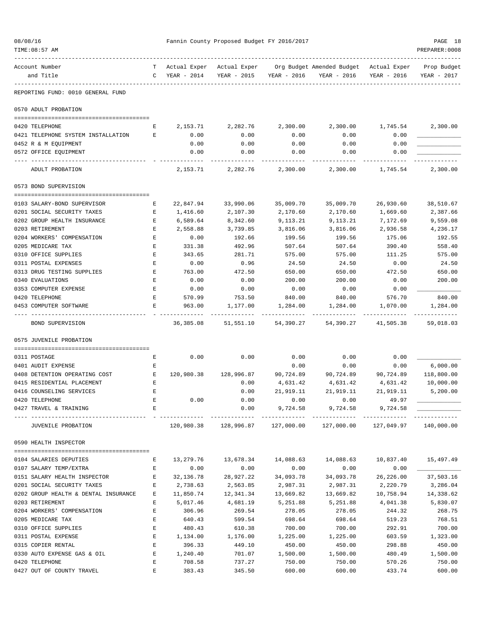| 08/08/16<br>TIME: 08:57 AM                             |                                                                                                     |                  | Fannin County Proposed Budget FY 2016/2017 |                    |                                                                                   |                                       | PAGE 18<br>PREPARER: 0008  |
|--------------------------------------------------------|-----------------------------------------------------------------------------------------------------|------------------|--------------------------------------------|--------------------|-----------------------------------------------------------------------------------|---------------------------------------|----------------------------|
| Account Number<br>and Title                            | C                                                                                                   | YEAR - 2014      | YEAR - 2015                                | YEAR - 2016        | T Actual Exper Actual Exper Org Budget Amended Budget Actual Exper<br>YEAR - 2016 | YEAR - 2016                           | Prop Budget<br>YEAR - 2017 |
| REPORTING FUND: 0010 GENERAL FUND                      |                                                                                                     |                  |                                            |                    |                                                                                   |                                       |                            |
| 0570 ADULT PROBATION                                   |                                                                                                     |                  |                                            |                    |                                                                                   |                                       |                            |
| 0420 TELEPHONE                                         | E                                                                                                   | 2,153.71         | 2,282.76                                   | 2,300.00           | 2,300.00                                                                          | 1,745.54                              | 2,300.00                   |
| 0421 TELEPHONE SYSTEM INSTALLATION                     | E                                                                                                   | 0.00             | 0.00                                       | 0.00               | 0.00                                                                              | 0.00                                  |                            |
| 0452 R & M EQUIPMENT                                   |                                                                                                     | 0.00             | 0.00                                       | 0.00               | 0.00                                                                              | 0.00                                  |                            |
| 0572 OFFICE EQUIPMENT                                  |                                                                                                     | 0.00             | 0.00                                       | 0.00               | 0.00                                                                              | 0.00                                  |                            |
| ADULT PROBATION                                        |                                                                                                     | 2,153.71         | 2,282.76                                   | 2,300.00           | 2,300.00                                                                          | 1,745.54                              | 2,300.00                   |
| 0573 BOND SUPERVISION                                  |                                                                                                     |                  |                                            |                    |                                                                                   |                                       |                            |
| 0103 SALARY-BOND SUPERVISOR                            | Е                                                                                                   | 22,847.94        | 33,990.06                                  | 35,009.70          | 35,009.70                                                                         | 26,930.60                             | 38,510.67                  |
| 0201 SOCIAL SECURITY TAXES                             | Е                                                                                                   | 1,416.60         | 2,107.30                                   | 2,170.60           | 2,170.60                                                                          | 1,669.60                              | 2,387.66                   |
| 0202 GROUP HEALTH INSURANCE                            | Е                                                                                                   | 6,589.64         | 8,342.60                                   | 9,113.21           | 9,113.21                                                                          | 7,172.69                              | 9,559.08                   |
| 0203 RETIREMENT                                        | Е                                                                                                   | 2,558.88         | 3,739.85                                   | 3,816.06           | 3,816.06                                                                          | 2,936.58                              | 4,236.17                   |
| 0204 WORKERS' COMPENSATION                             | E                                                                                                   | 0.00             | 192.66                                     | 199.56             | 199.56                                                                            | 175.06                                | 192.55                     |
| 0205 MEDICARE TAX                                      | Е                                                                                                   | 331.38           | 492.96                                     | 507.64             | 507.64                                                                            | 390.40                                | 558.40                     |
| 0310 OFFICE SUPPLIES                                   | Е                                                                                                   | 343.65           | 281.71                                     | 575.00             | 575.00                                                                            | 111.25                                | 575.00                     |
| 0311 POSTAL EXPENSES                                   | E                                                                                                   | 0.00             | 0.96                                       | 24.50              | 24.50                                                                             | 0.00                                  | 24.50                      |
| 0313 DRUG TESTING SUPPLIES                             | Е                                                                                                   | 763.00           | 472.50                                     | 650.00             | 650.00                                                                            | 472.50                                | 650.00                     |
| 0340 EVALUATIONS                                       | Е                                                                                                   | 0.00             | 0.00                                       | 200.00             | 200.00                                                                            | 0.00                                  | 200.00                     |
| 0353 COMPUTER EXPENSE                                  | Ε                                                                                                   | 0.00             | 0.00                                       | 0.00               | 0.00                                                                              | 0.00                                  |                            |
| 0420 TELEPHONE<br>0453 COMPUTER SOFTWARE               | Е<br>Е                                                                                              | 570.99<br>963.00 | 753.50<br>1,177.00                         | 840.00<br>1,284.00 | 840.00<br>1,284.00                                                                | 576.70<br>1,070.00                    | 840.00<br>1,284.00         |
| BOND SUPERVISION                                       |                                                                                                     | 36,385.08        | 51,551.10                                  | 54,390.27          | 54,390.27                                                                         | 41,505.38                             | 59,018.03                  |
| 0575 JUVENILE PROBATION                                |                                                                                                     |                  |                                            |                    |                                                                                   |                                       |                            |
|                                                        |                                                                                                     |                  |                                            |                    |                                                                                   |                                       |                            |
| 0311 POSTAGE                                           | Е                                                                                                   | 0.00             | 0.00                                       | 0.00               | 0.00                                                                              | 0.00                                  |                            |
| 0401 AUDIT EXPENSE                                     | Е                                                                                                   |                  |                                            | 0.00               | 0.00                                                                              | 0.00                                  | 6,000.00                   |
| 0408 DETENTION OPERATING COST                          | Е                                                                                                   | 120,980.38       | 128,996.87                                 | 90,724.89          | 90,724.89                                                                         | 90,724.89                             | 118,800.00                 |
| 0415 RESIDENTIAL PLACEMENT<br>0416 COUNSELING SERVICES | E<br>E                                                                                              |                  | 0.00<br>0.00                               | 4,631.42           | 4,631.42                                                                          | 4,631.42                              | 10,000.00                  |
| 0420 TELEPHONE                                         | E                                                                                                   | 0.00             | 0.00                                       | 21,919.11<br>0.00  | 0.00                                                                              | 21,919.11 21,919.11 5,200.00<br>49.97 |                            |
| 0427 TRAVEL & TRAINING                                 | E                                                                                                   |                  | 0.00                                       | 9,724.58           | 9,724.58                                                                          | 9,724.58                              |                            |
| JUVENILE PROBATION                                     |                                                                                                     |                  |                                            |                    | $120,980.38$ $128,996.87$ $127,000.00$ $127,000.00$ $127,049.97$ $140,000.00$     |                                       | .                          |
|                                                        |                                                                                                     |                  |                                            |                    |                                                                                   |                                       |                            |
| 0590 HEALTH INSPECTOR                                  |                                                                                                     |                  |                                            |                    |                                                                                   |                                       |                            |
| 0104 SALARIES DEPUTIES                                 | Е                                                                                                   | 13,279.76        |                                            |                    | 14,088.63                                                                         | 10,837.40                             | 15,497.49                  |
| 0107 SALARY TEMP/EXTRA                                 | E                                                                                                   | 0.00             | 0.00                                       | 0.00               | 0.00                                                                              | 0.00                                  |                            |
| 0151 SALARY HEALTH INSPECTOR E                         |                                                                                                     | 32,136.78        | 28,927.22                                  | 34,093.78          | 34,093.78                                                                         | 26,226.00                             | 37,503.16                  |
| 0201 SOCIAL SECURITY TAXES                             | E                                                                                                   | 2,738.63         | 2,563.85                                   | 2,987.31           | 2,987.31                                                                          | 2,220.79                              | 3,286.04                   |
| 0202 GROUP HEALTH & DENTAL INSURANCE E                 |                                                                                                     | 11,850.74        | 12,341.34                                  | 13,669.82          | 13,669.82                                                                         | 10,758.94                             | 14,338.62                  |
| 0203 RETIREMENT                                        | $\mathbf{E}$                                                                                        | 5,017.46         | 4,681.19                                   | 5,251.88           | 5,251.88                                                                          | 4,041.38                              | 5,830.07                   |
| 0204 WORKERS' COMPENSATION<br>0205 MEDICARE TAX        | E<br>$\mathbf{E}% _{t}\left  \mathbf{1}\right\rangle =\mathbf{1}_{t}\left  \mathbf{1}\right\rangle$ | 306.96<br>640.43 | 269.54<br>599.54                           | 278.05<br>698.64   | 278.05<br>698.64                                                                  | 244.32<br>519.23                      | 268.75<br>768.51           |
| 0310 OFFICE SUPPLIES                                   | E                                                                                                   | 480.43           | 610.38                                     | 700.00             | 700.00                                                                            | 292.91                                | 700.00                     |
| 0311 POSTAL EXPENSE                                    | $\mathbf{E}$                                                                                        | 1,134.00         | 1,176.00                                   | 1,225.00           | 1,225.00                                                                          | 603.59                                | 1,323.00                   |
| 0315 COPIER RENTAL                                     | $\mathbf{E}$                                                                                        | 396.33           | 449.10                                     | 450.00             | 450.00                                                                            | 298.88                                | 450.00                     |
| 0330 AUTO EXPENSE GAS & OIL                            | $\mathbf{E}$                                                                                        | 1,240.40         | 701.07                                     | 1,500.00           | 1,500.00                                                                          | 480.49                                | 1,500.00                   |
| 0420 TELEPHONE                                         | $\mathbf{E}$                                                                                        | 708.58           | 737.27                                     | 750.00             | 750.00                                                                            | 570.26                                | 750.00                     |
| 0427 OUT OF COUNTY TRAVEL                              | E                                                                                                   | 383.43           | 345.50                                     | 600.00             | 600.00                                                                            | 433.74                                | 600.00                     |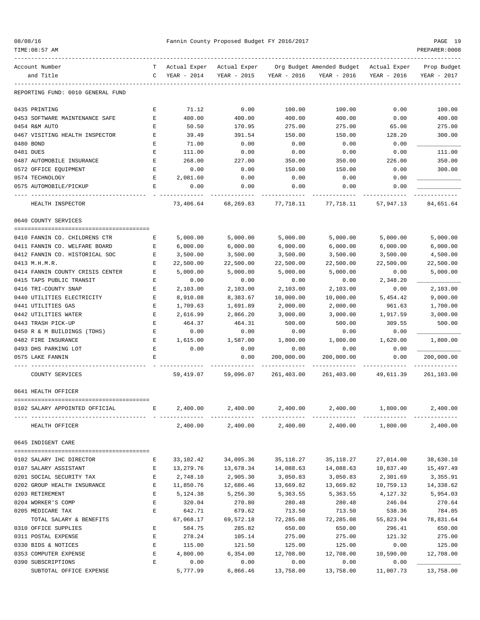| 08/08/16 |
|----------|
|----------|

#### Fannin County Proposed Budget FY 2016/2017 PAGE 19

| TIME:08:57 AM                     |                               |              |                            |             |                                     |                           | PREPARER: 0008 |
|-----------------------------------|-------------------------------|--------------|----------------------------|-------------|-------------------------------------|---------------------------|----------------|
| Account Number                    |                               | Actual Exper | Actual Exper               |             | Org Budget Amended Budget           | Actual Exper              | Prop Budget    |
| and Title                         | C                             | YEAR - 2014  | YEAR - 2015                | YEAR - 2016 | YEAR - 2016                         | YEAR - 2016               | YEAR - 2017    |
| REPORTING FUND: 0010 GENERAL FUND |                               |              |                            |             |                                     |                           |                |
| 0435 PRINTING                     | Е                             | 71.12        | 0.00                       | 100.00      | 100.00                              | 0.00                      | 100.00         |
| 0453 SOFTWARE MAINTENANCE SAFE    | Ε                             | 400.00       | 400.00                     | 400.00      | 400.00                              | 0.00                      | 400.00         |
| 0454 R&M AUTO                     | E                             | 50.50        | 170.95                     | 275.00      | 275.00                              | 65.00                     | 275.00         |
| 0467 VISITING HEALTH INSPECTOR    | Е                             | 39.49        | 391.54                     | 150.00      | 150.00                              | 128.20                    | 300.00         |
| 0480 BOND                         | Е                             | 71.00        | 0.00                       | 0.00        | 0.00                                | 0.00                      |                |
| 0481 DUES                         | Ε                             | 111.00       | 0.00                       | 0.00        | 0.00                                | 0.00                      | 111.00         |
| 0487 AUTOMOBILE INSURANCE         | Ε                             | 268.00       | 227.00                     | 350.00      | 350.00                              | 226.00                    | 350.00         |
| 0572 OFFICE EQUIPMENT             | Ε                             | 0.00         | 0.00                       | 150.00      | 150.00                              | 0.00                      | 300.00         |
| 0574 TECHNOLOGY                   | Е                             | 2,081.60     | 0.00                       | 0.00        | 0.00                                | 0.00                      |                |
| 0575 AUTOMOBILE/PICKUP            | Е                             | 0.00         | 0.00                       | 0.00        | 0.00                                | 0.00                      |                |
| HEALTH INSPECTOR                  |                               | 73,406.64    | 68,269.83                  | 77,718.11   | 77,718.11                           | 57,947.13                 | 84,651.64      |
| 0640 COUNTY SERVICES              |                               |              |                            |             |                                     |                           |                |
| 0410 FANNIN CO. CHILDRENS CTR     | Е                             | 5,000.00     | 5,000.00                   | 5,000.00    | 5,000.00                            | 5,000.00                  | 5,000.00       |
| 0411 FANNIN CO. WELFARE BOARD     | Е                             | 6,000.00     | 6,000.00                   | 6,000.00    | 6,000.00                            | 6,000.00                  | 6,000.00       |
| 0412 FANNIN CO. HISTORICAL SOC    | Е                             | 3,500.00     | 3,500.00                   | 3,500.00    | 3,500.00                            | 3,500.00                  | 4,500.00       |
| 0413 M.H.M.R.                     | E                             | 22,500.00    | 22,500.00                  | 22,500.00   | 22,500.00                           | 22,500.00                 | 22,500.00      |
| 0414 FANNIN COUNTY CRISIS CENTER  | E                             | 5,000.00     | 5,000.00                   | 5,000.00    | 5,000.00                            | 0.00                      | 5,000.00       |
| 0415 TAPS PUBLIC TRANSIT          | Е                             | 0.00         | 0.00                       | 0.00        | 0.00                                | 2,348.20                  |                |
| 0416 TRI-COUNTY SNAP              | E                             | 2,103.00     | 2,103.00                   | 2,103.00    | 2,103.00                            | 0.00                      | 2,103.00       |
| 0440 UTILITIES ELECTRICITY        | Е                             | 8,910.08     | 8,383.67                   | 10,000.00   | 10,000.00                           | 5,454.42                  | 9,000.00       |
| 0441 UTILITIES GAS                | Ε                             | 1,709.63     | 1,691.89                   | 2,000.00    | 2,000.00                            | 961.63                    | 1,700.00       |
| 0442 UTILITIES WATER              | E                             | 2,616.99     | 2,866.20                   | 3,000.00    | 3,000.00                            | 1,917.59                  | 3,000.00       |
| 0443 TRASH PICK-UP                | Ε                             | 464.37       | 464.31                     | 500.00      | 500.00                              | 309.55                    | 500.00         |
| 0450 R & M BUILDINGS (TDHS)       | E                             | 0.00         | 0.00                       | 0.00        | 0.00                                | 0.00                      |                |
| 0482 FIRE INSURANCE               | Е                             | 1,615.00     | 1,587.00                   | 1,800.00    | 1,800.00                            | 1,620.00                  | 1,800.00       |
| 0493 DHS PARKING LOT              | E                             | 0.00         | 0.00                       | 0.00        | 0.00                                | 0.00                      |                |
| 0575 LAKE FANNIN                  | $\mathbf E$                   |              | 0.00                       | 200,000.00  | 200,000.00                          | 0.00                      | 200,000.00     |
|                                   |                               |              |                            |             |                                     |                           |                |
| COUNTY SERVICES                   |                               | 59, 419.07   | 59,096.07                  | 261,403.00  | 261,403.00                          | 49,611.39                 | 261,103.00     |
| 0641 HEALTH OFFICER               |                               |              |                            |             |                                     |                           |                |
| 0102 SALARY APPOINTED OFFICIAL    | $\mathbf{E}$ and $\mathbf{E}$ |              | 2,400.00 2,400.00 2,400.00 |             |                                     | 2,400.00 1,800.00         | 2,400.00       |
| HEALTH OFFICER                    |                               | 2,400.00     | 2,400.00                   |             | --------------<br>2,400.00 2,400.00 | _____________<br>1,800.00 | 2,400.00       |
| 0645 INDIGENT CARE                |                               |              |                            |             |                                     |                           |                |
| 0102 SALARY IHC DIRECTOR          | Е                             |              | 33, 102. 42 34, 095. 36    | 35,118.27   |                                     | 35,118.27 27,014.00       | 38,630.10      |
| 0107 SALARY ASSISTANT             | Е                             | 13,279.76    | 13,678.34                  | 14,088.63   | 14,088.63                           | 10,837.40                 | 15,497.49      |
| 0201 SOCIAL SECURITY TAX          | Е                             | 2,748.10     | 2,905.30                   | 3,050.83    | 3,050.83                            | 2,301.69                  | 3,355.91       |
| 0202 GROUP HEALTH INSURANCE       | $\mathbf{E}$                  | 11,850.76    | 12,686.46                  | 13,669.82   | 13,669.82                           | 10,759.13                 | 14,338.62      |
| 0203 RETIREMENT                   | E                             | 5,124.38     | 5,256.30                   | 5,363.55    | 5,363.55                            | 4,127.32                  | 5,954.03       |
| 0204 WORKER'S COMP                | E                             | 320.04       | 270.80                     | 280.48      | 280.48                              | 246.04                    | 270.64         |
| 0205 MEDICARE TAX                 | Е                             | 642.71       | 679.62                     | 713.50      | 713.50                              | 538.36                    | 784.85         |
| TOTAL SALARY & BENEFITS           |                               | 67,068.17    | 69,572.18                  | 72,285.08   | 72,285.08                           | 55,823.94                 | 78,831.64      |
| 0310 OFFICE SUPPLIES              | Е                             | 584.75       | 285.82                     | 650.00      | 650.00                              | 296.41                    | 650.00         |
| 0311 POSTAL EXPENSE               | E                             | 278.24       | 105.14                     | 275.00      | 275.00                              | 121.32                    | 275.00         |
| 0330 BIDS & NOTICES               | $\mathbf E$                   | 115.00       | 121.50                     | 125.00      | 125.00                              | 0.00                      | 125.00         |
| 0353 COMPUTER EXPENSE             | $\mathbf{E}$                  | 4,800.00     | 6,354.00                   | 12,708.00   | 12,708.00                           | 10,590.00                 | 12,708.00      |
| 0390 SUBSCRIPTIONS                | $\mathbf{E}$                  | 0.00         | 0.00                       | 0.00        | 0.00                                | 0.00                      |                |
| SUBTOTAL OFFICE EXPENSE           |                               | 5,777.99     | 6,866.46                   | 13,758.00   | 13,758.00                           | 11,007.73                 | 13,758.00      |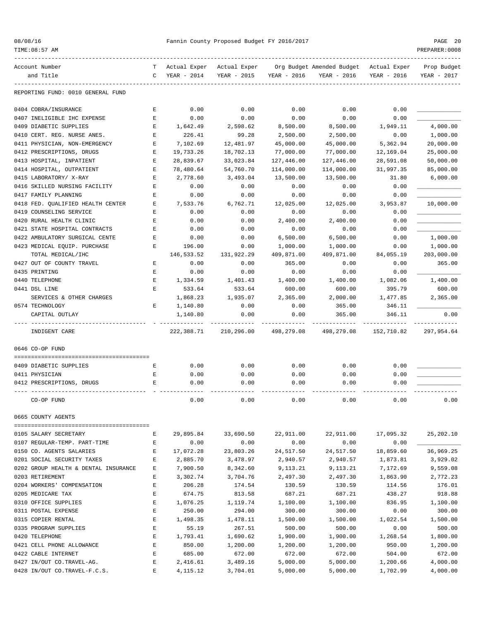|  |  | 08/08/16 |  |
|--|--|----------|--|
|--|--|----------|--|

| Account Number                       | т | Actual Exper | Actual Exper |             | Org Budget Amended Budget | Actual Exper | Prop Budget |
|--------------------------------------|---|--------------|--------------|-------------|---------------------------|--------------|-------------|
| and Title                            | C | YEAR - 2014  | YEAR - 2015  | YEAR - 2016 | YEAR - 2016               | YEAR - 2016  | YEAR - 2017 |
| REPORTING FUND: 0010 GENERAL FUND    |   |              |              |             |                           |              |             |
| 0404 COBRA/INSURANCE                 | Е | 0.00         | 0.00         | 0.00        | 0.00                      | 0.00         |             |
| 0407 INELIGIBLE IHC EXPENSE          | Е | 0.00         | 0.00         | 0.00        | 0.00                      | 0.00         |             |
| 0409 DIABETIC SUPPLIES               | Е | 1,642.49     | 2,598.62     | 8,500.00    | 8,500.00                  | 1,949.11     | 4,000.00    |
| 0410 CERT. REG. NURSE ANES.          | E | 226.41       | 99.28        | 2,500.00    | 2,500.00                  | 0.00         | 1,000.00    |
| 0411 PHYSICIAN, NON-EMERGENCY        | E | 7,102.69     | 12,481.97    | 45,000.00   | 45,000.00                 | 5,362.94     | 20,000.00   |
| 0412 PRESCRIPTIONS, DRUGS            | Е | 19,733.26    | 18,702.13    | 77,000.00   | 77,000.00                 | 12,169.04    | 25,000.00   |
| 0413 HOSPITAL, INPATIENT             | Е | 28,839.67    | 33,023.84    | 127,446.00  | 127,446.00                | 28,591.08    | 50,000.00   |
| 0414 HOSPITAL, OUTPATIENT            | Е | 78,480.64    | 54,760.70    | 114,000.00  | 114,000.00                | 31,997.35    | 85,000.00   |
| 0415 LABORATORY/ X-RAY               | Е | 2,778.60     | 3,493.04     | 13,500.00   | 13,500.00                 | 31.80        | 6,000.00    |
| 0416 SKILLED NURSING FACILITY        | E | 0.00         | 0.00         | 0.00        | 0.00                      | 0.00         |             |
| 0417 FAMILY PLANNING                 | E | 0.00         | 0.00         | 0.00        | 0.00                      | 0.00         |             |
| 0418 FED. QUALIFIED HEALTH CENTER    | Е | 7,533.76     | 6,762.71     | 12,025.00   | 12,025.00                 | 3,953.87     | 10,000.00   |
| 0419 COUNSELING SERVICE              | Е | 0.00         | 0.00         | 0.00        | 0.00                      | 0.00         |             |
| 0420 RURAL HEALTH CLINIC             | E | 0.00         | 0.00         | 2,400.00    | 2,400.00                  | 0.00         |             |
| 0421 STATE HOSPITAL CONTRACTS        | E | 0.00         | 0.00         | 0.00        | 0.00                      | 0.00         |             |
| 0422 AMBULATORY SURGICAL CENTE       | E | 0.00         | 0.00         | 6,500.00    | 6,500.00                  | 0.00         | 1,000.00    |
| 0423 MEDICAL EQUIP. PURCHASE         | Е | 196.00       | 0.00         | 1,000.00    | 1,000.00                  | 0.00         | 1,000.00    |
| TOTAL MEDICAL/IHC                    |   | 146,533.52   | 131,922.29   | 409,871.00  | 409,871.00                | 84,055.19    | 203,000.00  |
| 0427 OUT OF COUNTY TRAVEL            | Е | 0.00         | 0.00         | 365.00      | 0.00                      | 0.00         | 365.00      |
| 0435 PRINTING                        | Е | 0.00         | 0.00         | 0.00        | 0.00                      | 0.00         |             |
| 0440 TELEPHONE                       | Е | 1,334.59     | 1,401.43     | 1,400.00    | 1,400.00                  | 1,082.06     | 1,400.00    |
| 0441 DSL LINE                        | Е | 533.64       | 533.64       | 600.00      | 600.00                    | 395.79       | 600.00      |
| SERVICES & OTHER CHARGES             |   | 1,868.23     | 1,935.07     | 2,365.00    | 2,000.00                  | 1,477.85     | 2,365.00    |
| 0574 TECHNOLOGY                      | Е | 1,140.80     | 0.00         | 0.00        | 365.00                    | 346.11       |             |
| CAPITAL OUTLAY                       |   | 1,140.80     | 0.00         | 0.00        | 365.00                    | 346.11       | 0.00        |
| INDIGENT CARE                        |   | 222,388.71   | 210,296.00   | 498,279.08  | 498,279.08                | 152,710.82   | 297,954.64  |
| 0646 CO-OP FUND                      |   |              |              |             |                           |              |             |
|                                      |   |              |              |             |                           |              |             |
| 0409 DIABETIC SUPPLIES               | Е | 0.00         | 0.00         | 0.00        | 0.00                      | 0.00         |             |
| 0411 PHYSICIAN                       | Е | 0.00         | 0.00         | 0.00        | 0.00                      | 0.00         |             |
| 0412 PRESCRIPTIONS, DRUGS            | Е | 0.00         | 0.00         | 0.00        | 0.00                      | 0.00         |             |
| CO-OP FUND                           |   | 0.00         | 0.00         | 0.00        | 0.00                      | 0.00         | 0.00        |
| 0665 COUNTY AGENTS                   |   |              |              |             |                           |              |             |
| 0105 SALARY SECRETARY                | Е | 29,895.84    | 33,690.50    | 22,911.00   | 22,911.00                 | 17,095.32    | 25,202.10   |
| 0107 REGULAR-TEMP. PART-TIME         | Е | 0.00         | 0.00         | 0.00        | 0.00                      | 0.00         |             |
| 0150 CO. AGENTS SALARIES             | Ε | 17,072.28    | 23,803.26    | 24,517.50   | 24,517.50                 | 18,859.60    | 36,969.25   |
| 0201 SOCIAL SECURITY TAXES           | Ε | 2,885.70     | 3,478.97     | 2,940.57    | 2,940.57                  | 1,873.81     | 3,929.02    |
| 0202 GROUP HEALTH & DENTAL INSURANCE | Е | 7,900.50     | 8,342.60     | 9,113.21    | 9,113.21                  | 7,172.69     | 9,559.08    |
| 0203 RETIREMENT                      | Ε | 3,302.74     | 3,704.76     | 2,497.30    | 2,497.30                  | 1,863.90     | 2,772.23    |
| 0204 WORKERS' COMPENSATION           | E | 206.28       | 174.54       | 130.59      | 130.59                    | 114.56       | 176.01      |
| 0205 MEDICARE TAX                    | E | 674.75       | 813.58       | 687.21      | 687.21                    | 438.27       | 918.88      |
| 0310 OFFICE SUPPLIES                 | E | 1,076.25     | 1,119.74     | 1,100.00    | 1,100.00                  | 836.95       | 1,100.00    |
| 0311 POSTAL EXPENSE                  | E | 250.00       | 294.00       | 300.00      | 300.00                    | 0.00         | 300.00      |
| 0315 COPIER RENTAL                   | E | 1,498.35     | 1,478.11     | 1,500.00    | 1,500.00                  | 1,022.54     | 1,500.00    |
| 0335 PROGRAM SUPPLIES                | Ε | 55.19        | 267.51       | 500.00      | 500.00                    | 0.00         | 500.00      |
| 0420 TELEPHONE                       | E | 1,793.41     | 1,690.62     | 1,900.00    | 1,900.00                  | 1,268.54     | 1,800.00    |
| 0421 CELL PHONE ALLOWANCE            | Ε | 850.00       | 1,200.00     | 1,200.00    | 1,200.00                  | 950.00       | 1,200.00    |
| 0422 CABLE INTERNET                  | Ε | 685.00       | 672.00       | 672.00      | 672.00                    | 504.00       | 672.00      |
| 0427 IN/OUT CO.TRAVEL-AG.            | E | 2,416.61     | 3,489.16     | 5,000.00    | 5,000.00                  | 1,200.66     | 4,000.00    |
|                                      |   |              |              |             |                           |              |             |

0428 IN/OUT CO.TRAVEL-F.C.S. E 4,115.12 3,704.01 5,000.00 5,000.00 1,702.99 4,000.00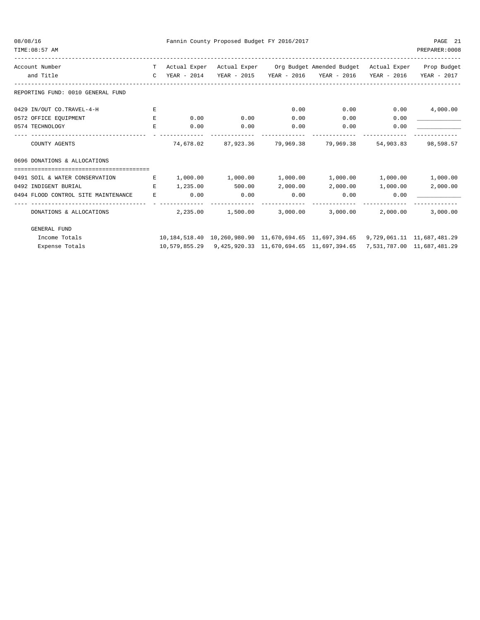08/08/16 Fannin County Proposed Budget FY 2016/2017 PAGE 21

| TIME: 08:57 AM                      |               |          |                     |                               |                                                                                                      |           | PREPARER: 0008   |
|-------------------------------------|---------------|----------|---------------------|-------------------------------|------------------------------------------------------------------------------------------------------|-----------|------------------|
| Account Number                      |               |          |                     |                               | T Actual Exper Actual Exper Org Budget Amended Budget Actual Exper Prop Budget                       |           |                  |
| and Title                           | $\mathcal{C}$ |          |                     |                               | YEAR - 2014 YEAR - 2015 YEAR - 2016 YEAR - 2016 YEAR - 2016                                          |           | YEAR - 2017      |
| REPORTING FUND: 0010 GENERAL FUND   |               |          |                     |                               |                                                                                                      |           |                  |
| 0429 IN/OUT CO.TRAVEL-4-H           | F.            |          |                     | 0.00                          | 0.00                                                                                                 |           | 0.00<br>4,000.00 |
| 0572 OFFICE EQUIPMENT               | Е             | 0.00     | 0.00                | 0.00                          | 0.00                                                                                                 | 0.00      |                  |
| 0574 TECHNOLOGY                     | E.            | 0.00     | 0.00                | 0.00                          | 0.00                                                                                                 | 0.00      |                  |
| COUNTY AGENTS                       |               |          | -------------       | 74,678.02 87,923.36 79,969.38 | 79,969.38                                                                                            | 54,903.83 | 98,598.57        |
| 0696 DONATIONS & ALLOCATIONS        |               |          |                     |                               |                                                                                                      |           |                  |
|                                     |               |          |                     |                               |                                                                                                      |           |                  |
| 0491 SOIL & WATER CONSERVATION      | E             |          | 1,000.00 1,000.00   |                               | $1,000.00$ $1,000.00$ $1,000.00$                                                                     |           | 1,000.00         |
| 0492 INDIGENT BURIAL                | E.            | 1,235.00 | 500.00              | 2,000.00                      | 2,000.00                                                                                             | 1,000.00  | 2,000.00         |
| 0494 FLOOD CONTROL SITE MAINTENANCE | E.            | 0.00     | 0.00                | 0.00                          | 0.00                                                                                                 | 0.00      |                  |
| DONATIONS & ALLOCATIONS             |               |          | $2,235,00$ 1,500.00 |                               | -------------<br>3,000.00 3,000.00                                                                   | 2,000.00  | 3,000.00         |
| <b>GENERAL FUND</b>                 |               |          |                     |                               |                                                                                                      |           |                  |
| Income Totals                       |               |          |                     |                               | 10, 184, 518. 40 10, 260, 980. 90 11, 670, 694. 65 11, 697, 394. 65 9, 729, 061. 11 11, 687, 481. 29 |           |                  |

Expense Totals 10,579,855.29 9,425,920.33 11,670,694.65 11,697,394.65 7,531,787.00 11,687,481.29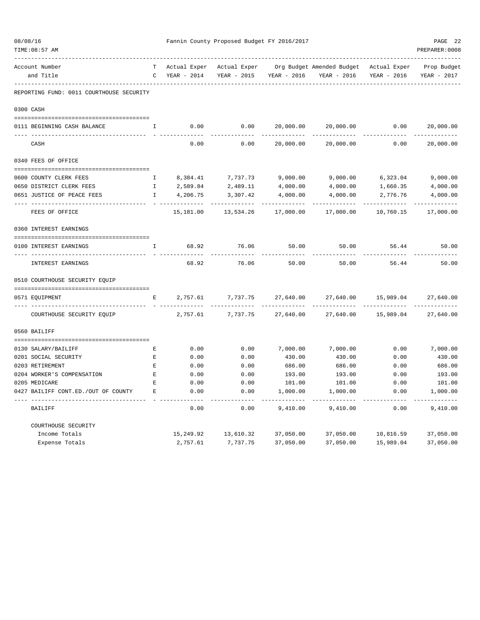| 08/08/16<br>TIME: 08:57 AM               |                                                                                                     |                               | Fannin County Proposed Budget FY 2016/2017 |                  |                                                                    |              | PAGE 22<br>PREPARER: 0008  |
|------------------------------------------|-----------------------------------------------------------------------------------------------------|-------------------------------|--------------------------------------------|------------------|--------------------------------------------------------------------|--------------|----------------------------|
| Account Number<br>and Title              | $\mathbb{C}$                                                                                        | T Actual Exper<br>YEAR - 2014 | YEAR - 2015                                | YEAR - 2016      | Actual Exper Org Budget Amended Budget Actual Exper<br>YEAR - 2016 | YEAR - 2016  | Prop Budget<br>YEAR - 2017 |
| REPORTING FUND: 0011 COURTHOUSE SECURITY |                                                                                                     |                               |                                            |                  |                                                                    |              |                            |
| 0300 CASH                                |                                                                                                     |                               |                                            |                  |                                                                    |              |                            |
| 0111 BEGINNING CASH BALANCE              | I.                                                                                                  | 0.00                          | 0.00                                       | 20,000.00        | 20,000.00                                                          | 0.00         | 20,000.00                  |
| CASH                                     |                                                                                                     | 0.00                          | 0.00                                       | 20,000.00        | 20,000.00                                                          | 0.00         | .<br>20,000.00             |
| 0340 FEES OF OFFICE                      |                                                                                                     |                               |                                            |                  |                                                                    |              |                            |
| 0600 COUNTY CLERK FEES                   | $\mathbf{I}$                                                                                        | 8,384.41                      | 7,737.73                                   | 9,000.00         | 9,000.00                                                           | 6,323.04     | 9,000.00                   |
| 0650 DISTRICT CLERK FEES                 | $\mathbf{I}$                                                                                        | 2,589.84                      | 2,489.11                                   | 4,000.00         | 4,000.00                                                           | 1,660.35     | 4,000.00                   |
| 0651 JUSTICE OF PEACE FEES               | $\mathbf{I}$                                                                                        | 4,206.75                      | 3,307.42                                   | 4,000.00         | 4,000.00                                                           | 2,776.76     | 4,000.00                   |
| FEES OF OFFICE                           |                                                                                                     | 15,181.00                     | 13,534.26                                  | 17,000.00        | 17,000.00                                                          | 10,760.15    | 17,000.00                  |
| 0360 INTEREST EARNINGS                   |                                                                                                     |                               |                                            |                  |                                                                    |              |                            |
| 0100 INTEREST EARNINGS                   | Ι.                                                                                                  | 68.92                         | 76.06                                      | 50.00            | 50.00                                                              | 56.44        | 50.00                      |
| INTEREST EARNINGS                        |                                                                                                     | 68.92                         | 76.06                                      | 50.00            | 50.00                                                              | 56.44        | 50.00                      |
| 0510 COURTHOUSE SECURITY EQUIP           |                                                                                                     |                               |                                            |                  |                                                                    |              |                            |
| 0571 EQUIPMENT                           | Е                                                                                                   | 2,757.61                      | 7,737.75                                   | 27,640.00        | 27,640.00                                                          | 15,989.04    | 27,640.00                  |
| COURTHOUSE SECURITY EQUIP                |                                                                                                     | 2,757.61                      | 7,737.75                                   | 27,640.00        | 27,640.00                                                          | 15,989.04    | 27,640.00                  |
| 0560 BAILIFF                             |                                                                                                     |                               |                                            |                  |                                                                    |              |                            |
|                                          |                                                                                                     |                               |                                            |                  |                                                                    |              |                            |
| 0130 SALARY/BAILIFF                      | Е<br>$\mathbf{E}% _{t}\left  \mathbf{1}\right\rangle =\mathbf{1}_{t}\left  \mathbf{1}\right\rangle$ | 0.00                          | 0.00                                       | 7,000.00         | 7,000.00                                                           | 0.00         | 7,000.00                   |
| 0201 SOCIAL SECURITY<br>0203 RETIREMENT  | Е                                                                                                   | 0.00<br>0.00                  | 0.00<br>0.00                               | 430.00<br>686.00 | 430.00<br>686.00                                                   | 0.00<br>0.00 | 430.00<br>686.00           |
| 0204 WORKER'S COMPENSATION               | $\mathbf E$                                                                                         | 0.00                          | 0.00                                       | 193.00           | 193.00                                                             | 0.00         | 193.00                     |
| 0205 MEDICARE                            | $\mathbf E$                                                                                         | 0.00                          | 0.00                                       | 101.00           | 101.00                                                             | 0.00         | 101.00                     |
| 0427 BAILIFF CONT.ED./OUT OF COUNTY      | E                                                                                                   | 0.00                          | 0.00                                       | 1,000.00         | 1,000.00                                                           | 0.00         | 1,000.00                   |
| BAILIFF                                  |                                                                                                     | 0.00                          | 0.00                                       | 9,410.00         | 9,410.00                                                           | 0.00         | 9,410.00                   |
| COURTHOUSE SECURITY                      |                                                                                                     |                               |                                            |                  |                                                                    |              |                            |
| Income Totals                            |                                                                                                     | 15,249.92                     | 13,610.32                                  | 37,050.00        | 37,050.00                                                          | 10,816.59    | 37,050.00                  |
| Expense Totals                           |                                                                                                     | 2,757.61                      | 7,737.75                                   | 37,050.00        | 37,050.00                                                          | 15,989.04    | 37,050.00                  |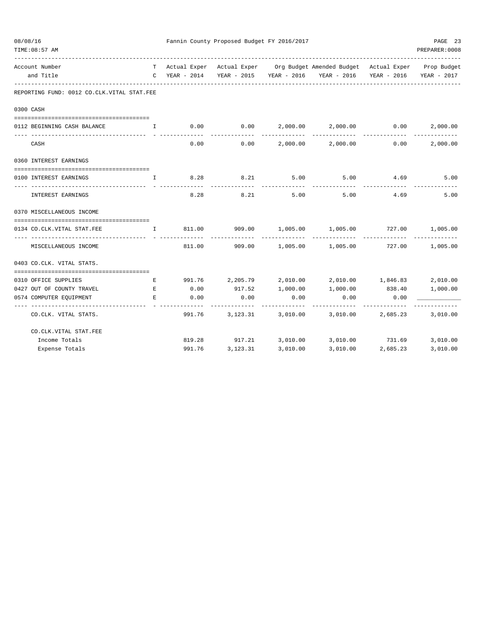| 08/08/16<br>TIME: 08:57 AM                                 |              |               | Fannin County Proposed Budget FY 2016/2017 |          |                                                                                                                                   |          | PAGE 23<br>PREPARER: 0008 |
|------------------------------------------------------------|--------------|---------------|--------------------------------------------|----------|-----------------------------------------------------------------------------------------------------------------------------------|----------|---------------------------|
| Account Number<br>and Title                                |              | C YEAR - 2014 |                                            |          | T Actual Exper Actual Exper Org Budget Amended Budget Actual Exper Prop Budget<br>YEAR - 2015 YEAR - 2016 YEAR - 2016 YEAR - 2016 |          | YEAR - 2017               |
| REPORTING FUND: 0012 CO.CLK.VITAL STAT.FEE                 |              |               |                                            |          |                                                                                                                                   |          |                           |
| 0300 CASH                                                  |              |               |                                            |          |                                                                                                                                   |          |                           |
| 0112 BEGINNING CASH BALANCE                                | I.           | 0.00          | 0.00                                       |          | 2,000.00 2,000.00<br>---------                                                                                                    | 0.00     | 2,000.00                  |
| CASH                                                       |              | 0.00          | 0.00                                       |          | 2,000.00 2,000.00                                                                                                                 | 0.00     | 2,000.00                  |
| 0360 INTEREST EARNINGS                                     |              |               |                                            |          |                                                                                                                                   |          |                           |
| 0100 INTEREST EARNINGS                                     | $\mathbb{I}$ | 8.28          | 8.21                                       | 5.00     | 5.00                                                                                                                              | 4.69     | 5.00                      |
| INTEREST EARNINGS                                          |              | 8.28          | 8.21                                       | 5.00     | 5.00                                                                                                                              | 4.69     | 5.00                      |
| 0370 MISCELLANEOUS INCOME                                  |              |               |                                            |          |                                                                                                                                   |          |                           |
| 0134 CO.CLK.VITAL STAT.FEE                                 | I.           | 811.00        | 909.00                                     | 1,005.00 | 1,005.00                                                                                                                          | 727.00   | 1,005.00                  |
| MISCELLANEOUS INCOME                                       |              | 811.00        | 909.00                                     |          | $1,005.00$ $1,005.00$ $727.00$ $1,005.00$                                                                                         |          |                           |
| 0403 CO.CLK. VITAL STATS.                                  |              |               |                                            |          |                                                                                                                                   |          |                           |
| 0310 OFFICE SUPPLIES                                       | E            |               |                                            |          | 991.76 2,205.79 2,010.00 2,010.00 1,846.83                                                                                        |          | 2,010.00                  |
| 0427 OUT OF COUNTY TRAVEL                                  | Е            | 0.00          | 917.52                                     | 1,000.00 | 1,000.00                                                                                                                          | 838.40   | 1,000.00                  |
| 0574 COMPUTER EQUIPMENT<br>------------------------------- | Е            | 0.00          | 0.00                                       | 0.00     | 0.00<br>$- - - - - - -$                                                                                                           | 0.00     |                           |
| CO.CLK. VITAL STATS.                                       |              | 991.76        | 3,123.31                                   | 3,010.00 | 3,010.00 2,685.23                                                                                                                 |          | 3,010.00                  |
| CO.CLK.VITAL STAT.FEE                                      |              |               |                                            |          |                                                                                                                                   |          |                           |
| Income Totals                                              |              |               | 819.28 917.21 3,010.00                     |          | 3,010.00 731.69                                                                                                                   |          | 3,010.00                  |
| Expense Totals                                             |              | 991.76        | 3,123.31                                   | 3,010.00 | 3,010.00                                                                                                                          | 2,685.23 | 3,010.00                  |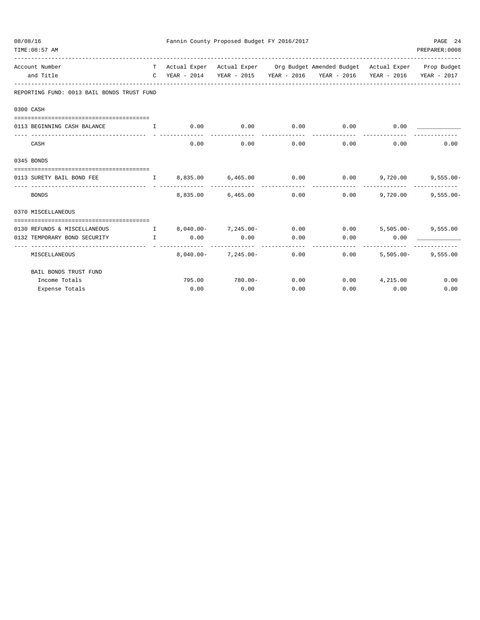| 08/08/16 | TIME: 08:57 AM                             |                                                                                                                                                                                                                                                                                                  |                         | Fannin County Proposed Budget FY 2016/2017 |      |                                                                                |              | PAGE 24<br>PREPARER: 0008 |
|----------|--------------------------------------------|--------------------------------------------------------------------------------------------------------------------------------------------------------------------------------------------------------------------------------------------------------------------------------------------------|-------------------------|--------------------------------------------|------|--------------------------------------------------------------------------------|--------------|---------------------------|
|          | Account Number                             |                                                                                                                                                                                                                                                                                                  |                         |                                            |      | T Actual Exper Actual Exper Org Budget Amended Budget Actual Exper Prop Budget |              |                           |
|          | and Title                                  |                                                                                                                                                                                                                                                                                                  |                         |                                            |      | C YEAR - 2014 YEAR - 2015 YEAR - 2016 YEAR - 2016                              | YEAR - 2016  | YEAR - 2017               |
|          | REPORTING FUND: 0013 BAIL BONDS TRUST FUND |                                                                                                                                                                                                                                                                                                  |                         |                                            |      |                                                                                |              |                           |
|          | 0300 CASH                                  |                                                                                                                                                                                                                                                                                                  |                         |                                            |      |                                                                                |              |                           |
|          | 0113 BEGINNING CASH BALANCE                | $\mathbf{I}$ and $\mathbf{I}$ and $\mathbf{I}$                                                                                                                                                                                                                                                   |                         | $0.00$ 0.00                                |      | $0.00$ $0.00$ $0.00$ $0.00$                                                    |              |                           |
|          |                                            |                                                                                                                                                                                                                                                                                                  |                         |                                            |      |                                                                                |              |                           |
|          | CASH                                       |                                                                                                                                                                                                                                                                                                  | 0.00                    | 0.00                                       | 0.00 | 0.00                                                                           | 0.00         | 0.00                      |
|          | 0345 BONDS                                 |                                                                                                                                                                                                                                                                                                  |                         |                                            |      |                                                                                |              |                           |
|          |                                            |                                                                                                                                                                                                                                                                                                  |                         |                                            |      | $0.00$ 9,720.00                                                                |              | $9,555.00 -$              |
|          | 0113 SURETY BAIL BOND FEE                  |                                                                                                                                                                                                                                                                                                  |                         | I 8,835.00 6,465.00 0.00                   |      |                                                                                |              |                           |
|          | <b>BONDS</b>                               |                                                                                                                                                                                                                                                                                                  |                         | 8,835.00 6,465.00                          | 0.00 | 0.00                                                                           | 9,720.00     | $9,555.00 -$              |
|          | 0370 MISCELLANEOUS                         |                                                                                                                                                                                                                                                                                                  |                         |                                            |      |                                                                                |              |                           |
|          | =====================================      |                                                                                                                                                                                                                                                                                                  |                         |                                            |      |                                                                                |              |                           |
|          | 0130 REFUNDS & MISCELLANEOUS               | $\mathbf{I}$ and $\mathbf{I}$ and $\mathbf{I}$ and $\mathbf{I}$ and $\mathbf{I}$ and $\mathbf{I}$ and $\mathbf{I}$ and $\mathbf{I}$ and $\mathbf{I}$ and $\mathbf{I}$ and $\mathbf{I}$ and $\mathbf{I}$ and $\mathbf{I}$ and $\mathbf{I}$ and $\mathbf{I}$ and $\mathbf{I}$ and $\mathbf{I}$ and | $8.040.00 - 7.245.00 -$ |                                            |      | $0.00$ $0.00$ $5,505.00$ $9,555.00$                                            |              |                           |
|          | 0132 TEMPORARY BOND SECURITY               | $\mathbf{I}$ and $\mathbf{I}$                                                                                                                                                                                                                                                                    | 0.00                    | 0.00                                       | 0.00 | 0.00                                                                           | 0.00         |                           |
|          | MISCELLANEOUS                              |                                                                                                                                                                                                                                                                                                  |                         | $8.040.00 - 7.245.00 - 0.00$               |      | 0.00                                                                           | $5.505.00 -$ | 9,555.00                  |
|          | BAIL BONDS TRUST FUND                      |                                                                                                                                                                                                                                                                                                  |                         |                                            |      |                                                                                |              |                           |
|          | Income Totals                              |                                                                                                                                                                                                                                                                                                  |                         | 795.00 780.00-                             | 0.00 | $0.00$ $4,215.00$                                                              |              | 0.00                      |
|          | Expense Totals                             |                                                                                                                                                                                                                                                                                                  | 0.00                    | 0.00                                       | 0.00 | 0.00                                                                           | 0.00         | 0.00                      |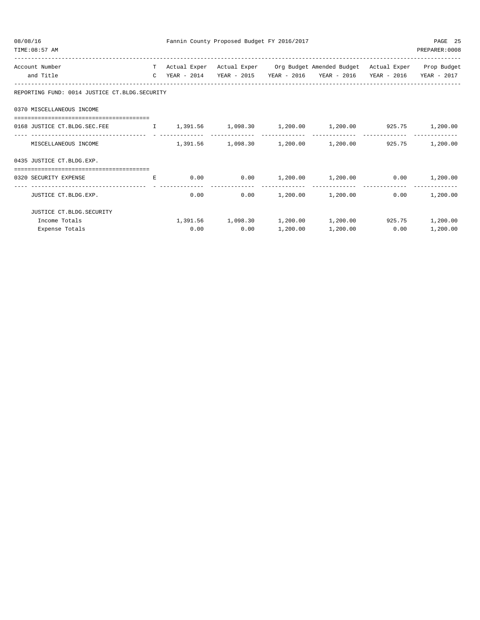| 08/08/16<br>TIME: 08:57 AM                                      |              |                | Fannin County Proposed Budget FY 2016/2017 |          |                                                                 |             | PAGE 25<br>PREPARER: 0008 |
|-----------------------------------------------------------------|--------------|----------------|--------------------------------------------|----------|-----------------------------------------------------------------|-------------|---------------------------|
| Account Number                                                  |              | T Actual Exper |                                            |          | Actual Exper Org Budget Amended Budget Actual Exper Prop Budget |             |                           |
| and Title                                                       | $\mathbb{C}$ | YEAR - 2014    | YEAR - 2015                                |          | YEAR - 2016 YEAR - 2016                                         | YEAR - 2016 | YEAR - 2017               |
| REPORTING FUND: 0014 JUSTICE CT.BLDG.SECURITY                   |              |                |                                            |          |                                                                 |             |                           |
| 0370 MISCELLANEOUS INCOME                                       |              |                |                                            |          |                                                                 |             |                           |
| ------------------<br>0168 JUSTICE CT.BLDG.SEC.FEE              |              |                |                                            |          | $1,391.56$ $1,098.30$ $1,200.00$ $1,200.00$ $925.75$            |             | 1,200.00                  |
| MISCELLANEOUS INCOME                                            |              |                |                                            |          | $1,391.56$ $1,098.30$ $1,200.00$ $1,200.00$ $925.75$            |             | 1,200.00                  |
| 0435 JUSTICE CT.BLDG.EXP.                                       |              |                |                                            |          |                                                                 |             |                           |
| ======================================<br>0320 SECURITY EXPENSE | E.           | 0.00           |                                            |          | $0.00$ 1,200.00 1,200.00                                        | 0.00        | 1,200.00                  |
| JUSTICE CT.BLDG.EXP.                                            |              | 0.00           | 0.00                                       |          | $1,200.00$ $1,200.00$                                           | 0.00        | 1,200.00                  |
| JUSTICE CT.BLDG.SECURITY                                        |              |                |                                            |          |                                                                 |             |                           |
| Income Totals                                                   |              |                | 1,391.56 1,098.30                          | 1,200.00 | 1,200.00                                                        | 925.75      | 1,200.00                  |
| Expense Totals                                                  |              | 0.00           | 0.00                                       | 1,200.00 | 1,200.00                                                        | 0.00        | 1,200.00                  |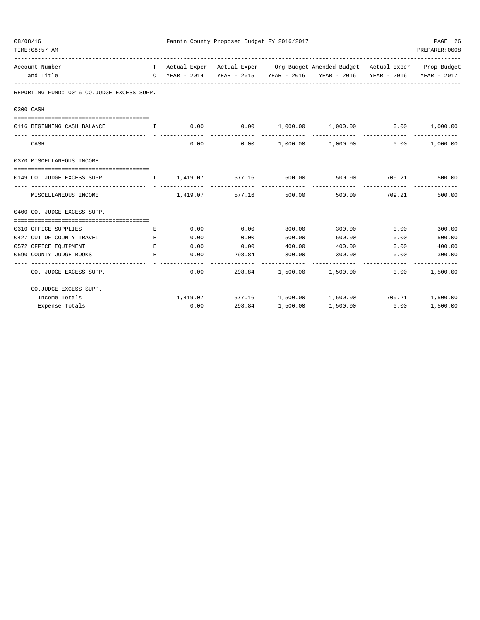| 08/08/16<br>TIME: 08:57 AM                         |                                       |              | Fannin County Proposed Budget FY 2016/2017 |        |                                                                                |                                        | PAGE 26<br>PREPARER:0008 |
|----------------------------------------------------|---------------------------------------|--------------|--------------------------------------------|--------|--------------------------------------------------------------------------------|----------------------------------------|--------------------------|
| Account Number                                     |                                       |              |                                            |        | T Actual Exper Actual Exper Org Budget Amended Budget Actual Exper Prop Budget |                                        |                          |
| and Title                                          |                                       |              |                                            |        | C YEAR - 2014 YEAR - 2015 YEAR - 2016 YEAR - 2016 YEAR - 2016 YEAR - 2017      |                                        |                          |
| REPORTING FUND: 0016 CO.JUDGE EXCESS SUPP.         |                                       |              |                                            |        |                                                                                |                                        |                          |
| 0300 CASH                                          |                                       |              |                                            |        |                                                                                |                                        |                          |
| 0116 BEGINNING CASH BALANCE                        | $\mathbf{I}$ . The state $\mathbf{I}$ |              |                                            |        | $0.00$ $0.00$ $1,000.00$ $1,000.00$ $0.00$ $1,000.00$                          |                                        |                          |
| CASH                                               |                                       |              | 0.00                                       |        | $0.00$ 1,000.00 1,000.00 0.00 1,000.00                                         |                                        |                          |
| 0370 MISCELLANEOUS INCOME                          |                                       |              |                                            |        |                                                                                |                                        |                          |
| 0149 CO. JUDGE EXCESS SUPP.                        |                                       |              | I 1,419.07 577.16 500.00                   |        |                                                                                | 500.00 709.21 500.00<br>-------------- |                          |
| MISCELLANEOUS INCOME                               |                                       |              | 1,419.07 577.16 500.00                     |        | ------------<br>500.00                                                         | 709.21                                 | 500.00                   |
| 0400 CO. JUDGE EXCESS SUPP.                        |                                       |              |                                            |        |                                                                                |                                        |                          |
|                                                    |                                       |              |                                            |        |                                                                                |                                        |                          |
| 0310 OFFICE SUPPLIES                               | E                                     |              | $0.00$ 0.00                                | 300.00 | 300.00 0.00                                                                    |                                        | 300.00                   |
| 0427 OUT OF COUNTY TRAVEL<br>0572 OFFICE EQUIPMENT | E.                                    | 0.00<br>0.00 | 0.00<br>$0.00$ 400.00                      | 500.00 | 500.00<br>400.00                                                               | 0.00                                   | 500.00<br>400.00         |
| 0590 COUNTY JUDGE BOOKS                            | E<br>E.                               | 0.00         | 298.84 300.00                              |        | 300.00                                                                         | 0.00<br>0.00                           | 300.00                   |
|                                                    |                                       |              | -------------                              |        |                                                                                |                                        |                          |
| CO. JUDGE EXCESS SUPP.                             |                                       | 0.00         |                                            |        | 298.84 1,500.00 1,500.00                                                       | 0.00                                   | 1,500.00                 |
| CO.JUDGE EXCESS SUPP.                              |                                       |              |                                            |        |                                                                                |                                        |                          |
| Income Totals                                      |                                       |              |                                            |        | $1,419.07$ 577.16 $1,500.00$ $1,500.00$ 709.21 $1,500.00$                      |                                        |                          |
| Expense Totals                                     |                                       | 0.00         | 298.84 1,500.00                            |        | 1,500.00                                                                       | $0.00$ 1,500.00                        |                          |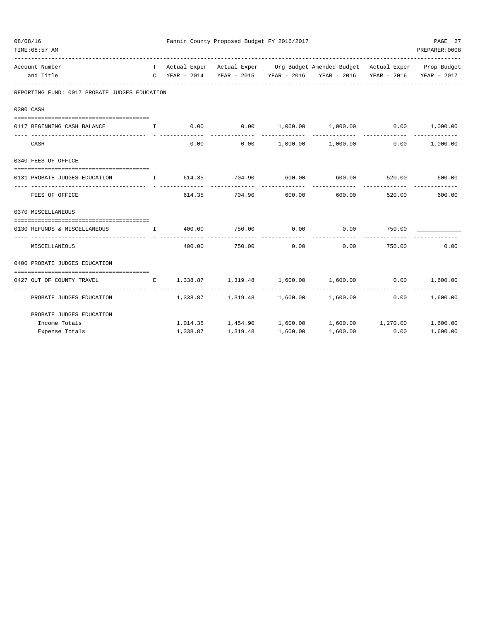| 08/08/16 | TIME: 08:57 AM                                                |          | Fannin County Proposed Budget FY 2016/2017 |                      |                                                                                                                                                 |                 | PAGE 27<br>PREPARER: 0008 |
|----------|---------------------------------------------------------------|----------|--------------------------------------------|----------------------|-------------------------------------------------------------------------------------------------------------------------------------------------|-----------------|---------------------------|
|          | Account Number<br>and Title                                   |          |                                            |                      | T Actual Exper Actual Exper Org Budget Amended Budget Actual Exper Prop Budget<br>C YEAR - 2014 YEAR - 2015 YEAR - 2016 YEAR - 2016 YEAR - 2016 |                 | YEAR - 2017               |
|          | REPORTING FUND: 0017 PROBATE JUDGES EDUCATION                 |          |                                            |                      |                                                                                                                                                 |                 |                           |
|          | 0300 CASH                                                     |          |                                            |                      |                                                                                                                                                 |                 |                           |
|          | 0117 BEGINNING CASH BALANCE I                                 |          |                                            |                      | $0.00$ $0.00$ $1,000.00$ $1,000.00$ $0.00$ $0.00$ $1,000.00$                                                                                    |                 |                           |
|          |                                                               |          |                                            |                      |                                                                                                                                                 |                 |                           |
|          | CASH                                                          | 0.00     |                                            |                      | $0.00$ 1,000.00 1,000.00 0.00 1,000.00                                                                                                          |                 |                           |
|          | 0340 FEES OF OFFICE                                           |          |                                            |                      |                                                                                                                                                 |                 |                           |
|          | 0131 PROBATE JUDGES EDUCATION                                 |          | I 614.35 704.90 600.00                     |                      | 600.00                                                                                                                                          | 520.00          | 600.00                    |
|          | FEES OF OFFICE                                                |          | 614.35 704.90 600.00                       | -------------        | 600.00                                                                                                                                          |                 | 520.00 600.00             |
|          | 0370 MISCELLANEOUS                                            |          |                                            |                      |                                                                                                                                                 |                 |                           |
|          | 0130 REFUNDS & MISCELLANEOUS 1 400.00 750.00 0.00 0.00 750.00 |          |                                            |                      |                                                                                                                                                 |                 |                           |
|          | MISCELLANEOUS                                                 | 400.00   | 750.00                                     | ------------<br>0.00 | ------------<br>0.00                                                                                                                            | 750.00          | 0.00                      |
|          | 0400 PROBATE JUDGES EDUCATION                                 |          |                                            |                      |                                                                                                                                                 |                 |                           |
|          | 0427 OUT OF COUNTY TRAVEL                                     |          | E 1,338.87 1,319.48 1,600.00 1,600.00      |                      |                                                                                                                                                 | $0.00$ 1,600.00 |                           |
|          | PROBATE JUDGES EDUCATION                                      |          | -------------- --------------              |                      | --------------<br>$1,338.87$ $1,319.48$ $1,600.00$ $1,600.00$ $0.00$ $1,600.00$                                                                 | --------------  | -------------             |
|          | PROBATE JUDGES EDUCATION                                      |          |                                            |                      |                                                                                                                                                 |                 |                           |
|          | Income Totals                                                 |          |                                            |                      | $1,014.35$ $1,454.90$ $1,600.00$ $1,600.00$ $1,270.00$ $1,600.00$                                                                               |                 |                           |
|          | Expense Totals                                                | 1,338.87 | 1,319.48                                   | 1,600.00             | 1,600.00                                                                                                                                        | 0.00            | 1,600.00                  |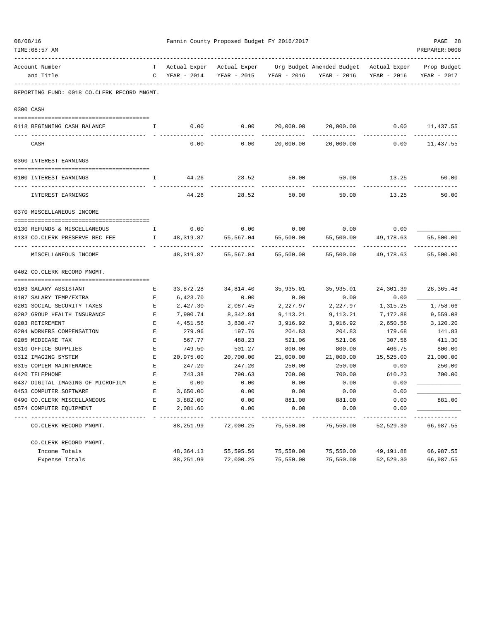| 08/08/16<br>TIME: 08:57 AM                  |                                                | Fannin County Proposed Budget FY 2016/2017 | PAGE 28<br>PREPARER: 0008 |                         |                                                                    |             |                            |
|---------------------------------------------|------------------------------------------------|--------------------------------------------|---------------------------|-------------------------|--------------------------------------------------------------------|-------------|----------------------------|
| Account Number<br>and Title                 | T –                                            | Actual Exper<br>$C$ YEAR - 2014            |                           | YEAR - 2015 YEAR - 2016 | Actual Exper Org Budget Amended Budget Actual Exper<br>YEAR - 2016 | YEAR - 2016 | Prop Budget<br>YEAR - 2017 |
| REPORTING FUND: 0018 CO.CLERK RECORD MNGMT. |                                                |                                            |                           |                         |                                                                    |             |                            |
|                                             |                                                |                                            |                           |                         |                                                                    |             |                            |
| 0300 CASH                                   |                                                |                                            |                           |                         |                                                                    |             |                            |
|                                             |                                                |                                            |                           |                         |                                                                    |             |                            |
| 0118 BEGINNING CASH BALANCE                 | H.                                             | 0.00                                       | 0.00                      |                         |                                                                    |             |                            |
| CASH                                        |                                                | 0.00                                       | 0.00                      | 20,000.00               | 20,000.00                                                          | 0.00        | 11,437.55                  |
| 0360 INTEREST EARNINGS                      |                                                |                                            |                           |                         |                                                                    |             |                            |
| 0100 INTEREST EARNINGS                      | Ι.                                             | 44.26                                      | 28.52                     | 50.00                   | 50.00                                                              | 13.25       | 50.00                      |
| INTEREST EARNINGS                           |                                                | 44.26                                      | 28.52                     | 50.00                   | 50.00                                                              | 13.25       | 50.00                      |
| 0370 MISCELLANEOUS INCOME                   |                                                |                                            |                           |                         |                                                                    |             |                            |
| 0130 REFUNDS & MISCELLANEOUS                | $\mathbf{I}$                                   | 0.00                                       | 0.00                      | 0.00                    | 0.00                                                               | 0.00        |                            |
| 0133 CO.CLERK PRESERVE REC FEE              | $\mathbf{I}$ and $\mathbf{I}$ and $\mathbf{I}$ |                                            | 48,319.87 55,567.04       | 55,500.00               | 55,500.00                                                          | 49,178.63   | 55,500.00                  |
| MISCELLANEOUS INCOME                        |                                                | 48,319.87                                  | 55,567.04                 | 55,500.00               | 55,500.00                                                          | 49,178.63   | 55,500.00                  |
| 0402 CO. CLERK RECORD MNGMT.                |                                                |                                            |                           |                         |                                                                    |             |                            |
|                                             |                                                |                                            |                           |                         |                                                                    |             |                            |
| 0103 SALARY ASSISTANT                       | Е                                              | 33,872.28                                  | 34,814.40                 | 35,935.01               | 35,935.01                                                          | 24,301.39   | 28, 365.48                 |
| 0107 SALARY TEMP/EXTRA                      | Е                                              | 6,423.70                                   | 0.00                      | 0.00                    | 0.00                                                               | 0.00        |                            |
| 0201 SOCIAL SECURITY TAXES                  | Е                                              | 2,427.30                                   | 2,087.45                  | 2,227.97                | 2,227.97                                                           | 1,315.25    | 1,758.66                   |
| 0202 GROUP HEALTH INSURANCE                 | Е                                              | 7,900.74                                   | 8,342.84                  | 9,113.21                | 9,113.21                                                           | 7,172.88    | 9,559.08                   |
| 0203 RETIREMENT                             | E                                              | 4,451.56                                   | 3,830.47                  | 3,916.92                | 3,916.92                                                           | 2,650.56    | 3,120.20                   |
| 0204 WORKERS COMPENSATION                   | Ε                                              | 279.96                                     | 197.76                    | 204.83                  | 204.83                                                             | 179.68      | 141.83                     |
| 0205 MEDICARE TAX                           | Е                                              | 567.77                                     | 488.23                    | 521.06                  | 521.06                                                             | 307.56      | 411.30                     |
| 0310 OFFICE SUPPLIES                        | E                                              | 749.50                                     | 501.27                    | 800.00                  | 800.00                                                             | 466.75      | 800.00                     |
| 0312 IMAGING SYSTEM                         | Е                                              | 20,975.00                                  | 20,700.00                 | 21,000.00               | 21,000.00                                                          | 15,525.00   | 21,000.00                  |
| 0315 COPIER MAINTENANCE                     | Е                                              | 247.20                                     | 247.20                    | 250.00                  | 250.00                                                             | 0.00        | 250.00                     |
| 0420 TELEPHONE                              | E                                              | 743.38                                     | 790.63                    | 700.00                  | 700.00                                                             | 610.23      | 700.00                     |
| 0437 DIGITAL IMAGING OF MICROFILM           | E                                              | 0.00                                       | 0.00                      | 0.00                    | 0.00                                                               | 0.00        |                            |
| 0453 COMPUTER SOFTWARE                      | Е                                              | 3,650.00                                   | 0.00                      | 0.00                    | 0.00                                                               | 0.00        |                            |
| 0490 CO. CLERK MISCELLANEOUS                | E                                              | 3,882.00                                   | 0.00                      | 881.00                  | 881.00                                                             | 0.00        | 881.00                     |
| 0574 COMPUTER EQUIPMENT                     | Е                                              | 2,081.60                                   | 0.00                      | 0.00                    | 0.00                                                               | 0.00        |                            |
| CO. CLERK RECORD MNGMT.                     |                                                | 88,251.99                                  | 72,000.25                 | 75,550.00               | 75,550.00                                                          | 52,529.30   | 66,987.55                  |
| CO. CLERK RECORD MNGMT.                     |                                                |                                            |                           |                         |                                                                    |             |                            |
| Income Totals                               |                                                | 48, 364. 13                                | 55,595.56                 | 75,550.00               | 75,550.00                                                          | 49,191.88   | 66,987.55                  |
| Expense Totals                              |                                                | 88,251.99                                  | 72,000.25                 | 75,550.00               | 75,550.00                                                          | 52,529.30   | 66,987.55                  |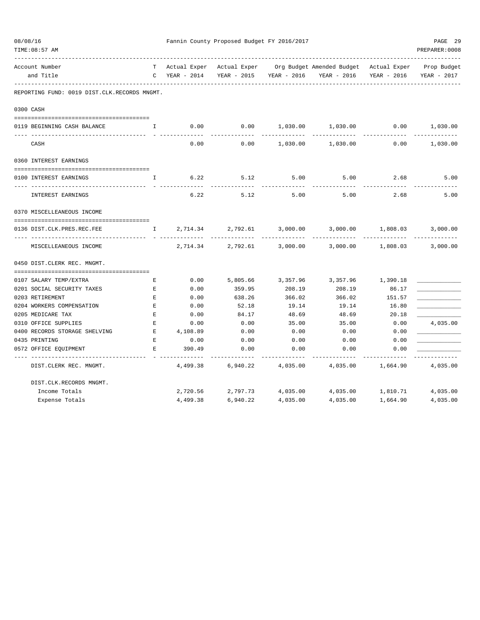| 08/08/16<br>TIME: 08:57 AM                   |                    |             | Fannin County Proposed Budget FY 2016/2017 |                   | ____________________________                                                 |             | PAGE 29<br>PREPARER: 0008 |
|----------------------------------------------|--------------------|-------------|--------------------------------------------|-------------------|------------------------------------------------------------------------------|-------------|---------------------------|
| Account Number                               | T                  |             |                                            |                   | Actual Exper Actual Exper Org Budget Amended Budget Actual Exper Prop Budget |             |                           |
| and Title<br>.                               | C                  | YEAR - 2014 | YEAR - 2015                                | YEAR - 2016       | YEAR - 2016                                                                  | YEAR - 2016 | YEAR - 2017               |
| REPORTING FUND: 0019 DIST.CLK.RECORDS MNGMT. |                    |             |                                            |                   |                                                                              |             |                           |
| 0300 CASH                                    |                    |             |                                            |                   |                                                                              |             |                           |
| 0119 BEGINNING CASH BALANCE                  | Ι.                 | 0.00        | 0.00                                       | 1,030.00          | 1,030.00                                                                     | 0.00        | 1,030.00                  |
| CASH                                         |                    | 0.00        | 0.00                                       | 1,030.00          | 1,030.00                                                                     | 0.00        | 1,030.00                  |
| 0360 INTEREST EARNINGS                       |                    |             |                                            |                   |                                                                              |             |                           |
| 0100 INTEREST EARNINGS                       | I.                 | 6.22        | 5.12                                       | 5.00              | 5.00                                                                         | 2.68        | 5.00                      |
| INTEREST EARNINGS                            |                    | 6.22        | 5.12                                       | 5.00              | 5.00                                                                         | 2.68        | 5.00                      |
| 0370 MISCELLEANEOUS INCOME                   |                    |             |                                            |                   |                                                                              |             |                           |
|                                              |                    |             |                                            |                   |                                                                              |             |                           |
| 0136 DIST.CLK.PRES.REC.FEE<br>.              | I.                 | 2,714.34    | 2,792.61                                   | 3,000.00          | 3,000.00                                                                     | 1,808.03    | 3,000.00                  |
| MISCELLEANEOUS INCOME                        |                    | 2,714.34    | 2,792.61                                   | 3,000.00          | 3,000.00                                                                     | 1,808.03    | 3,000.00                  |
| 0450 DIST. CLERK REC. MNGMT.                 |                    |             |                                            |                   |                                                                              |             |                           |
| 0107 SALARY TEMP/EXTRA                       | Е                  | 0.00        | 5,805.66                                   | 3,357.96          | 3,357.96                                                                     | 1,390.18    |                           |
| 0201 SOCIAL SECURITY TAXES                   | $\mathbf{E}% _{0}$ | 0.00        | 359.95                                     | 208.19            | 208.19                                                                       | 86.17       |                           |
| 0203 RETIREMENT                              | E                  | 0.00        | 638.26                                     | 366.02            | 366.02                                                                       | 151.57      |                           |
| 0204 WORKERS COMPENSATION                    | $\,$ E             | 0.00        | 52.18                                      | 19.14             | 19.14                                                                        | 16.80       |                           |
| 0205 MEDICARE TAX                            | $\mathbf E$        | 0.00        | 84.17                                      | 48.69             | 48.69                                                                        | 20.18       |                           |
| 0310 OFFICE SUPPLIES                         | $\mathbf E$        | 0.00        | 0.00                                       | 35.00             | 35.00                                                                        | 0.00        | 4,035.00                  |
| 0400 RECORDS STORAGE SHELVING                | E                  | 4,108.89    | 0.00                                       | 0.00              | 0.00                                                                         | 0.00        |                           |
| 0435 PRINTING                                | $\mathbf E$        | 0.00        | 0.00                                       | 0.00              | 0.00                                                                         | 0.00        |                           |
| 0572 OFFICE EQUIPMENT                        | $\mathbf{E}$       | 390.49      | 0.00                                       | 0.00              | 0.00                                                                         | 0.00        |                           |
| DIST. CLERK REC. MNGMT.                      |                    | 4,499.38    | 6,940.22                                   | 4,035.00          | 4,035.00                                                                     | 1,664.90    | 4,035.00                  |
| DIST.CLK.RECORDS MNGMT.                      |                    |             |                                            |                   |                                                                              |             |                           |
| Income Totals                                |                    | 2,720.56    |                                            | 2,797.73 4,035.00 | 4,035.00                                                                     | 1,810.71    | 4,035.00                  |
| Expense Totals                               |                    | 4,499.38    | 6,940.22                                   | 4,035.00          | 4,035.00                                                                     | 1,664.90    | 4,035.00                  |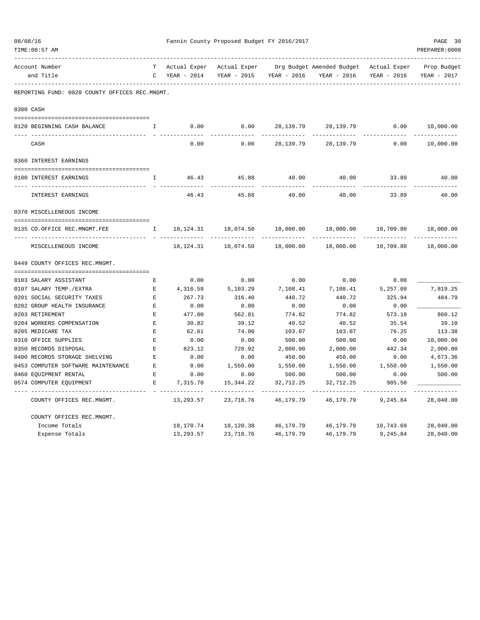| 08/08/16<br>TIME: 08:57 AM                     |              | Fannin County Proposed Budget FY 2016/2017 |              |                         |                                        |             |                         |  |
|------------------------------------------------|--------------|--------------------------------------------|--------------|-------------------------|----------------------------------------|-------------|-------------------------|--|
| Account Number                                 |              | Actual Exper                               | Actual Exper |                         | Org Budget Amended Budget Actual Exper |             | --------<br>Prop Budget |  |
| and Title                                      | $\mathsf{C}$ | YEAR - 2014                                |              | YEAR - 2015 YEAR - 2016 | YEAR - 2016                            | YEAR - 2016 | YEAR - 2017             |  |
| REPORTING FUND: 0020 COUNTY OFFICES REC.MNGMT. |              |                                            |              |                         |                                        |             |                         |  |
| 0300 CASH                                      |              |                                            |              |                         |                                        |             |                         |  |
| 0120 BEGINNING CASH BALANCE                    | $\mathbf I$  | 0.00                                       | 0.00         | 28,139.79               | 28,139.79                              | 0.00        | 10,000.00               |  |
| CASH                                           |              | 0.00                                       | 0.00         | 28,139.79               | 28, 139. 79                            | 0.00        | 10,000.00               |  |
| 0360 INTEREST EARNINGS                         |              |                                            |              |                         |                                        |             |                         |  |
| 0100 INTEREST EARNINGS                         | I.           | 46.43                                      | 45.88        | 40.00                   | 40.00                                  | 33.89       | 40.00                   |  |
| INTEREST EARNINGS                              |              | 46.43                                      | 45.88        | 40.00                   | 40.00                                  | 33.89       | 40.00                   |  |
| 0370 MISCELLENEOUS INCOME                      |              |                                            |              |                         |                                        |             |                         |  |
| 0135 CO.OFFICE REC.MNGMT.FEE                   | $\mathbb{I}$ | 18,124.31                                  | 18,074.50    | 18,000.00               | 18,000.00                              | 10,709.80   | 18,000.00               |  |
| --- ------------------<br>MISCELLENEOUS INCOME |              | 18,124.31                                  | 18,074.50    | 18,000.00               | ------------<br>18,000.00              | 10,709.80   | ----------<br>18,000.00 |  |
| 0449 COUNTY OFFICES REC.MNGMT.                 |              |                                            |              |                         |                                        |             |                         |  |
| 0103 SALARY ASSISTANT                          | E            | 0.00                                       | 0.00         | 0.00                    | 0.00                                   | 0.00        |                         |  |
| 0107 SALARY TEMP./EXTRA                        | Е            | 4,316.59                                   | 5,103.29     | 7,108.41                | 7,108.41                               | 5,257.09    | 7,819.25                |  |
| 0201 SOCIAL SECURITY TAXES                     | E            | 267.73                                     | 316.40       | 440.72                  | 440.72                                 | 325.94      | 484.79                  |  |
| 0202 GROUP HEALTH INSURANCE                    | $\mathbf E$  | 0.00                                       | 0.00         | 0.00                    | 0.00                                   | 0.00        |                         |  |
| 0203 RETIREMENT                                | $\mathbf E$  | 477.00                                     | 562.81       | 774.82                  | 774.82                                 | 573.18      | 860.12                  |  |
| 0204 WORKERS COMPENSATION                      | $\mathbf E$  | 30.82                                      | 39.12        | 40.52                   | 40.52                                  | 35.54       | 39.10                   |  |
| 0205 MEDICARE TAX                              | E            | 62.61                                      | 74.00        | 103.07                  | 103.07                                 | 76.25       | 113.38                  |  |
| 0310 OFFICE SUPPLIES                           | $\mathbf E$  | 0.00                                       | 0.00         | 500.00                  | 500.00                                 | 0.00        | 10,000.00               |  |
| 0350 RECORDS DISPOSAL                          | E            | 823.12                                     | 728.92       | 2,000.00                | 2,000.00                               | 442.34      | 2,000.00                |  |
| 0400 RECORDS STORAGE SHELVING                  | Е            | 0.00                                       | 0.00         | 450.00                  | 450.00                                 | 0.00        | 4,673.36                |  |
| 0453 COMPUTER SOFTWARE MAINTENANCE             | $\mathbf E$  | 0.00                                       | 1,550.00     | 1,550.00                | 1,550.00                               | 1,550.00    | 1,550.00                |  |
| 0460 EQUIPMENT RENTAL                          | $\mathbf E$  | 0.00                                       | 0.00         | 500.00                  | 500.00                                 | 0.00        | 500.00                  |  |
| 0574 COMPUTER EOUIPMENT                        | Е            | 7,315.70                                   | 15,344.22    | 32,712.25               | 32,712.25                              | 985.50      |                         |  |
| COUNTY OFFICES REC.MNGMT.                      |              | 13,293.57                                  | 23,718.76    | 46,179.79               | 46,179.79                              | 9,245.84    | 28,040.00               |  |
| COUNTY OFFICES REC.MNGMT.                      |              |                                            |              |                         |                                        |             |                         |  |
| Income Totals                                  |              | 18,170.74                                  | 18,120.38    | 46,179.79               | 46,179.79                              | 10,743.69   | 28,040.00               |  |
| Expense Totals                                 |              | 13,293.57                                  | 23,718.76    | 46,179.79               | 46,179.79                              | 9,245.84    | 28,040.00               |  |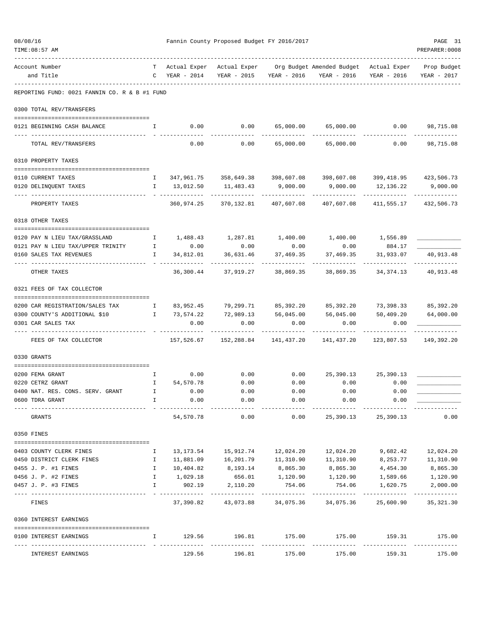| 08/08/16<br>TIME: 08:57 AM                                         |              |                 | Fannin County Proposed Budget FY 2016/2017 |                         |                                                                                               |                           | PAGE 31<br>PREPARER: 0008 |
|--------------------------------------------------------------------|--------------|-----------------|--------------------------------------------|-------------------------|-----------------------------------------------------------------------------------------------|---------------------------|---------------------------|
| Account Number<br>and Title                                        |              | $C$ YEAR - 2014 | YEAR - 2015                                | YEAR - 2016             | T Actual Exper Actual Exper Org Budget Amended Budget Actual Exper Prop Budget<br>YEAR - 2016 | YEAR - 2016               | YEAR - 2017               |
| REPORTING FUND: 0021 FANNIN CO. R & B #1 FUND                      |              |                 |                                            |                         |                                                                                               |                           |                           |
| 0300 TOTAL REV/TRANSFERS                                           |              |                 |                                            |                         |                                                                                               |                           |                           |
| 0121 BEGINNING CASH BALANCE                                        | $\mathbf{I}$ |                 |                                            |                         | $0.00$ $0.00$ $65,000.00$ $65,000.00$ $0.00$ $98,715.08$                                      |                           |                           |
| TOTAL REV/TRANSFERS                                                |              | 0.00            |                                            | 0.00 65,000.00          | 65,000.00                                                                                     | 0.00                      | 98,715.08                 |
| 0310 PROPERTY TAXES                                                |              |                 |                                            |                         |                                                                                               |                           |                           |
| 0110 CURRENT TAXES                                                 |              |                 |                                            |                         | I 347,961.75 358,649.38 398,607.08 398,607.08 399,418.95 423,506.73                           |                           |                           |
| 0120 DELINQUENT TAXES                                              | $\mathbf{I}$ | 13,012.50       | 11,483.43                                  | 9,000.00                | 9,000.00                                                                                      | 12,136.22                 | 9,000.00                  |
| PROPERTY TAXES                                                     |              | 360,974.25      | 370,132.81 407,607.08                      |                         | 407,607.08                                                                                    | ___________<br>411,555.17 | ----------<br>432,506.73  |
| 0318 OTHER TAXES                                                   |              |                 |                                            |                         |                                                                                               |                           |                           |
| 0120 PAY N LIEU TAX/GRASSLAND                                      | $\mathbf{I}$ |                 | 1,488.43 1,287.81                          |                         | 1,400.00 1,400.00 1,556.89                                                                    |                           |                           |
| $\mathbf{I}$<br>0121 PAY N LIEU TAX/UPPER TRINITY                  |              | 0.00            | 0.00                                       | 0.00                    | 0.00                                                                                          | 884.17                    |                           |
| 0160 SALES TAX REVENUES                                            | $\mathbf{I}$ | 34,812.01       | 36,631.46                                  | 37,469.35               | 37,469.35                                                                                     | 31,933.07                 | 40,913.48                 |
| OTHER TAXES                                                        |              |                 | 36,300.44 37,919.27 38,869.35              |                         | 38,869.35                                                                                     | 34,374.13                 | 40,913.48                 |
| 0321 FEES OF TAX COLLECTOR                                         |              |                 |                                            |                         |                                                                                               |                           |                           |
| 0200 CAR REGISTRATION/SALES TAX<br>$\mathbf{I}$ and $\mathbf{I}$ . |              |                 |                                            |                         | 83,952.45 79,299.71 85,392.20 85,392.20 73,398.33 85,392.20                                   |                           |                           |
| 0300 COUNTY'S ADDITIONAL \$10<br>$\mathbf{I}$                      |              | 73,574.22       |                                            |                         | 72,989.13 56,045.00 56,045.00                                                                 | 50,409.20                 | 64,000.00                 |
| 0301 CAR SALES TAX                                                 |              | 0.00            | 0.00                                       | 0.00                    | 0.00                                                                                          | 0.00                      |                           |
| FEES OF TAX COLLECTOR                                              |              | 157,526.67      |                                            |                         |                                                                                               | 123,807.53                | 149,392.20                |
| 0330 GRANTS                                                        |              |                 |                                            |                         |                                                                                               |                           |                           |
|                                                                    |              |                 |                                            |                         |                                                                                               |                           |                           |
| 0200 FEMA GRANT                                                    | $\mathbf{I}$ | 0.00            | 0.00                                       |                         | $0.00$ 25,390.13 25,390.13                                                                    |                           |                           |
| 0220 CETRZ GRANT                                                   |              | I 54,570.78     | 0.00                                       | 0.00                    | 0.00                                                                                          | 0.00                      |                           |
| 0400 NAT. RES. CONS. SERV. GRANT                                   | Ι.           | 0.00            | 0.00                                       | 0.00                    | 0.00                                                                                          | 0.00                      |                           |
| 0600 TDRA GRANT                                                    | I.           | 0.00            | 0.00                                       | 0.00                    | 0.00                                                                                          | 0.00                      |                           |
| GRANTS                                                             |              | 54,570.78       | 0.00                                       | 0.00                    |                                                                                               | 25, 390.13 25, 390.13     | 0.00                      |
| 0350 FINES                                                         |              |                 |                                            |                         |                                                                                               |                           |                           |
| 0403 COUNTY CLERK FINES                                            | Ι.           |                 |                                            |                         | 13, 173.54   15, 912.74   12, 024.20   12, 024.20                                             | 9,682.42                  | 12,024.20                 |
| 0450 DISTRICT CLERK FINES                                          | I.           | 11,881.09       |                                            | 16,201.79 11,310.90     | 11,310.90                                                                                     | 8,253.77                  | 11,310.90                 |
| 0455 J. P. #1 FINES                                                | $\mathbf{I}$ | 10,404.82       | 8,193.14                                   | 8,865.30                | 8,865.30                                                                                      | 4,454.30                  | 8,865.30                  |
| 0456 J. P. #2 FINES                                                | $\mathbf{I}$ | 1,029.18        | 656.01                                     | 1,120.90                | 1,120.90                                                                                      | 1,589.66                  | 1,120.90                  |
| 0457 J. P. #3 FINES                                                | $\mathbf{I}$ | 902.19          | 2,110.20<br>-------------                  | 754.06<br>------------- | 754.06<br>------------                                                                        | 1,620.75<br>------------- | 2,000.00<br>------------- |
| FINES                                                              |              |                 | 37,390.82 43,073.88                        | 34,075.36               | 34,075.36                                                                                     | 25,600.90                 | 35, 321.30                |
| 0360 INTEREST EARNINGS                                             |              |                 |                                            |                         |                                                                                               |                           |                           |
| 0100 INTEREST EARNINGS                                             | I.           |                 | 129.56 196.81 175.00<br>-------------      | -------------           |                                                                                               | 175.00   159.31   175.00  | -------------             |
| INTEREST EARNINGS                                                  |              | 129.56          | 196.81                                     | 175.00                  | 175.00                                                                                        | 159.31                    | 175.00                    |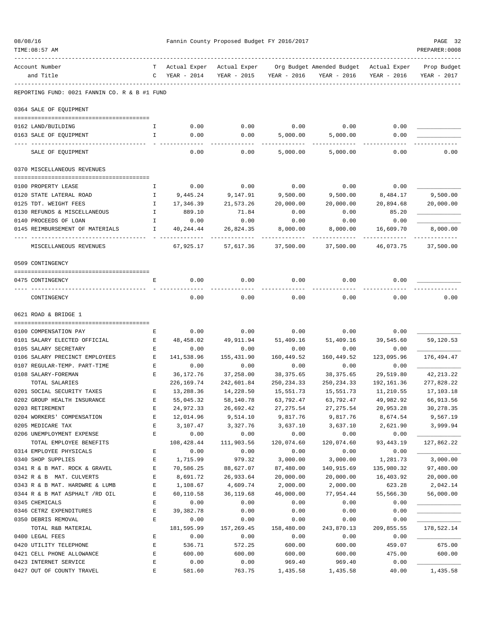| 08/08/16 |                                                    |                    |                  | Fannin County Proposed Budget FY 2016/2017 |                    |                                        |                  | PAGE 32        |
|----------|----------------------------------------------------|--------------------|------------------|--------------------------------------------|--------------------|----------------------------------------|------------------|----------------|
|          | TIME: 08:57 AM                                     |                    |                  |                                            |                    |                                        |                  | PREPARER: 0008 |
|          | Account Number                                     | T                  | Actual Exper     | Actual Exper                               |                    | Org Budget Amended Budget Actual Exper |                  | Prop Budget    |
|          | and Title                                          | C                  | YEAR - 2014      | YEAR - 2015                                | YEAR - 2016        | YEAR - 2016                            | YEAR - 2016      | YEAR - 2017    |
|          | REPORTING FUND: 0021 FANNIN CO. R & B #1 FUND      |                    |                  |                                            |                    |                                        |                  |                |
|          | 0364 SALE OF EQUIPMENT                             |                    |                  |                                            |                    |                                        |                  |                |
|          |                                                    |                    |                  |                                            |                    |                                        |                  |                |
|          | 0162 LAND/BUILDING<br>0163 SALE OF EQUIPMENT       | Ι.<br>$\mathbf{I}$ | 0.00<br>0.00     | 0.00<br>0.00                               | 0.00<br>5,000.00   | 0.00<br>5,000.00                       | 0.00<br>0.00     |                |
|          |                                                    |                    |                  |                                            |                    |                                        |                  |                |
|          | SALE OF EQUIPMENT                                  |                    | 0.00             | 0.00                                       | 5,000.00           | 5,000.00                               | 0.00             | 0.00           |
|          | 0370 MISCELLANEOUS REVENUES                        |                    |                  |                                            |                    |                                        |                  |                |
|          | 0100 PROPERTY LEASE                                | Ι.                 | 0.00             | 0.00                                       | 0.00               | 0.00                                   | 0.00             |                |
|          | 0120 STATE LATERAL ROAD                            | $\mathbf{I}$       | 9,445.24         | 9,147.91                                   | 9,500.00           | 9,500.00                               | 8,484.17         | 9,500.00       |
|          | 0125 TDT. WEIGHT FEES                              | Ι.                 | 17,346.39        | 21,573.26                                  | 20,000.00          | 20,000.00                              | 20,894.68        | 20,000.00      |
|          | 0130 REFUNDS & MISCELLANEOUS                       | $\mathbb{I}$       | 889.10           | 71.84                                      | 0.00               | 0.00                                   | 85.20            |                |
|          | 0140 PROCEEDS OF LOAN                              | $\mathbf{I}$       | 0.00             | 0.00                                       | 0.00               | 0.00                                   | 0.00             |                |
|          | 0145 REIMBURSEMENT OF MATERIALS                    | $\mathbf{I}$       | 40,244.44        | 26,824.35                                  | 8,000.00           | 8,000.00                               | 16,609.70        | 8,000.00       |
|          | MISCELLANEOUS REVENUES                             |                    | 67,925.17        | 57,617.36                                  | 37,500.00          | 37,500.00                              | 46,073.75        | 37,500.00      |
|          | 0509 CONTINGENCY                                   |                    |                  |                                            |                    |                                        |                  |                |
|          | 0475 CONTINGENCY                                   | Е                  | 0.00             | 0.00                                       | 0.00               | 0.00                                   | 0.00             |                |
|          | CONTINGENCY                                        |                    | 0.00             | 0.00                                       | 0.00               | 0.00                                   | 0.00             | 0.00           |
|          | 0621 ROAD & BRIDGE 1                               |                    |                  |                                            |                    |                                        |                  |                |
|          | 0100 COMPENSATION PAY                              | Е                  | 0.00             | 0.00                                       | 0.00               | 0.00                                   | 0.00             |                |
|          | 0101 SALARY ELECTED OFFICIAL                       | Е                  | 48,458.02        | 49,911.94                                  | 51,409.16          | 51,409.16                              | 39,545.60        | 59,120.53      |
|          | 0105 SALARY SECRETARY                              | Е                  | 0.00             | 0.00                                       | 0.00               | 0.00                                   | 0.00             |                |
|          | 0106 SALARY PRECINCT EMPLOYEES                     | Е                  | 141,538.96       | 155,431.90                                 | 160,449.52         | 160,449.52                             | 123,095.96       | 176,494.47     |
|          | 0107 REGULAR-TEMP. PART-TIME                       | Е                  | 0.00             | 0.00                                       | 0.00               | 0.00                                   | 0.00             |                |
|          | 0108 SALARY-FOREMAN                                | E                  | 36,172.76        | 37,258.00                                  | 38,375.65          | 38,375.65                              | 29,519.80        | 42,213.22      |
|          | TOTAL SALARIES                                     |                    | 226, 169.74      | 242,601.84                                 | 250, 234.33        | 250, 234.33                            | 192,161.36       | 277,828.22     |
|          | 0201 SOCIAL SECURITY TAXES                         | E                  | 13,288.36        | 14,228.50                                  | 15,551.73          | 15,551.73                              | 11,210.55        | 17,103.18      |
|          | 0202 GROUP HEALTH INSURANCE                        | Ε                  | 55,045.32        | 58,140.78                                  | 63,792.47          | 63,792.47                              | 49,982.92        | 66,913.56      |
|          | 0203 RETIREMENT                                    | E                  | 24,972.33        | 26,692.42                                  | 27, 275.54         | 27, 275.54                             | 20,953.28        | 30,278.35      |
|          | 0204 WORKERS' COMPENSATION                         | $\mathbf E$        | 12,014.96        | 9,514.10                                   | 9,817.76           | 9,817.76                               | 8,674.54         | 9,567.19       |
|          | 0205 MEDICARE TAX                                  | E                  | 3,107.47         | 3,327.76                                   | 3,637.10           | 3,637.10                               | 2,621.90         | 3,999.94       |
|          | 0206 UNEMPLOYMENT EXPENSE                          | E                  | 0.00             | 0.00                                       | 0.00               | 0.00                                   | 0.00             |                |
|          | TOTAL EMPLOYEE BENEFITS<br>0314 EMPLOYEE PHYSICALS |                    | 108,428.44       | 111,903.56                                 | 120,074.60<br>0.00 | 120,074.60<br>0.00                     | 93, 443. 19      | 127,862.22     |
|          | 0340 SHOP SUPPLIES                                 | Ε<br>E             | 0.00<br>1,715.99 | 0.00<br>979.32                             | 3,000.00           | 3,000.00                               | 0.00<br>1,281.73 | 3,000.00       |
|          | 0341 R & B MAT. ROCK & GRAVEL                      | $\mathbf E$        | 70,586.25        | 88,627.07                                  | 87,480.00          | 140,915.69                             | 135,980.32       | 97,480.00      |
|          | 0342 R & B MAT. CULVERTS                           | E                  | 8,691.72         | 26,933.64                                  | 20,000.00          | 20,000.00                              | 16,403.92        | 20,000.00      |
|          | 0343 R & B MAT. HARDWRE & LUMB                     | E                  | 1,108.67         | 4,609.74                                   | 2,000.00           | 2,000.00                               | 623.28           | 2,042.14       |
|          | 0344 R & B MAT ASPHALT /RD OIL                     | Ε                  | 60,110.58        | 36,119.68                                  | 46,000.00          | 77,954.44                              | 55,566.30        | 56,000.00      |
|          | 0345 CHEMICALS                                     | E                  | 0.00             | 0.00                                       | 0.00               | 0.00                                   | 0.00             |                |
|          | 0346 CETRZ EXPENDITURES                            | $\mathbf E$        | 39, 382. 78      | 0.00                                       | 0.00               | 0.00                                   | 0.00             |                |
|          | 0350 DEBRIS REMOVAL                                | E                  | 0.00             | 0.00                                       | 0.00               | 0.00                                   | 0.00             |                |
|          | TOTAL R&B MATERIAL                                 |                    | 181,595.99       | 157,269.45                                 | 158,480.00         | 243,870.13                             | 209,855.55       | 178,522.14     |
|          | 0400 LEGAL FEES                                    | E                  | 0.00             | 0.00                                       | 0.00               | 0.00                                   | 0.00             |                |
|          | 0420 UTILITY TELEPHONE                             | E                  | 536.71           | 572.25                                     | 600.00             | 600.00                                 | 459.07           | 675.00         |
|          | 0421 CELL PHONE ALLOWANCE                          | $\mathbf E$        | 600.00           | 600.00                                     | 600.00             | 600.00                                 | 475.00           | 600.00         |
|          | 0423 INTERNET SERVICE                              | E<br>E             | 0.00             | 0.00                                       | 969.40             | 969.40                                 | 0.00             | 1,435.58       |
|          | 0427 OUT OF COUNTY TRAVEL                          |                    | 581.60           | 763.75                                     | 1,435.58           | 1,435.58                               | 40.00            |                |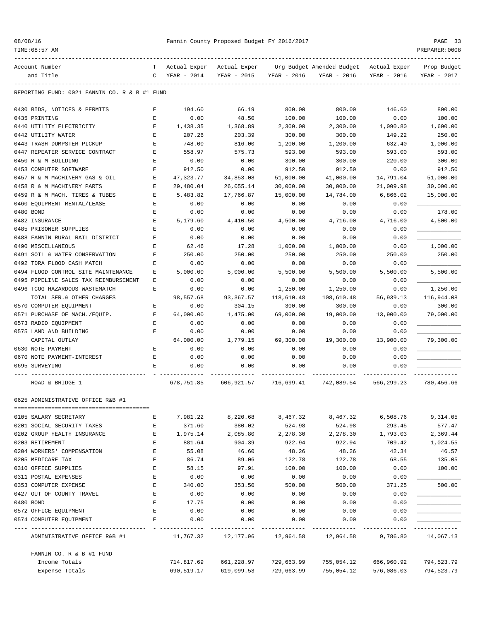|  | 08/08/16 |  |
|--|----------|--|
|  |          |  |

| TIME: 08:57 AM                                |             |              |              |             |                           |              | PREPARER: 0008 |
|-----------------------------------------------|-------------|--------------|--------------|-------------|---------------------------|--------------|----------------|
| Account Number                                | т           | Actual Exper | Actual Exper |             | Org Budget Amended Budget | Actual Exper | Prop Budget    |
| and Title                                     | C           | YEAR - 2014  | YEAR - 2015  | YEAR - 2016 | YEAR - 2016               | YEAR - 2016  | YEAR - 2017    |
| REPORTING FUND: 0021 FANNIN CO. R & B #1 FUND |             |              |              |             |                           |              |                |
| 0430 BIDS, NOTICES & PERMITS                  | Е           | 194.60       | 66.19        | 800.00      | 800.00                    | 146.60       | 800.00         |
| 0435 PRINTING                                 | E           | 0.00         | 48.50        | 100.00      | 100.00                    | 0.00         | 100.00         |
| 0440 UTILITY ELECTRICITY                      | E           | 1,438.35     | 1,368.89     | 2,300.00    | 2,300.00                  | 1,090.80     | 1,600.00       |
| 0442 UTILITY WATER                            | $\mathbf E$ | 207.26       | 203.39       | 300.00      | 300.00                    | 149.22       | 250.00         |
| 0443 TRASH DUMPSTER PICKUP                    | $\mathbf E$ | 748.00       | 816.00       | 1,200.00    | 1,200.00                  | 632.40       | 1,000.00       |
| 0447 REPEATER SERVICE CONTRACT                | Е           | 558.97       | 575.73       | 593.00      | 593.00                    | 593.00       | 593.00         |
| 0450 R & M BUILDING                           | E           | 0.00         | 0.00         | 300.00      | 300.00                    | 220.00       | 300.00         |
| 0453 COMPUTER SOFTWARE                        | $\mathbf E$ | 912.50       | 0.00         | 912.50      | 912.50                    | 0.00         | 912.50         |
| 0457 R & M MACHINERY GAS & OIL                | Е           | 47,323.77    | 34,853.08    | 51,000.00   | 41,000.00                 | 14,791.04    | 51,000.00      |
| 0458 R & M MACHINERY PARTS                    | Е           | 29,480.04    | 26,055.14    | 30,000.00   | 30,000.00                 | 21,009.98    | 30,000.00      |
| 0459 R & M MACH. TIRES & TUBES                | Е           | 5,483.82     | 17,766.87    | 15,000.00   | 14,784.00                 | 6,866.02     | 15,000.00      |
| 0460 EQUIPMENT RENTAL/LEASE                   | Е           | 0.00         | 0.00         | 0.00        | 0.00                      | 0.00         |                |
| 0480 BOND                                     | $\mathbf E$ | 0.00         | 0.00         | 0.00        | 0.00                      | 0.00         | 178.00         |
| 0482 INSURANCE                                | $\mathbf E$ | 5,179.60     | 4,410.50     | 4,500.00    | 4,716.00                  | 4,716.00     | 4,500.00       |
| 0485 PRISONER SUPPLIES                        | $\mathbf E$ | 0.00         | 0.00         | 0.00        | 0.00                      | 0.00         |                |
| 0488 FANNIN RURAL RAIL DISTRICT               | $\mathbf E$ | 0.00         | 0.00         | 0.00        | 0.00                      | 0.00         |                |
| 0490 MISCELLANEOUS                            | Е           | 62.46        | 17.28        | 1,000.00    | 1,000.00                  | 0.00         | 1,000.00       |
| 0491 SOIL & WATER CONSERVATION                | E           | 250.00       | 250.00       | 250.00      | 250.00                    | 250.00       | 250.00         |
| 0492 TDRA FLOOD CASH MATCH                    | E           | 0.00         | 0.00         | 0.00        | 0.00                      | 0.00         |                |
| 0494 FLOOD CONTROL SITE MAINTENANCE           | Е           | 5,000.00     | 5,000.00     | 5,500.00    | 5,500.00                  | 5,500.00     | 5,500.00       |
| 0495 PIPELINE SALES TAX REIMBURSEMENT         | Ε           | 0.00         | 0.00         | 0.00        | 0.00                      | 0.00         |                |
| 0496 TCOG HAZARDOUS WASTEMATCH                | E           | 0.00         | 0.00         | 1,250.00    | 1,250.00                  | 0.00         | 1,250.00       |
| TOTAL SER.& OTHER CHARGES                     |             | 98,557.68    | 93, 367.57   | 118,610.48  | 108,610.48                | 56,939.13    | 116,944.08     |
| 0570 COMPUTER EQUIPMENT                       | Ε           | 0.00         | 304.15       | 300.00      | 300.00                    | 0.00         | 300.00         |
| 0571 PURCHASE OF MACH./EQUIP.                 | E           | 64,000.00    | 1,475.00     | 69,000.00   | 19,000.00                 | 13,900.00    | 79,000.00      |
| 0573 RADIO EQUIPMENT                          | E           | 0.00         | 0.00         | 0.00        | 0.00                      | 0.00         |                |
| 0575 LAND AND BUILDING                        | Е           | 0.00         | 0.00         | 0.00        | 0.00                      | 0.00         |                |
| CAPITAL OUTLAY                                |             | 64,000.00    | 1,779.15     | 69,300.00   | 19,300.00                 | 13,900.00    | 79,300.00      |
| 0630 NOTE PAYMENT                             | E           | 0.00         | 0.00         | 0.00        | 0.00                      | 0.00         |                |
| 0670 NOTE PAYMENT-INTEREST                    | E           | 0.00         | 0.00         | 0.00        | 0.00                      | 0.00         |                |
| 0695 SURVEYING                                | E           | 0.00         | 0.00         | 0.00        | 0.00                      | 0.00         |                |
| ROAD & BRIDGE 1                               |             | 678,751.85   | 606,921.57   | 716,699.41  | 742,089.54                | 566,299.23   | 780,456.66     |
| 0625 ADMINISTRATIVE OFFICE R&B #1             |             |              |              |             |                           |              |                |
| 0105 SALARY SECRETARY                         | E           | 7,981.22     | 8,220.68     | 8,467.32    | 8,467.32                  | 6,508.76     | 9,314.05       |
| 0201 SOCIAL SECURITY TAXES                    | E           | 371.60       | 380.02       | 524.98      | 524.98                    | 293.45       | 577.47         |
| 0202 GROUP HEALTH INSURANCE                   | Е           | 1,975.14     | 2,085.80     | 2,278.30    | 2,278.30                  | 1,793.03     | 2,369.44       |
| 0203 RETIREMENT                               | E           | 881.64       | 904.39       | 922.94      | 922.94                    | 709.42       | 1,024.55       |
| 0204 WORKERS' COMPENSATION                    | $\mathbf E$ | 55.08        | 46.60        | 48.26       | 48.26                     | 42.34        | 46.57          |
| 0205 MEDICARE TAX                             | E           | 86.74        | 89.06        | 122.78      | 122.78                    | 68.55        | 135.05         |
| 0310 OFFICE SUPPLIES                          | E           | 58.15        | 97.91        | 100.00      | 100.00                    | 0.00         | 100.00         |
| 0311 POSTAL EXPENSES                          | $\mathbf E$ | 0.00         | 0.00         | 0.00        | 0.00                      | 0.00         |                |
| 0353 COMPUTER EXPENSE                         | $\mathbf E$ | 340.00       | 353.50       | 500.00      | 500.00                    | 371.25       | 500.00         |
| 0427 OUT OF COUNTY TRAVEL                     | E           | 0.00         | 0.00         | 0.00        | 0.00                      | 0.00         |                |
| 0480 BOND                                     | E           | 17.75        | 0.00         | 0.00        | 0.00                      | 0.00         |                |
| 0572 OFFICE EQUIPMENT                         | E           | 0.00         | 0.00         | 0.00        | 0.00                      | 0.00         |                |
| 0574 COMPUTER EQUIPMENT                       | Е           | 0.00         | 0.00         | 0.00        | 0.00                      | 0.00         |                |
| ADMINISTRATIVE OFFICE R&B #1                  |             | 11,767.32    | 12,177.96    | 12,964.58   | 12,964.58                 | 9,786.80     | 14,067.13      |
| FANNIN CO. R & B #1 FUND                      |             |              |              |             |                           |              |                |
| Income Totals                                 |             | 714,817.69   | 661,228.97   | 729,663.99  | 755,054.12                | 666,960.92   | 794,523.79     |
| Expense Totals                                |             | 690,519.17   | 619,099.53   | 729,663.99  | 755,054.12                | 576,086.03   | 794,523.79     |
|                                               |             |              |              |             |                           |              |                |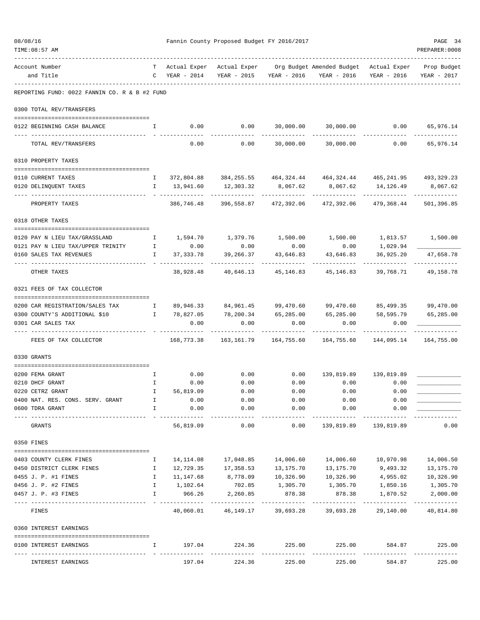| 08/08/16 | TIME: 08:57 AM                                                 |                    |                         | Fannin County Proposed Budget FY 2016/2017 |                                |                                                                                               |                           | PAGE 34<br>PREPARER: 0008     |
|----------|----------------------------------------------------------------|--------------------|-------------------------|--------------------------------------------|--------------------------------|-----------------------------------------------------------------------------------------------|---------------------------|-------------------------------|
|          | Account Number<br>and Title                                    |                    | $C$ YEAR - 2014         | YEAR - 2015                                | YEAR - 2016                    | T Actual Exper Actual Exper Org Budget Amended Budget Actual Exper Prop Budget<br>YEAR - 2016 | YEAR - 2016               | YEAR - 2017                   |
|          | REPORTING FUND: 0022 FANNIN CO. R & B #2 FUND                  |                    |                         |                                            |                                |                                                                                               |                           |                               |
|          | 0300 TOTAL REV/TRANSFERS                                       |                    |                         |                                            |                                |                                                                                               |                           |                               |
|          | 0122 BEGINNING CASH BALANCE                                    | $\mathbf{I}$       |                         | $0.00$ 0.00                                |                                | 30,000.00 30,000.00 0.00 65,976.14                                                            |                           |                               |
|          | TOTAL REV/TRANSFERS                                            |                    | 0.00                    |                                            | $0.00$ 30,000.00               | 30,000.00                                                                                     | 0.00                      | -----------<br>65,976.14      |
|          | 0310 PROPERTY TAXES                                            |                    |                         |                                            |                                |                                                                                               |                           |                               |
|          | 0110 CURRENT TAXES                                             |                    |                         |                                            |                                | 1 372,804.88 384,255.55 464,324.44 464,324.44 465,241.95 493,329.23                           |                           |                               |
|          | 0120 DELINQUENT TAXES                                          | $\mathbf{I}$       | 13,941.60               | 12,303.32                                  | 8,067.62                       | 8,067.62                                                                                      | 14,126.49                 | 8,067.62                      |
|          | PROPERTY TAXES                                                 |                    | 386,746.48              | 396,558.87                                 | 472,392.06                     | 472,392.06                                                                                    | -----------<br>479,368.44 | ----------<br>501,396.85      |
|          | 0318 OTHER TAXES                                               |                    |                         |                                            |                                |                                                                                               |                           |                               |
|          | 0120 PAY N LIEU TAX/GRASSLAND                                  | $\mathbb{I}$       |                         | 1,594.70 1,379.76                          |                                | $1,500.00$ $1,500.00$ $1,813.57$ $1,500.00$                                                   |                           |                               |
|          | $\mathbf{I}$<br>0121 PAY N LIEU TAX/UPPER TRINITY              |                    | 0.00                    | 0.00                                       | 0.00                           | 0.00                                                                                          | 1,029.94                  |                               |
|          | 0160 SALES TAX REVENUES                                        | $\mathbf{I}$       | 37,333.78               | 39,266.37                                  | 43,646.83                      | 43,646.83                                                                                     | 36,925.20                 | 47,658.78                     |
|          | OTHER TAXES                                                    |                    | 38,928.48               |                                            |                                | 40,646.13 45,146.83 45,146.83                                                                 | 39,768.71                 | 49,158.78                     |
|          | 0321 FEES OF TAX COLLECTOR                                     |                    |                         |                                            |                                |                                                                                               |                           |                               |
|          | 0200 CAR REGISTRATION/SALES TAX<br>$\mathbf{I}$                |                    |                         |                                            |                                | 89,946.33 84,961.45 99,470.60 99,470.60 85,499.35 99,470.00                                   |                           |                               |
|          | 0300 COUNTY'S ADDITIONAL \$10<br>$\mathbf{I}$ and $\mathbf{I}$ |                    |                         | 78,827.05 78,200.34 65,285.00              |                                | 65,285.00 58,595.79                                                                           |                           | 65,285.00                     |
|          | 0301 CAR SALES TAX                                             |                    | 0.00                    | 0.00                                       | 0.00                           | 0.00                                                                                          | 0.00                      |                               |
|          | FEES OF TAX COLLECTOR                                          |                    | 168,773.38              | 163,161.79                                 |                                | 164,755.60 164,755.60                                                                         | 144,095.14                | 164,755.00                    |
|          | 0330 GRANTS                                                    |                    |                         |                                            |                                |                                                                                               |                           |                               |
|          | 0200 FEMA GRANT                                                | $\mathbb{I}$       | 0.00                    | 0.00                                       | 0.00                           |                                                                                               | 139,819.89 139,819.89     |                               |
|          | 0210 DHCF GRANT                                                | $\mathbb{I}$       | 0.00                    | 0.00                                       | 0.00                           | 0.00                                                                                          | 0.00                      |                               |
|          | 0220 CETRZ GRANT                                               | Ι.                 | 56,819.09               | 0.00                                       | 0.00                           | 0.00                                                                                          | 0.00                      |                               |
|          | 0400 NAT. RES. CONS. SERV. GRANT                               | Ι.                 | 0.00                    | 0.00                                       | 0.00                           | 0.00                                                                                          | 0.00                      |                               |
|          | 0600 TDRA GRANT                                                | I.                 | 0.00<br>_______________ | 0.00<br>----------                         | 0.00<br>---------              | 0.00<br>----------                                                                            | 0.00                      |                               |
|          | GRANTS                                                         |                    | 56,819.09               | 0.00                                       | 0.00                           | 139,819.89                                                                                    | 139,819.89                | 0.00                          |
|          | 0350 FINES                                                     |                    |                         |                                            |                                |                                                                                               |                           |                               |
|          | 0403 COUNTY CLERK FINES                                        | Ι.                 | 14,114.08               |                                            |                                | 14,006.60                                                                                     | 10,970.98                 | 14,006.50                     |
|          | 0450 DISTRICT CLERK FINES                                      | $\mathbf{I}$       | 12,729.35               | 17,358.53                                  | 13,175.70                      | 13,175.70                                                                                     | 9,493.32                  | 13,175.70                     |
|          | 0455 J. P. #1 FINES                                            | $\mathbf{I}$       | 11,147.68               | 8,778.09                                   | 10,326.90                      | 10,326.90                                                                                     | 4,955.02                  | 10,326.90                     |
|          | 0456 J. P. #2 FINES<br>0457 J. P. #3 FINES                     | $\mathbf{I}$<br>I. | 1,102.64<br>966.26      | 702.85<br>2,260.85                         | 1,305.70<br>878.38             | 1,305.70<br>878.38                                                                            | 1,870.52                  | 1,850.16 1,305.70<br>2,000.00 |
|          |                                                                |                    | - -------------         | -------------                              | -------------                  | ----------                                                                                    | -------------             | -------------                 |
|          | FINES                                                          |                    |                         | 40,060.01 46,149.17                        | 39,693.28                      | 39,693.28                                                                                     | 29,140.00                 | 40,814.80                     |
|          | 0360 INTEREST EARNINGS                                         |                    |                         |                                            |                                |                                                                                               |                           |                               |
|          | 0100 INTEREST EARNINGS                                         | I.                 | 197.04                  | _____________                              | 224.36 225.00<br>------------- | 225.00<br>-------------                                                                       | 584.87                    | 225.00<br>-------------       |
|          | INTEREST EARNINGS                                              |                    | 197.04                  | 224.36                                     | 225.00                         | 225.00                                                                                        | 584.87                    | 225.00                        |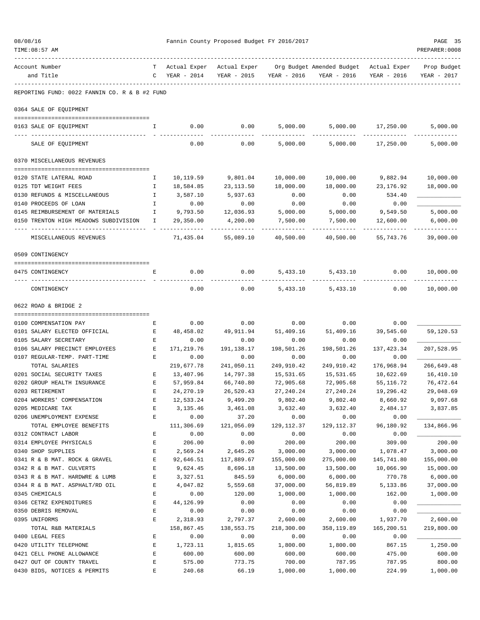| 08/08/16 | TIME: 08:57 AM                                                                   |              |                         | Fannin County Proposed Budget FY 2016/2017 |                         |                                                                                             |                       | PAGE 35<br>PREPARER: 0008 |
|----------|----------------------------------------------------------------------------------|--------------|-------------------------|--------------------------------------------|-------------------------|---------------------------------------------------------------------------------------------|-----------------------|---------------------------|
|          | Account Number<br>and Title                                                      | T –          | $C$ YEAR - 2014         |                                            | YEAR - 2015 YEAR - 2016 | Actual Exper Actual Exper Org Budget Amended Budget Actual Exper Prop Budget<br>YEAR - 2016 | YEAR - 2016           | YEAR - 2017               |
|          | REPORTING FUND: 0022 FANNIN CO. R & B #2 FUND                                    |              |                         |                                            |                         |                                                                                             |                       |                           |
|          | 0364 SALE OF EQUIPMENT                                                           |              |                         |                                            |                         |                                                                                             |                       |                           |
|          | 0163 SALE OF EQUIPMENT                                                           | I.           | 0.00                    | 0.00                                       | 5,000.00                |                                                                                             | 5,000.00 17,250.00    | 5,000.00<br>----------    |
|          | SALE OF EQUIPMENT                                                                |              | 0.00                    | 0.00                                       | 5,000.00                | 5,000.00                                                                                    | 17,250.00             | 5,000.00                  |
|          | 0370 MISCELLANEOUS REVENUES                                                      |              |                         |                                            |                         |                                                                                             |                       |                           |
|          | 0120 STATE LATERAL ROAD                                                          | Ι.           | 10,119.59               | 9,801.04                                   | 10,000.00               | 10,000.00                                                                                   | 9,882.94              | 10,000.00                 |
|          | 0125 TDT WEIGHT FEES                                                             | I.           | 18,584.85               | 23,113.50                                  | 18,000.00               | 18,000.00                                                                                   | 23,176.92             | 18,000.00                 |
|          | 0130 REFUNDS & MISCELLANEOUS                                                     | $\mathbf{I}$ | 3,587.10                | 5,937.63                                   | 0.00                    | 0.00                                                                                        | 534.40                |                           |
|          | 0140 PROCEEDS OF LOAN                                                            | Ι.           | 0.00                    | 0.00                                       | 0.00                    | 0.00                                                                                        | 0.00                  |                           |
|          | 0145 REIMBURSEMENT OF MATERIALS<br>$\mathbf{I}$ and $\mathbf{I}$                 |              | 9,793.50                | 12,036.93                                  | 5,000.00                | 5,000.00                                                                                    | 9,549.50              | 5,000.00                  |
|          | 0150 TRENTON HIGH MEADOWS SUBDIVISION                                            | Ι.           | 29,350.00               | 4,200.00                                   | 7,500.00                | 7,500.00                                                                                    | 12,600.00             | 6,000.00<br>----------    |
|          | MISCELLANEOUS REVENUES                                                           |              | 71,435.04               | 55,089.10                                  | 40,500.00               | 40,500.00                                                                                   | 55,743.76             | 39,000.00                 |
|          | 0509 CONTINGENCY                                                                 |              |                         |                                            |                         |                                                                                             |                       |                           |
|          | 0475 CONTINGENCY                                                                 | Е            | 0.00                    | 0.00                                       | 5,433.10                | 5,433.10                                                                                    | 0.00                  | 10,000.00                 |
|          | CONTINGENCY                                                                      |              | 0.00                    | 0.00                                       |                         | 5,433.10 5,433.10                                                                           | 0.00                  | 10,000.00                 |
|          |                                                                                  |              |                         |                                            |                         |                                                                                             |                       |                           |
|          | 0622 ROAD & BRIDGE 2                                                             |              |                         |                                            |                         |                                                                                             |                       |                           |
|          | 0100 COMPENSATION PAY                                                            | Е            | 0.00                    | 0.00                                       | 0.00                    | 0.00                                                                                        | 0.00                  |                           |
|          | 0101 SALARY ELECTED OFFICIAL                                                     | E            | 48,458.02               | 49,911.94                                  | 51,409.16               | 51,409.16                                                                                   | 39,545.60             | 59,120.53                 |
|          | 0105 SALARY SECRETARY                                                            | Е            | 0.00                    | 0.00                                       | 0.00                    | 0.00                                                                                        | 0.00                  |                           |
|          | 0106 SALARY PRECINCT EMPLOYEES<br><b>Expanding Expanding Expanding Expanding</b> |              | 171,219.76              | 191,138.17                                 | 198,501.26              | 198,501.26                                                                                  | 137,423.34            | 207,528.95                |
|          | 0107 REGULAR-TEMP. PART-TIME                                                     | Е            | 0.00                    | 0.00                                       | 0.00                    | 0.00                                                                                        | 0.00                  |                           |
|          | TOTAL SALARIES                                                                   |              | 219,677.78              | 241,050.11                                 | 249,910.42              | 249,910.42                                                                                  | 176,968.94            | 266,649.48                |
|          | 0201 SOCIAL SECURITY TAXES                                                       | Е            | 13,407.96               | 14,797.38                                  | 15,531.65               | 15,531.65                                                                                   | 10,622.69             | 16,410.10                 |
|          | 0202 GROUP HEALTH INSURANCE                                                      | E            | 57,959.84               | 66,740.80                                  | 72,905.68               | 72,905.68                                                                                   | 55,116.72             | 76,472.64                 |
|          | 0203 RETIREMENT<br>0204 WORKERS' COMPENSATION                                    | E<br>E       | 24, 270.19<br>12,533.24 | 26,520.43<br>9,499.20                      | 27, 240.24<br>9,802.40  | 27, 240.24<br>9,802.40                                                                      | 19,296.42<br>8,660.92 | 29,048.69<br>9,097.68     |
|          | 0205 MEDICARE TAX                                                                | $\mathbf E$  | 3, 135.46               | 3,461.08                                   | 3,632.40                | 3,632.40                                                                                    | 2,484.17              | 3,837.85                  |
|          | 0206 UNEMPLOYMENT EXPENSE                                                        | $\mathbf E$  | 0.00                    | 37.20                                      | 0.00                    | 0.00                                                                                        | 0.00                  |                           |
|          | TOTAL EMPLOYEE BENEFITS                                                          |              | 111,306.69              | 121,056.09                                 | 129, 112.37             | 129, 112.37                                                                                 | 96,180.92             | 134,866.96                |
|          | 0312 CONTRACT LABOR                                                              | E            | 0.00                    | 0.00                                       | 0.00                    | 0.00                                                                                        | 0.00                  |                           |
|          | 0314 EMPLOYEE PHYSICALS                                                          | E            | 206.00                  | 0.00                                       | 200.00                  | 200.00                                                                                      | 309.00                | 200.00                    |
|          | 0340 SHOP SUPPLIES                                                               | E            | 2,569.24                | 2,645.26                                   | 3,000.00                | 3,000.00                                                                                    | 1,078.47              | 3,000.00                  |
|          | 0341 R & B MAT. ROCK & GRAVEL                                                    | E            | 92,646.51               | 117,889.67                                 | 155,000.00              | 275,000.00                                                                                  | 145,741.80            | 155,000.00                |
|          | 0342 R & B MAT. CULVERTS                                                         | $\mathbf E$  | 9,624.45                | 8,696.18                                   | 13,500.00               | 13,500.00                                                                                   | 10,066.90             | 15,000.00                 |
|          | 0343 R & B MAT. HARDWRE & LUMB                                                   | E            | 3,327.51                | 845.59                                     | 6,000.00                | 6,000.00                                                                                    | 770.78                | 6,000.00                  |
|          | 0344 R & B MAT. ASPHALT/RD OIL                                                   | E            | 4,047.82                | 5,559.68                                   | 37,000.00               | 56,819.89                                                                                   | 5,133.86              | 37,000.00                 |
|          | 0345 CHEMICALS                                                                   | E<br>E       | 0.00                    | 120.00<br>0.00                             | 1,000.00<br>0.00        | 1,000.00                                                                                    | 162.00                | 1,000.00                  |
|          | 0346 CETRZ EXPENDITURES<br>0350 DEBRIS REMOVAL                                   | E            | 44,126.99<br>0.00       | 0.00                                       | 0.00                    | 0.00<br>0.00                                                                                | 0.00<br>0.00          |                           |
|          | 0395 UNIFORMS                                                                    | E            | 2,318.93                | 2,797.37                                   | 2,600.00                | 2,600.00                                                                                    | 1,937.70              | 2,600.00                  |
|          | TOTAL R&B MATERIALS                                                              |              | 158,867.45              | 138,553.75                                 | 218,300.00              | 358,119.89                                                                                  | 165,200.51            | 219,800.00                |
|          | 0400 LEGAL FEES                                                                  | E            | 0.00                    | 0.00                                       | 0.00                    | 0.00                                                                                        | 0.00                  |                           |
|          | 0420 UTILITY TELEPHONE                                                           | E            | 1,723.11                | 1,815.65                                   | 1,800.00                | 1,800.00                                                                                    | 867.15                | 1,250.00                  |
|          | 0421 CELL PHONE ALLOWANCE                                                        | $\mathbf E$  | 600.00                  | 600.00                                     | 600.00                  | 600.00                                                                                      | 475.00                | 600.00                    |
|          | 0427 OUT OF COUNTY TRAVEL                                                        | $\mathbf E$  | 575.00                  | 773.75                                     | 700.00                  | 787.95                                                                                      | 787.95                | 800.00                    |
|          | 0430 BIDS, NOTICES & PERMITS                                                     | $\mathbf E$  | 240.68                  | 66.19                                      | 1,000.00                | 1,000.00                                                                                    | 224.99                | 1,000.00                  |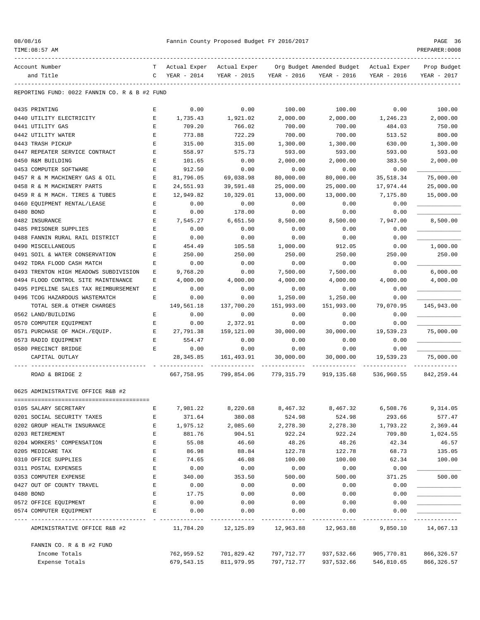|  | 08/08/16 |  |
|--|----------|--|
|  |          |  |

TIME:08:57 AM PREPARER:0008

## Pannin County Proposed Budget FY 2016/2017 PAGE 36

| Account Number                                |              |                 |                                  |             | T Actual Exper Actual Exper Org Budget Amended Budget Actual Exper |             | Prop Budget |
|-----------------------------------------------|--------------|-----------------|----------------------------------|-------------|--------------------------------------------------------------------|-------------|-------------|
| and Title                                     | $\mathbf{C}$ | $YEAR - 2014$   | YEAR - 2015                      | YEAR - 2016 | YEAR - 2016                                                        | YEAR - 2016 | YEAR - 2017 |
| REPORTING FUND: 0022 FANNIN CO. R & B #2 FUND |              |                 |                                  |             |                                                                    |             |             |
| 0435 PRINTING                                 | Е            | 0.00            | 0.00                             | 100.00      | 100.00                                                             | 0.00        | 100.00      |
| 0440 UTILITY ELECTRICITY                      | Е            | 1,735.43        | 1,921.02                         | 2,000.00    | 2,000.00                                                           | 1,246.23    | 2,000.00    |
| 0441 UTILITY GAS                              | Е            | 709.20          | 766.02                           | 700.00      | 700.00                                                             | 484.03      | 750.00      |
| 0442 UTILITY WATER                            | Е            | 773.88          | 722.29                           | 700.00      | 700.00                                                             | 513.52      | 800.00      |
| 0443 TRASH PICKUP                             | E            | 315.00          | 315.00                           | 1,300.00    | 1,300.00                                                           | 630.00      | 1,300.00    |
| 0447 REPEATER SERVICE CONTRACT                | E            | 558.97          | 575.73                           | 593.00      | 593.00                                                             | 593.00      | 593.00      |
| 0450 R&M BUILDING                             | E            | 101.65          | 0.00                             | 2,000.00    | 2,000.00                                                           | 383.50      | 2,000.00    |
| 0453 COMPUTER SOFTWARE                        | Е            | 912.50          | 0.00                             | 0.00        | 0.00                                                               | 0.00        |             |
| 0457 R & M MACHINERY GAS & OIL                | Е            | 81,796.05       | 69,038.98                        | 80,000.00   | 80,000.00                                                          | 35,518.34   | 75,000.00   |
| 0458 R & M MACHINERY PARTS                    | Е            | 24,551.93       | 39,591.48                        | 25,000.00   | 25,000.00                                                          | 17,974.44   | 25,000.00   |
| 0459 R & M MACH. TIRES & TUBES                | Е            | 12,949.82       | 10,329.01                        | 13,000.00   | 13,000.00                                                          | 7,175.80    | 15,000.00   |
| 0460 EQUIPMENT RENTAL/LEASE                   | $\mathbf E$  | 0.00            | 0.00                             | 0.00        | 0.00                                                               | 0.00        |             |
| 0480 BOND                                     | Е            | 0.00            | 178.00                           | 0.00        | 0.00                                                               | 0.00        |             |
| 0482 INSURANCE                                | Е            | 7,545.27        | 6,651.50                         | 8,500.00    | 8,500.00                                                           | 7,947.00    | 8,500.00    |
| 0485 PRISONER SUPPLIES                        | Е            | 0.00            | 0.00                             | 0.00        | 0.00                                                               | 0.00        |             |
| 0488 FANNIN RURAL RAIL DISTRICT               | Е            | 0.00            | 0.00                             | 0.00        | 0.00                                                               | 0.00        |             |
| 0490 MISCELLANEOUS                            | E            | 454.49          | 105.58                           | 1,000.00    | 912.05                                                             | 0.00        | 1,000.00    |
| 0491 SOIL & WATER CONSERVATION                | Е            | 250.00          | 250.00                           | 250.00      | 250.00                                                             | 250.00      | 250.00      |
| 0492 TDRA FLOOD CASH MATCH                    | Е            | 0.00            | 0.00                             | 0.00        | 0.00                                                               | 0.00        |             |
| 0493 TRENTON HIGH MEADOWS SUBDIVISION         | Е            | 9,768.20        | 0.00                             | 7,500.00    | 7,500.00                                                           | 0.00        | 6,000.00    |
| 0494 FLOOD CONTROL SITE MAINTENANCE           | Е            | 4,000.00        | 4,000.00                         | 4,000.00    | 4,000.00                                                           | 4,000.00    | 4,000.00    |
| 0495 PIPELINE SALES TAX REIMBURSEMENT         | Е            | 0.00            | 0.00                             | 0.00        | 0.00                                                               | 0.00        |             |
| 0496 TCOG HAZARDOUS WASTEMATCH                | Е            | 0.00            | 0.00                             | 1,250.00    | 1,250.00                                                           | 0.00        |             |
| TOTAL SER.& OTHER CHARGES                     |              | 149,561.18      | 137,700.20                       | 151,993.00  | 151,993.00                                                         | 79,070.95   | 145,943.00  |
| 0562 LAND/BUILDING                            | Е            | 0.00            | 0.00                             | 0.00        | 0.00                                                               | 0.00        |             |
| 0570 COMPUTER EQUIPMENT                       | Е            | 0.00            | 2,372.91                         | 0.00        | 0.00                                                               | 0.00        |             |
| 0571 PURCHASE OF MACH./EQUIP.                 | E            | 27,791.38       | 159,121.00                       | 30,000.00   | 30,000.00                                                          | 19,539.23   | 75,000.00   |
| 0573 RADIO EQUIPMENT                          | E            | 554.47          | 0.00                             | 0.00        | 0.00                                                               | 0.00        |             |
| 0580 PRECINCT BRIDGE                          | E            | 0.00            | 0.00                             | 0.00        | 0.00                                                               | 0.00        |             |
| CAPITAL OUTLAY                                |              | 28, 345.85      | 161,493.91                       | 30,000.00   | 30,000.00                                                          | 19,539.23   | 75,000.00   |
| ROAD & BRIDGE 2                               |              |                 | 667,758.95 799,854.06 779,315.79 |             | 919,135.68                                                         | 536,960.55  | 842,259.44  |
| 0625 ADMINISTRATIVE OFFICE R&B #2             |              |                 |                                  |             |                                                                    |             |             |
| 0105 SALARY SECRETARY                         | Е            | 7,981.22        | 8,220.68                         | 8,467.32    | 8,467.32                                                           | 6,508.76    | 9,314.05    |
| 0201 SOCIAL SECURITY TAXES                    | Ε            | 371.64          | 380.08                           | 524.98      | 524.98                                                             | 293.66      | 577.47      |
| 0202 GROUP HEALTH INSURANCE                   | E            | 1,975.12        | 2,085.60                         | 2,278.30    | 2,278.30                                                           | 1,793.22    | 2,369.44    |
| 0203 RETIREMENT                               | E            | 881.76          | 904.51                           | 922.24      | 922.24                                                             | 709.80      | 1,024.55    |
| 0204 WORKERS' COMPENSATION                    | E            | 55.08           | 46.60                            | 48.26       | 48.26                                                              | 42.34       | 46.57       |
| 0205 MEDICARE TAX                             | Ε            | 86.98           | 88.84                            | 122.78      | 122.78                                                             | 68.73       | 135.05      |
| 0310 OFFICE SUPPLIES                          | Е            | 74.65           | 46.08                            | 100.00      | 100.00                                                             | 62.34       | 100.00      |
| 0311 POSTAL EXPENSES                          | E            | 0.00            | 0.00                             | 0.00        | 0.00                                                               | 0.00        |             |
| 0353 COMPUTER EXPENSE                         | E            | 340.00          | 353.50                           | 500.00      | 500.00                                                             | 371.25      | 500.00      |
| 0427 OUT OF COUNTY TRAVEL                     | E            | 0.00            | 0.00                             | 0.00        | 0.00                                                               | 0.00        |             |
| 0480 BOND                                     | E            | 17.75           | 0.00                             | 0.00        | 0.00                                                               | 0.00        |             |
| 0572 OFFICE EQUIPMENT                         | Е            | 0.00            | 0.00                             | 0.00        | 0.00                                                               | 0.00        |             |
| 0574 COMPUTER EQUIPMENT                       | Е            | 0.00            | 0.00                             | 0.00        | 0.00                                                               | 0.00        |             |
| ADMINISTRATIVE OFFICE R&B #2                  |              | _______________ |                                  |             | 11,784.20    12,125.89    12,963.88    12,963.88                   | 9,850.10    | 14,067.13   |
| FANNIN CO. R & B #2 FUND                      |              |                 |                                  |             |                                                                    |             |             |
| Income Totals                                 |              | 762,959.52      | 701,829.42                       | 797,712.77  | 937,532.66                                                         | 905,770.81  | 866, 326.57 |

Expense Totals 679,543.15 811,979.95 797,712.77 937,532.66 546,810.65 866,326.57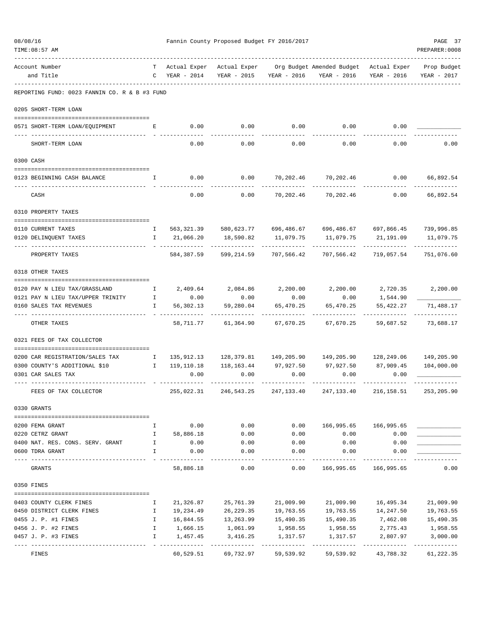| 08/08/16  | TIME: 08:57 AM                                            |                                                                                                                                                                                                                                                                                                  |                                 | Fannin County Proposed Budget FY 2016/2017 |                           |                                                                                |                           | PAGE 37<br>PREPARER: 0008 |
|-----------|-----------------------------------------------------------|--------------------------------------------------------------------------------------------------------------------------------------------------------------------------------------------------------------------------------------------------------------------------------------------------|---------------------------------|--------------------------------------------|---------------------------|--------------------------------------------------------------------------------|---------------------------|---------------------------|
|           | Account Number<br>and Title                               |                                                                                                                                                                                                                                                                                                  | T Actual Exper<br>C YEAR - 2014 | YEAR - 2015                                | YEAR - 2016               | Actual Exper Org Budget Amended Budget Actual Exper Prop Budget<br>YEAR - 2016 | YEAR - 2016               | YEAR - 2017               |
|           | REPORTING FUND: 0023 FANNIN CO. R & B #3 FUND             |                                                                                                                                                                                                                                                                                                  |                                 |                                            |                           |                                                                                |                           |                           |
|           | 0205 SHORT-TERM LOAN                                      |                                                                                                                                                                                                                                                                                                  |                                 |                                            |                           |                                                                                |                           |                           |
|           | 0571 SHORT-TERM LOAN/EQUIPMENT<br>___ ___________________ | Е                                                                                                                                                                                                                                                                                                | 0.00                            | 0.00                                       | 0.00                      | 0.00                                                                           | 0.00                      |                           |
|           | SHORT-TERM LOAN                                           |                                                                                                                                                                                                                                                                                                  | 0.00                            | 0.00                                       | 0.00                      | 0.00                                                                           | 0.00                      | 0.00                      |
| 0300 CASH |                                                           |                                                                                                                                                                                                                                                                                                  |                                 |                                            |                           |                                                                                |                           |                           |
|           | 0123 BEGINNING CASH BALANCE                               | I.                                                                                                                                                                                                                                                                                               | 0.00                            | 0.00                                       | 70,202.46                 | 70,202.46                                                                      | 0.00                      | 66,892.54                 |
|           | CASH                                                      |                                                                                                                                                                                                                                                                                                  | 0.00                            | 0.00                                       | 70,202.46                 | 70,202.46                                                                      | 0.00                      | 66,892.54                 |
|           | 0310 PROPERTY TAXES                                       |                                                                                                                                                                                                                                                                                                  |                                 |                                            |                           |                                                                                |                           |                           |
|           | 0110 CURRENT TAXES                                        | $\mathbb{I}$                                                                                                                                                                                                                                                                                     |                                 |                                            |                           | 563,321.39 580,623.77 696,486.67 696,486.67                                    |                           | 697,866.45 739,996.85     |
|           | 0120 DELINQUENT TAXES                                     | $\mathbf{I}$                                                                                                                                                                                                                                                                                     | 21,066.20                       | 18,590.82                                  | 11,079.75                 |                                                                                | 11,079.75 21,191.09       | 11,079.75                 |
|           | PROPERTY TAXES                                            |                                                                                                                                                                                                                                                                                                  | 584,387.59                      |                                            | 599,214.59 707,566.42     | 707,566.42                                                                     | 719,057.54                | 751,076.60                |
|           | 0318 OTHER TAXES                                          |                                                                                                                                                                                                                                                                                                  |                                 |                                            |                           |                                                                                |                           |                           |
|           | 0120 PAY N LIEU TAX/GRASSLAND                             | $\mathbb{I}$                                                                                                                                                                                                                                                                                     | 2,409.64                        | 2,084.86                                   | 2,200.00                  | 2,200.00                                                                       | 2,720.35                  | 2,200.00                  |
|           | 0121 PAY N LIEU TAX/UPPER TRINITY                         | $\mathbf{I}$                                                                                                                                                                                                                                                                                     | 0.00                            | 0.00                                       | 0.00                      | 0.00                                                                           | 1,544.90                  |                           |
|           | 0160 SALES TAX REVENUES                                   | $\mathbf{I}$                                                                                                                                                                                                                                                                                     | 56,302.13                       | 59,280.04                                  | 65,470.25                 | 65,470.25                                                                      | 55, 422.27<br>.           | 71,488.17<br>.            |
|           | OTHER TAXES                                               |                                                                                                                                                                                                                                                                                                  | 58,711.77                       | 61,364.90                                  | 67,670.25                 | 67,670.25                                                                      | 59,687.52                 | 73,688.17                 |
|           | 0321 FEES OF TAX COLLECTOR                                |                                                                                                                                                                                                                                                                                                  |                                 |                                            |                           |                                                                                |                           |                           |
|           | 0200 CAR REGISTRATION/SALES TAX                           | $\mathbf{I}$                                                                                                                                                                                                                                                                                     | 135,912.13                      |                                            |                           |                                                                                |                           | 149,205.90                |
|           | 0300 COUNTY'S ADDITIONAL \$10                             | $\mathbf{I}$ and $\mathbf{I}$ and $\mathbf{I}$ and $\mathbf{I}$ and $\mathbf{I}$ and $\mathbf{I}$ and $\mathbf{I}$ and $\mathbf{I}$ and $\mathbf{I}$ and $\mathbf{I}$ and $\mathbf{I}$ and $\mathbf{I}$ and $\mathbf{I}$ and $\mathbf{I}$ and $\mathbf{I}$ and $\mathbf{I}$ and $\mathbf{I}$ and | 119,110.18                      | 118,163.44                                 |                           | 97,927.50 97,927.50 87,909.45                                                  |                           | 104,000.00                |
|           | 0301 CAR SALES TAX                                        |                                                                                                                                                                                                                                                                                                  | 0.00                            | 0.00                                       | 0.00                      | 0.00                                                                           | 0.00                      |                           |
|           | FEES OF TAX COLLECTOR                                     |                                                                                                                                                                                                                                                                                                  | 255,022.31                      | 246,543.25                                 | 247,133.40                | 247,133.40                                                                     | 216,158.51                | 253,205.90                |
|           | 0330 GRANTS                                               |                                                                                                                                                                                                                                                                                                  |                                 |                                            |                           |                                                                                |                           |                           |
|           | 0200 FEMA GRANT                                           | Ι.                                                                                                                                                                                                                                                                                               | 0.00                            | 0.00                                       | 0.00                      | 166,995.65                                                                     | 166,995.65                |                           |
|           | 0220 CETRZ GRANT                                          | $\mathbf{I}$                                                                                                                                                                                                                                                                                     | 58,886.18                       | 0.00                                       | 0.00                      | 0.00                                                                           | 0.00                      |                           |
|           | 0400 NAT. RES. CONS. SERV. GRANT                          | $\mathbb{I}$                                                                                                                                                                                                                                                                                     | 0.00                            | 0.00                                       | 0.00                      | 0.00                                                                           | 0.00                      |                           |
|           | 0600 TDRA GRANT                                           | I                                                                                                                                                                                                                                                                                                | 0.00                            | 0.00                                       | 0.00                      | 0.00                                                                           | 0.00                      |                           |
|           | GRANTS                                                    |                                                                                                                                                                                                                                                                                                  | 58,886.18                       | 0.00                                       | 0.00                      | 166,995.65                                                                     | 166,995.65                | 0.00                      |
|           | 0350 FINES                                                |                                                                                                                                                                                                                                                                                                  |                                 |                                            |                           |                                                                                |                           |                           |
|           | 0403 COUNTY CLERK FINES                                   | Ι.                                                                                                                                                                                                                                                                                               | 21,326.87                       | 25,761.39                                  | 21,009.90                 | 21,009.90                                                                      | 16,495.34                 | 21,009.90                 |
|           | 0450 DISTRICT CLERK FINES                                 | Ι.                                                                                                                                                                                                                                                                                               | 19,234.49                       | 26, 229.35                                 | 19,763.55                 | 19,763.55                                                                      | 14,247.50                 | 19,763.55                 |
|           | 0455 J. P. #1 FINES                                       | $\mathbf{I}$                                                                                                                                                                                                                                                                                     | 16,844.55                       | 13,263.99                                  | 15,490.35                 | 15,490.35                                                                      | 7,462.08                  | 15,490.35                 |
|           | 0456 J. P. #2 FINES                                       | $\mathbf{I}$                                                                                                                                                                                                                                                                                     | 1,666.15                        | 1,061.99                                   | 1,958.55                  | 1,958.55                                                                       | 2,775.43                  | 1,958.55                  |
|           | 0457 J. P. #3 FINES                                       | Ι.                                                                                                                                                                                                                                                                                               | 1,457.45<br>-------------       | 3,416.25<br>-------------                  | 1,317.57<br>------------- | 1,317.57<br>-------------                                                      | 2,807.97<br>------------- | 3,000.00<br>------------- |
|           | FINES                                                     |                                                                                                                                                                                                                                                                                                  | 60,529.51                       | 69,732.97                                  | 59,539.92                 | 59,539.92                                                                      | 43,788.32                 | 61,222.35                 |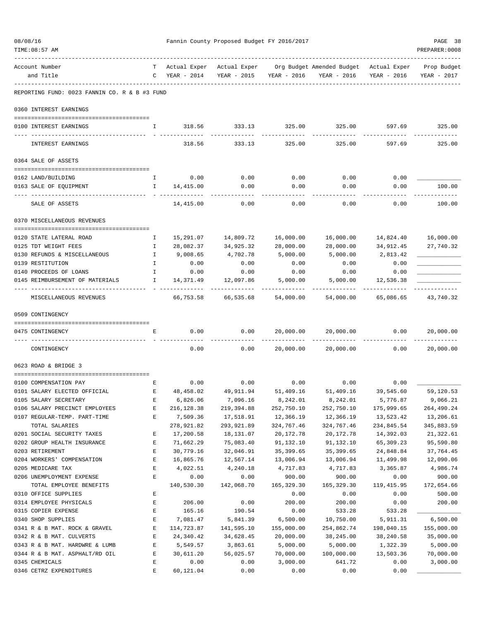| 08/08/16                                       |              | Fannin County Proposed Budget FY 2016/2017 |                |                |                                                                 |                |                |
|------------------------------------------------|--------------|--------------------------------------------|----------------|----------------|-----------------------------------------------------------------|----------------|----------------|
| TIME: 08:57 AM                                 |              |                                            |                |                |                                                                 |                | PREPARER: 0008 |
| Account Number                                 | T –          | Actual Exper                               |                |                | Actual Exper Org Budget Amended Budget Actual Exper Prop Budget |                |                |
| and Title                                      | $\mathbf{C}$ | YEAR - 2014                                | YEAR - 2015    | YEAR - 2016    | YEAR - 2016                                                     | YEAR - 2016    | YEAR - 2017    |
| REPORTING FUND: 0023 FANNIN CO. R & B #3 FUND  |              |                                            |                |                |                                                                 |                |                |
| 0360 INTEREST EARNINGS                         |              |                                            |                |                |                                                                 |                |                |
| 0100 INTEREST EARNINGS                         | $\mathbf{I}$ | 318.56                                     | 333.13         | 325.00         | 325.00                                                          | 597.69         | 325.00         |
|                                                |              |                                            |                |                |                                                                 |                | --------       |
| INTEREST EARNINGS                              |              | 318.56                                     | 333.13         | 325.00         | 325.00                                                          | 597.69         | 325.00         |
| 0364 SALE OF ASSETS                            |              |                                            |                |                |                                                                 |                |                |
| 0162 LAND/BUILDING                             | <b>I</b>     | 0.00                                       | 0.00           | 0.00           | 0.00                                                            | 0.00           |                |
| 0163 SALE OF EQUIPMENT                         | Ι.           | 14,415.00                                  | 0.00           | 0.00           | 0.00                                                            | 0.00           | 100.00         |
|                                                |              |                                            |                |                |                                                                 |                |                |
| SALE OF ASSETS                                 |              | 14,415.00                                  | 0.00           | 0.00           | 0.00                                                            | 0.00           | 100.00         |
| 0370 MISCELLANEOUS REVENUES                    |              |                                            |                |                |                                                                 |                |                |
| 0120 STATE LATERAL ROAD                        | Ι.           | 15,291.07                                  | 14,809.72      | 16,000.00      | 16,000.00                                                       | 14,824.40      | 16,000.00      |
| 0125 TDT WEIGHT FEES                           | $\mathbf{I}$ | 28,082.37                                  | 34,925.32      | 28,000.00      | 28,000.00                                                       | 34,912.45      | 27,740.32      |
| 0130 REFUNDS & MISCELLANEOUS                   | $\mathbb{I}$ | 9,008.65                                   | 4,702.78       | 5,000.00       | 5,000.00                                                        | 2,813.42       |                |
| 0139 RESTITUTION                               | I.           | 0.00                                       | 0.00           | 0.00           | 0.00                                                            | 0.00           |                |
| 0140 PROCEEDS OF LOANS                         | $\mathbf{I}$ | 0.00                                       | 0.00           | 0.00           | 0.00                                                            | 0.00           |                |
| 0145 REIMBURSEMENT OF MATERIALS                | Ι.           | 14,371.49                                  | 12,097.86      | 5,000.00       | 5,000.00                                                        | 12,536.38      |                |
| MISCELLANEOUS REVENUES                         |              | 66,753.58                                  | 66,535.68      | 54,000.00      | 54,000.00                                                       | 65,086.65      | 43,740.32      |
| 0509 CONTINGENCY                               |              |                                            |                |                |                                                                 |                |                |
| 0475 CONTINGENCY                               | Е            | 0.00                                       | 0.00           | 20,000.00      | 20,000.00                                                       | 0.00           | 20,000.00      |
|                                                |              |                                            |                |                |                                                                 |                |                |
| CONTINGENCY                                    |              | 0.00                                       | 0.00           | 20,000.00      | 20,000.00                                                       | 0.00           | 20,000.00      |
| 0623 ROAD & BRIDGE 3                           |              |                                            |                |                |                                                                 |                |                |
| 0100 COMPENSATION PAY                          | Е            | 0.00                                       | 0.00           | 0.00           | 0.00                                                            | 0.00           |                |
| 0101 SALARY ELECTED OFFICIAL                   | Ε            | 48,458.02                                  | 49,911.94      | 51,409.16      | 51,409.16                                                       | 39,545.60      | 59,120.53      |
| 0105 SALARY SECRETARY                          | E            | 6,826.06                                   | 7,096.16       | 8,242.01       | 8,242.01                                                        | 5,776.87       | 9,066.21       |
| 0106 SALARY PRECINCT EMPLOYEES                 | Ε            | 216, 128.38                                | 219,394.88     | 252,750.10     | 252,750.10                                                      | 175,999.65     | 264,490.24     |
| 0107 REGULAR-TEMP. PART-TIME                   | E            | 7,509.36                                   | 17,518.91      | 12,366.19      | 12,366.19                                                       | 13,523.42      | 13,206.61      |
| TOTAL SALARIES                                 |              | 278,921.82                                 | 293,921.89     | 324,767.46     | 324,767.46                                                      | 234,845.54     | 345,883.59     |
| 0201 SOCIAL SECURITY TAXES                     | Ε            | 17,200.58                                  | 18,131.07      | 20,172.78      | 20,172.78                                                       | 14,392.03      | 21,322.61      |
| 0202 GROUP HEALTH INSURANCE                    | Ε            | 71,662.29                                  | 75,083.40      | 91,132.10      | 91,132.10                                                       | 65,309.23      | 95,590.80      |
| 0203 RETIREMENT                                | E            | 30,779.16                                  | 32,046.91      | 35, 399.65     | 35, 399.65                                                      | 24,848.84      | 37,764.45      |
| 0204 WORKERS' COMPENSATION                     | Ε            | 16,865.76                                  | 12,567.14      | 13,006.94      | 13,006.94                                                       | 11,499.98      | 12,090.06      |
| 0205 MEDICARE TAX                              | E            | 4,022.51                                   | 4,240.18       | 4,717.83       | 4,717.83                                                        | 3,365.87       | 4,986.74       |
| 0206 UNEMPLOYMENT EXPENSE                      | $\mathbf{E}$ | 0.00                                       | 0.00           | 900.00         | 900.00                                                          | 0.00           | 900.00         |
| TOTAL EMPLOYEE BENEFITS                        |              | 140,530.30                                 | 142,068.70     | 165,329.30     | 165,329.30                                                      | 119, 415.95    | 172,654.66     |
| 0310 OFFICE SUPPLIES                           | E<br>Ε       |                                            |                | 0.00<br>200.00 | 0.00                                                            | 0.00           | 500.00         |
| 0314 EMPLOYEE PHYSICALS<br>0315 COPIER EXPENSE | E            | 206.00<br>165.16                           | 0.00<br>190.54 | 0.00           | 200.00<br>533.28                                                | 0.00<br>533.28 | 200.00         |
| 0340 SHOP SUPPLIES                             | $\mathbf E$  | 7,081.47                                   | 5,841.39       | 6,500.00       | 10,750.00                                                       | 5,911.31       | 6,500.00       |
| 0341 R & B MAT. ROCK & GRAVEL                  | Ε            | 114,723.87                                 | 141,595.10     | 155,000.00     | 254,862.74                                                      | 198,040.15     | 155,000.00     |
| 0342 R & B MAT. CULVERTS                       | Ε            | 24,340.42                                  | 34,628.45      | 20,000.00      | 38,245.00                                                       | 38,240.58      | 35,000.00      |
| 0343 R & B MAT. HARDWRE & LUMB                 | E            | 5,549.57                                   | 3,863.61       | 5,000.00       | 5,000.00                                                        | 1,322.39       | 5,000.00       |
| 0344 R & B MAT. ASPHALT/RD OIL                 | Ε            | 30,611.20                                  | 56,025.57      | 70,000.00      | 100,000.00                                                      | 13,503.36      | 70,000.00      |
| 0345 CHEMICALS                                 | Ε            | 0.00                                       | 0.00           | 3,000.00       | 641.72                                                          | 0.00           | 3,000.00       |
| 0346 CETRZ EXPENDITURES                        | $\mathbf E$  | 60, 121.04                                 | 0.00           | 0.00           | 0.00                                                            | 0.00           |                |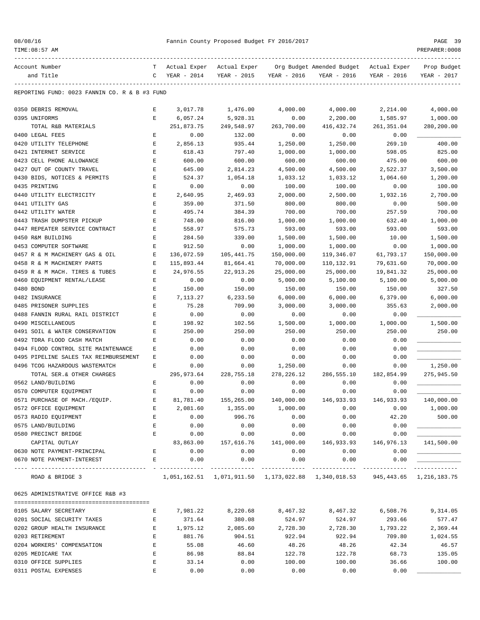| 08/08/16 |  |
|----------|--|
|----------|--|

TIME:08:57 AM PREPARER:0008

| Account Number                                | т           | Actual Exper | Actual Exper |               | Org Budget Amended Budget                                                   | Actual Exper | Prop Budget              |
|-----------------------------------------------|-------------|--------------|--------------|---------------|-----------------------------------------------------------------------------|--------------|--------------------------|
| and Title                                     | C           | YEAR - 2014  | YEAR - 2015  | YEAR - 2016   | YEAR - 2016                                                                 | YEAR - 2016  | YEAR - 2017              |
|                                               |             |              |              |               |                                                                             |              |                          |
| REPORTING FUND: 0023 FANNIN CO. R & B #3 FUND |             |              |              |               |                                                                             |              |                          |
| 0350 DEBRIS REMOVAL                           | Е           | 3,017.78     | 1,476.00     | 4,000.00      | 4,000.00                                                                    | 2,214.00     | 4,000.00                 |
| 0395 UNIFORMS                                 | Е           | 6,057.24     | 5,928.31     | 0.00          | 2,200.00                                                                    | 1,585.97     | 1,000.00                 |
| TOTAL R&B MATERIALS                           |             | 251,873.75   | 249,548.97   | 263,700.00    | 416,432.74                                                                  | 261,351.04   | 280,200.00               |
| 0400 LEGAL FEES                               | Е           | 0.00         | 132.00       | 0.00          | 0.00                                                                        | 0.00         |                          |
| 0420 UTILITY TELEPHONE                        | Е           | 2,856.13     | 935.44       | 1,250.00      | 1,250.00                                                                    | 269.10       | 400.00                   |
| 0421 INTERNET SERVICE                         | Ε           | 618.43       | 797.40       | 1,000.00      | 1,000.00                                                                    | 598.05       | 825.00                   |
| 0423 CELL PHONE ALLOWANCE                     | $\mathbf E$ | 600.00       | 600.00       | 600.00        | 600.00                                                                      | 475.00       | 600.00                   |
| 0427 OUT OF COUNTY TRAVEL                     | Ε           | 645.00       | 2,814.23     | 4,500.00      | 4,500.00                                                                    | 2,522.37     | 3,500.00                 |
| 0430 BIDS, NOTICES & PERMITS                  | E           | 524.37       | 1,054.18     | 1,033.12      | 1,033.12                                                                    | 1,064.60     | 1,200.00                 |
| 0435 PRINTING                                 | E           | 0.00         | 0.00         | 100.00        | 100.00                                                                      | 0.00         | 100.00                   |
| 0440 UTILITY ELECTRICITY                      | E           | 2,640.95     | 2,469.93     | 2,000.00      | 2,500.00                                                                    | 1,932.16     | 2,700.00                 |
| 0441 UTILITY GAS                              | Е           | 359.00       | 371.50       | 800.00        | 800.00                                                                      | 0.00         | 500.00                   |
| 0442 UTILITY WATER                            | Ε           | 495.74       | 384.39       | 700.00        | 700.00                                                                      | 257.59       | 700.00                   |
| 0443 TRASH DUMPSTER PICKUP                    | E           | 748.00       | 816.00       | 1,000.00      | 1,000.00                                                                    | 632.40       | 1,000.00                 |
| 0447 REPEATER SERVICE CONTRACT                | E           | 558.97       | 575.73       | 593.00        | 593.00                                                                      | 593.00       | 593.00                   |
| 0450 R&M BUILDING                             | E           | 284.50       | 339.00       | 1,500.00      | 1,500.00                                                                    | 10.00        | 1,500.00                 |
| 0453 COMPUTER SOFTWARE                        | Ε           | 912.50       | 0.00         | 1,000.00      | 1,000.00                                                                    | 0.00         | 1,000.00                 |
| 0457 R & M MACHINERY GAS & OIL                | Ε           | 136,072.59   | 105,441.75   | 150,000.00    | 119,346.07                                                                  | 61,793.17    | 150,000.00               |
| 0458 R & M MACHINERY PARTS                    | Ε           | 115,893.44   | 81,664.41    | 70,000.00     | 110,132.91                                                                  | 79,631.60    | 70,000.00                |
| 0459 R & M MACH. TIRES & TUBES                | $\mathbf E$ | 24,976.55    | 22,913.26    | 25,000.00     | 25,000.00                                                                   | 19,841.32    | 25,000.00                |
| 0460 EQUIPMENT RENTAL/LEASE                   | E           | 0.00         | 0.00         | 5,000.00      | 5,100.00                                                                    | 5,100.00     | 5,000.00                 |
| 0480 BOND                                     | Ε           | 150.00       | 150.00       | 150.00        | 150.00                                                                      | 150.00       | 327.50                   |
| 0482 INSURANCE                                | Е           | 7,113.27     | 6,233.50     | 6,000.00      | 6,000.00                                                                    | 6,379.00     | 6,000.00                 |
| 0485 PRISONER SUPPLIES                        | Ε           | 75.28        | 709.90       | 3,000.00      | 3,000.00                                                                    | 355.63       | 2,000.00                 |
| 0488 FANNIN RURAL RAIL DISTRICT               | Е           | 0.00         | 0.00         | 0.00          | 0.00                                                                        | 0.00         |                          |
| 0490 MISCELLANEOUS                            | E           | 198.92       | 102.56       | 1,500.00      | 1,000.00                                                                    | 1,000.00     | 1,500.00                 |
| 0491 SOIL & WATER CONSERVATION                | Ε           | 250.00       | 250.00       | 250.00        | 250.00                                                                      | 250.00       | 250.00                   |
| 0492 TDRA FLOOD CASH MATCH                    | Ε           | 0.00         | 0.00         | 0.00          | 0.00                                                                        | 0.00         |                          |
| 0494 FLOOD CONTROL SITE MAINTENANCE           | Ε           | 0.00         | 0.00         | 0.00          | 0.00                                                                        | 0.00         |                          |
| 0495 PIPELINE SALES TAX REIMBURSEMENT         | Ε           | 0.00         | 0.00         | 0.00          | 0.00                                                                        | 0.00         |                          |
| 0496 TCOG HAZARDOUS WASTEMATCH                | E           | 0.00         | 0.00         | 1,250.00      | 0.00                                                                        | 0.00         | 1,250.00                 |
| TOTAL SER.& OTHER CHARGES                     |             | 295,973.64   | 228,755.18   | 278, 226.12   | 286,555.10                                                                  | 182,854.99   | 275,945.50               |
| 0562 LAND/BUILDING                            | Е           | 0.00         | 0.00         | 0.00          | 0.00                                                                        | 0.00         |                          |
| 0570 COMPUTER EQUIPMENT                       | Е           | 0.00         | 0.00         | 0.00          | 0.00                                                                        | 0.00         |                          |
| 0571 PURCHASE OF MACH./EQUIP.                 | Е           | 81,781.40    | 155,265.00   | 140,000.00    | 146,933.93                                                                  | 146,933.93   | 140,000.00               |
| 0572 OFFICE EQUIPMENT                         |             | 2,081.60     | 1,355.00     | 1,000.00      | 0.00                                                                        | 0.00         | 1,000.00                 |
| 0573 RADIO EQUIPMENT                          | Е           | 0.00         | 996.76       | 0.00          | 0.00                                                                        | 42.20        | 500.00                   |
| 0575 LAND/BUILDING                            | E           | 0.00         | 0.00         | 0.00          | 0.00                                                                        | 0.00         |                          |
| 0580 PRECINCT BRIDGE                          | Е           | 0.00         | 0.00         | 0.00          | 0.00                                                                        | 0.00         |                          |
| CAPITAL OUTLAY                                |             | 83,863.00    | 157,616.76   | 141,000.00    | 146,933.93                                                                  | 146,976.13   | 141,500.00               |
| 0630 NOTE PAYMENT-PRINCIPAL                   | Е           | 0.00         | 0.00         | 0.00          | 0.00                                                                        | 0.00         | $\overline{\phantom{a}}$ |
| 0670 NOTE PAYMENT-INTEREST                    | E           | 0.00         | 0.00         | 0.00          | 0.00                                                                        | 0.00         |                          |
| ROAD & BRIDGE 3                               |             |              | ------------ | ------------- | 1,051,162.51 1,071,911.50 1,173,022.88 1,340,018.53 945,443.65 1,216,183.75 |              |                          |
| 0625 ADMINISTRATIVE OFFICE R&B #3             |             |              |              |               |                                                                             |              |                          |
|                                               |             |              |              |               |                                                                             |              |                          |
| 0105 SALARY SECRETARY                         | Е           | 7,981.22     | 8,220.68     | 8,467.32      | 8,467.32                                                                    | 6,508.76     | 9,314.05                 |
| 0201 SOCIAL SECURITY TAXES                    | E           | 371.64       | 380.08       | 524.97        | 524.97                                                                      | 293.66       | 577.47                   |
| 0202 GROUP HEALTH INSURANCE                   | E           | 1,975.12     | 2,085.60     | 2,728.30      | 2,728.30                                                                    | 1,793.22     | 2,369.44                 |
| 0203 RETIREMENT                               | Е           | 881.76       | 904.51       | 922.94        | 922.94                                                                      | 709.80       | 1,024.55                 |
| 0204 WORKERS' COMPENSATION                    | Е           | 55.08        | 46.60        | 48.26         | 48.26                                                                       | 42.34        | 46.57                    |
| 0205 MEDICARE TAX                             | $\mathbf E$ | 86.98        | 88.84        | 122.78        | 122.78                                                                      | 68.73        | 135.05                   |
| 0310 OFFICE SUPPLIES                          | E           | 33.14        | 0.00         | 100.00        | 100.00                                                                      | 36.66        | 100.00                   |

0311 POSTAL EXPENSES E 0.00 0.00 0.00 0.00 0.00 \_\_\_\_\_\_\_\_\_\_\_\_\_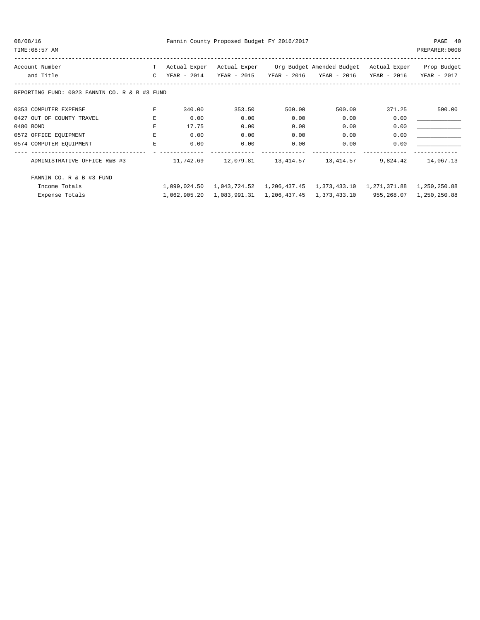08/08/16 Fannin County Proposed Budget FY 2016/2017 PAGE 40

TIME:08:57 AM PREPARER:0008

| Account Number                                | т             | Actual Exper  | Actual Exper |               | Org Budget Amended Budget | Actual Exper | Prop Budget  |
|-----------------------------------------------|---------------|---------------|--------------|---------------|---------------------------|--------------|--------------|
| and Title                                     | $\mathcal{C}$ | $YEAR - 2014$ | YEAR - 2015  | $YEAR - 2016$ | YEAR - 2016               | YEAR - 2016  | YEAR - 2017  |
| REPORTING FUND: 0023 FANNIN CO. R & B #3 FUND |               |               |              |               |                           |              |              |
| 0353 COMPUTER EXPENSE                         | E             | 340.00        | 353.50       | 500.00        | 500.00                    | 371.25       | 500.00       |
| 0427 OUT OF COUNTY TRAVEL                     | F.            | 0.00          | 0.00         | 0.00          | 0.00                      | 0.00         |              |
| 0480 BOND                                     | E             | 17.75         | 0.00         | 0.00          | 0.00                      | 0.00         |              |
| 0572 OFFICE EQUIPMENT                         | Ε             | 0.00          | 0.00         | 0.00          | 0.00                      | 0.00         |              |
| 0574 COMPUTER EQUIPMENT                       | E             | 0.00          | 0.00         | 0.00          | 0.00                      | 0.00         |              |
|                                               |               |               |              |               |                           |              |              |
| ADMINISTRATIVE OFFICE R&B #3                  |               | 11,742.69     | 12,079.81    | 13,414.57     | 13,414.57                 | 9,824.42     | 14,067.13    |
| FANNIN CO. R & B #3 FUND                      |               |               |              |               |                           |              |              |
| Income Totals                                 |               | 1,099,024.50  | 1,043,724.52 | 1,206,437.45  | 1,373,433.10              | 1,271,371.88 | 1,250,250.88 |
| Expense Totals                                |               | 1,062,905.20  | 1,083,991.31 | 1,206,437.45  | 1,373,433.10              | 955,268.07   | 1,250,250.88 |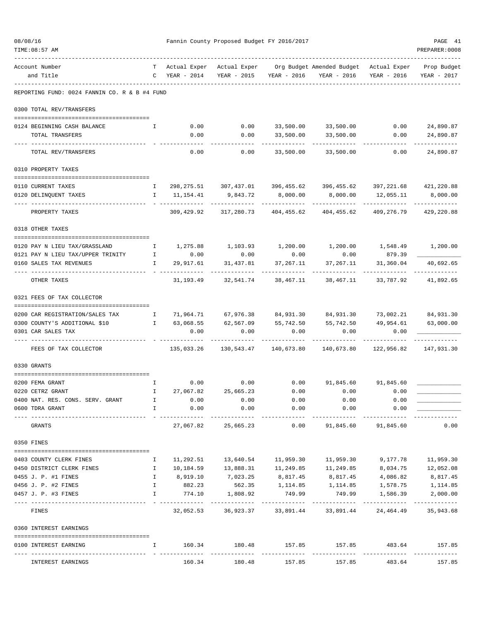| 08/08/16 | TIME: 08:57 AM                                                   |                              |                               | Fannin County Proposed Budget FY 2016/2017 |                         |                                                                   |                           | PAGE 41<br>PREPARER: 0008  |
|----------|------------------------------------------------------------------|------------------------------|-------------------------------|--------------------------------------------|-------------------------|-------------------------------------------------------------------|---------------------------|----------------------------|
|          | Account Number<br>and Title                                      | T –                          | Actual Exper<br>C YEAR - 2014 | Actual Exper<br>YEAR - 2015                | YEAR - 2016             | Org Budget Amended Budget Actual Exper                            | YEAR - 2016 YEAR - 2016   | Prop Budget<br>YEAR - 2017 |
|          | REPORTING FUND: 0024 FANNIN CO. R & B #4 FUND                    |                              |                               |                                            |                         |                                                                   |                           |                            |
|          | 0300 TOTAL REV/TRANSFERS                                         |                              |                               |                                            |                         |                                                                   |                           |                            |
|          | 0124 BEGINNING CASH BALANCE                                      | Ι.                           | 0.00                          | 0.00                                       |                         | 33,500.00 33,500.00                                               | 0.00                      | 24,890.87                  |
|          | TOTAL TRANSFERS                                                  |                              | 0.00                          | 0.00                                       | 33,500.00               | 33,500.00                                                         | 0.00                      | 24,890.87                  |
|          | TOTAL REV/TRANSFERS                                              |                              | 0.00                          | 0.00                                       | 33,500.00               | 33,500.00                                                         | 0.00                      | 24,890.87                  |
|          | 0310 PROPERTY TAXES                                              |                              |                               |                                            |                         |                                                                   |                           |                            |
|          | 0110 CURRENT TAXES                                               | Ι.                           |                               |                                            |                         | 298, 275.51 307, 437.01 396, 455.62 396, 455.62                   |                           | 397, 221.68 421, 220.88    |
|          | 0120 DELINQUENT TAXES                                            | $\mathbb{I}$                 | 11,154.41                     | 9,843.72                                   | 8,000.00                | 8,000.00                                                          | 12,055.11                 | 8,000.00                   |
|          | PROPERTY TAXES                                                   |                              | 309,429.92                    | 317,280.73                                 | 404,455.62              | 404,455.62                                                        | 409,276.79                | 429,220.88                 |
|          | 0318 OTHER TAXES                                                 |                              |                               |                                            |                         |                                                                   |                           |                            |
|          |                                                                  |                              |                               |                                            |                         |                                                                   |                           |                            |
|          | 0120 PAY N LIEU TAX/GRASSLAND                                    | $\mathbb{I}$                 | 0.00                          |                                            |                         | $1,275.88$ $1,103.93$ $1,200.00$ $1,200.00$ $1,548.49$ $1,200.00$ |                           |                            |
|          | 0121 PAY N LIEU TAX/UPPER TRINITY I<br>0160 SALES TAX REVENUES   | I.                           | 29,917.61                     | 0.00<br>31,437.81                          | 0.00<br>37,267.11       | 0.00<br>37,267.11                                                 | 879.39<br>31,360.04       | 40,692.65                  |
|          | OTHER TAXES                                                      |                              | 31,193.49                     | 32,541.74                                  | 38,467.11               | 38,467.11                                                         | 33,787.92                 | 41,892.65                  |
|          | 0321 FEES OF TAX COLLECTOR                                       |                              |                               |                                            |                         |                                                                   |                           |                            |
|          |                                                                  |                              |                               |                                            |                         |                                                                   |                           |                            |
|          | 0200 CAR REGISTRATION/SALES TAX<br>0300 COUNTY'S ADDITIONAL \$10 | $\mathbf{I}$<br>$\mathbf{I}$ | 63,068.55                     | 71,964.71 67,976.38 84,931.30<br>62,567.09 | 55,742.50               | 84,931.30<br>55,742.50                                            | 73,002.21<br>49,954.61    | 84,931.30<br>63,000.00     |
|          | 0301 CAR SALES TAX                                               |                              | 0.00                          | 0.00                                       | 0.00                    | 0.00                                                              | 0.00                      |                            |
|          | FEES OF TAX COLLECTOR                                            |                              | 135,033.26                    |                                            |                         | 140,673.80                                                        | 122,956.82                | 147,931.30                 |
|          | 0330 GRANTS                                                      |                              |                               |                                            |                         |                                                                   |                           |                            |
|          | 0200 FEMA GRANT                                                  | $\mathbf{I}$                 |                               | 0.00                                       | $0.00$ 0.00             |                                                                   | 91,845.60 91,845.60       |                            |
|          | 0220 CETRZ GRANT                                                 | I.                           | 27,067.82                     | 25,665.23                                  | 0.00                    | 0.00                                                              | 0.00                      |                            |
|          | 0400 NAT. RES. CONS. SERV. GRANT                                 | $\mathbf{I}$                 | 0.00                          | 0.00                                       | 0.00                    | 0.00                                                              | 0.00                      |                            |
|          | 0600 TDRA GRANT                                                  | $\mathbf{I}$                 | 0.00                          | 0.00                                       | 0.00                    | 0.00<br>.                                                         | 0.00                      |                            |
|          | GRANTS                                                           |                              | 27,067.82                     | -------------<br>25,665.23                 | -----------<br>0.00     | 91,845.60                                                         | 91,845.60                 | 0.00                       |
|          | 0350 FINES                                                       |                              |                               |                                            |                         |                                                                   |                           |                            |
|          | 0403 COUNTY CLERK FINES                                          | Ι.                           | 11,292.51                     |                                            | 13,640.54    11,959.30  | 11,959.30                                                         | 9,177.78                  | 11,959.30                  |
|          | 0450 DISTRICT CLERK FINES                                        | $\mathbf{I}$                 | 10,184.59                     | 13,888.31                                  | 11,249.85               | 11,249.85                                                         | 8,034.75                  | 12,052.08                  |
|          | 0455 J. P. #1 FINES                                              | $\mathbb{I}$                 | 8,919.10                      |                                            | 7,023.25 8,817.45       | 8,817.45                                                          | 4,086.82                  | 8,817.45                   |
|          | 0456 J. P. #2 FINES                                              | $\mathbf{I}$                 | 882.23                        |                                            | 562.35 1,114.85         |                                                                   | 1, 114.85 1, 578.75       | 1,114.85                   |
|          | 0457 J. P. #3 FINES                                              | $\mathbf{I}$                 | 774.10<br>_______________     | 1,808.92<br>-------------                  | 749.99<br>------------- | 749.99<br>-------------                                           | 1,586.39<br>------------- | 2,000.00<br>-------------  |
|          | FINES                                                            |                              |                               | 32,052.53 36,923.37                        | 33,891.44               | 33,891.44                                                         | 24,464.49                 | 35,943.68                  |
|          | 0360 INTEREST EARNINGS                                           |                              |                               |                                            |                         |                                                                   |                           |                            |
|          | 0100 INTEREST EARNING                                            | $\mathbf{I}$                 |                               | --------                                   |                         | $160.34$ 180.48 157.85 157.85 483.64 157.85                       |                           |                            |
|          | INTEREST EARNINGS                                                |                              | 160.34                        | 180.48                                     | 157.85                  | 157.85                                                            | 483.64                    | 157.85                     |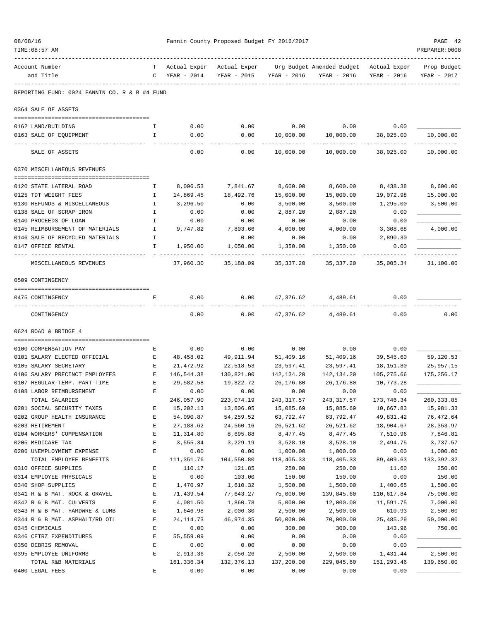| 08/08/16                                      |                    |                  | Fannin County Proposed Budget FY 2016/2017 |              |                                                       |              | PAGE 42                    |
|-----------------------------------------------|--------------------|------------------|--------------------------------------------|--------------|-------------------------------------------------------|--------------|----------------------------|
| TIME: 08:57 AM                                |                    |                  |                                            |              |                                                       |              | PREPARER: 0008             |
| Account Number<br>and Title                   | T.<br>$\mathbb{C}$ | YEAR - 2014      | Actual Exper Actual Exper<br>YEAR - 2015   | YEAR - 2016  | Org Budget Amended Budget Actual Exper<br>YEAR - 2016 | YEAR - 2016  | Prop Budget<br>YEAR - 2017 |
| REPORTING FUND: 0024 FANNIN CO. R & B #4 FUND |                    |                  |                                            |              |                                                       |              |                            |
| 0364 SALE OF ASSETS                           |                    |                  |                                            |              |                                                       |              |                            |
| 0162 LAND/BUILDING                            | I.                 | 0.00             | 0.00                                       | 0.00         | 0.00                                                  | 0.00         |                            |
| 0163 SALE OF EQUIPMENT                        | I.                 | 0.00             | 0.00                                       | 10,000.00    | 10,000.00                                             | 38,025.00    | 10,000.00                  |
| SALE OF ASSETS                                |                    | 0.00             | 0.00                                       | 10,000.00    | 10,000.00                                             | 38,025.00    | 10,000.00                  |
| 0370 MISCELLANEOUS REVENUES                   |                    |                  |                                            |              |                                                       |              |                            |
| 0120 STATE LATERAL ROAD                       | Ι.                 | 8,096.53         | 7,841.67                                   | 8,600.00     | 8,600.00                                              | 8,438.38     | 8,600.00                   |
| 0125 TDT WEIGHT FEES                          | $\mathbf{I}$       | 14,869.45        | 18,492.76                                  | 15,000.00    | 15,000.00                                             | 19,072.98    | 15,000.00                  |
| 0130 REFUNDS & MISCELLANEOUS                  | $\mathbf{I}$       | 3,296.50         | 0.00                                       | 3,500.00     | 3,500.00                                              | 1,295.00     | 3,500.00                   |
| 0138 SALE OF SCRAP IRON                       | Ι.                 | 0.00             | 0.00                                       | 2,887.20     | 2,887.20                                              | 0.00         |                            |
| 0140 PROCEEDS OF LOAN                         | I.                 | 0.00             | 0.00                                       | 0.00         | 0.00                                                  | 0.00         |                            |
| 0145 REIMBURSEMENT OF MATERIALS               | $\mathbf{I}$       | 9,747.82         | 7,803.66                                   | 4,000.00     | 4,000.00                                              | 3,308.68     | 4,000.00                   |
| 0146 SALE OF RECYCLED MATERIALS               | I.                 |                  | 0.00                                       | 0.00         | 0.00                                                  | 2,890.30     |                            |
| 0147 OFFICE RENTAL                            | I.                 | 1,950.00         | 1,050.00                                   | 1,350.00     | 1,350.00                                              | 0.00         |                            |
| MISCELLANEOUS REVENUES                        |                    | 37,960.30        | 35,188.09                                  | 35, 337.20   | 35,337.20                                             | 35,005.34    | 31,100.00                  |
| 0509 CONTINGENCY                              |                    |                  |                                            |              |                                                       |              |                            |
| 0475 CONTINGENCY                              | E                  | 0.00             | 0.00                                       |              | 47,376.62 4,489.61                                    | 0.00         |                            |
|                                               |                    |                  |                                            |              |                                                       |              |                            |
| CONTINGENCY                                   |                    | 0.00             | 0.00                                       |              | 47,376.62 4,489.61                                    | 0.00         | 0.00                       |
| 0624 ROAD & BRIDGE 4                          |                    |                  |                                            |              |                                                       |              |                            |
| 0100 COMPENSATION PAY                         | Е                  | 0.00             | 0.00                                       | 0.00         | 0.00                                                  | 0.00         |                            |
| 0101 SALARY ELECTED OFFICIAL                  | $\mathbf{E}$       | 48,458.02        | 49,911.94                                  | 51,409.16    | 51,409.16                                             | 39,545.60    | 59,120.53                  |
| 0105 SALARY SECRETARY                         | Е                  | 21,472.92        | 22,518.53                                  | 23,597.41    | 23,597.41                                             | 18,151.80    | 25,957.15                  |
| 0106 SALARY PRECINCT EMPLOYEES                | E                  | 146,544.38       | 130,821.00                                 | 142,134.20   | 142,134.20                                            | 105,275.66   | 175,256.17                 |
| 0107 REGULAR-TEMP. PART-TIME                  | Е                  | 29,582.58        | 19,822.72                                  | 26,176.80    | 26,176.80                                             | 10,773.28    |                            |
| 0108 LABOR REIMBURSEMENT                      | Ε                  | 0.00             | 0.00                                       | 0.00         | 0.00                                                  | 0.00         |                            |
| TOTAL SALARIES                                |                    | 246,057.90       | 223,074.19                                 | 243, 317.57  | 243, 317.57                                           | 173,746.34   | 260, 333.85                |
| 0201 SOCIAL SECURITY TAXES                    | Е                  | 15,202.13        | 13,806.05                                  | 15,085.69    | 15,085.69                                             | 10,667.83    | 15,981.33                  |
| 0202 GROUP HEALTH INSURANCE                   | E                  | 54,090.87        | 54,259.52                                  | 63,792.47    | 63,792.47                                             | 49,831.42    | 76,472.64                  |
| 0203 RETIREMENT                               | E                  | 27,188.62        | 24,560.16                                  | 26,521.62    | 26,521.62                                             | 18,904.67    | 28, 353.97                 |
| 0204 WORKERS' COMPENSATION                    | E                  | 11,314.80        | 8,695.88                                   | 8,477.45     | 8,477.45                                              | 7,510.96     | 7,846.81                   |
| 0205 MEDICARE TAX                             | E                  | 3,555.34         | 3,229.19                                   | 3,528.10     | 3,528.10                                              | 2,494.75     | 3,737.57                   |
| 0206 UNEMPLOYMENT EXPENSE                     | E                  | 0.00             | 0.00                                       | 1,000.00     | 1,000.00                                              | 0.00         | 1,000.00                   |
| TOTAL EMPLOYEE BENEFITS                       |                    | 111,351.76       | 104,550.80                                 | 118,405.33   | 118,405.33                                            | 89,409.63    | 133, 392.32                |
| 0310 OFFICE SUPPLIES                          | $\mathbf E$        | 110.17           | 121.85                                     | 250.00       | 250.00                                                | 11.60        | 250.00                     |
| 0314 EMPLOYEE PHYSICALS                       | E                  | 0.00             | 103.00                                     | 150.00       | 150.00                                                | 0.00         | 150.00                     |
| 0340 SHOP SUPPLIES                            | $\mathbf E$        | 1,470.97         | 1,610.32                                   | 1,500.00     | 1,500.00                                              | 1,400.65     | 1,500.00                   |
| 0341 R & B MAT. ROCK & GRAVEL                 | E                  | 71,439.54        | 77,643.27                                  | 75,000.00    | 139,845.60                                            | 110,617.84   | 75,000.00                  |
| 0342 R & B MAT. CULVERTS                      | $\mathbf E$        | 4,081.50         | 1,860.78                                   | 5,000.00     | 12,000.00                                             | 11,591.75    | 7,000.00                   |
| 0343 R & B MAT. HARDWRE & LUMB                | $\mathbf E$        | 1,646.98         | 2,006.30                                   | 2,500.00     | 2,500.00                                              | 610.93       | 2,500.00                   |
| 0344 R & B MAT. ASPHALT/RD OIL                | $\mathbf E$        | 24, 114.73       | 46,974.35                                  | 50,000.00    | 70,000.00                                             | 25, 485.29   | 50,000.00                  |
| 0345 CHEMICALS                                | E<br>$\mathbf E$   | 0.00             | 0.00                                       | 300.00       | 300.00                                                | 143.96       | 750.00                     |
| 0346 CETRZ EXPENDITURES                       | E                  | 55,559.09        | 0.00<br>0.00                               | 0.00<br>0.00 | 0.00<br>0.00                                          | 0.00<br>0.00 |                            |
| 0350 DEBRIS REMOVAL<br>0395 EMPLOYEE UNIFORMS | E                  | 0.00<br>2,913.36 | 2,056.26                                   | 2,500.00     | 2,500.00                                              | 1,431.44     | 2,500.00                   |
| TOTAL R&B MATERIALS                           |                    | 161,336.34       | 132,376.13                                 | 137,200.00   | 229,045.60                                            | 151,293.46   | 139,650.00                 |
| 0400 LEGAL FEES                               | $\mathbf E$        | 0.00             | 0.00                                       | 0.00         | 0.00                                                  | 0.00         |                            |
|                                               |                    |                  |                                            |              |                                                       |              |                            |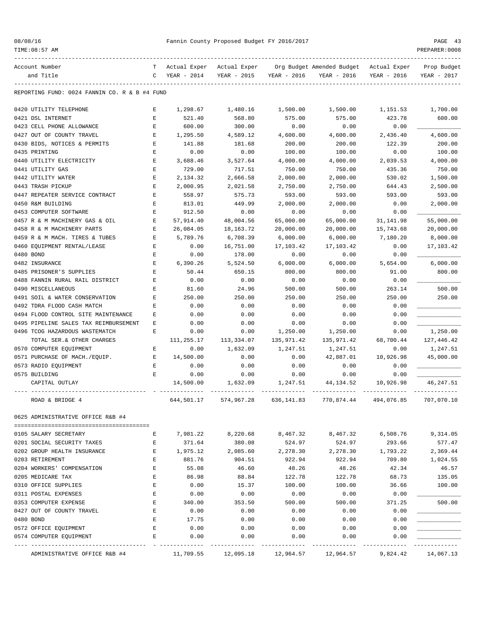| 08/08/16 |  |
|----------|--|
|----------|--|

TIME:08:57 AM PREPARER:0008

## Pannin County Proposed Budget FY 2016/2017 PAGE 43

|           | Account Number                                | т           | Actual Exper | Actual Exper |             | Org Budget Amended Budget | Actual Exper | Prop Budget |
|-----------|-----------------------------------------------|-------------|--------------|--------------|-------------|---------------------------|--------------|-------------|
|           | and Title                                     | C           | YEAR - 2014  | YEAR - 2015  | YEAR - 2016 | YEAR - 2016               | YEAR - 2016  | YEAR - 2017 |
|           |                                               |             |              |              |             |                           |              |             |
|           | REPORTING FUND: 0024 FANNIN CO. R & B #4 FUND |             |              |              |             |                           |              |             |
|           | 0420 UTILITY TELEPHONE                        | Ε           | 1,298.67     | 1,480.16     | 1,500.00    | 1,500.00                  | 1,151.53     | 1,700.00    |
|           | 0421 DSL INTERNET                             | $\mathbf E$ | 521.40       | 568.80       | 575.00      | 575.00                    | 423.78       | 600.00      |
|           | 0423 CELL PHONE ALLOWANCE                     | Ε           | 600.00       | 300.00       | 0.00        | 0.00                      | 0.00         |             |
|           | 0427 OUT OF COUNTY TRAVEL                     | E           | 1,295.50     | 4,589.12     | 4,600.00    | 4,600.00                  | 2,436.40     | 4,600.00    |
|           | 0430 BIDS, NOTICES & PERMITS                  | E           | 141.88       | 181.68       | 200.00      | 200.00                    | 122.39       | 200.00      |
|           | 0435 PRINTING                                 | E           | 0.00         | 0.00         | 100.00      | 100.00                    | 0.00         | 100.00      |
|           | 0440 UTILITY ELECTRICITY                      | E           | 3,688.46     | 3,527.64     | 4,000.00    | 4,000.00                  | 2,039.53     | 4,000.00    |
|           | 0441 UTILITY GAS                              | E           | 729.00       | 717.51       | 750.00      | 750.00                    | 435.36       | 750.00      |
|           | 0442 UTILITY WATER                            | E           | 2,134.32     | 2,666.58     | 2,000.00    | 2,000.00                  | 530.02       | 1,500.00    |
|           | 0443 TRASH PICKUP                             | E           | 2,000.95     | 2,021.58     | 2,750.00    | 2,750.00                  | 644.43       | 2,500.00    |
|           | 0447 REPEATER SERVICE CONTRACT                | E           | 558.97       | 575.73       | 593.00      | 593.00                    | 593.00       | 593.00      |
|           | 0450 R&M BUILDING                             | Ε           | 813.01       | 449.99       | 2,000.00    | 2,000.00                  | 0.00         | 2,000.00    |
|           | 0453 COMPUTER SOFTWARE                        | E           | 912.50       | 0.00         | 0.00        | 0.00                      | 0.00         |             |
|           | 0457 R & M MACHINERY GAS & OIL                | Ε           | 57,914.40    | 48,004.56    | 65,000.00   | 65,000.00                 | 31, 141.98   | 55,000.00   |
|           | 0458 R & M MACHINERY PARTS                    | E           | 26,084.05    | 18, 163. 72  | 20,000.00   | 20,000.00                 | 15,743.68    | 20,000.00   |
|           | 0459 R & M MACH. TIRES & TUBES                | E           | 5,789.76     | 6,708.39     | 6,000.00    | 6,000.00                  | 7,180.20     | 8,000.00    |
|           | 0460 EQUIPMENT RENTAL/LEASE                   | E           | 0.00         | 16,751.00    | 17,103.42   | 17,103.42                 | 0.00         | 17,103.42   |
| 0480 BOND |                                               | Ε           | 0.00         | 178.00       | 0.00        | 0.00                      | 0.00         |             |
|           | 0482 INSURANCE                                | E           | 6,390.26     | 5,524.50     | 6,000.00    | 6,000.00                  | 5,654.00     | 6,000.00    |
|           | 0485 PRISONER'S SUPPLIES                      | E           | 50.44        | 650.15       | 800.00      | 800.00                    | 91.00        | 800.00      |
|           | 0488 FANNIN RURAL RAIL DISTRICT               | E           | 0.00         | 0.00         | 0.00        | 0.00                      | 0.00         |             |
|           | 0490 MISCELLANEOUS                            | E           | 81.60        | 24.96        | 500.00      | 500.00                    | 263.14       | 500.00      |
|           | 0491 SOIL & WATER CONSERVATION                | E           | 250.00       | 250.00       | 250.00      | 250.00                    | 250.00       | 250.00      |
|           | 0492 TDRA FLOOD CASH MATCH                    | Ε           | 0.00         | 0.00         | 0.00        | 0.00                      | 0.00         |             |
|           |                                               | Ε           |              |              |             |                           | 0.00         |             |
|           | 0494 FLOOD CONTROL SITE MAINTENANCE           |             | 0.00         | 0.00         | 0.00        | 0.00                      |              |             |
|           | 0495 PIPELINE SALES TAX REIMBURSEMENT         | Ε           | 0.00         | 0.00         | 0.00        | 0.00                      | 0.00         |             |
|           | 0496 TCOG HAZARDOUS WASTEMATCH                | E           | 0.00         | 0.00         | 1,250.00    | 1,250.00                  | 0.00         | 1,250.00    |
|           | TOTAL SER. & OTHER CHARGES                    |             | 111,255.17   | 113,334.07   | 135,971.42  | 135,971.42                | 68,700.44    | 127,446.42  |
|           | 0570 COMPUTER EQUIPMENT                       | Ε           | 0.00         | 1,632.09     | 1,247.51    | 1,247.51                  | 0.00         | 1,247.51    |
|           | 0571 PURCHASE OF MACH./EQUIP.                 | Ε           | 14,500.00    | 0.00         | 0.00        | 42,887.01                 | 10,926.98    | 45,000.00   |
|           | 0573 RADIO EQUIPMENT                          | Ε           | 0.00         | 0.00         | 0.00        | 0.00                      | 0.00         |             |
|           | 0575 BUILDING                                 | Ε           | 0.00         | 0.00         | 0.00        | 0.00                      | 0.00         |             |
|           | CAPITAL OUTLAY                                |             | 14,500.00    | 1,632.09     | 1,247.51    | 44,134.52                 | 10,926.98    | 46, 247.51  |
|           | ROAD & BRIDGE 4                               |             | 644,501.17   | 574,967.28   | 636,141.83  | 770,874.44                | 494,076.85   | 707,070.10  |
|           | 0625 ADMINISTRATIVE OFFICE R&B #4             |             |              |              |             |                           |              |             |
|           | 0105 SALARY SECRETARY                         | Е           | 7,981.22     | 8,220.68     | 8,467.32    | 8,467.32                  | 6,508.76     | 9,314.05    |
|           | 0201 SOCIAL SECURITY TAXES                    | Е           | 371.64       | 380.08       | 524.97      | 524.97                    | 293.66       | 577.47      |
|           | 0202 GROUP HEALTH INSURANCE                   | E           | 1,975.12     |              |             |                           | 1,793.22     | 2,369.44    |
|           | 0203 RETIREMENT                               |             |              | 2,085.60     | 2,278.30    | 2,278.30<br>922.94        | 709.80       |             |
|           |                                               | E           | 881.76       | 904.51       | 922.94      |                           |              | 1,024.55    |
|           | 0204 WORKERS' COMPENSATION                    | E           | 55.08        | 46.60        | 48.26       | 48.26                     | 42.34        | 46.57       |
|           | 0205 MEDICARE TAX                             | E           | 86.98        | 88.84        | 122.78      | 122.78                    | 68.73        | 135.05      |
|           | 0310 OFFICE SUPPLIES                          | E           | 0.00         | 15.37        | 100.00      | 100.00                    | 36.66        | 100.00      |
|           | 0311 POSTAL EXPENSES                          | E           | 0.00         | 0.00         | 0.00        | 0.00                      | 0.00         |             |
|           | 0353 COMPUTER EXPENSE                         | E           | 340.00       | 353.50       | 500.00      | 500.00                    | 371.25       | 500.00      |
|           | 0427 OUT OF COUNTY TRAVEL                     | E           | 0.00         | 0.00         | 0.00        | 0.00                      | 0.00         |             |
| 0480 BOND |                                               | E           | 17.75        | 0.00         | 0.00        | 0.00                      | 0.00         |             |
|           | 0572 OFFICE EQUIPMENT                         | Ε           | 0.00         | 0.00         | 0.00        | 0.00                      | 0.00         |             |
|           | 0574 COMPUTER EQUIPMENT                       | E           | 0.00         | 0.00         | 0.00        | 0.00                      | 0.00         |             |
|           | ADMINISTRATIVE OFFICE R&B #4                  |             | 11,709.55    | 12,095.18    | 12,964.57   | 12,964.57                 | 9,824.42     | 14,067.13   |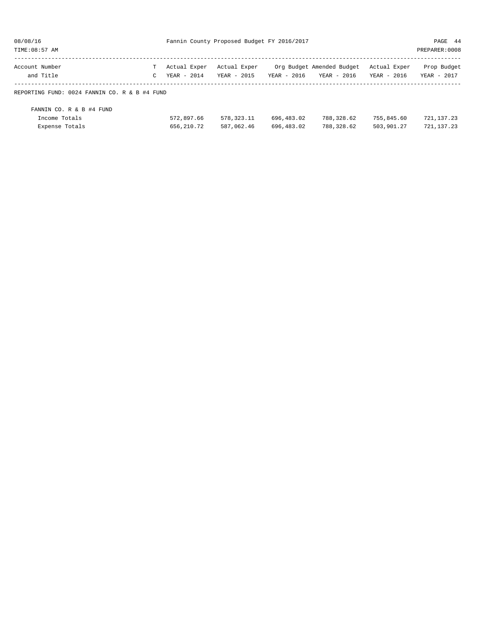| 08/08/16                                      | Fannin County Proposed Budget FY 2016/2017 |              | PAGE 44      |             |                           |              |                |
|-----------------------------------------------|--------------------------------------------|--------------|--------------|-------------|---------------------------|--------------|----------------|
| TIME: 08:57 AM                                |                                            |              |              |             |                           |              | PREPARER: 0008 |
| Account Number                                |                                            | Actual Exper | Actual Exper |             | Org Budget Amended Budget | Actual Exper | Prop Budget    |
| and Title                                     | C                                          | YEAR - 2014  | YEAR - 2015  | YEAR - 2016 | YEAR - 2016               | YEAR - 2016  | YEAR - 2017    |
| REPORTING FUND: 0024 FANNIN CO. R & B #4 FUND |                                            |              |              |             |                           |              |                |
| FANNIN CO. R & B #4 FUND                      |                                            |              |              |             |                           |              |                |
| Income Totals                                 |                                            | 572,897.66   | 578, 323. 11 | 696,483.02  | 788,328.62                | 755,845.60   | 721, 137. 23   |
| Expense Totals                                |                                            | 656, 210. 72 | 587,062.46   | 696,483.02  | 788,328.62                | 503,901.27   | 721, 137, 23   |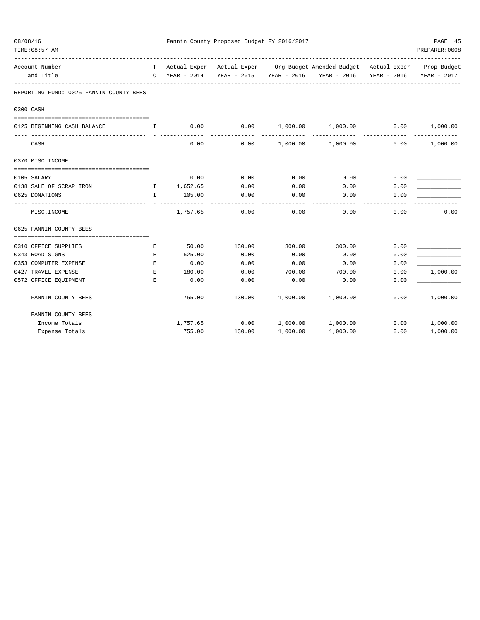| 08/08/16<br>TIME: 08:57 AM |                                                                                                |              |                      | Fannin County Proposed Budget FY 2016/2017 |          |                                                    |      | PAGE 45<br>PREPARER: 0008 |
|----------------------------|------------------------------------------------------------------------------------------------|--------------|----------------------|--------------------------------------------|----------|----------------------------------------------------|------|---------------------------|
| Account Number             |                                                                                                |              |                      | T Actual Exper Actual Exper                |          | Org Budget Amended Budget Actual Exper Prop Budget |      |                           |
|                            | and Title                                                                                      | $\mathsf{C}$ | YEAR - 2014          |                                            |          | YEAR - 2015 YEAR - 2016 YEAR - 2016 YEAR - 2016    |      | YEAR - 2017               |
|                            | REPORTING FUND: 0025 FANNIN COUNTY BEES                                                        |              |                      |                                            |          |                                                    |      |                           |
| 0300 CASH                  |                                                                                                |              |                      |                                            |          |                                                    |      |                           |
|                            |                                                                                                |              |                      |                                            |          |                                                    |      |                           |
|                            | 0125 BEGINNING CASH BALANCE<br>$\mathbf{I}$ and $\mathbf{I}$ and $\mathbf{I}$ and $\mathbf{I}$ |              | 0.00                 |                                            |          | $0.00$ 1,000.00 1,000.00 0.00 1,000.00             |      |                           |
| CASH                       |                                                                                                |              | 0.00                 |                                            |          | $0.00$ 1,000.00 1,000.00                           | 0.00 | 1,000.00                  |
|                            | 0370 MISC. INCOME                                                                              |              |                      |                                            |          |                                                    |      |                           |
|                            |                                                                                                |              |                      |                                            |          |                                                    |      |                           |
| 0105 SALARY                |                                                                                                |              | 0.00                 | 0.00                                       | 0.00     | 0.00                                               | 0.00 |                           |
|                            | 0138 SALE OF SCRAP IRON<br>$\mathbf{I}$ and $\mathbf{I}$ and $\mathbf{I}$ and $\mathbf{I}$     |              | 1,652.65             | 0.00                                       | 0.00     | 0.00                                               | 0.00 |                           |
| 0625 DONATIONS             |                                                                                                | $\mathbf{I}$ | 105.00<br>---------- | 0.00                                       | 0.00     | 0.00                                               | 0.00 |                           |
|                            | MISC.INCOME                                                                                    |              | 1,757.65             | 0.00                                       | 0.00     | 0.00                                               | 0.00 | 0.00                      |
|                            | 0625 FANNIN COUNTY BEES                                                                        |              |                      |                                            |          |                                                    |      |                           |
|                            |                                                                                                |              |                      |                                            |          |                                                    |      |                           |
|                            | 0310 OFFICE SUPPLIES                                                                           | Е            | 50.00                | 130.00                                     | 300.00   | 300.00                                             | 0.00 |                           |
|                            | 0343 ROAD SIGNS                                                                                | Е            | 525.00               | 0.00                                       | 0.00     | 0.00                                               | 0.00 |                           |
|                            | 0353 COMPUTER EXPENSE                                                                          | Е            | 0.00                 | 0.00                                       | 0.00     | 0.00                                               | 0.00 |                           |
|                            | 0427 TRAVEL EXPENSE                                                                            | E            | 180.00               | 0.00                                       | 700.00   | 700.00                                             | 0.00 | 1,000.00                  |
|                            | 0572 OFFICE EQUIPMENT                                                                          | E.           | 0.00                 | 0.00                                       | 0.00     | 0.00                                               | 0.00 |                           |
|                            | FANNIN COUNTY BEES                                                                             |              | 755.00               | 130.00                                     | 1,000.00 | 1,000.00                                           | 0.00 | 1,000.00                  |
|                            | FANNIN COUNTY BEES                                                                             |              |                      |                                            |          |                                                    |      |                           |
|                            | Income Totals                                                                                  |              | 1,757.65             | 0.00                                       | 1,000.00 | 1,000.00                                           | 0.00 | 1,000.00                  |
|                            | Expense Totals                                                                                 |              | 755.00               | 130.00                                     | 1,000.00 | 1,000.00                                           | 0.00 | 1,000.00                  |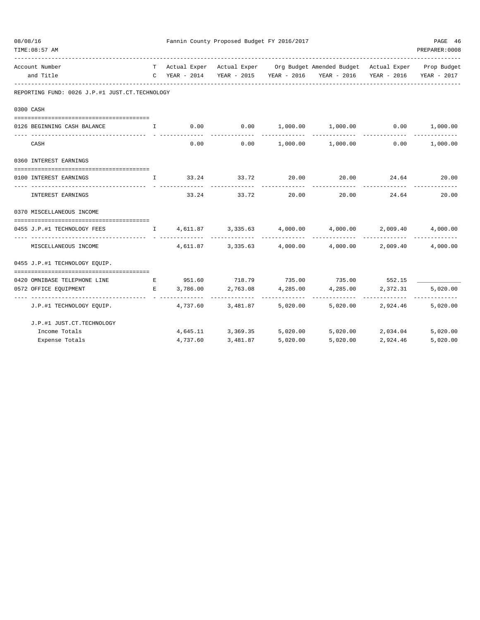| 08/08/16<br>TIME: 08:57 AM                     |                                                                                                                                                                                                                                                                                                  | Fannin County Proposed Budget FY 2016/2017 |                                            |          |                                                                                                                                                             |                                          |                   |  |  |  |
|------------------------------------------------|--------------------------------------------------------------------------------------------------------------------------------------------------------------------------------------------------------------------------------------------------------------------------------------------------|--------------------------------------------|--------------------------------------------|----------|-------------------------------------------------------------------------------------------------------------------------------------------------------------|------------------------------------------|-------------------|--|--|--|
| Account Number<br>and Title                    |                                                                                                                                                                                                                                                                                                  |                                            |                                            |          | T Actual Exper Actual Exper Org Budget Amended Budget Actual Exper Prop Budget<br>C YEAR - 2014 YEAR - 2015 YEAR - 2016 YEAR - 2016 YEAR - 2016 YEAR - 2017 |                                          |                   |  |  |  |
| REPORTING FUND: 0026 J.P.#1 JUST.CT.TECHNOLOGY |                                                                                                                                                                                                                                                                                                  |                                            |                                            |          |                                                                                                                                                             |                                          |                   |  |  |  |
| 0300 CASH                                      |                                                                                                                                                                                                                                                                                                  |                                            |                                            |          |                                                                                                                                                             |                                          |                   |  |  |  |
|                                                |                                                                                                                                                                                                                                                                                                  |                                            |                                            |          |                                                                                                                                                             |                                          |                   |  |  |  |
| 0126 BEGINNING CASH BALANCE                    | $\mathbf{I}$ and $\mathbf{I}$ and $\mathbf{I}$ and $\mathbf{I}$ and $\mathbf{I}$ and $\mathbf{I}$ and $\mathbf{I}$ and $\mathbf{I}$ and $\mathbf{I}$ and $\mathbf{I}$ and $\mathbf{I}$ and $\mathbf{I}$ and $\mathbf{I}$ and $\mathbf{I}$ and $\mathbf{I}$ and $\mathbf{I}$ and $\mathbf{I}$ and |                                            |                                            |          | $0.00$ $0.00$ $1,000.00$ $1,000.00$ $0.00$ $1,000.00$                                                                                                       |                                          |                   |  |  |  |
| CASH                                           |                                                                                                                                                                                                                                                                                                  |                                            | 0.00                                       |          | $0.00$ 1,000.00 1,000.00                                                                                                                                    | 0.00                                     | 1,000.00          |  |  |  |
| 0360 INTEREST EARNINGS                         |                                                                                                                                                                                                                                                                                                  |                                            |                                            |          |                                                                                                                                                             |                                          |                   |  |  |  |
|                                                |                                                                                                                                                                                                                                                                                                  |                                            |                                            |          |                                                                                                                                                             |                                          |                   |  |  |  |
| 0100 INTEREST EARNINGS                         |                                                                                                                                                                                                                                                                                                  |                                            |                                            |          | $\qquad \qquad 1 \qquad \qquad 33.24 \qquad \qquad 33.72 \qquad \qquad 20.00 \qquad \qquad 20.00 \qquad \qquad 24.64 \qquad \qquad 20.00$                   |                                          |                   |  |  |  |
| INTEREST EARNINGS                              |                                                                                                                                                                                                                                                                                                  |                                            | 33.24 33.72                                | 20.00    | 20.00                                                                                                                                                       | 24.64                                    | 20.00             |  |  |  |
| 0370 MISCELLANEOUS INCOME                      |                                                                                                                                                                                                                                                                                                  |                                            |                                            |          |                                                                                                                                                             |                                          |                   |  |  |  |
| 0455 J.P.#1 TECHNOLOGY FEES                    |                                                                                                                                                                                                                                                                                                  |                                            |                                            |          |                                                                                                                                                             |                                          |                   |  |  |  |
|                                                |                                                                                                                                                                                                                                                                                                  |                                            |                                            |          | ______________                                                                                                                                              |                                          |                   |  |  |  |
| MISCELLANEOUS INCOME                           |                                                                                                                                                                                                                                                                                                  |                                            |                                            |          | $4,611.87$ $3,335.63$ $4,000.00$ $4,000.00$                                                                                                                 |                                          | 2,009.40 4,000.00 |  |  |  |
| 0455 J.P.#1 TECHNOLOGY EQUIP.                  |                                                                                                                                                                                                                                                                                                  |                                            |                                            |          |                                                                                                                                                             |                                          |                   |  |  |  |
| --------------------------------------         |                                                                                                                                                                                                                                                                                                  |                                            |                                            |          |                                                                                                                                                             |                                          |                   |  |  |  |
| 0420 OMNIBASE TELEPHONE LINE                   |                                                                                                                                                                                                                                                                                                  | E 3,786.00                                 |                                            |          | E 951.60 718.79 735.00 735.00 552.15<br>4,285.00                                                                                                            |                                          |                   |  |  |  |
| 0572 OFFICE EQUIPMENT                          |                                                                                                                                                                                                                                                                                                  |                                            | 2,763.08<br>------------------------------ | 4,285.00 | -------------                                                                                                                                               | 2,372.31<br>-------------- ------------- | 5,020.00          |  |  |  |
| J.P.#1 TECHNOLOGY EQUIP.                       |                                                                                                                                                                                                                                                                                                  |                                            | 4,737.60 3,481.87                          |          | 5,020.00 5,020.00 2,924.46 5,020.00                                                                                                                         |                                          |                   |  |  |  |
| J.P.#1 JUST.CT.TECHNOLOGY                      |                                                                                                                                                                                                                                                                                                  |                                            |                                            |          |                                                                                                                                                             |                                          |                   |  |  |  |
| Income Totals                                  |                                                                                                                                                                                                                                                                                                  |                                            | 4,645.11 3,369.35                          |          | $5,020.00$ $5,020.00$ $2,034.04$ $5,020.00$                                                                                                                 |                                          |                   |  |  |  |
| Expense Totals                                 |                                                                                                                                                                                                                                                                                                  | 4,737.60                                   | 3,481.87                                   | 5.020.00 | 5.020.00                                                                                                                                                    | 2,924.46                                 | 5,020.00          |  |  |  |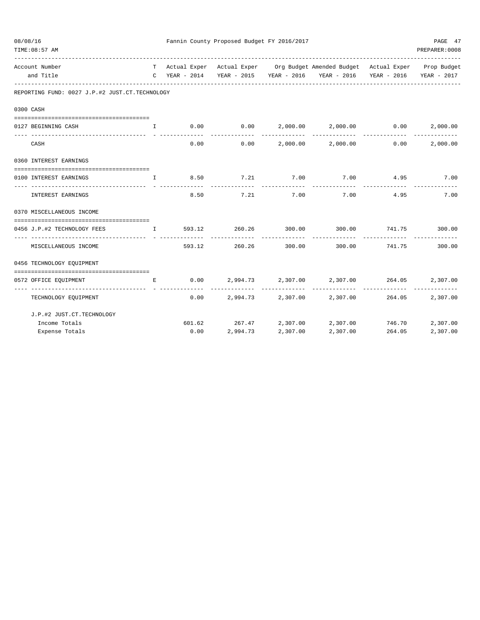| 08/08/16 | TIME: 08:57 AM                                                                |              |        | Fannin County Proposed Budget FY 2016/2017 |                    |                                                                                                                                                 |                                | PAGE 47<br>PREPARER: 0008 |
|----------|-------------------------------------------------------------------------------|--------------|--------|--------------------------------------------|--------------------|-------------------------------------------------------------------------------------------------------------------------------------------------|--------------------------------|---------------------------|
|          | Account Number<br>and Title                                                   |              |        |                                            |                    | T Actual Exper Actual Exper Org Budget Amended Budget Actual Exper Prop Budget<br>C YEAR - 2014 YEAR - 2015 YEAR - 2016 YEAR - 2016 YEAR - 2016 |                                | YEAR - 2017               |
|          | REPORTING FUND: 0027 J.P.#2 JUST.CT.TECHNOLOGY                                |              |        |                                            |                    |                                                                                                                                                 |                                |                           |
|          | 0300 CASH                                                                     |              |        |                                            |                    |                                                                                                                                                 |                                |                           |
|          |                                                                               |              |        |                                            |                    |                                                                                                                                                 |                                |                           |
|          | 0127 BEGINNING CASH<br>and the state of the Table                             |              |        |                                            |                    | $0.00$ $0.00$ $2,000.00$ $2,000.00$ $0.00$ $0.00$                                                                                               |                                | 2,000.00                  |
|          | CASH                                                                          |              | 0.00   | 0.00                                       |                    | 2,000.00 2,000.00                                                                                                                               | 0.00                           | 2,000.00                  |
|          | 0360 INTEREST EARNINGS                                                        |              |        |                                            |                    |                                                                                                                                                 |                                |                           |
|          | 0100 INTEREST EARNINGS                                                        | $\mathbf{T}$ |        | 8.50 7.21 7.00                             |                    | 7.00 4.95                                                                                                                                       |                                | 7.00                      |
|          | INTEREST EARNINGS                                                             |              | 8.50   | 7.21                                       | ----------<br>7.00 | ------------<br>7.00                                                                                                                            | -----------<br>4.95            | 7.00                      |
|          | 0370 MISCELLANEOUS INCOME                                                     |              |        |                                            |                    |                                                                                                                                                 |                                |                           |
|          | 0456 J.P.#2 TECHNOLOGY FEES<br>$\mathbf{I}$ and $\mathbf{I}$ and $\mathbf{I}$ |              | 593.12 | 260.26                                     | 300.00             | 300.00 741.75 300.00                                                                                                                            |                                |                           |
|          | MISCELLANEOUS INCOME                                                          |              | 593.12 | ----------<br>260.26                       | 300.00             | -------------                                                                                                                                   | -------------<br>300.00 741.75 | -------------<br>300.00   |
|          | 0456 TECHNOLOGY EQUIPMENT                                                     |              |        |                                            |                    |                                                                                                                                                 |                                |                           |
|          | 0572 OFFICE EQUIPMENT                                                         | Е            | 0.00   |                                            |                    | $2.994.73$ $2.307.00$ $2.307.00$ $264.05$                                                                                                       |                                | 2,307.00                  |
|          | -----------------  - -------------<br>TECHNOLOGY EQUIPMENT                    |              | 0.00   |                                            |                    | 2,994.73 2,307.00 2,307.00                                                                                                                      | 264.05                         | 2,307.00                  |
|          | J.P.#2 JUST.CT.TECHNOLOGY                                                     |              |        |                                            |                    |                                                                                                                                                 |                                |                           |
|          | Income Totals                                                                 |              |        | 601.62 267.47 2,307.00                     |                    | 2,307.00                                                                                                                                        | 746.70                         | 2,307.00                  |
|          | Expense Totals                                                                |              | 0.00   |                                            | 2,994.73 2,307.00  | 2,307.00                                                                                                                                        | 264.05                         | 2,307.00                  |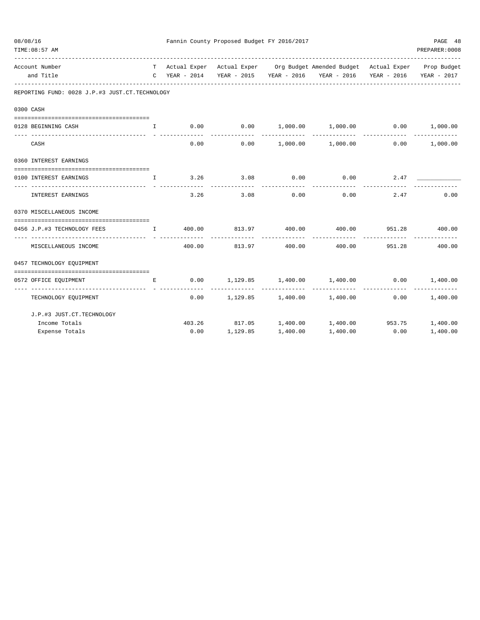| 08/08/16 | TIME: 08:57 AM                                                    |              | Fannin County Proposed Budget FY 2016/2017 |                            |             |                                                                                                                                   |                 |               |  |  |  |
|----------|-------------------------------------------------------------------|--------------|--------------------------------------------|----------------------------|-------------|-----------------------------------------------------------------------------------------------------------------------------------|-----------------|---------------|--|--|--|
|          | Account Number<br>and Title                                       |              | C YEAR - 2014                              |                            |             | T Actual Exper Actual Exper Org Budget Amended Budget Actual Exper Prop Budget<br>YEAR - 2015 YEAR - 2016 YEAR - 2016 YEAR - 2016 |                 | YEAR - 2017   |  |  |  |
|          | REPORTING FUND: 0028 J.P.#3 JUST.CT.TECHNOLOGY                    |              |                                            |                            |             |                                                                                                                                   |                 |               |  |  |  |
|          | 0300 CASH                                                         |              |                                            |                            |             |                                                                                                                                   |                 |               |  |  |  |
|          | 0128 BEGINNING CASH                                               | $\mathbf{I}$ |                                            |                            |             | $0.00$ $0.00$ $1,000.00$ $1,000.00$ $0.00$ $1,000.00$                                                                             |                 |               |  |  |  |
|          | CASH                                                              |              | 0.00                                       |                            |             | $0.00$ $1,000.00$ $1,000.00$ $0.00$                                                                                               | _____________   | 1,000.00      |  |  |  |
|          | 0360 INTEREST EARNINGS                                            |              |                                            |                            |             |                                                                                                                                   |                 |               |  |  |  |
|          | 0100 INTEREST EARNINGS                                            | $\mathbf{T}$ | 3.26                                       | 3.08                       | 0.00        | 0.00                                                                                                                              |                 | 2.47          |  |  |  |
|          | INTEREST EARNINGS                                                 |              | 3.26                                       | -----------<br>3.08        | ----------- | -----------<br>$0.00$ 0.00                                                                                                        | 2.47            | 0.00          |  |  |  |
|          | 0370 MISCELLANEOUS INCOME                                         |              |                                            |                            |             |                                                                                                                                   |                 |               |  |  |  |
|          | ----------------------------------<br>0456 J.P.#3 TECHNOLOGY FEES |              |                                            |                            |             | $\,$ I $\,$ 400.00 $\,$ 813.97 $\,$ 400.00 $\,$ 400.00 $\,$ 951.28 $\,$ 400.00                                                    |                 |               |  |  |  |
|          | MISCELLANEOUS INCOME                                              |              |                                            | 400.00 813.97 400.00       |             | 400.00                                                                                                                            | 951.28          | 400.00        |  |  |  |
|          | 0457 TECHNOLOGY EQUIPMENT                                         |              |                                            |                            |             |                                                                                                                                   |                 |               |  |  |  |
|          | 0572 OFFICE EQUIPMENT                                             | E            | 0.00                                       | 1,129.85 1,400.00 1,400.00 |             |                                                                                                                                   | $0.00$ 1,400.00 |               |  |  |  |
|          | ---------------------------------<br>TECHNOLOGY EQUIPMENT         |              |                                            |                            |             | $0.00$ 1,129.85 1,400.00 1,400.00 0.00 1,400.00                                                                                   |                 | ------------- |  |  |  |
|          | J.P.#3 JUST.CT.TECHNOLOGY                                         |              |                                            |                            |             |                                                                                                                                   |                 |               |  |  |  |
|          | Income Totals                                                     |              |                                            |                            |             | 403.26 817.05 1,400.00 1,400.00 953.75 1,400.00                                                                                   |                 |               |  |  |  |
|          | Expense Totals                                                    |              |                                            | $0.00$ 1,129.85            | 1,400.00    | 1,400.00                                                                                                                          | 0.00            | 1,400.00      |  |  |  |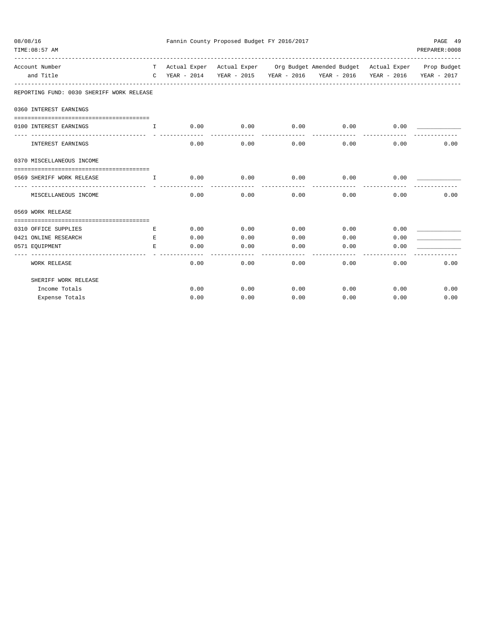| 08/08/16<br>TIME: 08:57 AM                                                                                                                                                                                                                                                                                                    |              | Fannin County Proposed Budget FY 2016/2017 | PAGE 49<br>PREPARER: 0008 |                             |                                                                                |              |              |
|-------------------------------------------------------------------------------------------------------------------------------------------------------------------------------------------------------------------------------------------------------------------------------------------------------------------------------|--------------|--------------------------------------------|---------------------------|-----------------------------|--------------------------------------------------------------------------------|--------------|--------------|
| Account Number                                                                                                                                                                                                                                                                                                                |              |                                            |                           |                             | T Actual Exper Actual Exper Org Budget Amended Budget Actual Exper Prop Budget |              |              |
| and Title                                                                                                                                                                                                                                                                                                                     |              |                                            |                           |                             | C YEAR - 2014 YEAR - 2015 YEAR - 2016 YEAR - 2016 YEAR - 2016 YEAR - 2017      |              |              |
| REPORTING FUND: 0030 SHERIFF WORK RELEASE                                                                                                                                                                                                                                                                                     |              |                                            |                           |                             |                                                                                |              |              |
| 0360 INTEREST EARNINGS                                                                                                                                                                                                                                                                                                        |              |                                            |                           |                             |                                                                                |              |              |
| 0100 INTEREST EARNINGS                                                                                                                                                                                                                                                                                                        | $\mathbf{I}$ |                                            | --------------            | ----------                  | $0.00$ $0.00$ $0.00$ $0.00$ $0.00$ $0.00$ $0.00$<br>-------------              |              |              |
| INTEREST EARNINGS                                                                                                                                                                                                                                                                                                             |              | 0.00                                       | 0.00                      | 0.00                        |                                                                                | 0.00<br>0.00 | 0.00         |
| 0370 MISCELLANEOUS INCOME                                                                                                                                                                                                                                                                                                     |              |                                            |                           |                             |                                                                                |              |              |
| 0569 SHERIFF WORK RELEASE<br>$\mathbf{I}$ and $\mathbf{I}$ and $\mathbf{I}$ and $\mathbf{I}$ and $\mathbf{I}$ and $\mathbf{I}$ and $\mathbf{I}$ and $\mathbf{I}$ and $\mathbf{I}$ and $\mathbf{I}$ and $\mathbf{I}$ and $\mathbf{I}$ and $\mathbf{I}$ and $\mathbf{I}$ and $\mathbf{I}$ and $\mathbf{I}$ and $\mathbf{I}$ and |              | 0.00                                       | -----------               | $0.00$ 0.00<br>------------ | 0.00<br>--------------                                                         | 0.00         |              |
| MISCELLANEOUS INCOME                                                                                                                                                                                                                                                                                                          |              | 0.00                                       | 0.00                      | 0.00                        |                                                                                | 0.00<br>0.00 | 0.00         |
| 0569 WORK RELEASE                                                                                                                                                                                                                                                                                                             |              |                                            |                           |                             |                                                                                |              |              |
|                                                                                                                                                                                                                                                                                                                               |              |                                            |                           |                             |                                                                                |              |              |
| 0310 OFFICE SUPPLIES                                                                                                                                                                                                                                                                                                          | Е            | 0.00                                       | 0.00                      |                             | $0.00$ 0.00                                                                    | 0.00         |              |
| 0421 ONLINE RESEARCH                                                                                                                                                                                                                                                                                                          | E.           | 0.00                                       | 0.00                      | 0.00                        | 0.00                                                                           | 0.00         |              |
| 0571 EQUIPMENT                                                                                                                                                                                                                                                                                                                | E.           | 0.00                                       | 0.00                      | 0.00                        | 0.00                                                                           | 0.00         |              |
| WORK RELEASE                                                                                                                                                                                                                                                                                                                  |              | 0.00                                       | 0.00                      | 0.00                        |                                                                                | 0.00<br>0.00 | 0.00         |
| SHERIFF WORK RELEASE                                                                                                                                                                                                                                                                                                          |              |                                            |                           |                             |                                                                                |              |              |
| Income Totals                                                                                                                                                                                                                                                                                                                 |              |                                            | 0.00<br>0.00              |                             | $0.00$ 0.00                                                                    |              | 0.00<br>0.00 |
| Expense Totals                                                                                                                                                                                                                                                                                                                |              | 0.00                                       | 0.00                      | 0.00                        |                                                                                | 0.00<br>0.00 | 0.00         |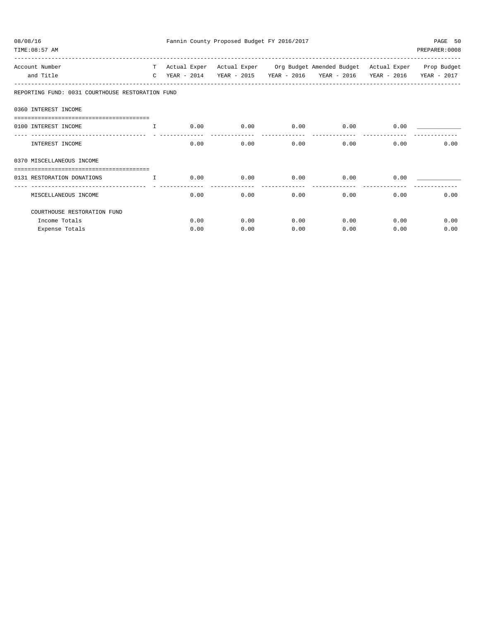| 08/08/16<br>TIME: 08:57 AM                                       |               |              | Fannin County Proposed Budget FY 2016/2017 |             |                                                                 |             | PAGE 50<br>PREPARER: 0008 |
|------------------------------------------------------------------|---------------|--------------|--------------------------------------------|-------------|-----------------------------------------------------------------|-------------|---------------------------|
| Account Number                                                   | T –           | Actual Exper |                                            |             | Actual Exper Org Budget Amended Budget Actual Exper Prop Budget |             |                           |
| and Title                                                        | $\mathcal{C}$ | YEAR - 2014  | YEAR - 2015                                | YEAR - 2016 | YEAR - 2016                                                     | YEAR - 2016 | YEAR - 2017               |
| REPORTING FUND: 0031 COURTHOUSE RESTORATION FUND                 |               |              |                                            |             |                                                                 |             |                           |
| 0360 INTEREST INCOME                                             |               |              |                                            |             |                                                                 |             |                           |
| 0100 INTEREST INCOME                                             | $\mathbf{T}$  | 0.00         | 0.00                                       | 0.00        | 0.00                                                            | 0.00        |                           |
| INTEREST INCOME                                                  |               | 0.00         | 0.00                                       | 0.00        | 0.00                                                            | 0.00        | 0.00                      |
| 0370 MISCELLANEOUS INCOME                                        |               |              |                                            |             |                                                                 |             |                           |
| ==================================<br>0131 RESTORATION DONATIONS | $\mathbf{I}$  | 0.00         | 0.00                                       | 0.00        | 0.00                                                            | 0.00        |                           |
| ----------------------------<br>MISCELLANEOUS INCOME             |               | 0.00         | 0.00                                       | 0.00        | 0.00                                                            | 0.00        | 0.00                      |
| COURTHOUSE RESTORATION FUND                                      |               |              |                                            |             |                                                                 |             |                           |
| Income Totals                                                    |               | 0.00         | 0.00                                       | 0.00        | 0.00                                                            | 0.00        | 0.00                      |
| Expense Totals                                                   |               | 0.00         | 0.00                                       | 0.00        | 0.00                                                            | 0.00        | 0.00                      |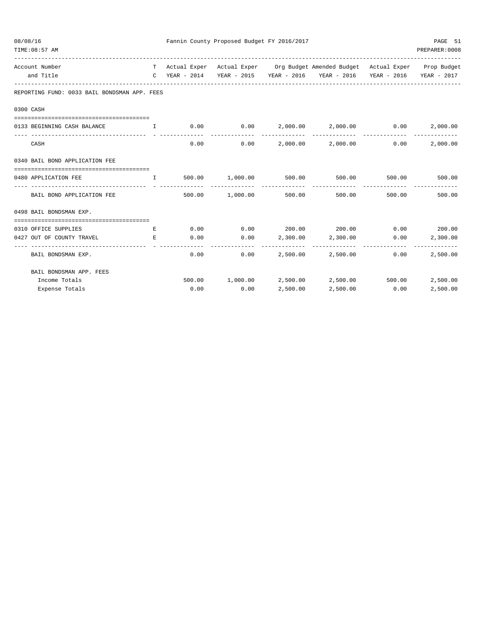| Fannin County Proposed Budget FY 2016/2017<br>08/08/16<br>TIME: 08:57 AM |                                                                                                                                                                                                                                                                  |              |      |                                  |                          |                                                                                                                                                 |                        | PAGE 51<br>PREPARER: 0008 |
|--------------------------------------------------------------------------|------------------------------------------------------------------------------------------------------------------------------------------------------------------------------------------------------------------------------------------------------------------|--------------|------|----------------------------------|--------------------------|-------------------------------------------------------------------------------------------------------------------------------------------------|------------------------|---------------------------|
|                                                                          | Account Number<br>and Title                                                                                                                                                                                                                                      |              |      |                                  |                          | T Actual Exper Actual Exper Org Budget Amended Budget Actual Exper Prop Budget<br>C YEAR - 2014 YEAR - 2015 YEAR - 2016 YEAR - 2016 YEAR - 2016 |                        | YEAR - 2017               |
|                                                                          | REPORTING FUND: 0033 BAIL BONDSMAN APP. FEES                                                                                                                                                                                                                     |              |      |                                  |                          |                                                                                                                                                 |                        |                           |
|                                                                          | 0300 CASH                                                                                                                                                                                                                                                        |              |      |                                  |                          |                                                                                                                                                 |                        |                           |
| 0133 BEGINNING CASH BALANCE I                                            |                                                                                                                                                                                                                                                                  |              |      |                                  |                          | $0.00$ $0.00$ $2,000.00$ $2,000.00$ $0.00$                                                                                                      |                        | 2,000.00                  |
|                                                                          | CASH                                                                                                                                                                                                                                                             |              | 0.00 | 0.00                             |                          | $2,000.00$ $2,000.00$ $0.00$                                                                                                                    |                        | 2,000.00                  |
|                                                                          | 0340 BAIL BOND APPLICATION FEE                                                                                                                                                                                                                                   |              |      |                                  |                          |                                                                                                                                                 |                        |                           |
|                                                                          | 0480 APPLICATION FEE                                                                                                                                                                                                                                             | $\mathbf{I}$ |      | 500.00 1,000.00 500.00           |                          | 500.00                                                                                                                                          | 500.00                 | 500.00                    |
|                                                                          | BAIL BOND APPLICATION FEE                                                                                                                                                                                                                                        |              |      | -------------<br>500.00 1,000.00 | --------------<br>500.00 | ------------<br>500.00                                                                                                                          | 500.00                 | 500.00                    |
|                                                                          | 0498 BAIL BONDSMAN EXP.                                                                                                                                                                                                                                          |              |      |                                  |                          |                                                                                                                                                 |                        |                           |
|                                                                          | 0310 OFFICE SUPPLIES                                                                                                                                                                                                                                             | E            | 0.00 |                                  |                          | $0.00$ 200.00 200.00 0.00 200.00                                                                                                                |                        |                           |
|                                                                          | 0427 OUT OF COUNTY TRAVEL<br><b>Example 2005</b> For the Second Property of the Second Property of the Second Property of the Second Property of the Second Property of the Second Property of the Second Property of the Second Property of the Second Property |              | 0.00 |                                  | $0.00$ 2,300.00 2,300.00 |                                                                                                                                                 | 0.00                   | 2,300.00                  |
|                                                                          | BAIL BONDSMAN EXP.                                                                                                                                                                                                                                               |              | 0.00 | 0.00                             |                          | 2,500.00 2,500.00                                                                                                                               | --------------<br>0.00 | 2,500.00                  |
|                                                                          | BAIL BONDSMAN APP. FEES                                                                                                                                                                                                                                          |              |      |                                  |                          |                                                                                                                                                 |                        |                           |
|                                                                          | Income Totals                                                                                                                                                                                                                                                    |              |      |                                  |                          | 500.00 1,000.00 2,500.00 2,500.00                                                                                                               |                        | 500.00 2,500.00           |
|                                                                          | Expense Totals                                                                                                                                                                                                                                                   |              | 0.00 | 0.00                             | 2,500.00                 | 2,500.00                                                                                                                                        | 0.00                   | 2,500.00                  |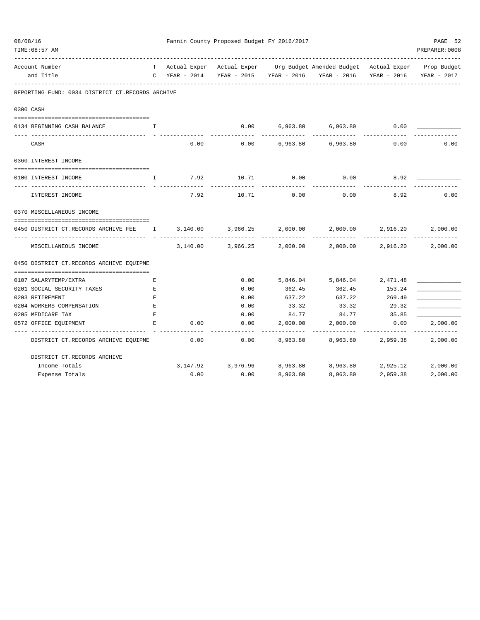| TIME: 08:57 AM                                                                      |                    |          |                      |             |                                                                                                                                             |               | PREPARER: 0008            |
|-------------------------------------------------------------------------------------|--------------------|----------|----------------------|-------------|---------------------------------------------------------------------------------------------------------------------------------------------|---------------|---------------------------|
| Account Number<br>and Title                                                         |                    |          |                      |             | T Actual Exper Actual Exper Org Budget Amended Budget Actual Exper Prop Budget<br>C YEAR - $2014$ YEAR - $2015$ YEAR - $2016$ YEAR - $2016$ |               | YEAR - 2016 YEAR - 2017   |
| REPORTING FUND: 0034 DISTRICT CT.RECORDS ARCHIVE                                    |                    |          |                      |             |                                                                                                                                             |               |                           |
| 0300 CASH                                                                           |                    |          |                      |             |                                                                                                                                             |               |                           |
| 0134 BEGINNING CASH BALANCE                                                         | I.                 |          | 0.00                 |             | 6,963.80 6,963.80                                                                                                                           | 0.00          |                           |
| CASH                                                                                |                    | 0.00     |                      |             | $0.00$ 6,963.80 6,963.80                                                                                                                    | 0.00          | 0.00                      |
| 0360 INTEREST INCOME                                                                |                    |          |                      |             |                                                                                                                                             |               |                           |
| 0100 INTEREST INCOME                                                                | I.                 | 7.92     | 10.71                | 0.00        | 0.00                                                                                                                                        | 8.92          |                           |
| INTEREST INCOME                                                                     |                    | 7.92     | 10.71                | 0.00        | 0.00                                                                                                                                        | 8.92          | 0.00                      |
| 0370 MISCELLANEOUS INCOME                                                           |                    |          |                      |             |                                                                                                                                             |               |                           |
| 0450 DISTRICT CT.RECORDS ARCHIVE FEE 1 3,140.00 3,966.25 2,000.00 2,000.00 2,916.20 |                    |          |                      |             |                                                                                                                                             |               | 2,000.00                  |
| MISCELLANEOUS INCOME                                                                |                    | 3,140.00 |                      |             | -------------<br>$3,966.25$ $2,000.00$ $2,000.00$ $2,916.20$                                                                                | ------------- | -------------<br>2,000.00 |
| 0450 DISTRICT CT.RECORDS ARCHIVE EQUIPME                                            |                    |          |                      |             |                                                                                                                                             |               |                           |
| 0107 SALARYTEMP/EXTRA                                                               | Е                  |          | 0.00                 |             | 5,846.04 5,846.04 2,471.48                                                                                                                  |               |                           |
| 0201 SOCIAL SECURITY TAXES                                                          | $\mathbf{E}% _{0}$ |          | 0.00                 | 362.45      | 362.45                                                                                                                                      | 153.24        |                           |
| 0203 RETIREMENT                                                                     | E                  |          | 0.00                 |             | 637.22 637.22 269.49                                                                                                                        |               |                           |
| 0204 WORKERS COMPENSATION<br><b>Example 20</b>                                      |                    |          | 0.00                 |             | 33.32 33.32 29.32                                                                                                                           |               |                           |
| 0205 MEDICARE TAX                                                                   | E                  |          | 0.00                 |             | 84.77 84.77 35.85                                                                                                                           |               |                           |
| 0572 OFFICE EQUIPMENT                                                               | Е                  | 0.00     | 0.00                 |             | $2,000.00$ $2,000.00$ $0.00$                                                                                                                |               | 2,000.00                  |
| DISTRICT CT.RECORDS ARCHIVE EQUIPME                                                 |                    | 0.00     | ------------<br>0.00 | ----------- | -------------<br>8,963.80 8,963.80 2,959.38                                                                                                 | ------------- | -------------<br>2,000.00 |
| DISTRICT CT.RECORDS ARCHIVE                                                         |                    |          |                      |             |                                                                                                                                             |               |                           |
| Income Totals                                                                       |                    |          | 3,147.92 3,976.96    |             | 8,963.80 8,963.80 2,925.12                                                                                                                  |               | 2,000.00                  |
| Expense Totals                                                                      |                    | 0.00     | 0.00                 | 8,963.80    | 8,963.80                                                                                                                                    | 2,959.38      | 2,000.00                  |

08/08/16 Fannin County Proposed Budget FY 2016/2017 PAGE 52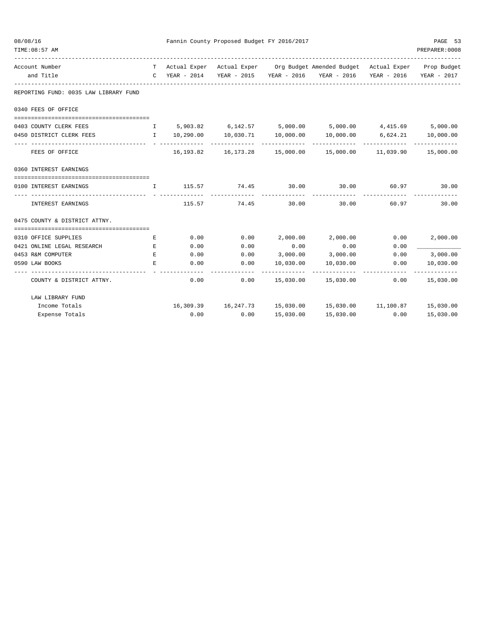| Fannin County Proposed Budget FY 2016/2017<br>08/08/16<br>PAGE 53<br>PREPARER: 0008<br>TIME: 08:57 AM |                                                                                           |           |                                  |                       |                                                                                          |                      |             |  |  |
|-------------------------------------------------------------------------------------------------------|-------------------------------------------------------------------------------------------|-----------|----------------------------------|-----------------------|------------------------------------------------------------------------------------------|----------------------|-------------|--|--|
| Account Number                                                                                        |                                                                                           |           |                                  |                       | T Actual Exper Actual Exper Org Budget Amended Budget Actual Exper Prop Budget           |                      |             |  |  |
| and Title                                                                                             |                                                                                           |           |                                  |                       | C YEAR - 2014 YEAR - 2015 YEAR - 2016 YEAR - 2016 YEAR - 2016                            |                      | YEAR - 2017 |  |  |
| REPORTING FUND: 0035 LAW LIBRARY FUND                                                                 |                                                                                           |           |                                  |                       |                                                                                          |                      |             |  |  |
| 0340 FEES OF OFFICE                                                                                   |                                                                                           |           |                                  |                       |                                                                                          |                      |             |  |  |
| 0403 COUNTY CLERK FEES                                                                                |                                                                                           |           |                                  |                       | I 5,903.82 6,142.57 5,000.00 5,000.00 4,415.69 5,000.00                                  |                      |             |  |  |
| 0450 DISTRICT CLERK FEES                                                                              | $\mathbf{I}$ and $\mathbf{I}$ and $\mathbf{I}$                                            | 10,290.00 | 10,030.71  10,000.00             |                       | 10,000.00                                                                                | $6,624.21$ 10,000.00 |             |  |  |
| FEES OF OFFICE                                                                                        |                                                                                           |           | -------------                    | -------------         | -------------<br>$16,193.82$ $16,173.28$ $15,000.00$ $15,000.00$ $11,039.90$ $15,000.00$ | --------------       |             |  |  |
| 0360 INTEREST EARNINGS                                                                                |                                                                                           |           |                                  |                       |                                                                                          |                      |             |  |  |
| 0100 INTEREST EARNINGS                                                                                | $\mathbf{I}$ . The state of the state $\mathbf{I}$ is the state of the state $\mathbf{I}$ |           | $115.57$ $74.45$ $30.00$ $30.00$ |                       |                                                                                          | 60.97 30.00          |             |  |  |
| ------------------------------<br>INTEREST EARNINGS                                                   |                                                                                           | 115.57    | 74.45                            | ------------<br>30.00 | 30.00                                                                                    | 60.97                | 30.00       |  |  |
| 0475 COUNTY & DISTRICT ATTNY.                                                                         |                                                                                           |           |                                  |                       |                                                                                          |                      |             |  |  |
| 0310 OFFICE SUPPLIES                                                                                  | E                                                                                         | 0.00      | 0.00                             | 2,000.00              | 2,000.00                                                                                 | 0.00                 | 2,000.00    |  |  |
| 0421 ONLINE LEGAL RESEARCH                                                                            | $ E$                                                                                      | 0.00      | 0.00                             | 0.00                  | 0.00                                                                                     | 0.00                 |             |  |  |
| 0453 R&M COMPUTER                                                                                     | E.                                                                                        | 0.00      | 0.00                             | 3,000.00              | 3,000.00                                                                                 | 0.00                 | 3,000.00    |  |  |
| 0590 LAW BOOKS                                                                                        | E.                                                                                        | 0.00      | 0.00                             | 10,030.00             | 10,030.00                                                                                | 0.00                 | 10,030.00   |  |  |
| COUNTY & DISTRICT ATTNY.                                                                              |                                                                                           | 0.00      | 0.00                             |                       | 15,030.00    15,030.00                                                                   | 0.00                 | 15,030.00   |  |  |
| LAW LIBRARY FUND                                                                                      |                                                                                           |           |                                  |                       |                                                                                          |                      |             |  |  |
| Income Totals                                                                                         |                                                                                           |           |                                  |                       | 16, 309.39   16, 247.73   15, 030.00   15, 030.00   11, 100.87   15, 030.00              |                      |             |  |  |
| Expense Totals                                                                                        |                                                                                           | 0.00      | 0.00                             | 15,030.00             | 15,030.00                                                                                | 0.00                 | 15,030.00   |  |  |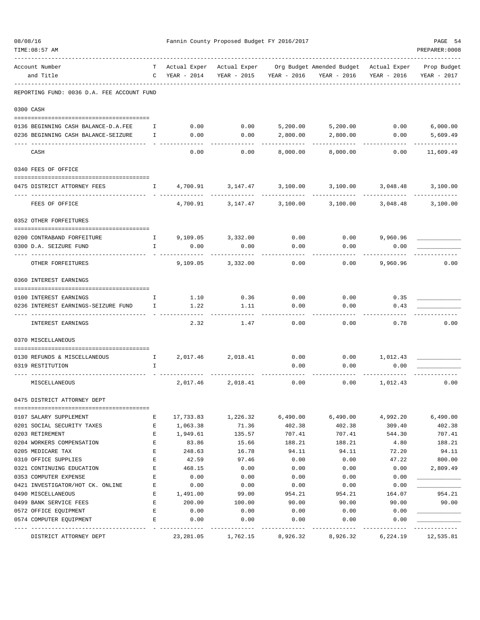| 08/08/16<br>TIME: 08:57 AM                 |              |                     | Fannin County Proposed Budget FY 2016/2017 |             |                                                         |                   | PAGE 54<br>PREPARER: 0008  |
|--------------------------------------------|--------------|---------------------|--------------------------------------------|-------------|---------------------------------------------------------|-------------------|----------------------------|
| Account Number<br>and Title                | C            | YEAR - 2014         | Actual Exper Actual Exper<br>YEAR - 2015   | YEAR - 2016 | Org Budget Amended Budget - Actual Exper<br>YEAR - 2016 | YEAR - 2016       | Prop Budget<br>YEAR - 2017 |
| REPORTING FUND: 0036 D.A. FEE ACCOUNT FUND |              |                     |                                            |             |                                                         |                   |                            |
| 0300 CASH                                  |              |                     |                                            |             |                                                         |                   |                            |
| 0136 BEGINNING CASH BALANCE-D.A.FEE        | $\mathbf{I}$ |                     | $0.00$ 0.00                                |             | 5,200.00 5,200.00 0.00                                  |                   | 6,000.00                   |
| 0236 BEGINNING CASH BALANCE-SEIZURE        | I.           | 0.00                | 0.00                                       | 2,800.00    | 2,800.00                                                | 0.00              | 5,609.49                   |
| CASH                                       |              | 0.00                | 0.00                                       | 8,000.00    | 8,000.00                                                | 0.00              | ----------<br>11,609.49    |
| 0340 FEES OF OFFICE                        |              |                     |                                            |             |                                                         |                   |                            |
| 0475 DISTRICT ATTORNEY FEES                | $\mathbf{I}$ | 4,700.91            | 3,147.47 3,100.00                          |             |                                                         | 3,100.00 3,048.48 | 3,100.00<br>-----------    |
| FEES OF OFFICE                             |              | 4,700.91            | 3,147.47                                   | 3,100.00    | 3,100.00                                                | 3,048.48          | 3,100.00                   |
| 0352 OTHER FORFEITURES                     |              |                     |                                            |             |                                                         |                   |                            |
| 0200 CONTRABAND FORFEITURE                 |              | 1 9,109.05 3,332.00 |                                            | 0.00        |                                                         | $0.00$ 9,960.96   |                            |
| 0300 D.A. SEIZURE FUND                     | $\mathbf{I}$ | 0.00                | 0.00                                       | 0.00        | 0.00                                                    | 0.00              |                            |
| OTHER FORFEITURES                          |              | 9,109.05            | 3,332.00                                   | 0.00        | 0.00                                                    | 9,960.96          | 0.00                       |
| 0360 INTEREST EARNINGS                     |              |                     |                                            |             |                                                         |                   |                            |
| 0100 INTEREST EARNINGS                     | Ι.           | 1.10                | 0.36                                       | 0.00        | 0.00                                                    | 0.35              |                            |
| 0236 INTEREST EARNINGS-SEIZURE FUND        | $\mathbb{I}$ | 1.22                | 1.11                                       | 0.00        | 0.00                                                    | 0.43              |                            |
| INTEREST EARNINGS                          |              | 2.32                | 1.47                                       | 0.00        | 0.00                                                    | 0.78              | 0.00                       |
| 0370 MISCELLANEOUS                         |              |                     |                                            |             |                                                         |                   |                            |
| 0130 REFUNDS & MISCELLANEOUS               | $\mathbb{I}$ |                     | 2,017.46 2,018.41                          | 0.00        |                                                         | $0.00$ 1,012.43   |                            |
| 0319 RESTITUTION                           | I            |                     |                                            | 0.00        | 0.00                                                    | 0.00              |                            |
| MISCELLANEOUS                              |              | 2,017.46            | 2,018.41                                   | 0.00        | 0.00                                                    | 1,012.43          | 0.00                       |
| 0475 DISTRICT ATTORNEY DEPT                |              |                     |                                            |             |                                                         |                   |                            |
| 0107 SALARY SUPPLEMENT                     | Е            | 17,733.83           | 1,226.32                                   | 6,490.00    | 6,490.00                                                | 4,992.20          | 6,490.00                   |
| 0201 SOCIAL SECURITY TAXES                 | Е            | 1,063.38            | 71.36                                      | 402.38      | 402.38                                                  | 309.40            | 402.38                     |
| 0203 RETIREMENT                            | E            | 1,949.61            | 135.57                                     | 707.41      | 707.41                                                  | 544.30            | 707.41                     |
| 0204 WORKERS COMPENSATION                  | $\mathbf{E}$ | 83.86               | 15.66                                      | 188.21      | 188.21                                                  | 4.80              | 188.21                     |
| 0205 MEDICARE TAX                          | Е            | 248.63              | 16.78                                      | 94.11       | 94.11                                                   | 72.20             | 94.11                      |
| 0310 OFFICE SUPPLIES                       | Е            | 42.59               | 97.46                                      | 0.00        | 0.00                                                    | 47.22             | 800.00                     |
| 0321 CONTINUING EDUCATION                  | Е            | 468.15              | 0.00                                       | 0.00        | 0.00                                                    | 0.00              | 2,809.49                   |
| 0353 COMPUTER EXPENSE                      | Е            | 0.00                | 0.00                                       | 0.00        | 0.00                                                    | 0.00              |                            |
| 0421 INVESTIGATOR/HOT CK. ONLINE           | Е            | 0.00                | 0.00                                       | 0.00        | 0.00                                                    | 0.00              |                            |
| 0490 MISCELLANEOUS                         | Ε            | 1,491.00            | 99.00                                      | 954.21      | 954.21                                                  | 164.07            | 954.21                     |
| 0499 BANK SERVICE FEES                     | Ε            | 200.00              | 100.00                                     | 90.00       | 90.00                                                   | 90.00             | 90.00                      |
| 0572 OFFICE EQUIPMENT                      | Е            | 0.00                | 0.00                                       | 0.00        | 0.00                                                    | 0.00              |                            |
| 0574 COMPUTER EQUIPMENT                    | Е            | 0.00                | 0.00                                       | 0.00        | 0.00                                                    | 0.00              |                            |
| DISTRICT ATTORNEY DEPT                     |              | 23,281.05           | 1,762.15                                   | 8,926.32    | 8,926.32                                                | 6,224.19          | 12,535.81                  |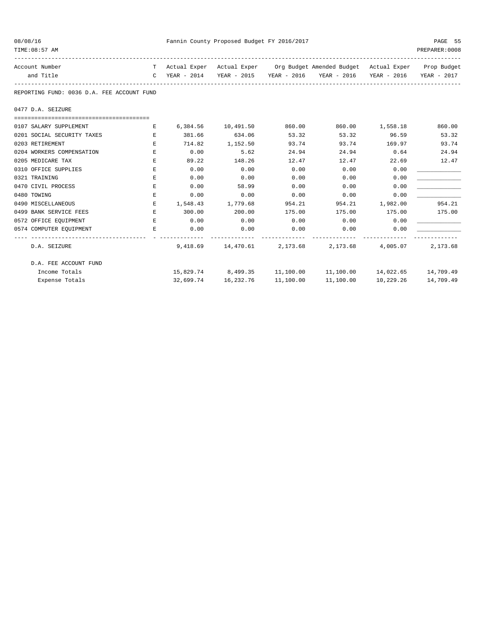| 08/08/16                                   |                                       | Fannin County Proposed Budget FY 2016/2017 | PAGE 55                         |        |                                                                                |                     |               |
|--------------------------------------------|---------------------------------------|--------------------------------------------|---------------------------------|--------|--------------------------------------------------------------------------------|---------------------|---------------|
| TIME: 08:57 AM                             |                                       |                                            |                                 |        |                                                                                |                     | PREPARER:0008 |
| Account Number                             |                                       |                                            |                                 |        | T Actual Exper Actual Exper Org Budget Amended Budget Actual Exper Prop Budget |                     |               |
| and Title                                  |                                       |                                            |                                 |        | C YEAR - 2014 YEAR - 2015 YEAR - 2016 YEAR - 2016 YEAR - 2016 YEAR - 2017      |                     |               |
| REPORTING FUND: 0036 D.A. FEE ACCOUNT FUND |                                       |                                            |                                 |        |                                                                                |                     |               |
| 0477 D.A. SEIZURE                          |                                       |                                            |                                 |        |                                                                                |                     |               |
|                                            |                                       |                                            |                                 |        |                                                                                |                     |               |
| 0107 SALARY SUPPLEMENT                     | and the state of the state of the Bar |                                            | 6,384.56 10,491.50              | 860.00 |                                                                                | 860.00 1,558.18     | 860.00        |
| 0201 SOCIAL SECURITY TAXES                 | $\mathbf{E}$                          |                                            | 381.66 634.06                   | 53.32  | 53.32 96.59                                                                    |                     | 53.32         |
| 0203 RETIREMENT                            | E                                     |                                            | 714.82 1,152.50                 | 93.74  |                                                                                | 93.74 169.97        | 93.74         |
| 0204 WORKERS COMPENSATION                  | E.                                    | 0.00                                       | 5.62                            | 24.94  |                                                                                | 24.94 0.64          | 24.94         |
| 0205 MEDICARE TAX                          | E                                     | 89.22                                      | 148.26                          | 12.47  | 12.47                                                                          | 22.69               | 12.47         |
| 0310 OFFICE SUPPLIES                       | E.                                    | 0.00                                       | 0.00                            | 0.00   | 0.00                                                                           | 0.00                |               |
| 0321 TRAINING                              | E                                     | 0.00                                       | 0.00                            | 0.00   | 0.00                                                                           | 0.00                |               |
| 0470 CIVIL PROCESS                         | E                                     | 0.00                                       | 58.99                           | 0.00   | 0.00                                                                           | 0.00                |               |
| 0480 TOWING                                | E.                                    | 0.00                                       | 0.00                            | 0.00   | 0.00                                                                           | 0.00                |               |
| 0490 MISCELLANEOUS                         | Е                                     | 1,548.43 1,779.68                          |                                 | 954.21 |                                                                                | 954.21 1,982.00     | 954.21        |
| 0499 BANK SERVICE FEES                     | E                                     | 300.00 200.00                              |                                 | 175.00 |                                                                                | 175.00 175.00       | 175.00        |
| 0572 OFFICE EQUIPMENT                      |                                       | E 0.00                                     | 0.00                            | 0.00   | $0.00$ 0.00                                                                    |                     |               |
| 0574 COMPUTER EOUIPMENT                    | E                                     | 0.00                                       | 0.00                            | 0.00   | 0.00                                                                           | 0.00                |               |
| D.A. SEIZURE                               |                                       |                                            |                                 |        | 9,418.69 14,470.61 2,173.68 2,173.68 4,005.07                                  |                     | 2,173.68      |
| D.A. FEE ACCOUNT FUND                      |                                       |                                            |                                 |        |                                                                                |                     |               |
| Income Totals                              |                                       |                                            |                                 |        | 15,829.74 8,499.35 11,100.00 11,100.00 14,022.65 14,709.49                     |                     |               |
| Expense Totals                             |                                       |                                            | 32,699.74  16,232.76  11,100.00 |        |                                                                                | 11,100.00 10,229.26 | 14,709.49     |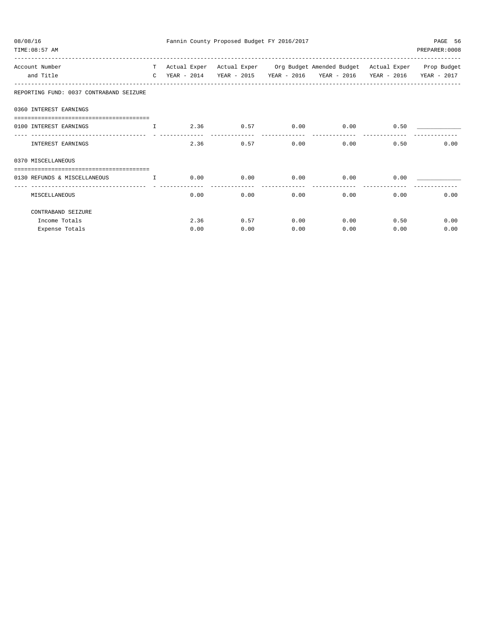| 08/08/16<br>TIME: 08:57 AM                                        |                                                                                                                                                                                                                                |              |      |             |      | Fannin County Proposed Budget FY 2016/2017 |                         |      |      | PAGE 56<br>PREPARER: 0008                                       |
|-------------------------------------------------------------------|--------------------------------------------------------------------------------------------------------------------------------------------------------------------------------------------------------------------------------|--------------|------|-------------|------|--------------------------------------------|-------------------------|------|------|-----------------------------------------------------------------|
| Account Number                                                    | T and the set of the set of the set of the set of the set of the set of the set of the set of the set of the set of the set of the set of the set of the set of the set of the set of the set of the set of the set of the set | Actual Exper |      |             |      |                                            |                         |      |      | Actual Exper Org Budget Amended Budget Actual Exper Prop Budget |
| and Title                                                         | $\mathbb{C}$                                                                                                                                                                                                                   | YEAR - 2014  |      | YEAR - 2015 |      |                                            | YEAR - 2016 YEAR - 2016 |      |      | YEAR - 2016 YEAR - 2017                                         |
| REPORTING FUND: 0037 CONTRABAND SEIZURE                           |                                                                                                                                                                                                                                |              |      |             |      |                                            |                         |      |      |                                                                 |
| 0360 INTEREST EARNINGS                                            |                                                                                                                                                                                                                                |              |      |             |      |                                            |                         |      |      |                                                                 |
| 0100 INTEREST EARNINGS<br><b>The Community of The Table 19</b>    |                                                                                                                                                                                                                                |              | 2.36 |             | 0.57 | 0.00                                       |                         | 0.00 | 0.50 |                                                                 |
| INTEREST EARNINGS                                                 |                                                                                                                                                                                                                                |              | 2.36 |             | 0.57 | 0.00                                       |                         | 0.00 | 0.50 | 0.00                                                            |
| 0370 MISCELLANEOUS                                                |                                                                                                                                                                                                                                |              |      |             |      |                                            |                         |      |      |                                                                 |
| ---------------------------------<br>0130 REFUNDS & MISCELLANEOUS | $\mathbf{r}$ and $\mathbf{r}$                                                                                                                                                                                                  |              | 0.00 |             | 0.00 | 0.00                                       |                         | 0.00 | 0.00 |                                                                 |
| MISCELLANEOUS                                                     |                                                                                                                                                                                                                                |              | 0.00 |             | 0.00 | 0.00                                       |                         | 0.00 | 0.00 | 0.00                                                            |
| CONTRABAND SEIZURE                                                |                                                                                                                                                                                                                                |              |      |             |      |                                            |                         |      |      |                                                                 |
| Income Totals                                                     |                                                                                                                                                                                                                                |              | 2.36 |             | 0.57 | 0.00                                       |                         | 0.00 | 0.50 | 0.00                                                            |
| Expense Totals                                                    |                                                                                                                                                                                                                                |              | 0.00 |             | 0.00 | 0.00                                       |                         | 0.00 | 0.00 | 0.00                                                            |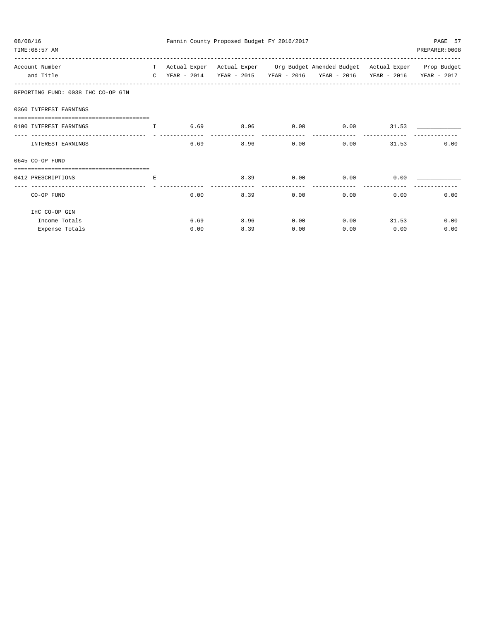| 08/08/16<br>TIME: 08:57 AM                                                                                                                                                                                                                                                                              |    |      |      |      | Fannin County Proposed Budget FY 2016/2017 |                                                                                          |              | PAGE 57<br>PREPARER: 0008 |
|---------------------------------------------------------------------------------------------------------------------------------------------------------------------------------------------------------------------------------------------------------------------------------------------------------|----|------|------|------|--------------------------------------------|------------------------------------------------------------------------------------------|--------------|---------------------------|
| Account Number                                                                                                                                                                                                                                                                                          |    |      |      |      |                                            | T Actual Exper Actual Exper Org Budget Amended Budget Actual Exper Prop Budget           |              |                           |
| and Title                                                                                                                                                                                                                                                                                               |    |      |      |      |                                            | C YEAR - 2014    YEAR - 2015    YEAR - 2016    YEAR - 2016    YEAR - 2016    YEAR - 2017 |              |                           |
| REPORTING FUND: 0038 IHC CO-OP GIN                                                                                                                                                                                                                                                                      |    |      |      |      |                                            |                                                                                          |              |                           |
| 0360 INTEREST EARNINGS                                                                                                                                                                                                                                                                                  |    |      |      |      |                                            |                                                                                          |              |                           |
| =====================================<br>0100 INTEREST EARNINGS<br><b>The Community of The Community of The Community of The Community of The Community of The Community of The Community of The Community of The Community of The Community of The Community of The Community of The Community of </b> |    |      |      |      |                                            | $6.69$ $8.96$ $0.00$ $0.00$ $31.53$                                                      |              |                           |
| INTEREST EARNINGS                                                                                                                                                                                                                                                                                       |    |      | 6.69 |      |                                            | $8.96$ 0.00 0.00                                                                         | 31.53        | 0.00                      |
| $0645$ CO-OP FUND                                                                                                                                                                                                                                                                                       |    |      |      |      |                                            |                                                                                          |              |                           |
|                                                                                                                                                                                                                                                                                                         |    |      |      |      |                                            |                                                                                          |              |                           |
| 0412 PRESCRIPTIONS                                                                                                                                                                                                                                                                                      | E. |      |      |      |                                            | 8.39 0.00 0.00                                                                           | 0.00         |                           |
| CO-OP FUND                                                                                                                                                                                                                                                                                              |    |      | 0.00 |      | 8.39 0.00                                  |                                                                                          | 0.00         | 0.00<br>0.00              |
| IHC CO-OP GIN                                                                                                                                                                                                                                                                                           |    |      |      |      |                                            |                                                                                          |              |                           |
| Income Totals                                                                                                                                                                                                                                                                                           |    |      | 6.69 | 8.96 |                                            | $0.00$ $0.00$ $31.53$                                                                    |              | 0.00                      |
| Expense Totals                                                                                                                                                                                                                                                                                          |    | 0.00 |      | 8.39 | 0.00                                       |                                                                                          | 0.00<br>0.00 | 0.00                      |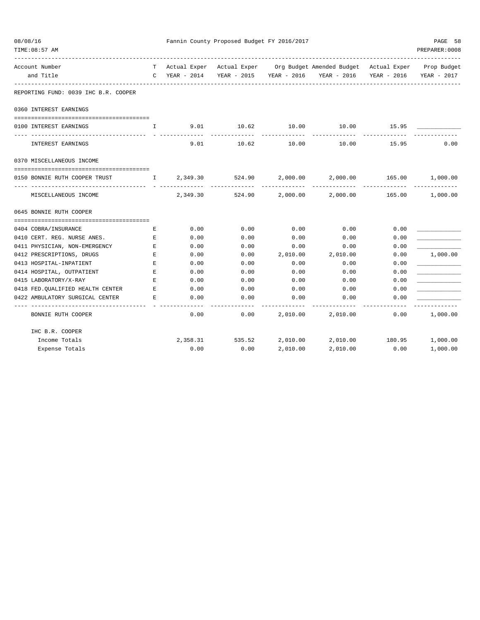| 08/08/16<br>TIME: 08:57 AM                                            |                    |          | Fannin County Proposed Budget FY 2016/2017 |                      |                                                                                                                                                 |       | PAGE 58<br>PREPARER: 0008 |
|-----------------------------------------------------------------------|--------------------|----------|--------------------------------------------|----------------------|-------------------------------------------------------------------------------------------------------------------------------------------------|-------|---------------------------|
| Account Number<br>and Title                                           |                    |          |                                            |                      | T Actual Exper Actual Exper Org Budget Amended Budget Actual Exper Prop Budget<br>C YEAR - 2014 YEAR - 2015 YEAR - 2016 YEAR - 2016 YEAR - 2016 |       | YEAR - 2017               |
|                                                                       |                    |          |                                            |                      |                                                                                                                                                 |       |                           |
| REPORTING FUND: 0039 IHC B.R. COOPER                                  |                    |          |                                            |                      |                                                                                                                                                 |       |                           |
| 0360 INTEREST EARNINGS                                                |                    |          |                                            |                      |                                                                                                                                                 |       |                           |
| 0100 INTEREST EARNINGS                                                | $\mathbb{L}$       |          | 9.01 10.62 10.00                           |                      | 10.00 15.95                                                                                                                                     |       |                           |
| INTEREST EARNINGS                                                     |                    | 9.01     | ------------<br>10.62                      | ___________<br>10.00 | 10.00                                                                                                                                           | 15.95 | 0.00                      |
| 0370 MISCELLANEOUS INCOME                                             |                    |          |                                            |                      |                                                                                                                                                 |       |                           |
|                                                                       |                    |          |                                            |                      |                                                                                                                                                 |       |                           |
| 0150 BONNIE RUTH COOPER TRUST                                         |                    |          | I 2,349.30 524.90<br>--------------        |                      | 2,000.00 2,000.00 165.00 1,000.00                                                                                                               |       |                           |
| MISCELLANEOUS INCOME                                                  |                    | 2,349.30 |                                            |                      | 524.90  2,000.00  2,000.00  165.00  1,000.00                                                                                                    |       |                           |
| 0645 BONNIE RUTH COOPER                                               |                    |          |                                            |                      |                                                                                                                                                 |       |                           |
|                                                                       |                    |          |                                            |                      |                                                                                                                                                 |       |                           |
| 0404 COBRA/INSURANCE                                                  | Е                  | 0.00     | 0.00                                       | 0.00                 | 0.00                                                                                                                                            | 0.00  |                           |
| 0410 CERT. REG. NURSE ANES.                                           | $\mathbf{E}% _{0}$ | 0.00     | 0.00                                       | 0.00                 | 0.00                                                                                                                                            | 0.00  |                           |
| 0411 PHYSICIAN, NON-EMERGENCY                                         | $\mathbf{E}% _{0}$ | 0.00     | 0.00                                       | 0.00                 | 0.00                                                                                                                                            | 0.00  |                           |
| 0412 PRESCRIPTIONS, DRUGS                                             | E                  | 0.00     | 0.00                                       | 2,010.00             | 2,010.00                                                                                                                                        | 0.00  | 1,000.00                  |
| 0413 HOSPITAL-INPATIENT                                               | $\mathbf E$        | 0.00     | 0.00                                       | 0.00                 | 0.00                                                                                                                                            | 0.00  |                           |
| 0414 HOSPITAL, OUTPATIENT                                             | E                  | 0.00     | 0.00                                       | 0.00                 | 0.00                                                                                                                                            | 0.00  |                           |
| 0415 LABORATORY/X-RAY                                                 | $E_{\rm{L}}$       | 0.00     | 0.00                                       | 0.00                 | 0.00                                                                                                                                            | 0.00  |                           |
| 0418 FED. OUALIFIED HEALTH CENTER                                     | E                  | 0.00     | 0.00                                       | 0.00                 | 0.00                                                                                                                                            | 0.00  |                           |
| 0422 AMBULATORY SURGICAL CENTER<br>---------------------------------- | E                  | 0.00     | 0.00                                       | 0.00<br>-----------  | 0.00                                                                                                                                            | 0.00  |                           |
| BONNIE RUTH COOPER                                                    |                    | 0.00     | 0.00                                       |                      | 2,010.00 2,010.00                                                                                                                               | 0.00  | 1,000.00                  |
| IHC B.R. COOPER                                                       |                    |          |                                            |                      |                                                                                                                                                 |       |                           |
| Income Totals                                                         |                    |          |                                            |                      | 2, 358.31 535.52 2, 010.00 2, 010.00 180.95 1,000.00                                                                                            |       |                           |
| Expense Totals                                                        |                    | 0.00     | 0.00                                       | 2,010.00             | 2,010.00                                                                                                                                        | 0.00  | 1,000.00                  |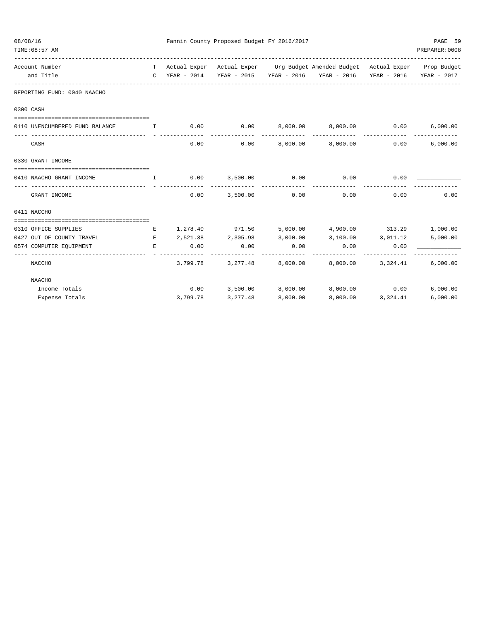| 08/08/16 | TIME: 08:57 AM                                                                                                                                                                                                                                                    |    |                 | Fannin County Proposed Budget FY 2016/2017 |               |                                                                                                                                   |                                  | PAGE 59<br>PREPARER: 0008 |
|----------|-------------------------------------------------------------------------------------------------------------------------------------------------------------------------------------------------------------------------------------------------------------------|----|-----------------|--------------------------------------------|---------------|-----------------------------------------------------------------------------------------------------------------------------------|----------------------------------|---------------------------|
|          | Account Number<br>and Title<br>---------------------------                                                                                                                                                                                                        |    | $C$ YEAR - 2014 |                                            |               | T Actual Exper Actual Exper Org Budget Amended Budget Actual Exper Prop Budget<br>YEAR - 2015 YEAR - 2016 YEAR - 2016 YEAR - 2016 |                                  | YEAR - 2017               |
|          | REPORTING FUND: 0040 NAACHO                                                                                                                                                                                                                                       |    |                 |                                            |               |                                                                                                                                   |                                  |                           |
|          | 0300 CASH                                                                                                                                                                                                                                                         |    |                 |                                            |               |                                                                                                                                   |                                  |                           |
|          |                                                                                                                                                                                                                                                                   |    |                 |                                            |               |                                                                                                                                   |                                  |                           |
|          | 0110 UNENCUMBERED FUND BALANCE<br>$\mathbf{I}$                                                                                                                                                                                                                    |    | 0.00            | $0.00$ $8,000.00$ $8,000.00$               |               |                                                                                                                                   | $0.00$ 6,000.00<br>------------- |                           |
|          | CASH                                                                                                                                                                                                                                                              |    | 0.00            |                                            |               | $0.00$ $8,000.00$ $8,000.00$ $0.00$                                                                                               |                                  | 6,000.00                  |
|          | 0330 GRANT INCOME                                                                                                                                                                                                                                                 |    |                 |                                            |               |                                                                                                                                   |                                  |                           |
|          | 0410 NAACHO GRANT INCOME                                                                                                                                                                                                                                          | I. | 0.00            | 3,500.00                                   | 0.00          | 0.00                                                                                                                              | 0.00                             |                           |
|          | GRANT INCOME                                                                                                                                                                                                                                                      |    | 0.00            |                                            | 3,500.00 0.00 | 0.00                                                                                                                              | 0.00                             | 0.00                      |
|          | 0411 NACCHO                                                                                                                                                                                                                                                       |    |                 |                                            |               |                                                                                                                                   |                                  |                           |
|          |                                                                                                                                                                                                                                                                   |    |                 |                                            |               |                                                                                                                                   |                                  |                           |
|          | 0310 OFFICE SUPPLIES                                                                                                                                                                                                                                              | Е  |                 | 1,278.40 971.50                            |               | 5,000.00 4,900.00 313.29 1,000.00                                                                                                 |                                  |                           |
|          | 0427 OUT OF COUNTY TRAVEL<br><b>Experimental Experimental Experimental Experimental Experimental Experimental Experimental Experimental Experimental Experimental Experimental Experimental Experimental Experimental Experimental Experimental Experimental </b> |    |                 | 2,521.38 2,305.98 3,000.00                 |               | 3,100.00 3,011.12 5,000.00                                                                                                        |                                  |                           |
|          | 0574 COMPUTER EQUIPMENT                                                                                                                                                                                                                                           | E  | 0.00            | 0.00                                       | 0.00          | 0.00                                                                                                                              | 0.00                             |                           |
|          | NACCHO                                                                                                                                                                                                                                                            |    |                 | 3,799.78 3,277.48                          | 8,000.00      |                                                                                                                                   | 8,000.00 3,324.41                | 6,000.00                  |
|          | NAACHO                                                                                                                                                                                                                                                            |    |                 |                                            |               |                                                                                                                                   |                                  |                           |
|          | Income Totals                                                                                                                                                                                                                                                     |    |                 | $0.00$ 3,500.00 8,000.00                   |               | 8,000.00   0.00   6,000.00                                                                                                        |                                  |                           |
|          | Expense Totals                                                                                                                                                                                                                                                    |    |                 | 3,799.78 3,277.48 8,000.00                 |               |                                                                                                                                   | 8,000.00 3,324.41                | 6,000.00                  |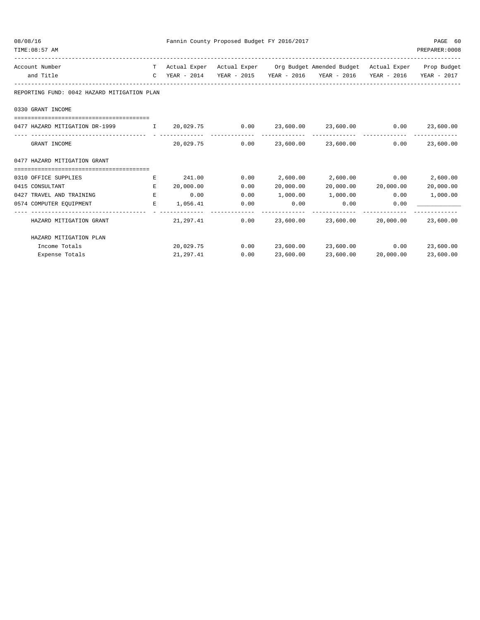| 08/08/16 | TIME: 08:57 AM                                                        |              |             | Fannin County Proposed Budget FY 2016/2017 |                    |                                                                                |                     | PAGE 60<br>PREPARER: 0008  |
|----------|-----------------------------------------------------------------------|--------------|-------------|--------------------------------------------|--------------------|--------------------------------------------------------------------------------|---------------------|----------------------------|
|          | Account Number                                                        |              |             |                                            |                    | T Actual Exper Actual Exper Org Budget Amended Budget Actual Exper Prop Budget |                     |                            |
|          | and Title                                                             | $\mathbb{C}$ | YEAR - 2014 |                                            |                    | YEAR - 2015 YEAR - 2016 YEAR - 2016                                            |                     | YEAR - 2016 YEAR - 2017    |
|          | REPORTING FUND: 0042 HAZARD MITIGATION PLAN                           |              |             |                                            |                    |                                                                                |                     |                            |
|          | 0330 GRANT INCOME                                                     |              |             |                                            |                    |                                                                                |                     |                            |
|          | 0477 HAZARD MITIGATION DR-1999 1 1 20,029.75                          |              |             | 0.00<br>______________                     |                    | 23,600.00 23,600.00                                                            | 0.00                | 23,600.00<br>------------- |
|          | GRANT INCOME                                                          |              | 20,029.75   | 0.00                                       |                    | 23,600.00 23,600.00                                                            | 0.00                | 23,600.00                  |
|          | 0477 HAZARD MITIGATION GRANT<br>===================================== |              |             |                                            |                    |                                                                                |                     |                            |
|          | 0310 OFFICE SUPPLIES                                                  | Е            | 241.00      | 0.00                                       |                    | 2,600.00 2,600.00                                                              | 0.00                | 2,600.00                   |
|          | 0415 CONSULTANT                                                       | E.           | 20,000.00   | 0.00                                       | 20,000.00          |                                                                                | 20,000.00 20,000.00 | 20,000.00                  |
|          | 0427 TRAVEL AND TRAINING                                              | E            | 0.00        | 0.00                                       | 1,000.00           | 1,000.00                                                                       | 0.00                | 1,000.00                   |
|          | 0574 COMPUTER EQUIPMENT                                               | E.           | 1,056.41    | 0.00                                       | 0.00<br>---------- | 0.00                                                                           | 0.00                |                            |
|          | HAZARD MITIGATION GRANT                                               |              | 21,297.41   | 0.00                                       | 23,600.00          | 23,600.00                                                                      | 20,000.00           | 23,600.00                  |
|          | HAZARD MITIGATION PLAN                                                |              |             |                                            |                    |                                                                                |                     |                            |
|          | Income Totals                                                         |              | 20,029.75   | 0.00                                       |                    | 23,600.00 23,600.00                                                            | 0.00                | 23,600.00                  |
|          | Expense Totals                                                        |              | 21,297.41   | 0.00                                       | 23,600.00          | 23,600.00                                                                      | 20,000.00           | 23,600.00                  |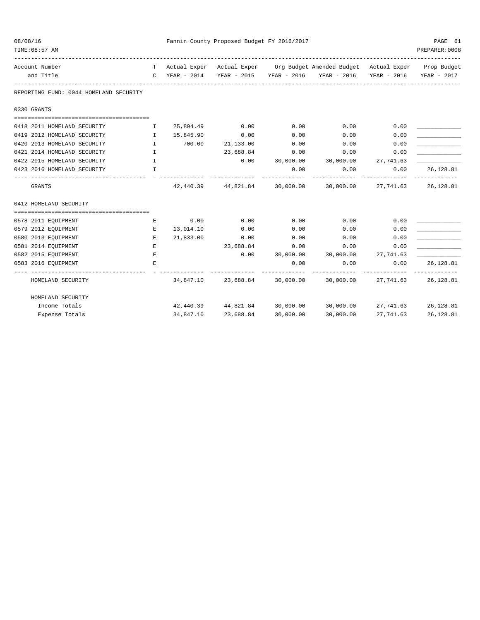| 08/08/16 | TIME: 08:57 AM                             |                               |                        | Fannin County Proposed Budget FY 2016/2017 |              |                                                                                                                       |                               | PAGE 61<br>PREPARER: 0008 |
|----------|--------------------------------------------|-------------------------------|------------------------|--------------------------------------------|--------------|-----------------------------------------------------------------------------------------------------------------------|-------------------------------|---------------------------|
|          | Account Number<br>and Title                | $\mathcal{C}$                 | YEAR - 2014            |                                            |              | T Actual Exper Actual Exper Org Budget Amended Budget Actual Exper Prop Budget<br>YEAR - 2015 YEAR - 2016 YEAR - 2016 | YEAR - 2016                   | YEAR - 2017               |
|          | REPORTING FUND: 0044 HOMELAND SECURITY     |                               |                        |                                            |              |                                                                                                                       |                               |                           |
|          | 0330 GRANTS                                |                               |                        |                                            |              |                                                                                                                       |                               |                           |
|          | 0418 2011 HOMELAND SECURITY                | $\mathbf{I}$                  | 25,894.49              | 0.00                                       | 0.00         | 0.00                                                                                                                  | 0.00                          |                           |
|          | 0419 2012 HOMELAND SECURITY                | $\mathbf{I}$                  | 15,845.90              | 0.00                                       | 0.00         | 0.00                                                                                                                  | 0.00                          |                           |
|          | 0420 2013 HOMELAND SECURITY                | $\mathbb{I}$                  | 700.00                 | 21,133.00                                  | 0.00         | 0.00                                                                                                                  | 0.00                          |                           |
|          | 0421 2014 HOMELAND SECURITY                | $\mathbf{I}$                  |                        | 23,688.84                                  | 0.00         | 0.00                                                                                                                  | 0.00                          |                           |
|          | 0422 2015 HOMELAND SECURITY                | $\mathbb{I}$ and $\mathbb{I}$ |                        | 0.00                                       |              | 30,000.00 30,000.00 27,741.63                                                                                         |                               |                           |
|          | 0423 2016 HOMELAND SECURITY                | I                             |                        |                                            | 0.00         | 0.00                                                                                                                  | 0.00                          | 26,128.81                 |
|          | GRANTS                                     |                               |                        | 42,440.39 44,821.84                        | 30,000.00    | 30,000.00                                                                                                             | 27,741.63                     | 26,128.81                 |
|          | 0412 HOMELAND SECURITY                     |                               |                        |                                            |              |                                                                                                                       |                               |                           |
|          |                                            |                               |                        |                                            |              |                                                                                                                       |                               |                           |
|          | 0578 2011 EQUIPMENT                        | Е                             | 0.00                   | 0.00                                       | 0.00         | 0.00                                                                                                                  | 0.00                          |                           |
|          | 0579 2012 EQUIPMENT<br>0580 2013 EQUIPMENT | E<br>E                        | 13,014.10<br>21,833.00 | 0.00<br>0.00                               | 0.00<br>0.00 | 0.00<br>0.00                                                                                                          | 0.00<br>0.00                  |                           |
|          | 0581 2014 EQUIPMENT                        | $\mathbf E$                   |                        | 23,688.84                                  | 0.00         | 0.00                                                                                                                  | 0.00                          |                           |
|          | 0582 2015 EQUIPMENT                        | E                             |                        | 0.00                                       | 30,000.00    | 30,000.00                                                                                                             | 27,741.63                     |                           |
|          | 0583 2016 EQUIPMENT                        | Ε                             |                        |                                            | 0.00         | 0.00                                                                                                                  | 0.00                          | 26,128.81                 |
|          |                                            |                               |                        |                                            |              |                                                                                                                       |                               |                           |
|          | HOMELAND SECURITY                          |                               |                        | 34,847.10 23,688.84                        | 30,000.00    | 30,000.00                                                                                                             | 27,741.63                     | 26,128.81                 |
|          | HOMELAND SECURITY                          |                               |                        |                                            |              |                                                                                                                       |                               |                           |
|          | Income Totals                              |                               |                        | 42,440.39 44,821.84                        | 30,000.00    |                                                                                                                       | 30,000.00 27,741.63 26,128.81 |                           |
|          | Expense Totals                             |                               | 34,847.10              | 23,688.84                                  | 30,000.00    | 30,000.00                                                                                                             | 27,741.63                     | 26,128.81                 |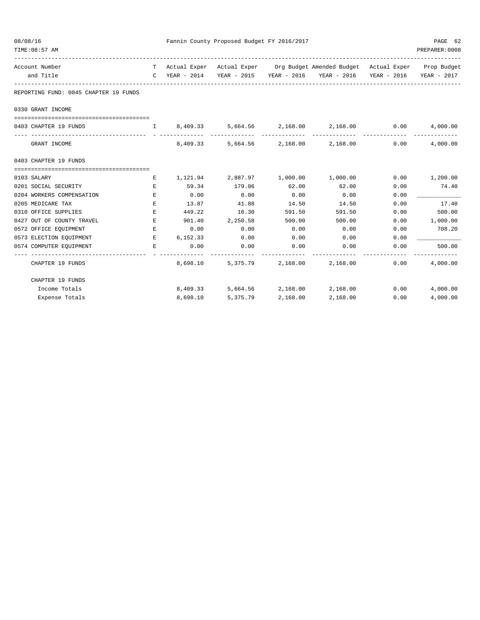| 08/08/16<br>TIME: 08:57 AM                       |              |          | Fannin County Proposed Budget FY 2016/2017 |                            |                                                                                |             | PAGE 62<br>PREPARER: 0008 |
|--------------------------------------------------|--------------|----------|--------------------------------------------|----------------------------|--------------------------------------------------------------------------------|-------------|---------------------------|
| Account Number                                   |              |          |                                            |                            | T Actual Exper Actual Exper Org Budget Amended Budget Actual Exper Prop Budget |             |                           |
| and Title<br>----------------------------------- | $\mathbb{C}$ |          |                                            |                            | YEAR - 2014 YEAR - 2015 YEAR - 2016 YEAR - 2016                                | YEAR - 2016 | YEAR - 2017               |
| REPORTING FUND: 0045 CHAPTER 19 FUNDS            |              |          |                                            |                            |                                                                                |             |                           |
| 0330 GRANT INCOME                                |              |          |                                            |                            |                                                                                |             |                           |
| 0403 CHAPTER 19 FUNDS                            |              |          |                                            |                            | $1 \t 8,409.33 \t 5,664.56 \t 2,168.00 \t 2,168.00 \t 0.00$                    |             | 4,000.00                  |
| GRANT INCOME                                     |              | 8,409.33 |                                            |                            | 5,664.56 2,168.00 2,168.00                                                     | 0.00        | 4,000.00                  |
| 0403 CHAPTER 19 FUNDS                            |              |          |                                            |                            |                                                                                |             |                           |
|                                                  |              |          |                                            |                            |                                                                                |             |                           |
| 0103 SALARY                                      | Е            | 1,121.94 | 2,887.97                                   |                            | 1,000.00 1,000.00                                                              | 0.00        | 1,200.00                  |
| 0201 SOCIAL SECURITY                             | E            | 59.34    | 179.06                                     | 62.00                      | 62.00                                                                          | 0.00        | 74.40                     |
| 0204 WORKERS COMPENSATION                        | E            | 0.00     | 0.00                                       | 0.00                       | 0.00                                                                           | 0.00        |                           |
| 0205 MEDICARE TAX                                | Е            | 13.87    | 41.88                                      | 14.50                      | 14.50                                                                          | 0.00        | 17.40                     |
| 0310 OFFICE SUPPLIES                             | Е            | 449.22   | 16.30                                      | 591.50                     | 591.50                                                                         | 0.00        | 500.00                    |
| 0427 OUT OF COUNTY TRAVEL                        | E.           |          | 901.40 2,250.58                            | 500.00                     | 500.00                                                                         | 0.00        | 1,000.00                  |
| 0572 OFFICE EQUIPMENT                            | Е            | 0.00     | 0.00                                       | 0.00                       | 0.00                                                                           | 0.00        | 708.20                    |
| 0573 ELECTION EQUIPMENT                          | E.           | 6,152.33 | 0.00                                       | 0.00                       | 0.00                                                                           | 0.00        |                           |
| 0574 COMPUTER EQUIPMENT                          | Е            | 0.00     | 0.00                                       | 0.00                       | 0.00                                                                           | 0.00        | 500.00                    |
| CHAPTER 19 FUNDS                                 |              | 8,698.10 |                                            | 5,375.79 2,168.00 2,168.00 |                                                                                | 0.00        | 4,000.00                  |
| CHAPTER 19 FUNDS                                 |              |          |                                            |                            |                                                                                |             |                           |
| Income Totals                                    |              | 8,409.33 |                                            |                            | 5,664.56 2,168.00 2,168.00                                                     | 0.00        | 4,000.00                  |
| Expense Totals                                   |              | 8,698.10 | 5,375.79                                   | 2,168.00                   | 2,168.00                                                                       | 0.00        | 4,000.00                  |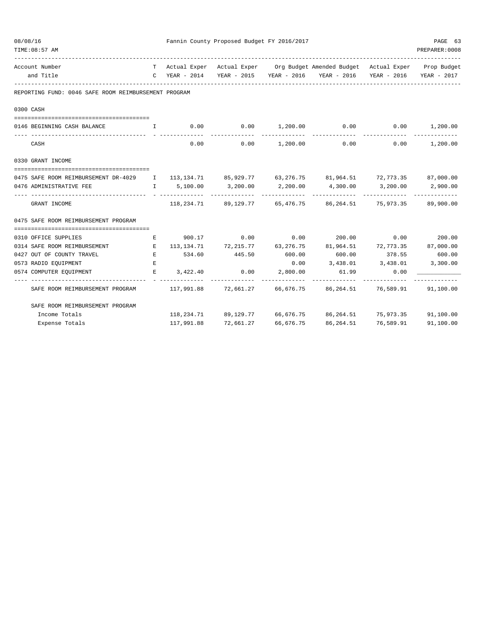| 08/08/16<br>TIME: 08:57 AM |                                                                                                     |    | Fannin County Proposed Budget FY 2016/2017 |                                                      | PAGE 63<br>PREPARER: 0008 |                                                                                |                                      |                 |
|----------------------------|-----------------------------------------------------------------------------------------------------|----|--------------------------------------------|------------------------------------------------------|---------------------------|--------------------------------------------------------------------------------|--------------------------------------|-----------------|
|                            |                                                                                                     |    |                                            |                                                      |                           |                                                                                |                                      |                 |
|                            | Account Number                                                                                      |    |                                            |                                                      |                           | T Actual Exper Actual Exper Org Budget Amended Budget Actual Exper Prop Budget |                                      |                 |
|                            | and Title                                                                                           |    | C YEAR - 2014                              |                                                      |                           | YEAR - 2015 YEAR - 2016 YEAR - 2016 YEAR - 2016                                |                                      | YEAR - 2017     |
|                            | REPORTING FUND: 0046 SAFE ROOM REIMBURSEMENT PROGRAM                                                |    |                                            |                                                      |                           |                                                                                |                                      |                 |
|                            | 0300 CASH                                                                                           |    |                                            |                                                      |                           |                                                                                |                                      |                 |
|                            |                                                                                                     |    |                                            | $0.00$ $0.00$ $1,200.00$                             |                           | 0.00                                                                           | $0.00$ 1,200.00                      |                 |
|                            | 0146 BEGINNING CASH BALANCE                                                                         | I. |                                            |                                                      |                           |                                                                                |                                      |                 |
|                            | CASH                                                                                                |    | 0.00                                       | 0.00                                                 |                           | $1,200.00$ 0.00                                                                |                                      | $0.00$ 1,200.00 |
|                            | 0330 GRANT INCOME                                                                                   |    |                                            |                                                      |                           |                                                                                |                                      |                 |
|                            | 0475 SAFE ROOM REIMBURSEMENT DR-4029 I 113,134.71 85,929.77 63,276.75 81,964.51 72,773.35 87,000.00 |    |                                            |                                                      |                           |                                                                                |                                      |                 |
|                            | 0476 ADMINISTRATIVE FEE                                                                             |    | I 5,100.00                                 | 3,200.00                                             | 2,200.00                  | 4,300.00                                                                       | 3,200.00                             | 2,900.00        |
|                            | GRANT INCOME                                                                                        |    |                                            | ------------<br>118, 234. 71 89, 129. 77 65, 476. 75 |                           | ----------                                                                     | -------------<br>86,264.51 75,973.35 | 89,900.00       |
|                            | 0475 SAFE ROOM REIMBURSEMENT PROGRAM                                                                |    |                                            |                                                      |                           |                                                                                |                                      |                 |
|                            | 0310 OFFICE SUPPLIES                                                                                | E  |                                            |                                                      |                           | $900.17$ $0.00$ $0.00$ $200.00$ $0.00$ $0.00$ $200.00$                         |                                      |                 |
|                            | 0314 SAFE ROOM REIMBURSEMENT E                                                                      |    |                                            |                                                      |                           | $113,134.71$ $72,215.77$ $63,276.75$ $81,964.51$ $72,773.35$ $87,000.00$       |                                      |                 |
|                            | 0427 OUT OF COUNTY TRAVEL                                                                           | E  | 534.60                                     | 445.50                                               | 600.00                    | 600.00                                                                         | 378.55 600.00                        |                 |
|                            | 0573 RADIO EQUIPMENT                                                                                | E  |                                            |                                                      | 0.00                      | 3,438.01 3,438.01                                                              |                                      | 3,300.00        |
|                            | 0574 COMPUTER EQUIPMENT                                                                             | E. | 3,422.40                                   | 0.00                                                 | 2,800.00                  | 61.99                                                                          | 0.00                                 |                 |
|                            | SAFE ROOM REIMBURSEMENT PROGRAM                                                                     |    |                                            |                                                      |                           | 117,991.88 72,661.27 66,676.75 86,264.51 76,589.91                             |                                      | 91,100.00       |
|                            | SAFE ROOM REIMBURSEMENT PROGRAM                                                                     |    |                                            |                                                      |                           |                                                                                |                                      |                 |
|                            | Income Totals                                                                                       |    |                                            |                                                      |                           | 118, 234.71 89, 129.77 66, 676.75 86, 264.51 75, 973.35 91, 100.00             |                                      |                 |
|                            | Expense Totals                                                                                      |    | 117,991.88                                 | 72,661.27                                            | 66,676.75                 | 86,264.51                                                                      | 76,589.91                            | 91,100.00       |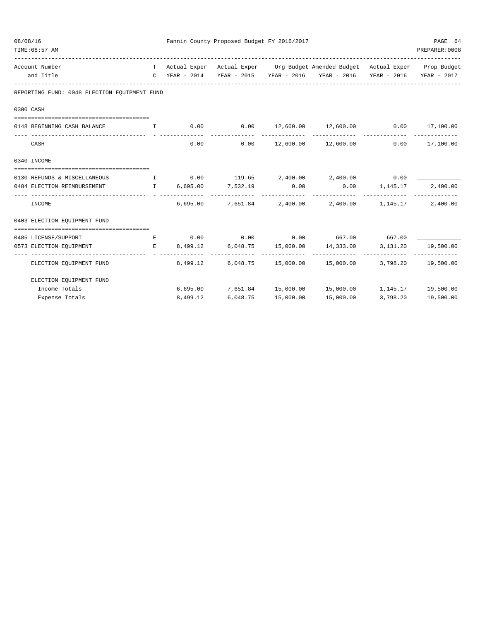| 08/08/16 | TIME: 08:57 AM                                                                   |                 | Fannin County Proposed Budget FY 2016/2017      |                |                                                                                                                                                             |          | PAGE 64<br>PREPARER: 0008 |
|----------|----------------------------------------------------------------------------------|-----------------|-------------------------------------------------|----------------|-------------------------------------------------------------------------------------------------------------------------------------------------------------|----------|---------------------------|
|          | Account Number<br>and Title                                                      |                 |                                                 |                | T Actual Exper Actual Exper Org Budget Amended Budget Actual Exper Prop Budget<br>C YEAR - 2014 YEAR - 2015 YEAR - 2016 YEAR - 2016 YEAR - 2016 YEAR - 2017 |          |                           |
|          | REPORTING FUND: 0048 ELECTION EQUIPMENT FUND                                     |                 |                                                 |                |                                                                                                                                                             |          |                           |
|          | 0300 CASH                                                                        |                 |                                                 |                |                                                                                                                                                             |          |                           |
|          | 0148 BEGINNING CASH BALANCE 1 0.00 0.00 12,600.00 12,600.00 0.00 17,100.00       |                 |                                                 |                |                                                                                                                                                             |          |                           |
|          | CASH                                                                             | 0.00            | 0.00                                            |                | 12,600.00  12,600.00  0.00  17,100.00                                                                                                                       |          |                           |
|          | 0340 INCOME                                                                      |                 |                                                 |                |                                                                                                                                                             |          |                           |
|          | 0130 REFUNDS & MISCELLANEOUS                                                     |                 |                                                 |                | $\qquad \qquad 1 \qquad \qquad 0.00 \qquad \qquad 119.65 \qquad \qquad 2,400.00 \qquad \qquad 2,400.00 \qquad \qquad 0.00$                                  |          |                           |
|          | 0484 ELECTION REIMBURSEMENT                                                      |                 | $I = 6,695.00$ $7,532.19$ 0.00<br>------------- | ______________ | $0.00$ 1, 145.17<br>-------------                                                                                                                           |          | 2,400.00                  |
|          | INCOME                                                                           | 6,695.00        |                                                 |                | 7,651.84 2,400.00 2,400.00 1,145.17                                                                                                                         |          | 2,400.00                  |
|          | 0403 ELECTION EQUIPMENT FUND                                                     |                 |                                                 |                |                                                                                                                                                             |          |                           |
|          | 0485 LICENSE/SUPPORT                                                             |                 |                                                 |                | $E$ 0.00 0.00 0.00 667.00 667.00                                                                                                                            |          |                           |
|          | 0573 ELECTION EQUIPMENT THE R R 8,499.12<br>------------------------------------ | _ _____________ | -------------                                   |                | 6,048.75 15,000.00 14,333.00                                                                                                                                |          | 3, 131. 20   19, 500. 00  |
|          | ELECTION EOUIPMENT FUND                                                          | 8,499.12        |                                                 |                | 6,048.75  15,000.00  15,000.00  3,798.20  19,500.00                                                                                                         |          |                           |
|          | ELECTION EQUIPMENT FUND                                                          |                 |                                                 |                |                                                                                                                                                             |          |                           |
|          | Income Totals                                                                    |                 |                                                 |                | $6,695.00$ $7,651.84$ $15,000.00$ $15,000.00$ $1,145.17$ $19,500.00$                                                                                        |          |                           |
|          | Expense Totals                                                                   | 8,499.12        | 6,048.75                                        | 15,000.00      | 15,000.00                                                                                                                                                   | 3,798.20 | 19,500.00                 |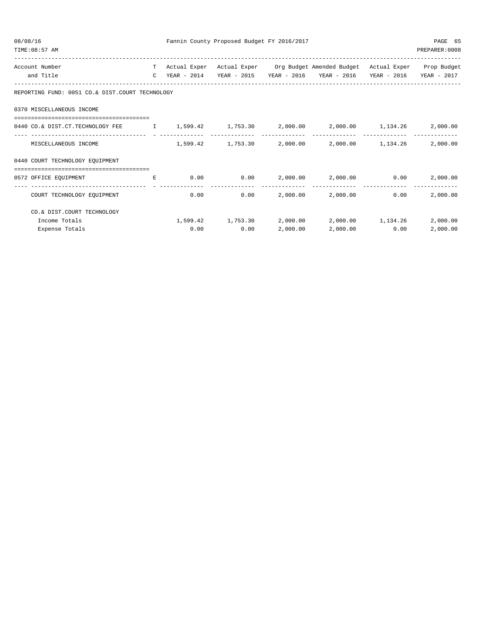| 08/08/16<br>TIME: 08:57 AM                                                                                         |              |                | Fannin County Proposed Budget FY 2016/2017 |               |                                                                 |             | PAGE 65<br>PREPARER: 0008 |
|--------------------------------------------------------------------------------------------------------------------|--------------|----------------|--------------------------------------------|---------------|-----------------------------------------------------------------|-------------|---------------------------|
| Account Number                                                                                                     |              | T Actual Exper |                                            |               | Actual Exper Org Budget Amended Budget Actual Exper Prop Budget |             |                           |
| and Title                                                                                                          | $\mathbb{C}$ | YEAR - 2014    |                                            |               | YEAR - 2015 YEAR - 2016 YEAR - 2016                             | YEAR - 2016 | YEAR - 2017               |
| REPORTING FUND: 0051 CO.& DIST.COURT TECHNOLOGY                                                                    |              |                |                                            |               |                                                                 |             |                           |
| 0370 MISCELLANEOUS INCOME                                                                                          |              |                |                                            |               |                                                                 |             |                           |
| =================================<br>0440 CO.& DIST.CT.TECHNOLOGY FEE 1,599.42 1,753.30 2,000.00 2,000.00 1,134.26 |              |                |                                            |               |                                                                 |             | 2,000.00                  |
| MISCELLANEOUS INCOME                                                                                               |              |                |                                            |               | $1,599.42$ $1,753.30$ $2,000.00$ $2,000.00$ $1,134.26$          |             | 2,000.00                  |
| 0440 COURT TECHNOLOGY EOUIPMENT                                                                                    |              |                |                                            |               |                                                                 |             |                           |
| --------------------------------------<br>0572 OFFICE EQUIPMENT                                                    | E            | 0.00           |                                            |               | $0.00$ 2,000.00 2,000.00 0.00                                   |             | 2,000.00<br>---------     |
| COURT TECHNOLOGY EQUIPMENT                                                                                         |              | 0.00           | 0.00                                       | ------------- | 2,000.00 2,000.00                                               | 0.00        | 2,000.00                  |
| CO.& DIST.COURT TECHNOLOGY                                                                                         |              |                |                                            |               |                                                                 |             |                           |
| Income Totals                                                                                                      |              |                | 1,599.42 1,753.30                          | 2,000.00      | 2,000.00 1,134.26                                               |             | 2,000.00                  |
| Expense Totals                                                                                                     |              | 0.00           | 0.00                                       | 2,000.00      | 2,000.00                                                        | 0.00        | 2,000.00                  |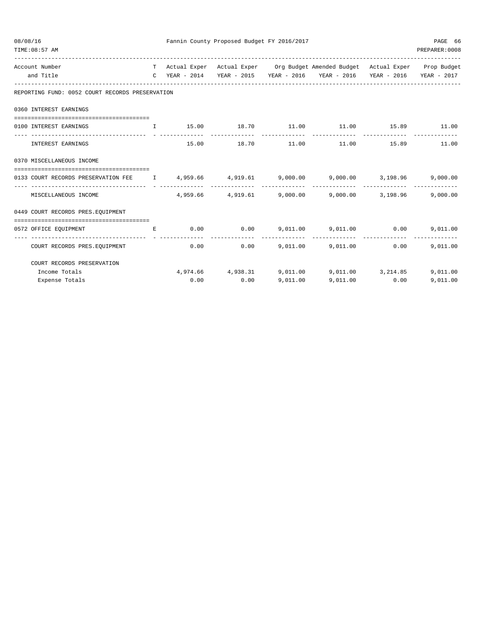| 08/08/16<br>TIME: 08:57 AM                                                         |              | Fannin County Proposed Budget FY 2016/2017 |                |                                                                                                                                                             |                       | PAGE 66<br>PREPARER: 0008 |
|------------------------------------------------------------------------------------|--------------|--------------------------------------------|----------------|-------------------------------------------------------------------------------------------------------------------------------------------------------------|-----------------------|---------------------------|
| Account Number<br>and Title                                                        |              |                                            |                | T Actual Exper Actual Exper Org Budget Amended Budget Actual Exper Prop Budget<br>C YEAR - 2014 YEAR - 2015 YEAR - 2016 YEAR - 2016 YEAR - 2016 YEAR - 2017 |                       |                           |
| REPORTING FUND: 0052 COURT RECORDS PRESERVATION                                    |              |                                            |                |                                                                                                                                                             |                       |                           |
| 0360 INTEREST EARNINGS                                                             |              |                                            |                |                                                                                                                                                             |                       |                           |
| 0100 INTEREST EARNINGS                                                             | $\mathbb{L}$ |                                            |                | $15.00$ $18.70$ $11.00$ $11.00$ $15.89$ $11.00$                                                                                                             |                       |                           |
| INTEREST EARNINGS                                                                  |              | 15.00 18.70 11.00                          |                |                                                                                                                                                             | 11.00   15.89   11.00 |                           |
| 0370 MISCELLANEOUS INCOME                                                          |              |                                            |                |                                                                                                                                                             |                       |                           |
| 0133 COURT RECORDS PRESERVATION FEE 1 4,959.66 4,919.61 9,000.00 9,000.00 3,198.96 |              |                                            |                |                                                                                                                                                             |                       | 9,000.00                  |
| MISCELLANEOUS INCOME                                                               |              |                                            |                | --------------<br>$4.959.66$ $4.919.61$ $9.000.00$ $9.000.00$ $3.198.96$                                                                                    | --------------        | 9,000.00                  |
| 0449 COURT RECORDS PRES. EOUIPMENT                                                 |              |                                            |                |                                                                                                                                                             |                       |                           |
| 0572 OFFICE EQUIPMENT                                                              | E            |                                            |                | $0.00$ $0.00$ $9.011.00$ $9.011.00$ $0.00$                                                                                                                  |                       | 9,011.00                  |
| COURT RECORDS PRES. EQUIPMENT                                                      |              | 0.00                                       | -------------- | $0.00$ 9,011.00 9,011.00 0.00                                                                                                                               |                       | 9,011.00                  |
| COURT RECORDS PRESERVATION                                                         |              |                                            |                |                                                                                                                                                             |                       |                           |
| Income Totals                                                                      |              |                                            |                | $4,974.66$ $4,938.31$ $9,011.00$ $9,011.00$ $3,214.85$                                                                                                      |                       | 9,011.00                  |
| Expense Totals                                                                     |              | $0.00$ 0.00                                | 9.011.00       | 9.011.00                                                                                                                                                    | 0.00                  | 9,011.00                  |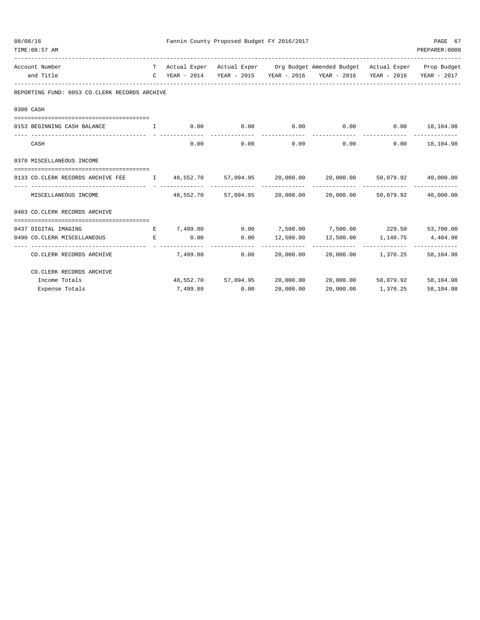| 08/08/16 | TIME: 08:57 AM                                                                                  |        |          | Fannin County Proposed Budget FY 2016/2017 |                        |                                                                                |                                | PAGE 67<br>PREPARER: 0008 |
|----------|-------------------------------------------------------------------------------------------------|--------|----------|--------------------------------------------|------------------------|--------------------------------------------------------------------------------|--------------------------------|---------------------------|
|          | Account Number                                                                                  |        |          |                                            |                        | T Actual Exper Actual Exper Org Budget Amended Budget Actual Exper Prop Budget |                                |                           |
|          | and Title                                                                                       |        |          |                                            |                        | C YEAR - 2014 YEAR - 2015 YEAR - 2016 YEAR - 2016 YEAR - 2016 YEAR - 2017      |                                |                           |
|          | REPORTING FUND: 0053 CO.CLERK RECORDS ARCHIVE                                                   |        |          |                                            |                        |                                                                                |                                |                           |
|          | 0300 CASH                                                                                       |        |          |                                            |                        |                                                                                |                                |                           |
|          | 0153 BEGINNING CASH BALANCE                                                                     | $\top$ |          |                                            |                        | $0.00$ $0.00$ $0.00$ $0.00$ $0.00$ $0.00$ $18,104.98$                          |                                |                           |
|          | CASH                                                                                            |        | 0.00     | 0.00                                       | --------------<br>0.00 | --------------<br>0.00                                                         |                                | $0.00$ 18,104.98          |
|          | 0370 MISCELLANEOUS INCOME                                                                       |        |          |                                            |                        |                                                                                |                                |                           |
|          | 0133 CO.CLERK RECORDS ARCHIVE FEE T 48,552.70 57,094.95 20,000.00 20,000.00 50,079.92 40,000.00 |        |          |                                            |                        |                                                                                |                                |                           |
|          | MISCELLANEOUS INCOME                                                                            |        |          |                                            |                        | 48,552.70 57,094.95 20,000.00 20,000.00 50,079.92 40,000.00                    |                                |                           |
|          | 0403 CO.CLERK RECORDS ARCHIVE                                                                   |        |          |                                            |                        |                                                                                |                                |                           |
|          | 0437 DIGITAL IMAGING                                                                            |        |          |                                            |                        | E 7,499.80 0.00 7,500.00 7,500.00 229.50 53,700.00                             |                                |                           |
|          | 0490 CO.CLERK MISCELLANEOUS<br><b>Experience of the Experience</b>                              |        | 0.00     |                                            |                        | $0.00$ $12,500.00$ $12,500.00$ $1,140.75$                                      |                                | 4,404.98                  |
|          | CO. CLERK RECORDS ARCHIVE                                                                       |        |          | 7,499.80 0.00                              | ----------             | -------------<br>20,000.00 20,000.00 1,370.25                                  | ------------------------------ | 58,104.98                 |
|          | CO. CLERK RECORDS ARCHIVE                                                                       |        |          |                                            |                        |                                                                                |                                |                           |
|          | Income Totals                                                                                   |        |          |                                            |                        | 48,552.70 57,094.95 20,000.00 20,000.00                                        | 50,079.92                      | 58,104.98                 |
|          | Expense Totals                                                                                  |        | 7,499.80 | 0.00                                       | 20,000.00              | 20,000.00                                                                      | 1,370.25                       | 58,104.98                 |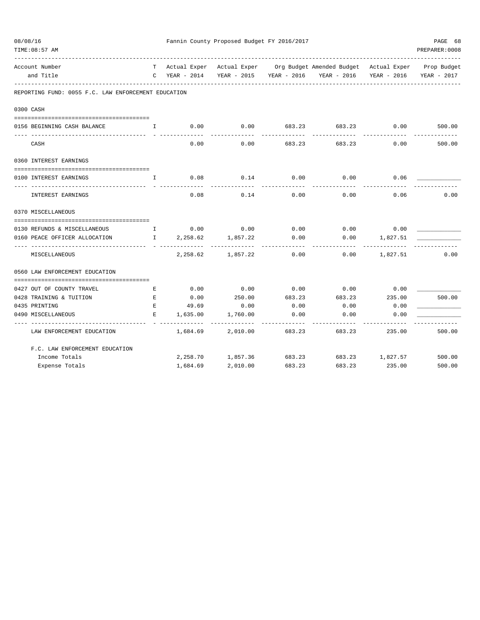| 08/08/16                                                                                       |              |                                               | Fannin County Proposed Budget FY 2016/2017 |        |                                                                                |          | PAGE 68        |
|------------------------------------------------------------------------------------------------|--------------|-----------------------------------------------|--------------------------------------------|--------|--------------------------------------------------------------------------------|----------|----------------|
| TIME: 08:57 AM                                                                                 |              |                                               |                                            |        | _____________________________                                                  |          | PREPARER: 0008 |
| Account Number                                                                                 |              |                                               |                                            |        | T Actual Exper Actual Exper Org Budget Amended Budget Actual Exper Prop Budget |          |                |
| and Title                                                                                      |              |                                               |                                            |        | C YEAR - 2014 YEAR - 2015 YEAR - 2016 YEAR - 2016 YEAR - 2016                  |          | YEAR - 2017    |
| REPORTING FUND: 0055 F.C. LAW ENFORCEMENT EDUCATION                                            |              |                                               |                                            |        |                                                                                |          |                |
| 0300 CASH                                                                                      |              |                                               |                                            |        |                                                                                |          |                |
| 0156 BEGINNING CASH BALANCE<br>$\mathbf{I}$ and $\mathbf{I}$ and $\mathbf{I}$ and $\mathbf{I}$ |              | 0.00                                          | 0.00                                       |        | 683.23 683.23                                                                  | 0.00     | 500.00         |
| CASH                                                                                           |              | 0.00                                          | 0.00                                       | 683.23 | <u>Liste i Liste i Li</u><br>683.23                                            | 0.00     | 500.00         |
| 0360 INTEREST EARNINGS                                                                         |              |                                               |                                            |        |                                                                                |          |                |
| 0100 INTEREST EARNINGS                                                                         | $\mathbf{L}$ | 0.08                                          | 0.14                                       | 0.00   | 0.00                                                                           | 0.06     |                |
| INTEREST EARNINGS                                                                              |              | 0.08                                          | 0.14                                       | 0.00   | 0.00                                                                           | 0.06     | 0.00           |
| 0370 MISCELLANEOUS                                                                             |              |                                               |                                            |        |                                                                                |          |                |
| 0130 REFUNDS & MISCELLANEOUS                                                                   |              | $\qquad \qquad \mathbb{I} \qquad \qquad 0.00$ | 0.00                                       | 0.00   | $0.00$ 0.00                                                                    |          |                |
| 0160 PEACE OFFICER ALLOCATION                                                                  |              | $1 \t 2, 258.62$                              | 1,857.22                                   | 0.00   | 0.00                                                                           | 1,827.51 |                |
| MISCELLANEOUS                                                                                  |              |                                               | 2, 258.62 1, 857.22                        | 0.00   | 0.00                                                                           | 1,827.51 | 0.00           |
| 0560 LAW ENFORCEMENT EDUCATION                                                                 |              |                                               |                                            |        |                                                                                |          |                |
|                                                                                                |              |                                               |                                            |        |                                                                                |          |                |
| 0427 OUT OF COUNTY TRAVEL                                                                      | E            | 0.00                                          | 0.00                                       | 0.00   | 0.00                                                                           | 0.00     |                |
| 0428 TRAINING & TUITION                                                                        | E            | 0.00                                          | 250.00                                     | 683.23 | 683.23                                                                         | 235.00   | 500.00         |
| 0435 PRINTING                                                                                  | E            | 49.69                                         | 0.00                                       | 0.00   | 0.00                                                                           | 0.00     |                |
| 0490 MISCELLANEOUS                                                                             | E            | 1,635.00                                      | 1,760.00                                   | 0.00   | 0.00                                                                           | 0.00     |                |
| LAW ENFORCEMENT EDUCATION                                                                      |              | 1,684.69                                      | 2,010.00                                   | 683.23 | 683.23                                                                         | 235.00   | 500.00         |
| F.C. LAW ENFORCEMENT EDUCATION                                                                 |              |                                               |                                            |        |                                                                                |          |                |
| Income Totals                                                                                  |              |                                               |                                            |        | 2, 258.70 1, 857.36 683.23 683.23 1, 827.57 500.00                             |          |                |
| Expense Totals                                                                                 |              | 1,684.69                                      | 2,010.00                                   | 683.23 | 683.23                                                                         | 235.00   | 500.00         |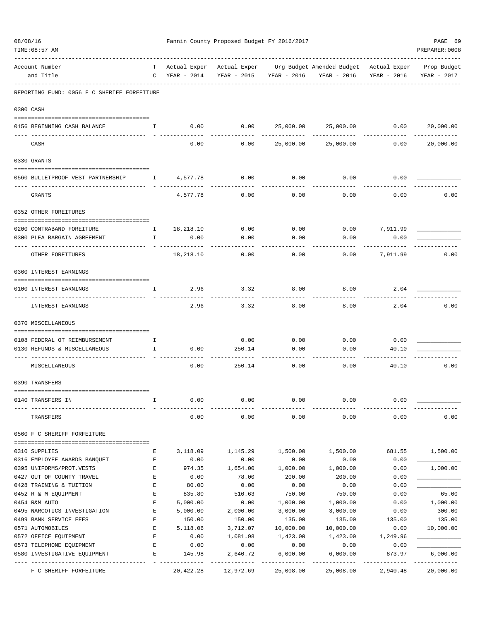| 08/08/16 | TIME: 08:57 AM                                                                                                                                                                                                                                                                                                                   |                           |                             |                  | Fannin County Proposed Budget FY 2016/2017 | ---------------------------------                                                             |                | PAGE 69<br>PREPARER: 0008 |
|----------|----------------------------------------------------------------------------------------------------------------------------------------------------------------------------------------------------------------------------------------------------------------------------------------------------------------------------------|---------------------------|-----------------------------|------------------|--------------------------------------------|-----------------------------------------------------------------------------------------------|----------------|---------------------------|
|          | Account Number<br>and Title                                                                                                                                                                                                                                                                                                      |                           | $C$ YEAR - 2014             |                  | YEAR - 2015 YEAR - 2016                    | T Actual Exper Actual Exper Org Budget Amended Budget Actual Exper Prop Budget<br>YEAR - 2016 | YEAR - 2016    | YEAR - 2017               |
|          | REPORTING FUND: 0056 F C SHERIFF FORFEITURE                                                                                                                                                                                                                                                                                      |                           |                             |                  |                                            |                                                                                               |                |                           |
|          | 0300 CASH                                                                                                                                                                                                                                                                                                                        |                           |                             |                  |                                            |                                                                                               |                |                           |
|          | 0156 BEGINNING CASH BALANCE                                                                                                                                                                                                                                                                                                      | $\mathbb{I}$              | 0.00                        | 0.00             |                                            | 25,000.00 25,000.00 0.00                                                                      |                | 20,000.00                 |
|          | CASH                                                                                                                                                                                                                                                                                                                             |                           | 0.00                        | 0.00             | 25,000.00                                  | 25,000.00                                                                                     | 0.00           | 20,000.00                 |
|          | 0330 GRANTS                                                                                                                                                                                                                                                                                                                      |                           |                             |                  |                                            |                                                                                               |                |                           |
|          | 0560 BULLETPROOF VEST PARTNERSHIP 1 4,577.78                                                                                                                                                                                                                                                                                     |                           |                             | 0.00             | 0.00                                       | 0.00                                                                                          | 0.00           |                           |
|          | GRANTS                                                                                                                                                                                                                                                                                                                           |                           | 4,577.78                    | 0.00             | 0.00                                       | 0.00                                                                                          | 0.00           | 0.00                      |
|          | 0352 OTHER FOREITURES                                                                                                                                                                                                                                                                                                            |                           |                             |                  |                                            |                                                                                               |                |                           |
|          | 0200 CONTRABAND FOREITURE                                                                                                                                                                                                                                                                                                        | $\mathbf{I}$              | 18,218.10                   | 0.00             |                                            | $0.00$ 0.00 7,911.99                                                                          |                |                           |
|          | 0300 PLEA BARGAIN AGREEMENT                                                                                                                                                                                                                                                                                                      | $\mathbb{I}$              | 0.00                        | 0.00             | 0.00                                       | 0.00                                                                                          | 0.00           |                           |
|          | -------------- - -                                                                                                                                                                                                                                                                                                               |                           | <u> - - - - - - - - - -</u> |                  |                                            |                                                                                               | ---------      |                           |
|          | OTHER FOREITURES                                                                                                                                                                                                                                                                                                                 |                           | 18,218.10                   | 0.00             | 0.00                                       | 0.00                                                                                          | 7,911.99       | 0.00                      |
|          | 0360 INTEREST EARNINGS                                                                                                                                                                                                                                                                                                           |                           |                             |                  |                                            |                                                                                               |                |                           |
|          | 0100 INTEREST EARNINGS<br>-- --------------                                                                                                                                                                                                                                                                                      | $\mathbb{I}$              | 2.96                        | 3.32             | 8.00                                       | 8.00                                                                                          | 2.04           |                           |
|          | INTEREST EARNINGS                                                                                                                                                                                                                                                                                                                |                           | 2.96                        | 3.32             | 8.00                                       | 8.00                                                                                          | 2.04           | 0.00                      |
|          | 0370 MISCELLANEOUS                                                                                                                                                                                                                                                                                                               |                           |                             |                  |                                            |                                                                                               |                |                           |
|          | 0108 FEDERAL OT REIMBURSEMENT                                                                                                                                                                                                                                                                                                    | $\mathbf{I}$ $\mathbf{I}$ |                             | 0.00             | 0.00                                       | $0.00$ 0.00                                                                                   |                |                           |
|          | 0130 REFUNDS & MISCELLANEOUS<br>$\mathbf{I}$ and $\mathbf{I}$ and $\mathbf{I}$ and $\mathbf{I}$ and $\mathbf{I}$ and $\mathbf{I}$ and $\mathbf{I}$ and $\mathbf{I}$ and $\mathbf{I}$ and $\mathbf{I}$ and $\mathbf{I}$ and $\mathbf{I}$ and $\mathbf{I}$ and $\mathbf{I}$ and $\mathbf{I}$ and $\mathbf{I}$ and $\mathbf{I}$ and |                           | 0.00                        | 250.14           | 0.00                                       | 0.00                                                                                          | 40.10          |                           |
|          |                                                                                                                                                                                                                                                                                                                                  |                           |                             |                  |                                            |                                                                                               |                |                           |
|          | MISCELLANEOUS                                                                                                                                                                                                                                                                                                                    |                           | 0.00                        | 250.14           | 0.00                                       | 0.00                                                                                          | 40.10          | 0.00                      |
|          | 0390 TRANSFERS                                                                                                                                                                                                                                                                                                                   |                           |                             |                  |                                            |                                                                                               |                |                           |
|          | 0140 TRANSFERS IN                                                                                                                                                                                                                                                                                                                | I                         | 0.00                        | 0.00             | 0.00                                       | 0.00                                                                                          | 0.00           |                           |
|          | TRANSFERS                                                                                                                                                                                                                                                                                                                        |                           | 0.00                        | 0.00             | 0.00                                       | 0.00                                                                                          | 0.00           | 0.00                      |
|          | 0560 F C SHERIFF FORFEITURE                                                                                                                                                                                                                                                                                                      |                           |                             |                  |                                            |                                                                                               |                |                           |
|          |                                                                                                                                                                                                                                                                                                                                  |                           |                             |                  |                                            |                                                                                               |                |                           |
|          | 0310 SUPPLIES<br>0316 EMPLOYEE AWARDS BANQUET                                                                                                                                                                                                                                                                                    | Е<br>$\mathbf E$          | 3,118.09<br>0.00            | 1,145.29<br>0.00 | 1,500.00<br>0.00                           | 1,500.00<br>0.00                                                                              | 681.55<br>0.00 | 1,500.00                  |
|          | 0395 UNIFORMS/PROT.VESTS                                                                                                                                                                                                                                                                                                         | Ε                         | 974.35                      | 1,654.00         | 1,000.00                                   | 1,000.00                                                                                      | 0.00           | 1,000.00                  |
|          | 0427 OUT OF COUNTY TRAVEL                                                                                                                                                                                                                                                                                                        | E                         | 0.00                        | 78.00            | 200.00                                     | 200.00                                                                                        | 0.00           |                           |
|          | 0428 TRAINING & TUITION                                                                                                                                                                                                                                                                                                          | Ε                         | 80.00                       | 0.00             | 0.00                                       | 0.00                                                                                          | 0.00           |                           |
|          | 0452 R & M EQUIPMENT                                                                                                                                                                                                                                                                                                             | E                         | 835.80                      | 510.63           | 750.00                                     | 750.00                                                                                        | 0.00           | 65.00                     |
|          | 0454 R&M AUTO                                                                                                                                                                                                                                                                                                                    | Ε                         | 5,000.00                    | 0.00             | 1,000.00                                   | 1,000.00                                                                                      | 0.00           | 1,000.00                  |
|          | 0495 NARCOTICS INVESTIGATION                                                                                                                                                                                                                                                                                                     | Ε                         | 5,000.00                    | 2,000.00         | 3,000.00                                   | 3,000.00                                                                                      | 0.00           | 300.00                    |
|          | 0499 BANK SERVICE FEES                                                                                                                                                                                                                                                                                                           | Ε                         | 150.00                      | 150.00           | 135.00                                     | 135.00                                                                                        | 135.00         | 135.00                    |
|          | 0571 AUTOMOBILES                                                                                                                                                                                                                                                                                                                 | Ε                         | 5,118.06                    | 3,712.07         | 10,000.00                                  | 10,000.00                                                                                     | 0.00           | 10,000.00                 |
|          | 0572 OFFICE EQUIPMENT                                                                                                                                                                                                                                                                                                            | Ε                         | 0.00                        | 1,081.98         | 1,423.00                                   | 1,423.00                                                                                      | 1,249.96       |                           |
|          | 0573 TELEPHONE EQUIPMENT                                                                                                                                                                                                                                                                                                         | Е                         | 0.00                        | 0.00             | 0.00                                       | 0.00                                                                                          | 0.00           |                           |
|          | 0580 INVESTIGATIVE EQUIPMENT                                                                                                                                                                                                                                                                                                     | E                         | 145.98                      | 2,640.72         | 6,000.00                                   | 6,000.00                                                                                      | 873.97         | 6,000.00<br>----------    |
|          | F C SHERIFF FORFEITURE                                                                                                                                                                                                                                                                                                           |                           | 20,422.28                   | 12,972.69        | 25,008.00                                  | 25,008.00                                                                                     | 2,940.48       | 20,000.00                 |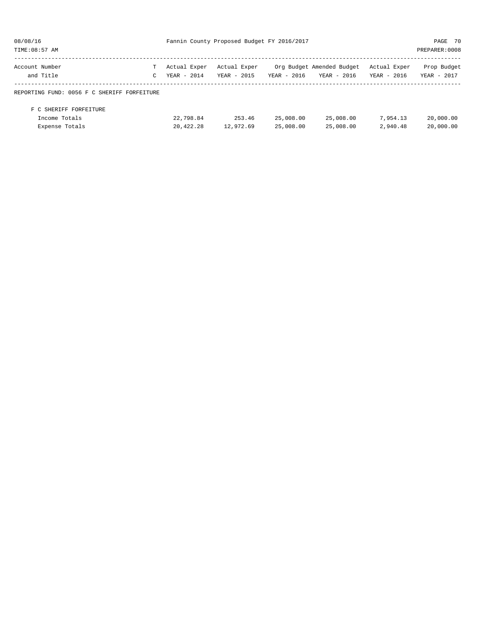| 08/08/16<br>TIME: 08:57 AM                                | Fannin County Proposed Budget FY 2016/2017 |                             |                             |                        |                                          | PAGE 70<br>PREPARER: 0008   |                            |
|-----------------------------------------------------------|--------------------------------------------|-----------------------------|-----------------------------|------------------------|------------------------------------------|-----------------------------|----------------------------|
| Account Number<br>and Title                               | C                                          | Actual Exper<br>YEAR - 2014 | Actual Exper<br>YEAR - 2015 | $YEAR - 2016$          | Org Budget Amended Budget<br>YEAR - 2016 | Actual Exper<br>YEAR - 2016 | Prop Budget<br>YEAR - 2017 |
| REPORTING FUND: 0056 F C SHERIFF FORFEITURE               |                                            |                             |                             |                        |                                          |                             |                            |
| F C SHERIFF FORFEITURE<br>Income Totals<br>Expense Totals |                                            | 22,798.84<br>20,422.28      | 253.46<br>12,972.69         | 25,008.00<br>25,008.00 | 25,008.00<br>25,008.00                   | 7,954.13<br>2,940.48        | 20,000.00<br>20,000.00     |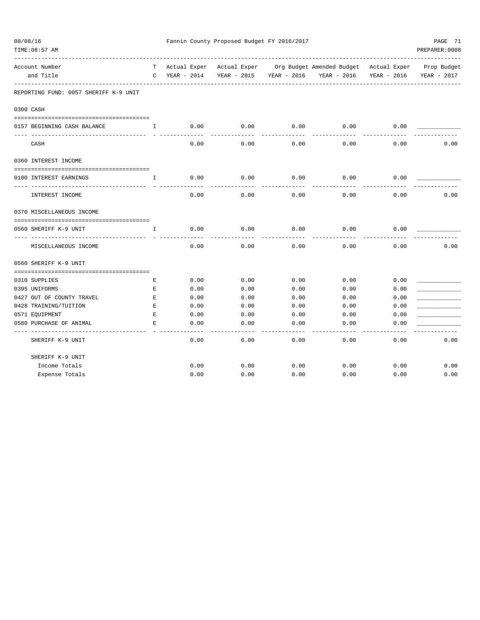| 08/08/16<br>TIME: 08:57 AM            |              | Fannin County Proposed Budget FY 2016/2017 | PAGE 71                 |      |                                                                                |                |             |
|---------------------------------------|--------------|--------------------------------------------|-------------------------|------|--------------------------------------------------------------------------------|----------------|-------------|
|                                       |              |                                            |                         |      |                                                                                | PREPARER: 0008 |             |
|                                       |              |                                            |                         |      |                                                                                |                |             |
| Account Number                        |              |                                            |                         |      | T Actual Exper Actual Exper Org Budget Amended Budget Actual Exper Prop Budget |                |             |
| and Title                             | $\mathbf C$  | YEAR - 2014                                | YEAR - 2015 YEAR - 2016 |      | YEAR - 2016                                                                    | YEAR - 2016    | YEAR - 2017 |
| REPORTING FUND: 0057 SHERIFF K-9 UNIT |              |                                            |                         |      |                                                                                |                |             |
| 0300 CASH                             |              |                                            |                         |      |                                                                                |                |             |
|                                       |              |                                            |                         |      |                                                                                |                |             |
| 0157 BEGINNING CASH BALANCE           | $\mathbf{I}$ | 0.00                                       | 0.00                    | 0.00 | 0.00                                                                           | 0.00           |             |
| CASH                                  |              | 0.00                                       | 0.00                    | 0.00 | 0.00                                                                           | 0.00           | 0.00        |
| 0360 INTEREST INCOME                  |              |                                            |                         |      |                                                                                |                |             |
| 0100 INTEREST EARNINGS                | $\mathbf{I}$ | 0.00                                       | 0.00                    | 0.00 | 0.00                                                                           | 0.00           |             |
| INTEREST INCOME                       |              | 0.00                                       | 0.00                    | 0.00 | 0.00                                                                           | 0.00           | 0.00        |
| 0370 MISCELLANEOUS INCOME             |              |                                            |                         |      |                                                                                |                |             |
| 0560 SHERIFF K-9 UNIT                 | I.           | 0.00                                       | 0.00                    | 0.00 | 0.00                                                                           | 0.00           |             |
| MISCELLANEOUS INCOME                  |              | 0.00                                       | 0.00                    | 0.00 | 0.00                                                                           | 0.00           | 0.00        |
| 0560 SHERIFF K-9 UNIT                 |              |                                            |                         |      |                                                                                |                |             |
|                                       |              |                                            |                         |      |                                                                                |                |             |
| 0310 SUPPLIES                         | Ε            | 0.00                                       | 0.00                    | 0.00 | 0.00                                                                           | 0.00           |             |
| 0395 UNIFORMS                         | Е            | 0.00                                       | 0.00                    | 0.00 | 0.00                                                                           | 0.00           |             |
| 0427 OUT OF COUNTY TRAVEL             | E            | 0.00                                       | 0.00                    | 0.00 | 0.00                                                                           | 0.00           |             |
| 0428 TRAINING/TUITION                 | E            | 0.00                                       | 0.00                    | 0.00 | 0.00                                                                           | 0.00           |             |
| 0571 EQUIPMENT                        | $\mathbf E$  | 0.00                                       | 0.00                    | 0.00 | 0.00                                                                           | 0.00           |             |
| 0580 PURCHASE OF ANIMAL               | $\mathbf E$  | 0.00                                       | 0.00                    | 0.00 | 0.00                                                                           | 0.00           |             |
| SHERIFF K-9 UNIT                      |              | 0.00                                       | 0.00                    | 0.00 | 0.00                                                                           | 0.00           | 0.00        |
| SHERIFF K-9 UNIT                      |              |                                            |                         |      |                                                                                |                |             |
| Income Totals                         |              | 0.00                                       | 0.00                    | 0.00 | 0.00                                                                           | 0.00           | 0.00        |
| Expense Totals                        |              | 0.00                                       | 0.00                    | 0.00 | 0.00                                                                           | 0.00           | 0.00        |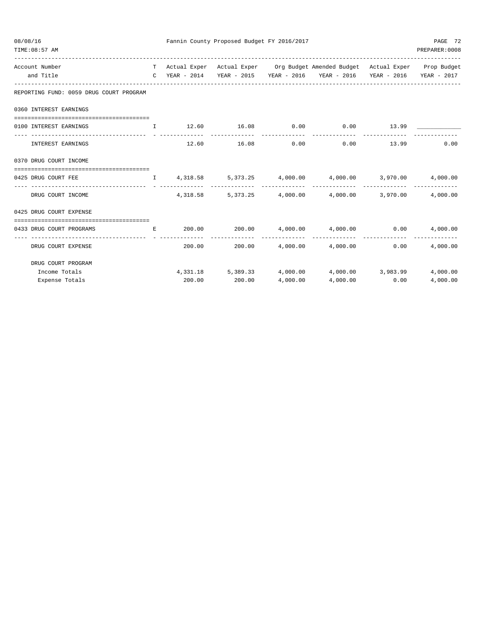| 08/08/16<br>TIME: 08:57 AM                |              |          | Fannin County Proposed Budget FY 2016/2017 |                |                                                                                                                                                             |      | PAGE 72<br>PREPARER:0008  |
|-------------------------------------------|--------------|----------|--------------------------------------------|----------------|-------------------------------------------------------------------------------------------------------------------------------------------------------------|------|---------------------------|
| Account Number<br>and Title               |              |          |                                            |                | T Actual Exper Actual Exper Org Budget Amended Budget Actual Exper Prop Budget<br>C YEAR - 2014 YEAR - 2015 YEAR - 2016 YEAR - 2016 YEAR - 2016 YEAR - 2017 |      |                           |
| REPORTING FUND: 0059 DRUG COURT PROGRAM   |              |          |                                            |                |                                                                                                                                                             |      |                           |
| 0360 INTEREST EARNINGS                    |              |          |                                            |                |                                                                                                                                                             |      |                           |
| 0100 INTEREST EARNINGS                    | $\mathbf{I}$ |          |                                            |                | $12.60$ $16.08$ $0.00$ $0.00$ $13.99$                                                                                                                       |      |                           |
| INTEREST EARNINGS                         |              |          | 12.60 16.08                                | 0.00           | $0.00$ 13.99                                                                                                                                                |      | 0.00                      |
| 0370 DRUG COURT INCOME                    |              |          |                                            |                |                                                                                                                                                             |      |                           |
| 0425 DRUG COURT FEE                       |              |          |                                            |                | $\mathbf{I}$ 4,318.58 5,373.25 4,000.00 4,000.00 3,970.00 4,000.00                                                                                          |      |                           |
| DRUG COURT INCOME                         |              | 4,318.58 |                                            |                | -------------------------------<br>5,373.25 4,000.00 4,000.00 3,970.00                                                                                      |      | 4,000.00                  |
| 0425 DRUG COURT EXPENSE                   |              |          |                                            |                |                                                                                                                                                             |      |                           |
| 0433 DRUG COURT PROGRAMS                  |              |          |                                            |                | $E$ 200.00 200.00 4,000.00 4,000.00 0.00                                                                                                                    |      | 4,000.00                  |
| ----------------- -<br>DRUG COURT EXPENSE |              |          |                                            | -------------- | $200.00$ $200.00$ $4,000.00$ $4,000.00$                                                                                                                     | 0.00 | -------------<br>4,000.00 |
| DRUG COURT PROGRAM                        |              |          |                                            |                |                                                                                                                                                             |      |                           |
| Income Totals                             |              |          |                                            |                | $4,331.18$ $5,389.33$ $4,000.00$ $4,000.00$ $3,983.99$                                                                                                      |      | 4,000.00                  |
| Expense Totals                            |              | 200.00   | 200.00                                     | 4,000.00       | 4,000.00                                                                                                                                                    | 0.00 | 4,000.00                  |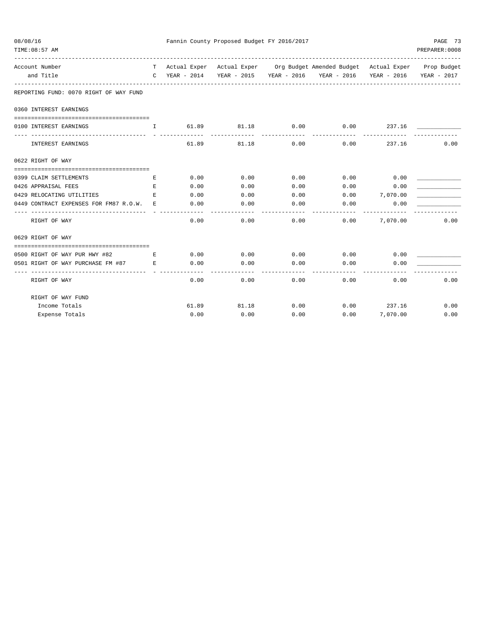| 08/08/16<br>TIME: 08:57 AM                                        |              |       | Fannin County Proposed Budget FY 2016/2017 |            |                                                                                |               | PAGE 73<br>PREPARER: 0008 |
|-------------------------------------------------------------------|--------------|-------|--------------------------------------------|------------|--------------------------------------------------------------------------------|---------------|---------------------------|
| Account Number                                                    |              |       |                                            |            | T Actual Exper Actual Exper Org Budget Amended Budget Actual Exper Prop Budget |               |                           |
| and Title                                                         | $\mathbf{C}$ |       |                                            |            | YEAR - 2014 YEAR - 2015 YEAR - 2016 YEAR - 2016 YEAR - 2016                    |               | YEAR - 2017               |
| REPORTING FUND: 0070 RIGHT OF WAY FUND                            |              |       |                                            |            |                                                                                |               |                           |
| 0360 INTEREST EARNINGS                                            |              |       |                                            |            |                                                                                |               |                           |
| 0100 INTEREST EARNINGS<br>------------------------------ - -      | $\mathbf{I}$ | 61.89 |                                            | 81.18 0.00 | 0.00                                                                           | 237.16        |                           |
| INTEREST EARNINGS                                                 |              | 61.89 | 81.18                                      | 0.00       | 0.00                                                                           | 237.16        | 0.00                      |
| 0622 RIGHT OF WAY                                                 |              |       |                                            |            |                                                                                |               |                           |
|                                                                   |              |       |                                            |            |                                                                                |               |                           |
| 0399 CLAIM SETTLEMENTS                                            | Е            | 0.00  | 0.00                                       | 0.00       |                                                                                | $0.00$ 0.00   |                           |
| 0426 APPRAISAL FEES                                               | E            | 0.00  | 0.00                                       | 0.00       | 0.00                                                                           | 0.00          |                           |
| 0429 RELOCATING UTILITIES                                         | E.           | 0.00  | 0.00                                       | 0.00       | $0.00$ 7,070.00                                                                |               |                           |
| 0449 CONTRACT EXPENSES FOR FM87 R.O.W.                            | E.           | 0.00  | 0.00                                       | 0.00       | 0.00                                                                           | 0.00          |                           |
| RIGHT OF WAY                                                      |              | 0.00  | 0.00                                       | 0.00       | 0.00                                                                           | 7,070.00      | 0.00                      |
| 0629 RIGHT OF WAY                                                 |              |       |                                            |            |                                                                                |               |                           |
| 0500 RIGHT OF WAY PUR HWY #82<br><b>Expanding Contract Except</b> |              | 0.00  | 0.00                                       | 0.00       | 0.00                                                                           | 0.00          |                           |
| 0501 RIGHT OF WAY PURCHASE FM #87 E                               |              | 0.00  | 0.00                                       | 0.00       | 0.00                                                                           | 0.00          |                           |
| -------------------------------- -<br>RIGHT OF WAY                |              | 0.00  | 0.00                                       | 0.00       | 0.00                                                                           | 0.00          | 0.00                      |
| RIGHT OF WAY FUND                                                 |              |       |                                            |            |                                                                                |               |                           |
| Income Totals                                                     |              |       | 61.89<br>81.18                             | 0.00       |                                                                                | $0.00$ 237.16 | 0.00                      |
| Expense Totals                                                    |              | 0.00  | 0.00                                       | 0.00       | 0.00                                                                           | 7,070.00      | 0.00                      |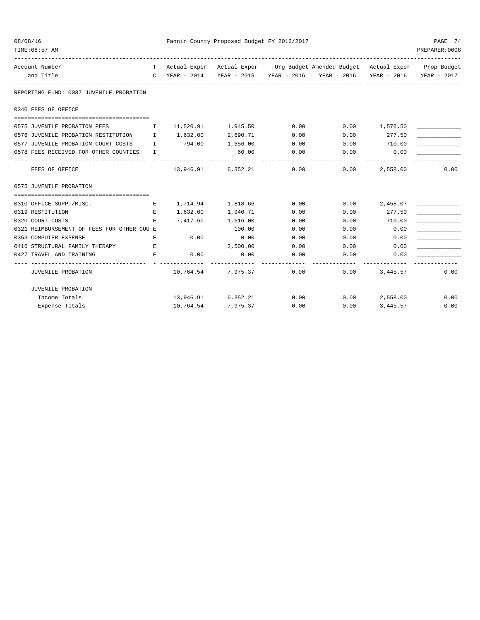| 08/08/16 |                                                                    |   |                 | Fannin County Proposed Budget FY 2016/2017 |                       |                                                                                |                  | PAGE 74<br>PREPARER: 0008 |
|----------|--------------------------------------------------------------------|---|-----------------|--------------------------------------------|-----------------------|--------------------------------------------------------------------------------|------------------|---------------------------|
|          | TIME: 08:57 AM                                                     |   |                 |                                            |                       |                                                                                |                  |                           |
|          | Account Number                                                     |   |                 |                                            |                       | T Actual Exper Actual Exper Org Budget Amended Budget Actual Exper Prop Budget |                  |                           |
|          | and Title                                                          |   |                 |                                            |                       | C YEAR - 2014 YEAR - 2015 YEAR - 2016 YEAR - 2016 YEAR - 2016 YEAR - 2017      |                  |                           |
|          | REPORTING FUND: 0087 JUVENILE PROBATION                            |   |                 |                                            |                       |                                                                                |                  |                           |
|          | 0340 FEES OF OFFICE                                                |   |                 |                                            |                       |                                                                                |                  |                           |
|          |                                                                    |   |                 |                                            |                       |                                                                                |                  |                           |
|          | 0575 JUVENILE PROBATION FEES 11,520.91 1,945.50 0.00 0.00 1,570.50 |   |                 |                                            |                       |                                                                                |                  |                           |
|          | 0576 JUVENILE PROBATION RESTITUTION I                              |   |                 | 1,632.00 2,690.71                          | 0.00                  | 0.00                                                                           | 277.50           |                           |
|          | 0577 JUVENILE PROBATION COURT COSTS I                              |   | 794.00 1,656.00 |                                            | 0.00                  | $0.00$ 710.00                                                                  |                  |                           |
|          | 0578 FEES RECEIVED FOR OTHER COUNTIES I                            |   |                 | 60.00<br>-------------                     | 0.00<br>------------- |                                                                                | $0.00$ 0.00      |                           |
|          | FEES OF OFFICE                                                     |   |                 |                                            |                       | $13,946.91$ 6,352.21 0.00 0.00                                                 | 2,558.00         | 0.00                      |
|          | 0575 JUVENILE PROBATION                                            |   |                 |                                            |                       |                                                                                |                  |                           |
|          |                                                                    |   |                 |                                            |                       |                                                                                |                  |                           |
|          | 0310 OFFICE SUPP./MISC.                                            | Е |                 | 1,714.94 1,818.66 0.00                     |                       |                                                                                | $0.00$ 2,458.07  |                           |
|          | 0319 RESTITUTION                                                   | E |                 | 1,632.00 1,940.71                          | 0.00                  | 0.00                                                                           | 277.50           |                           |
|          | 0320 COURT COSTS                                                   | E | 7,417.60        | 1,616.00                                   | 0.00                  | 0.00                                                                           | 710.00           |                           |
|          | 0321 REIMBURSEMENT OF FEES FOR OTHER COU E                         |   |                 | 100.00                                     | 0.00                  |                                                                                | $0.00$ 0.00      |                           |
|          | $\mathbf{E}$ and $\mathbf{E}$<br>0353 COMPUTER EXPENSE             |   | 0.00            | 0.00                                       | 0.00                  | 0.00                                                                           | 0.00             |                           |
|          | 0416 STRUCTURAL FAMILY THERAPY E                                   |   |                 | 2,500.00                                   | 0.00                  | $0.00$ 0.00                                                                    |                  |                           |
|          | 0427 TRAVEL AND TRAINING                                           | Е | 0.00            | 0.00                                       | 0.00                  |                                                                                | 0.00<br>0.00     |                           |
|          | JUVENILE PROBATION                                                 |   |                 | $10,764.54$ $7,975.37$ 0.00                |                       |                                                                                | $0.00$ 3, 445.57 | 0.00                      |
|          | JUVENILE PROBATION                                                 |   |                 |                                            |                       |                                                                                |                  |                           |
|          | Income Totals                                                      |   |                 |                                            |                       | $13,946.91$ 6,352.21 0.00 0.00 2,558.00                                        |                  | 0.00                      |
|          | Expense Totals                                                     |   |                 | 10,764.54 7,975.37                         |                       | 0.00                                                                           | $0.00$ 3, 445.57 | 0.00                      |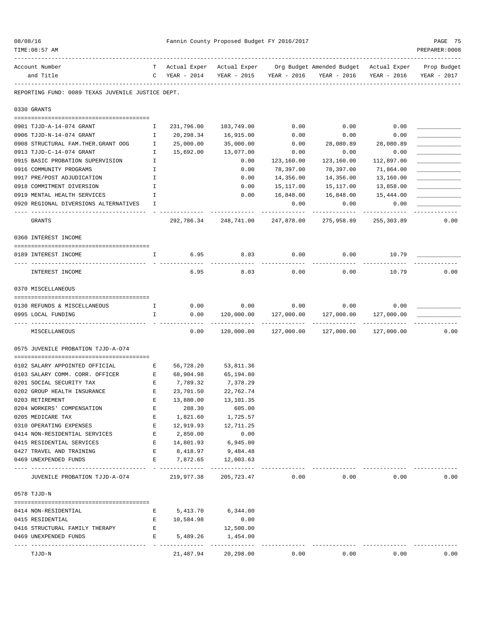| TIME: 08:57 AM                                                                                                                                           |              |                                            |                           |                             |                                                                                                           |             | PREPARER: 0008             |
|----------------------------------------------------------------------------------------------------------------------------------------------------------|--------------|--------------------------------------------|---------------------------|-----------------------------|-----------------------------------------------------------------------------------------------------------|-------------|----------------------------|
| Account Number<br>and Title                                                                                                                              |              | $C$ YEAR - 2014                            |                           |                             | T Actual Exper Actual Exper Org Budget Amended Budget Actual Exper<br>YEAR - 2015 YEAR - 2016 YEAR - 2016 | YEAR - 2016 | Prop Budget<br>YEAR - 2017 |
| REPORTING FUND: 0089 TEXAS JUVENILE JUSTICE DEPT.                                                                                                        |              |                                            |                           |                             |                                                                                                           |             |                            |
| 0330 GRANTS                                                                                                                                              |              |                                            |                           |                             |                                                                                                           |             |                            |
| 0901 TJJD-A-14-074 GRANT                                                                                                                                 | Ι.           | 231,796.00                                 | 183,749.00                | 0.00                        | 0.00                                                                                                      | 0.00        |                            |
| 0906 TJJD-N-14-074 GRANT                                                                                                                                 | Ι.           | 20,298.34                                  | 16,915.00                 | 0.00                        | 0.00                                                                                                      | 0.00        |                            |
| 0908 STRUCTURAL FAM. THER. GRANT OOG                                                                                                                     | Ι.           | 25,000.00                                  | 35,000.00                 | 0.00                        | 28,080.89                                                                                                 | 28,080.89   |                            |
| 0913 TJJD-C-14-074 GRANT                                                                                                                                 | Ι.           | 15,692.00                                  | 13,077.00                 | 0.00                        | 0.00                                                                                                      | 0.00        |                            |
| 0915 BASIC PROBATION SUPERVISION                                                                                                                         | Ι.           |                                            | 0.00                      | 123,160.00                  | 123,160.00                                                                                                | 112,897.00  |                            |
| 0916 COMMUNITY PROGRAMS                                                                                                                                  | I            |                                            | 0.00                      | 78,397.00                   | 78,397.00                                                                                                 | 71,864.00   |                            |
| 0917 PRE/POST ADJUDICATION                                                                                                                               | Ι.           |                                            | 0.00                      | 14,356.00                   | 14,356.00                                                                                                 | 13,160.00   |                            |
| 0918 COMMITMENT DIVERSION                                                                                                                                | I            |                                            | 0.00                      | 15,117.00                   | 15,117.00                                                                                                 | 13,858.00   |                            |
| 0919 MENTAL HEALTH SERVICES                                                                                                                              | I.           |                                            | 0.00                      | 16,848.00                   | 16,848.00                                                                                                 | 15,444.00   |                            |
| 0920 REGIONAL DIVERSIONS ALTERNATIVES                                                                                                                    | I            |                                            |                           | 0.00                        | 0.00                                                                                                      | 0.00        |                            |
| <b>GRANTS</b>                                                                                                                                            |              |                                            | 292,786.34 248,741.00     | 247,878.00                  | 275,958.89                                                                                                | 255,303.89  | 0.00                       |
| 0360 INTEREST INCOME                                                                                                                                     |              |                                            |                           |                             |                                                                                                           |             |                            |
| 0189 INTEREST INCOME                                                                                                                                     | $\mathbf{I}$ | 6.95                                       | 8.03                      | 0.00                        | 0.00                                                                                                      | 10.79       |                            |
| INTEREST INCOME                                                                                                                                          |              | 6.95                                       | 8.03                      | 0.00                        | 0.00                                                                                                      | 10.79       | 0.00                       |
| 0370 MISCELLANEOUS                                                                                                                                       |              |                                            |                           |                             |                                                                                                           |             |                            |
|                                                                                                                                                          |              |                                            |                           |                             |                                                                                                           |             |                            |
| 0130 REFUNDS & MISCELLANEOUS                                                                                                                             | $\mathbb{I}$ | 0.00                                       | 0.00                      | 0.00                        | 0.00                                                                                                      | 0.00        |                            |
| 0995 LOCAL FUNDING                                                                                                                                       | I.           | 0.00                                       | 120,000.00<br>----------- | 127,000.00<br>------------- | 127,000.00<br>______________                                                                              | 127,000.00  |                            |
| MISCELLANEOUS                                                                                                                                            |              | 0.00                                       | 120,000.00                | 127,000.00                  | 127,000.00                                                                                                | 127,000.00  | 0.00                       |
| 0575 JUVENILE PROBATION TJJD-A-074                                                                                                                       |              |                                            |                           |                             |                                                                                                           |             |                            |
| 0102 SALARY APPOINTED OFFICIAL                                                                                                                           | Е            | 56,728.20                                  | 53,811.36                 |                             |                                                                                                           |             |                            |
| 0103 SALARY COMM. CORR. OFFICER<br><b>Expanding Expanding Expanding Expanding Expanding Expanding Expanding Expanding Expanding Expanding Expanding </b> |              | 68,904.98                                  | 65,194.80                 |                             |                                                                                                           |             |                            |
| 0201 SOCIAL SECURITY TAX                                                                                                                                 | Е            | 7,789.32                                   | 7,378.29                  |                             |                                                                                                           |             |                            |
| 0202 GROUP HEALTH INSURANCE                                                                                                                              | Е            | 23,701.50                                  | 22,762.74                 |                             |                                                                                                           |             |                            |
| 0203 RETIREMENT                                                                                                                                          | Е            | 13,880.00                                  | 13,101.35                 |                             |                                                                                                           |             |                            |
| 0204 WORKERS' COMPENSATION                                                                                                                               | Е            | 288.30                                     | 605.00                    |                             |                                                                                                           |             |                            |
| 0205 MEDICARE TAX                                                                                                                                        | E            | 1,821.60                                   | 1,725.57                  |                             |                                                                                                           |             |                            |
| 0310 OPERATING EXPENSES                                                                                                                                  | Е            | 12,919.93                                  | 12,711.25                 |                             |                                                                                                           |             |                            |
| 0414 NON-RESIDENTIAL SERVICES                                                                                                                            | Е            | 2,850.00                                   | 0.00                      |                             |                                                                                                           |             |                            |
| 0415 RESIDENTIAL SERVICES                                                                                                                                | Е            | 14,801.93                                  | 6,945.00                  |                             |                                                                                                           |             |                            |
| 0427 TRAVEL AND TRAINING                                                                                                                                 | E            | 8,418.97                                   | 9,484.48                  |                             |                                                                                                           |             |                            |
| 0469 UNEXPENDED FUNDS                                                                                                                                    | E            | 7,872.65<br>- -------------- ------------- | 12,003.63                 |                             |                                                                                                           |             |                            |
| JUVENILE PROBATION TJJD-A-074                                                                                                                            |              | 219,977.38                                 | 205,723.47                | 0.00                        | 0.00                                                                                                      | 0.00        | 0.00                       |
| 0578 TJJD-N                                                                                                                                              |              |                                            |                           |                             |                                                                                                           |             |                            |
| 0414 NON-RESIDENTIAL                                                                                                                                     | Е            |                                            | 5,413.70 6,344.00         |                             |                                                                                                           |             |                            |
| 0415 RESIDENTIAL                                                                                                                                         | Е            | 10,584.98                                  | 0.00                      |                             |                                                                                                           |             |                            |
| 0416 STRUCTURAL FAMILY THERAPY                                                                                                                           | Е            |                                            | 12,500.00                 |                             |                                                                                                           |             |                            |
| 0469 UNEXPENDED FUNDS                                                                                                                                    | Е            | 5,489.26                                   | 1,454.00<br>------------- |                             |                                                                                                           |             |                            |
| TJJD-N                                                                                                                                                   |              | 21,487.94                                  | 20,298.00                 | 0.00                        | 0.00                                                                                                      | 0.00        | 0.00                       |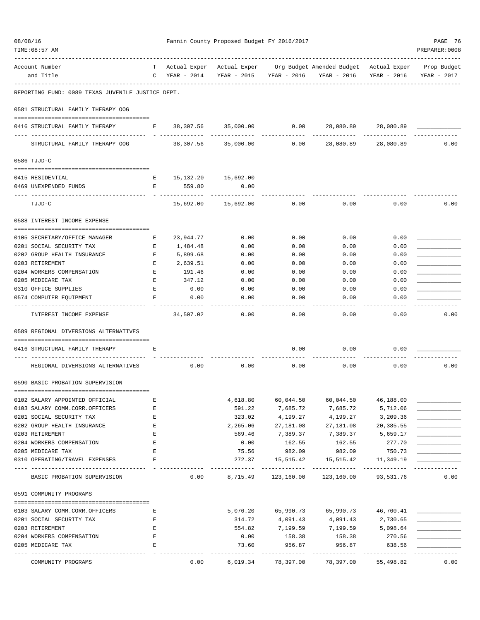| 08/08/16<br>TIME: 08:57 AM                                 |                               | Fannin County Proposed Budget FY 2016/2017 |                        |                            |                                                                                                                       |                             | PAGE 76<br>PREPARER: 0008 |  |
|------------------------------------------------------------|-------------------------------|--------------------------------------------|------------------------|----------------------------|-----------------------------------------------------------------------------------------------------------------------|-----------------------------|---------------------------|--|
| Account Number<br>and Title                                | $\mathbf{C}$                  | YEAR - 2014                                |                        |                            | T Actual Exper Actual Exper Org Budget Amended Budget Actual Exper Prop Budget<br>YEAR - 2015 YEAR - 2016 YEAR - 2016 | YEAR - 2016                 | YEAR - 2017               |  |
| REPORTING FUND: 0089 TEXAS JUVENILE JUSTICE DEPT.          |                               |                                            |                        |                            |                                                                                                                       |                             |                           |  |
| 0581 STRUCTURAL FAMILY THERAPY OOG                         |                               |                                            |                        |                            |                                                                                                                       |                             |                           |  |
| 0416 STRUCTURAL FAMILY THERAPY                             | $\mathbf{E}$ and $\mathbf{E}$ |                                            | 38,307.56 35,000.00    | 0.00                       | 28,080.89                                                                                                             | 28,080.89                   |                           |  |
| -- ----------------------<br>STRUCTURAL FAMILY THERAPY OOG |                               |                                            | 38,307.56 35,000.00    | 0.00                       | 28,080.89                                                                                                             | 28,080.89                   | 0.00                      |  |
| 0586 TJJD-C                                                |                               |                                            |                        |                            |                                                                                                                       |                             |                           |  |
|                                                            |                               |                                            |                        |                            |                                                                                                                       |                             |                           |  |
| 0415 RESIDENTIAL                                           | E                             | 15,132.20 15,692.00                        |                        |                            |                                                                                                                       |                             |                           |  |
| 0469 UNEXPENDED FUNDS                                      | Е                             | 559.80<br>---------                        | 0.00                   |                            |                                                                                                                       |                             |                           |  |
| TJJD-C                                                     |                               | 15,692.00                                  | 15,692.00              | 0.00                       | 0.00                                                                                                                  | 0.00                        | 0.00                      |  |
| 0588 INTEREST INCOME EXPENSE                               |                               |                                            |                        |                            |                                                                                                                       |                             |                           |  |
| 0105 SECRETARY/OFFICE MANAGER                              | Е                             | 23,944.77                                  | 0.00                   | 0.00                       | 0.00                                                                                                                  | 0.00                        |                           |  |
| 0201 SOCIAL SECURITY TAX                                   | Е                             | 1,484.48                                   | 0.00                   | 0.00                       | 0.00                                                                                                                  | 0.00                        |                           |  |
| 0202 GROUP HEALTH INSURANCE                                | E                             | 5,899.68                                   | 0.00                   | 0.00                       | 0.00                                                                                                                  | 0.00                        |                           |  |
| 0203 RETIREMENT                                            | Е                             | 2,639.51                                   | 0.00                   | 0.00                       | 0.00                                                                                                                  | 0.00                        |                           |  |
| 0204 WORKERS COMPENSATION                                  | Е                             | 191.46                                     | 0.00                   | 0.00                       | 0.00                                                                                                                  | 0.00                        |                           |  |
| 0205 MEDICARE TAX                                          | Е                             | 347.12                                     | 0.00                   | 0.00                       | 0.00                                                                                                                  | 0.00                        |                           |  |
| 0310 OFFICE SUPPLIES                                       | Е                             | 0.00                                       | 0.00                   | 0.00                       | 0.00                                                                                                                  | 0.00                        |                           |  |
| 0574 COMPUTER EQUIPMENT                                    | Ε                             | 0.00                                       | 0.00                   | 0.00                       | 0.00                                                                                                                  | 0.00                        |                           |  |
| INTEREST INCOME EXPENSE                                    |                               | 34,507.02                                  | 0.00                   | 0.00                       | 0.00                                                                                                                  | 0.00                        | 0.00                      |  |
| 0589 REGIONAL DIVERSIONS ALTERNATIVES                      |                               |                                            |                        |                            |                                                                                                                       |                             |                           |  |
| 0416 STRUCTURAL FAMILY THERAPY                             | Ε                             |                                            |                        | 0.00                       | 0.00                                                                                                                  | 0.00                        |                           |  |
| REGIONAL DIVERSIONS ALTERNATIVES                           |                               | 0.00                                       | 0.00                   | 0.00                       | 0.00                                                                                                                  | 0.00                        | 0.00                      |  |
| 0590 BASIC PROBATION SUPERVISION                           |                               |                                            |                        |                            |                                                                                                                       |                             |                           |  |
|                                                            |                               |                                            |                        |                            |                                                                                                                       |                             |                           |  |
| 0102 SALARY APPOINTED OFFICIAL                             | Ε                             |                                            | 4,618.80               | 60,044.50                  | 60,044.50                                                                                                             | 46,188.00                   |                           |  |
| 0103 SALARY COMM.CORR.OFFICERS                             | E                             |                                            | 591.22                 | 7,685.72                   | 7,685.72                                                                                                              | 5,712.06                    |                           |  |
| 0201 SOCIAL SECURITY TAX                                   | Е                             |                                            | 323.02                 | 4,199.27                   | 4,199.27                                                                                                              | 3,209.36                    |                           |  |
| 0202 GROUP HEALTH INSURANCE                                | Е                             |                                            | 2,265.06               | 27,181.08                  | 27,181.08                                                                                                             | 20,385.55                   |                           |  |
| 0203 RETIREMENT                                            | E                             |                                            | 569.46                 | 7,389.37                   | 7,389.37                                                                                                              | 5,659.17                    |                           |  |
| 0204 WORKERS COMPENSATION                                  | Е                             |                                            | 0.00                   | 162.55                     | 162.55                                                                                                                | 277.70                      |                           |  |
| 0205 MEDICARE TAX                                          | Е                             |                                            | 75.56                  | 982.09                     | 982.09                                                                                                                | 750.73                      |                           |  |
| 0310 OPERATING/TRAVEL EXPENSES                             | E                             |                                            | 272.37<br>. <u>.</u> . | 15,515.42<br>------------- | 15,515.42<br>--------------                                                                                           | 11,349.19<br>-------------- |                           |  |
| BASIC PROBATION SUPERVISION                                |                               | 0.00                                       | 8,715.49               |                            | 123,160.00 123,160.00                                                                                                 | 93,531.76                   | 0.00                      |  |
| 0591 COMMUNITY PROGRAMS                                    |                               |                                            |                        |                            |                                                                                                                       |                             |                           |  |
| 0103 SALARY COMM.CORR.OFFICERS                             | Е                             |                                            | 5,076.20               |                            | 65,990.73 65,990.73 46,760.41                                                                                         |                             |                           |  |
| 0201 SOCIAL SECURITY TAX                                   | Е                             |                                            | 314.72                 | 4,091.43                   | 4,091.43                                                                                                              | 2,730.65                    |                           |  |
| 0203 RETIREMENT                                            | E                             |                                            | 554.82                 | 7,199.59                   | 7,199.59                                                                                                              | 5,098.64                    |                           |  |
| 0204 WORKERS COMPENSATION                                  | E                             |                                            | 0.00                   | 158.38                     | 158.38                                                                                                                | 270.56                      |                           |  |
| 0205 MEDICARE TAX                                          | Е                             |                                            | 73.60                  | 956.87                     | 956.87                                                                                                                | 638.56                      |                           |  |
| COMMUNITY PROGRAMS                                         |                               | 0.00                                       | 6,019.34               | ----------<br>78,397.00    | ------------<br>78,397.00                                                                                             | ------------<br>55,498.82   | 0.00                      |  |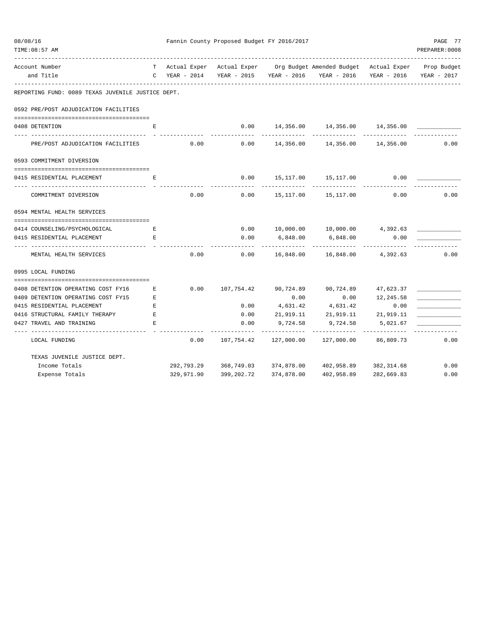| TIME: 08:57 AM                                               |             |               |              |                        |                                                                                                                       |                            | PREPARER:0008           |
|--------------------------------------------------------------|-------------|---------------|--------------|------------------------|-----------------------------------------------------------------------------------------------------------------------|----------------------------|-------------------------|
| Account Number<br>and Title                                  |             | C YEAR - 2014 |              |                        | T Actual Exper Actual Exper Org Budget Amended Budget Actual Exper Prop Budget<br>YEAR - 2015 YEAR - 2016 YEAR - 2016 |                            | YEAR - 2016 YEAR - 2017 |
| REPORTING FUND: 0089 TEXAS JUVENILE JUSTICE DEPT.            |             |               |              |                        |                                                                                                                       |                            |                         |
| 0592 PRE/POST ADJUDICATION FACILITIES                        |             |               |              |                        |                                                                                                                       |                            |                         |
| 0408 DETENTION                                               | Е           |               | 0.00         |                        | 14,356.00   14,356.00   14,356.00<br>--------------                                                                   |                            |                         |
| PRE/POST ADJUDICATION FACILITIES                             |             | 0.00          |              |                        | $0.00$ 14,356.00 14,356.00 14,356.00                                                                                  |                            | 0.00                    |
| 0593 COMMITMENT DIVERSION                                    |             |               |              |                        |                                                                                                                       |                            |                         |
| 0415 RESIDENTIAL PLACEMENT                                   | Е           |               | 0.00         |                        | 15, 117.00 15, 117.00                                                                                                 | 0.00                       |                         |
| COMMITMENT DIVERSION                                         |             | 0.00          | 0.00         |                        | 15,117.00 15,117.00                                                                                                   | 0.00                       | 0.00                    |
| 0594 MENTAL HEALTH SERVICES                                  |             |               |              |                        |                                                                                                                       |                            |                         |
|                                                              |             |               |              |                        |                                                                                                                       |                            |                         |
| 0414 COUNSELING/PSYCHOLOGICAL<br>0415 RESIDENTIAL PLACEMENT  | E<br>E.     |               | 0.00<br>0.00 | 6,848.00               | 10,000.00  10,000.00  4,392.63<br>6,848.00                                                                            | 0.00                       |                         |
| MENTAL HEALTH SERVICES                                       |             | 0.00          | 0.00         | ---------<br>16,848.00 | .<br>16,848.00                                                                                                        | 4,392.63                   | 0.00                    |
| 0995 LOCAL FUNDING                                           |             |               |              |                        |                                                                                                                       |                            |                         |
|                                                              |             |               |              |                        |                                                                                                                       |                            |                         |
| 0408 DETENTION OPERATING COST FY16                           | E           |               |              |                        | $0.00$ $107,754.42$ $90,724.89$ $90,724.89$ $47,623.37$                                                               |                            |                         |
| 0409 DETENTION OPERATING COST FY15                           | $\mathbf E$ |               |              | 0.00                   | 0.00                                                                                                                  | 12,245.58                  |                         |
| 0415 RESIDENTIAL PLACEMENT                                   | Е           |               | 0.00         |                        | 4,631.42 4,631.42                                                                                                     | 0.00                       |                         |
| 0416 STRUCTURAL FAMILY THERAPY E<br>0427 TRAVEL AND TRAINING | Е           |               | 0.00<br>0.00 |                        | 21,919.11 21,919.11 21,919.11<br>9,724.58 9,724.58 5,021.67                                                           |                            |                         |
| ----------<br>LOCAL FUNDING                                  |             | 0.00          |              | -----------            | ______________<br>127,000.00                                                                                          | -------------<br>86,809.73 | 0.00                    |
| TEXAS JUVENILE JUSTICE DEPT.                                 |             |               |              |                        |                                                                                                                       |                            |                         |
| Income Totals                                                |             |               |              |                        | 292,793.29 368,749.03 374,878.00 402,958.89 382,314.68                                                                |                            | 0.00                    |
| Expense Totals                                               |             | 329,971.90    | 399,202.72   | 374,878.00             | 402,958.89                                                                                                            | 282,669.83                 | 0.00                    |

08/08/16 Fannin County Proposed Budget FY 2016/2017 PAGE 77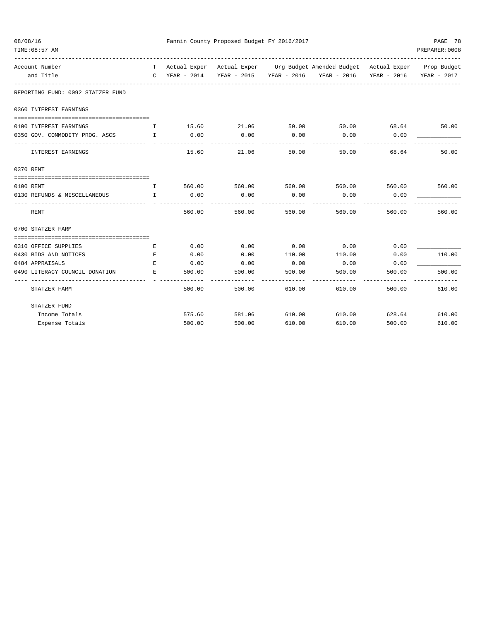| 08/08/16                                        | Fannin County Proposed Budget FY 2016/2017     | PAGE 78       |                      |                       |                                                                                |        |                |
|-------------------------------------------------|------------------------------------------------|---------------|----------------------|-----------------------|--------------------------------------------------------------------------------|--------|----------------|
| TIME: 08:57 AM<br>----------------------------- |                                                |               |                      |                       |                                                                                |        | PREPARER: 0008 |
| Account Number                                  |                                                |               |                      |                       | T Actual Exper Actual Exper Org Budget Amended Budget Actual Exper Prop Budget |        |                |
| and Title                                       |                                                | C YEAR - 2014 |                      |                       | YEAR - 2015 YEAR - 2016 YEAR - 2016 YEAR - 2016                                |        | YEAR - 2017    |
| REPORTING FUND: 0092 STATZER FUND               |                                                |               |                      |                       |                                                                                |        |                |
| 0360 INTEREST EARNINGS                          |                                                |               |                      |                       |                                                                                |        |                |
| 0100 INTEREST EARNINGS                          | $\mathbb{I}$                                   |               | 15.60 21.06          | 50.00                 | $50.00$ 68.64 50.00                                                            |        |                |
| 0350 GOV. COMMODITY PROG. ASCS                  | $\mathbf{I}$ and $\mathbf{I}$ and $\mathbf{I}$ | 0.00          | 0.00                 | 0.00                  | 0.00                                                                           | 0.00   |                |
| INTEREST EARNINGS                               |                                                | 15.60         | __________<br>21.06  | ------------<br>50.00 | $- - - - - -$<br>50.00                                                         | 68.64  | 50.00          |
| 0370 RENT                                       |                                                |               |                      |                       |                                                                                |        |                |
| 0100 RENT                                       | $\mathbf{I}$                                   |               | 560.00 560.00 560.00 |                       | 560.00                                                                         |        | 560.00 560.00  |
| 0130 REFUNDS & MISCELLANEOUS                    | $\mathbf{I}$ and $\mathbf{I}$ and $\mathbf{I}$ | 0.00          | 0.00                 | 0.00                  | 0.00                                                                           | 0.00   |                |
| RENT                                            |                                                | 560.00        | 560.00               | 560.00                | 560.00                                                                         | 560.00 | 560.00         |
| 0700 STATZER FARM                               |                                                |               |                      |                       |                                                                                |        |                |
|                                                 |                                                |               |                      |                       |                                                                                |        |                |
| 0310 OFFICE SUPPLIES                            | E                                              | 0.00          | 0.00                 | 0.00                  | 0.00                                                                           | 0.00   |                |
| 0430 BIDS AND NOTICES                           | E                                              | 0.00          | 0.00                 | 110.00                | 110.00                                                                         | 0.00   | 110.00         |
| 0484 APPRAISALS                                 | E.                                             | 0.00          | 0.00                 | 0.00                  | 0.00                                                                           | 0.00   |                |
| 0490 LITERACY COUNCIL DONATION                  | E.                                             | 500.00        | 500.00               | 500.00                | 500.00                                                                         | 500.00 | 500.00         |
| STATZER FARM                                    |                                                | 500.00        | 500.00               | 610.00                | 610.00                                                                         | 500.00 | 610.00         |
| STATZER FUND                                    |                                                |               |                      |                       |                                                                                |        |                |
| Income Totals                                   |                                                | 575.60        | 581.06               | 610.00                | 610.00                                                                         | 628.64 | 610.00         |
| Expense Totals                                  |                                                | 500.00        | 500.00               | 610.00                | 610.00                                                                         | 500.00 | 610.00         |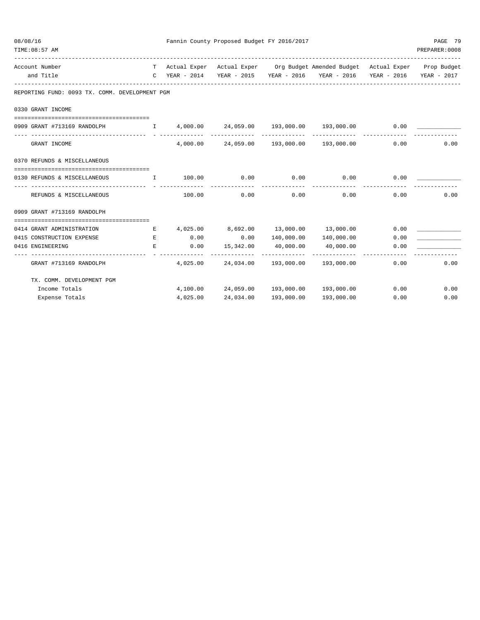| 08/08/16 | TIME: 08:57 AM                                                 |                                               |                    | Fannin County Proposed Budget FY 2016/2017 |               |                                                                                | PAGE 79<br>PREPARER: 0008 |      |  |
|----------|----------------------------------------------------------------|-----------------------------------------------|--------------------|--------------------------------------------|---------------|--------------------------------------------------------------------------------|---------------------------|------|--|
|          | Account Number                                                 |                                               |                    |                                            |               | T Actual Exper Actual Exper Org Budget Amended Budget Actual Exper Prop Budget |                           |      |  |
|          | and Title                                                      |                                               |                    |                                            |               | C YEAR - 2014 YEAR - 2015 YEAR - 2016 YEAR - 2016 YEAR - 2016 YEAR - 2017      |                           |      |  |
|          | REPORTING FUND: 0093 TX. COMM. DEVELOPMENT PGM                 |                                               |                    |                                            |               |                                                                                |                           |      |  |
|          | 0330 GRANT INCOME                                              |                                               |                    |                                            |               |                                                                                |                           |      |  |
|          | 0909 GRANT #713169 RANDOLPH                                    |                                               |                    |                                            |               | $I$ 4,000.00 24,059.00 193,000.00 193,000.00 0.00                              |                           |      |  |
|          |                                                                |                                               |                    |                                            |               |                                                                                |                           |      |  |
|          | GRANT INCOME                                                   |                                               |                    |                                            |               | $4,000.00$ $24,059.00$ $193,000.00$ $193,000.00$                               | 0.00                      | 0.00 |  |
|          | 0370 REFUNDS & MISCELLANEOUS                                   |                                               |                    |                                            |               |                                                                                |                           |      |  |
|          | 0130 REFUNDS & MISCELLANEOUS                                   | $\mathbf{I}$                                  | 100.00 0.00        |                                            | 0.00          | 0.00                                                                           | 0.00                      |      |  |
|          | ------------------------------- - -<br>REFUNDS & MISCELLANEOUS |                                               | --------<br>100.00 | 0.00                                       | 0.00          | 0.00                                                                           | 0.00                      | 0.00 |  |
|          | 0909 GRANT #713169 RANDOLPH                                    |                                               |                    |                                            |               |                                                                                |                           |      |  |
|          |                                                                |                                               |                    |                                            |               |                                                                                |                           |      |  |
|          | 0414 GRANT ADMINISTRATION                                      | E                                             |                    |                                            |               | $4,025.00$ $8,692.00$ $13,000.00$ $13,000.00$                                  | 0.00                      |      |  |
|          | 0415 CONSTRUCTION EXPENSE                                      | <b>Experimental Experimental Experimental</b> | 0.00               |                                            |               | $0.00$ $140,000.00$ $140,000.00$                                               | 0.00                      |      |  |
|          | 0416 ENGINEERING<br>--------------------------                 | E                                             | 0.00               | 15,342.00 40,000.00                        | ------------- | 40,000.00<br>-------------                                                     | 0.00                      |      |  |
|          | GRANT #713169 RANDOLPH                                         |                                               |                    |                                            |               | $4,025.00$ $24,034.00$ $193,000.00$ $193,000.00$                               | 0.00                      | 0.00 |  |
|          | TX. COMM. DEVELOPMENT PGM                                      |                                               |                    |                                            |               |                                                                                |                           |      |  |
|          | Income Totals                                                  |                                               |                    |                                            |               | $4,100.00$ $24,059.00$ $193,000.00$ $193,000.00$ $0.00$                        |                           | 0.00 |  |
|          | Expense Totals                                                 |                                               |                    |                                            |               | $4,025.00$ $24,034.00$ $193,000.00$ $193,000.00$                               | 0.00                      | 0.00 |  |